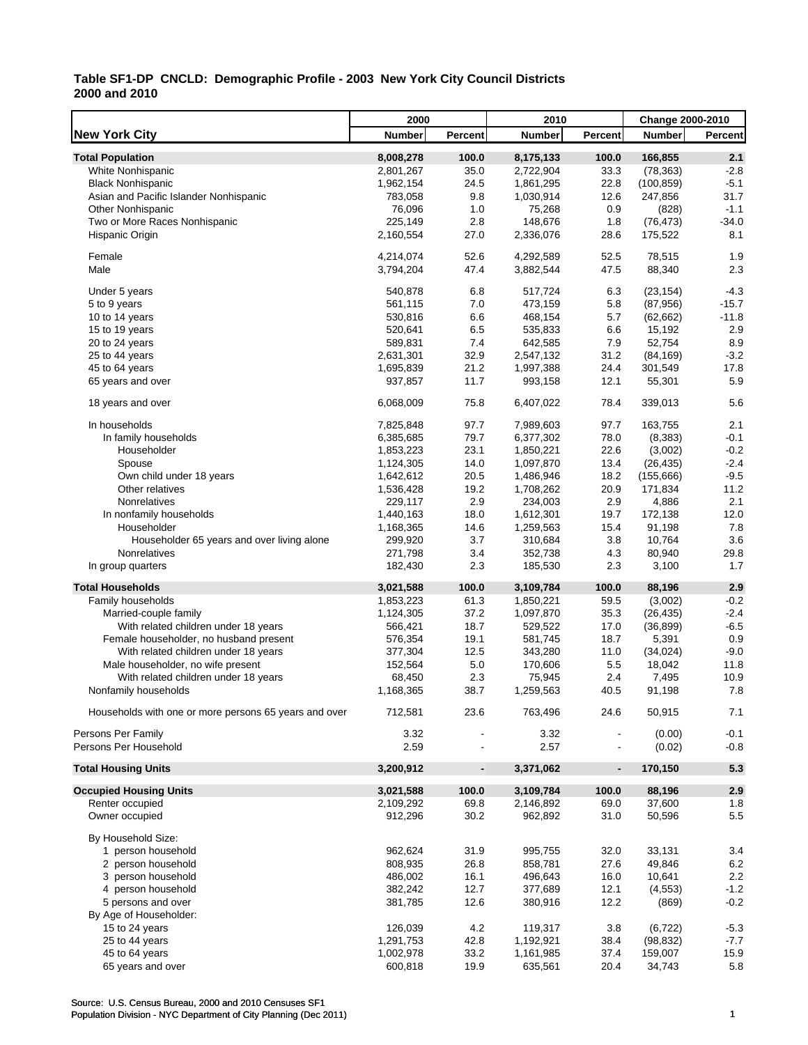L

|                                                       | 2000          |                          | 2010          |                | Change 2000-2010 |                |
|-------------------------------------------------------|---------------|--------------------------|---------------|----------------|------------------|----------------|
| <b>New York City</b>                                  | <b>Number</b> | <b>Percent</b>           | <b>Number</b> | Percent        | <b>Number</b>    | <b>Percent</b> |
| <b>Total Population</b>                               | 8,008,278     | 100.0                    | 8,175,133     | 100.0          | 166,855          | 2.1            |
| White Nonhispanic                                     | 2,801,267     | 35.0                     | 2,722,904     | 33.3           | (78, 363)        | $-2.8$         |
| <b>Black Nonhispanic</b>                              | 1,962,154     | 24.5                     | 1,861,295     | 22.8           | (100, 859)       | $-5.1$         |
| Asian and Pacific Islander Nonhispanic                | 783,058       | 9.8                      | 1,030,914     | 12.6           | 247,856          | 31.7           |
| <b>Other Nonhispanic</b>                              | 76,096        | 1.0                      | 75,268        | 0.9            | (828)            | $-1.1$         |
| Two or More Races Nonhispanic                         | 225,149       | 2.8                      | 148,676       | 1.8            | (76, 473)        | $-34.0$        |
| Hispanic Origin                                       | 2,160,554     | 27.0                     | 2,336,076     | 28.6           | 175,522          | 8.1            |
|                                                       |               |                          |               |                |                  |                |
| Female                                                | 4,214,074     | 52.6                     | 4,292,589     | 52.5           | 78,515           | 1.9            |
| Male                                                  | 3,794,204     | 47.4                     | 3,882,544     | 47.5           | 88,340           | 2.3            |
| Under 5 years                                         | 540.878       | 6.8                      | 517,724       | 6.3            | (23, 154)        | $-4.3$         |
| 5 to 9 years                                          | 561,115       | 7.0                      | 473,159       | 5.8            | (87,956)         | $-15.7$        |
| 10 to 14 years                                        | 530,816       | 6.6                      | 468,154       | 5.7            | (62, 662)        | $-11.8$        |
| 15 to 19 years                                        | 520,641       | 6.5                      | 535,833       | 6.6            | 15,192           | 2.9            |
| 20 to 24 years                                        | 589,831       | 7.4                      | 642,585       | 7.9            | 52,754           | 8.9            |
| 25 to 44 years                                        | 2,631,301     | 32.9                     | 2,547,132     | 31.2           | (84, 169)        | $-3.2$         |
| 45 to 64 years                                        | 1,695,839     | 21.2                     | 1,997,388     | 24.4           | 301,549          | 17.8           |
| 65 years and over                                     | 937,857       | 11.7                     | 993,158       | 12.1           | 55,301           | 5.9            |
| 18 years and over                                     | 6,068,009     | 75.8                     | 6,407,022     | 78.4           | 339,013          | 5.6            |
| In households                                         | 7,825,848     | 97.7                     | 7,989,603     | 97.7           | 163,755          | 2.1            |
| In family households                                  | 6,385,685     | 79.7                     | 6,377,302     | 78.0           | (8, 383)         | $-0.1$         |
| Householder                                           | 1,853,223     | 23.1                     | 1,850,221     | 22.6           | (3,002)          | $-0.2$         |
| Spouse                                                | 1,124,305     | 14.0                     | 1,097,870     | 13.4           | (26, 435)        | $-2.4$         |
| Own child under 18 years                              | 1,642,612     | 20.5                     | 1,486,946     | 18.2           | (155, 666)       | $-9.5$         |
| Other relatives                                       | 1,536,428     | 19.2                     | 1,708,262     | 20.9           | 171,834          | 11.2           |
| Nonrelatives                                          | 229,117       | 2.9                      | 234,003       | 2.9            | 4,886            | 2.1            |
| In nonfamily households                               | 1,440,163     | 18.0                     | 1,612,301     | 19.7           | 172,138          | 12.0           |
| Householder                                           | 1,168,365     | 14.6                     | 1,259,563     | 15.4           | 91,198           | 7.8            |
| Householder 65 years and over living alone            | 299,920       | 3.7                      | 310,684       | 3.8            | 10,764           | 3.6            |
| Nonrelatives                                          | 271,798       | 3.4                      | 352,738       | 4.3            | 80,940           | 29.8           |
| In group quarters                                     | 182,430       | 2.3                      | 185,530       | 2.3            | 3,100            | 1.7            |
| <b>Total Households</b>                               | 3,021,588     | 100.0                    | 3,109,784     | 100.0          | 88,196           | 2.9            |
| Family households                                     | 1,853,223     | 61.3                     | 1,850,221     | 59.5           | (3,002)          | $-0.2$         |
| Married-couple family                                 | 1,124,305     | 37.2                     | 1,097,870     | 35.3           | (26, 435)        | $-2.4$         |
| With related children under 18 years                  | 566,421       | 18.7                     | 529,522       | 17.0           | (36, 899)        | $-6.5$         |
| Female householder, no husband present                | 576,354       | 19.1                     | 581,745       | 18.7           | 5,391            | 0.9            |
| With related children under 18 years                  | 377,304       | 12.5                     | 343,280       | 11.0           | (34, 024)        | $-9.0$         |
| Male householder, no wife present                     | 152,564       | 5.0                      | 170,606       | 5.5            | 18,042           | 11.8           |
| With related children under 18 years                  |               | 2.3                      | 75,945        |                | 7,495            | 10.9           |
|                                                       | 68,450        |                          |               | 2.4            |                  |                |
| Nonfamily households                                  | 1,168,365     | 38.7                     | 1,259,563     | 40.5           | 91,198           | 7.8            |
| Households with one or more persons 65 years and over | 712,581       | 23.6                     | 763,496       | 24.6           | 50,915           | 7.1            |
| Persons Per Family                                    | 3.32          |                          | 3.32          |                | (0.00)           | $-0.1$         |
| Persons Per Household                                 | 2.59          |                          | 2.57          |                | (0.02)           | $-0.8$         |
| <b>Total Housing Units</b>                            | 3,200,912     | $\overline{\phantom{a}}$ | 3,371,062     | $\blacksquare$ | 170,150          | 5.3            |
| <b>Occupied Housing Units</b>                         | 3,021,588     | 100.0                    | 3,109,784     | 100.0          | 88,196           | 2.9            |
| Renter occupied                                       | 2,109,292     | 69.8                     | 2,146,892     | 69.0           | 37,600           | 1.8            |
| Owner occupied                                        | 912,296       | 30.2                     | 962,892       | 31.0           | 50,596           | 5.5            |
| By Household Size:                                    |               |                          |               |                |                  |                |
| 1 person household                                    | 962,624       | 31.9                     | 995,755       | 32.0           | 33,131           | 3.4            |
| 2 person household                                    | 808,935       | 26.8                     | 858,781       | 27.6           | 49,846           | 6.2            |
| 3 person household                                    | 486,002       | 16.1                     | 496,643       | 16.0           | 10,641           | 2.2            |
| 4 person household                                    | 382,242       | 12.7                     | 377,689       | 12.1           | (4, 553)         | $-1.2$         |
| 5 persons and over                                    | 381,785       | 12.6                     | 380,916       | 12.2           | (869)            | $-0.2$         |
| By Age of Householder:                                |               |                          |               |                |                  |                |
| 15 to 24 years                                        | 126,039       | 4.2                      | 119,317       | 3.8            | (6, 722)         | $-5.3$         |
| 25 to 44 years                                        | 1,291,753     | 42.8                     | 1,192,921     | 38.4           | (98, 832)        | $-7.7$         |
| 45 to 64 years                                        | 1,002,978     | 33.2                     | 1,161,985     | 37.4           | 159,007          | 15.9           |
| 65 years and over                                     | 600,818       | 19.9                     | 635,561       | 20.4           | 34,743           | 5.8            |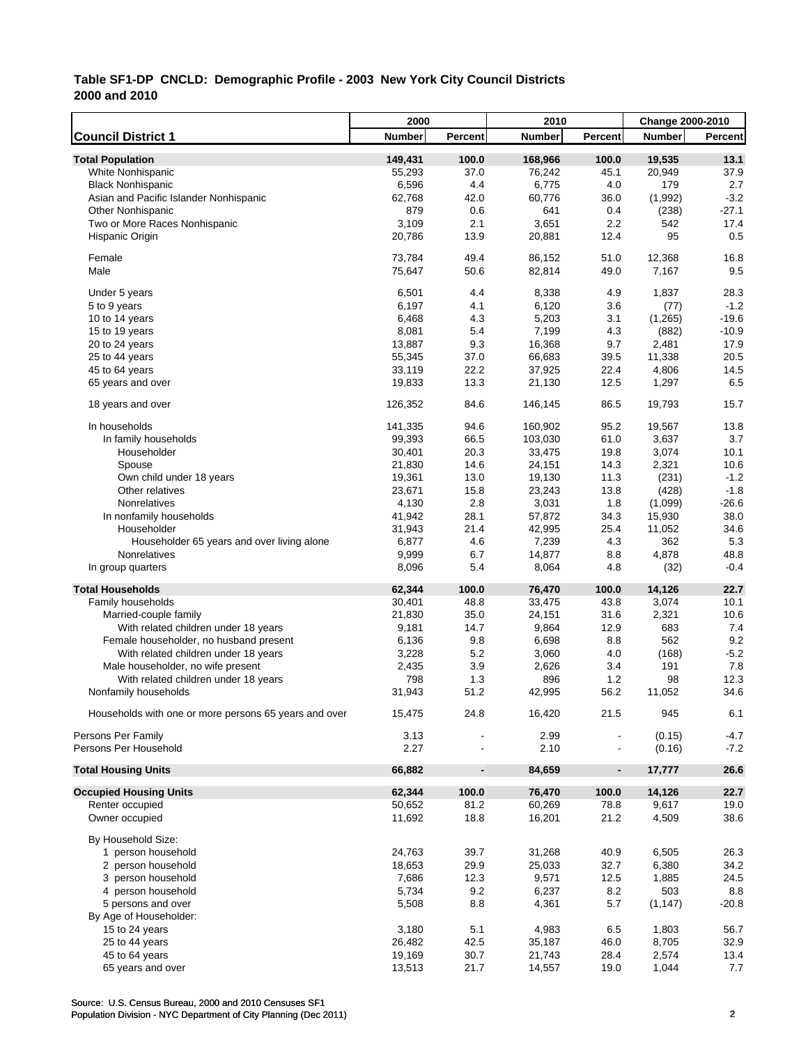|                                                       | 2000          |                              | 2010          |                | Change 2000-2010 |         |
|-------------------------------------------------------|---------------|------------------------------|---------------|----------------|------------------|---------|
| <b>Council District 1</b>                             | <b>Number</b> | Percent                      | <b>Number</b> | Percent        | <b>Number</b>    | Percent |
| <b>Total Population</b>                               | 149,431       | 100.0                        | 168,966       | 100.0          | 19,535           | 13.1    |
| <b>White Nonhispanic</b>                              | 55,293        | 37.0                         | 76,242        | 45.1           | 20,949           | 37.9    |
| <b>Black Nonhispanic</b>                              | 6,596         | 4.4                          | 6,775         | 4.0            | 179              | 2.7     |
| Asian and Pacific Islander Nonhispanic                | 62,768        | 42.0                         | 60,776        | 36.0           | (1,992)          | $-3.2$  |
| <b>Other Nonhispanic</b>                              | 879           | 0.6                          | 641           | 0.4            | (238)            | $-27.1$ |
| Two or More Races Nonhispanic                         | 3,109         | 2.1                          | 3,651         | 2.2            | 542              | 17.4    |
| Hispanic Origin                                       | 20,786        | 13.9                         | 20,881        | 12.4           | 95               | 0.5     |
| Female                                                | 73,784        | 49.4                         | 86,152        | 51.0           | 12,368           | 16.8    |
| Male                                                  | 75,647        | 50.6                         | 82,814        | 49.0           | 7,167            | 9.5     |
| Under 5 years                                         | 6,501         | 4.4                          | 8,338         | 4.9            | 1,837            | 28.3    |
| 5 to 9 years                                          | 6,197         | 4.1                          | 6,120         | 3.6            | (77)             | $-1.2$  |
| 10 to 14 years                                        | 6,468         | 4.3                          | 5,203         | 3.1            | (1, 265)         | $-19.6$ |
| 15 to 19 years                                        | 8,081         | 5.4                          | 7,199         | 4.3            | (882)            | $-10.9$ |
| 20 to 24 years                                        | 13,887        | 9.3                          | 16,368        | 9.7            | 2,481            | 17.9    |
| 25 to 44 years                                        | 55,345        | 37.0                         | 66,683        | 39.5           | 11,338           | 20.5    |
| 45 to 64 years                                        | 33,119        | 22.2                         | 37,925        | 22.4           | 4,806            | 14.5    |
| 65 years and over                                     | 19,833        | 13.3                         | 21,130        | 12.5           | 1,297            | 6.5     |
| 18 years and over                                     | 126,352       | 84.6                         | 146,145       | 86.5           | 19,793           | 15.7    |
| In households                                         | 141,335       | 94.6                         | 160,902       | 95.2           | 19,567           | 13.8    |
| In family households                                  | 99,393        | 66.5                         | 103,030       | 61.0           | 3,637            | 3.7     |
| Householder                                           | 30,401        | 20.3                         | 33,475        | 19.8           | 3,074            | 10.1    |
| Spouse                                                | 21,830        | 14.6                         | 24,151        | 14.3           | 2,321            | 10.6    |
| Own child under 18 years                              | 19,361        | 13.0                         | 19,130        | 11.3           | (231)            | $-1.2$  |
| Other relatives                                       | 23,671        | 15.8                         | 23,243        | 13.8           | (428)            | $-1.8$  |
| Nonrelatives                                          | 4,130         | 2.8                          | 3,031         | 1.8            | (1,099)          | $-26.6$ |
| In nonfamily households                               | 41,942        | 28.1                         | 57,872        | 34.3           | 15,930           | 38.0    |
| Householder                                           | 31,943        | 21.4                         | 42,995        | 25.4           | 11,052           | 34.6    |
| Householder 65 years and over living alone            | 6,877         | 4.6                          | 7,239         | 4.3            | 362              | 5.3     |
| Nonrelatives                                          | 9,999         | 6.7                          | 14,877        | 8.8            | 4,878            | 48.8    |
| In group quarters                                     | 8,096         | 5.4                          | 8,064         | 4.8            | (32)             | $-0.4$  |
| <b>Total Households</b>                               | 62,344        | 100.0                        | 76,470        | 100.0          | 14,126           | 22.7    |
| Family households                                     | 30,401        | 48.8                         | 33,475        | 43.8           | 3,074            | 10.1    |
| Married-couple family                                 | 21,830        | 35.0                         | 24,151        | 31.6           | 2,321            | 10.6    |
| With related children under 18 years                  | 9,181         | 14.7                         | 9,864         | 12.9           | 683              | 7.4     |
| Female householder, no husband present                | 6,136         | 9.8                          | 6,698         | 8.8            | 562              | 9.2     |
| With related children under 18 years                  | 3,228         | 5.2                          | 3,060         | 4.0            | (168)            | $-5.2$  |
| Male householder, no wife present                     | 2,435         | 3.9                          | 2,626         | 3.4            | 191              | 7.8     |
| With related children under 18 years                  | 798           | 1.3                          | 896           | 1.2            | 98               | 12.3    |
| Nonfamily households                                  | 31,943        | 51.2                         | 42,995        | 56.2           | 11,052           | 34.6    |
| Households with one or more persons 65 years and over | 15,475        | 24.8                         | 16,420        | 21.5           | 945              | 6.1     |
| Persons Per Family                                    | 3.13          |                              | 2.99          |                | (0.15)           | $-4.7$  |
| Persons Per Household                                 | 2.27          |                              | 2.10          |                | (0.16)           | $-7.2$  |
| <b>Total Housing Units</b>                            | 66,882        | $\qquad \qquad \blacksquare$ | 84,659        | $\blacksquare$ | 17,777           | 26.6    |
| <b>Occupied Housing Units</b>                         | 62,344        | 100.0                        | 76,470        | 100.0          | 14,126           | 22.7    |
| Renter occupied                                       | 50,652        | 81.2                         | 60,269        | 78.8           | 9,617            | 19.0    |
| Owner occupied                                        | 11,692        | 18.8                         | 16,201        | 21.2           | 4,509            | 38.6    |
| By Household Size:                                    |               |                              |               |                |                  |         |
| 1 person household                                    | 24,763        | 39.7                         | 31,268        | 40.9           | 6,505            | 26.3    |
| 2 person household                                    | 18,653        | 29.9                         | 25,033        | 32.7           | 6,380            | 34.2    |
| 3 person household                                    | 7,686         | 12.3                         | 9,571         | 12.5           | 1,885            | 24.5    |
| 4 person household                                    | 5,734         | 9.2                          | 6,237         | 8.2            | 503              | 8.8     |
| 5 persons and over                                    | 5,508         | 8.8                          | 4,361         | 5.7            | (1, 147)         | $-20.8$ |
| By Age of Householder:                                |               |                              |               |                |                  |         |
| 15 to 24 years                                        | 3,180         | 5.1                          | 4,983         | 6.5            | 1,803            | 56.7    |
| 25 to 44 years                                        | 26,482        | 42.5                         | 35,187        | 46.0           | 8,705            | 32.9    |
| 45 to 64 years                                        | 19,169        | 30.7                         | 21,743        | 28.4           | 2,574            | 13.4    |
| 65 years and over                                     | 13,513        | 21.7                         | 14,557        | 19.0           | 1,044            | 7.7     |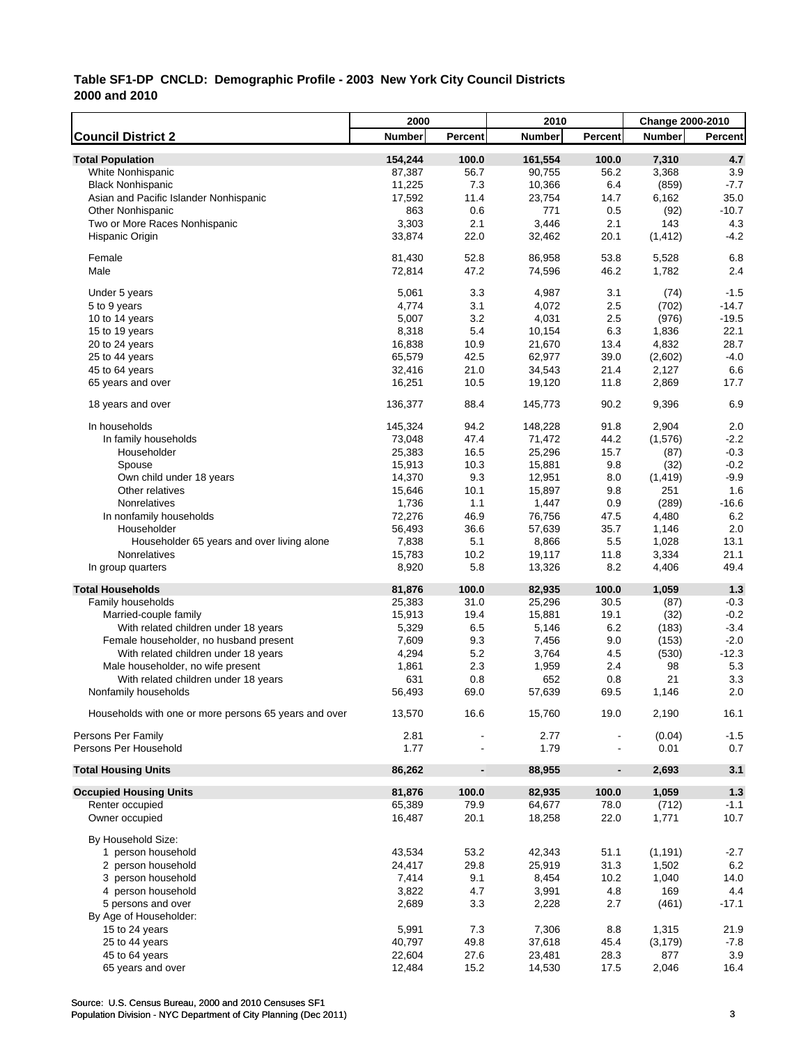|                                                       | 2000          |                              | 2010             |                | <b>Change 2000-2010</b> |               |
|-------------------------------------------------------|---------------|------------------------------|------------------|----------------|-------------------------|---------------|
| <b>Council District 2</b>                             | <b>Number</b> | Percent                      | <b>Number</b>    | Percent        | <b>Number</b>           | Percent       |
| <b>Total Population</b>                               | 154,244       | 100.0                        | 161,554          | 100.0          | 7,310                   | 4.7           |
| White Nonhispanic                                     | 87,387        | 56.7                         | 90,755           | 56.2           | 3,368                   | 3.9           |
| <b>Black Nonhispanic</b>                              | 11,225        | 7.3                          | 10,366           | 6.4            | (859)                   | $-7.7$        |
| Asian and Pacific Islander Nonhispanic                | 17,592        | 11.4                         | 23,754           | 14.7           | 6,162                   | 35.0          |
| <b>Other Nonhispanic</b>                              | 863           | 0.6                          | 771              | 0.5            | (92)                    | $-10.7$       |
| Two or More Races Nonhispanic                         | 3,303         | 2.1                          | 3,446            | 2.1            | 143                     | 4.3           |
| Hispanic Origin                                       | 33,874        | 22.0                         | 32,462           | 20.1           | (1, 412)                | $-4.2$        |
| Female                                                | 81,430        | 52.8                         | 86,958           | 53.8           | 5,528                   | 6.8           |
| Male                                                  | 72,814        | 47.2                         | 74,596           | 46.2           | 1,782                   | 2.4           |
| Under 5 years                                         | 5,061         | 3.3                          | 4,987            | 3.1            | (74)                    | $-1.5$        |
| 5 to 9 years                                          | 4,774         | 3.1                          | 4,072            | 2.5            | (702)                   | $-14.7$       |
| 10 to 14 years                                        | 5,007         | 3.2                          | 4,031            | 2.5            | (976)                   | $-19.5$       |
| 15 to 19 years                                        | 8,318         | 5.4                          | 10,154           | 6.3            | 1,836                   | 22.1          |
| 20 to 24 years                                        | 16,838        | 10.9                         | 21,670           | 13.4           | 4,832                   | 28.7          |
| 25 to 44 years                                        | 65,579        | 42.5                         | 62,977           | 39.0           | (2,602)                 | $-4.0$        |
| 45 to 64 years                                        | 32,416        | 21.0                         | 34,543           | 21.4           | 2,127                   | 6.6           |
| 65 years and over                                     | 16,251        | 10.5                         | 19,120           | 11.8           | 2,869                   | 17.7          |
|                                                       |               |                              |                  |                |                         |               |
| 18 years and over                                     | 136,377       | 88.4                         | 145,773          | 90.2           | 9,396                   | 6.9           |
| In households                                         | 145,324       | 94.2                         | 148,228          | 91.8           | 2,904                   | 2.0           |
| In family households                                  | 73,048        | 47.4                         | 71,472           | 44.2           | (1,576)                 | $-2.2$        |
| Householder                                           | 25,383        | 16.5                         | 25,296           | 15.7           | (87)                    | $-0.3$        |
| Spouse                                                | 15,913        | 10.3                         | 15,881           | 9.8            | (32)                    | $-0.2$        |
| Own child under 18 years                              | 14,370        | 9.3                          | 12,951           | 8.0            | (1, 419)                | $-9.9$        |
| Other relatives                                       | 15,646        | 10.1                         | 15,897           | 9.8            | 251                     | 1.6           |
| Nonrelatives                                          | 1,736         | 1.1                          | 1,447            | 0.9            | (289)                   | $-16.6$       |
| In nonfamily households                               | 72,276        | 46.9                         | 76,756           | 47.5           | 4,480                   | 6.2           |
| Householder                                           | 56,493        | 36.6                         | 57,639           | 35.7           | 1,146                   | 2.0           |
| Householder 65 years and over living alone            | 7,838         | 5.1                          | 8,866            | 5.5            | 1,028                   | 13.1          |
| Nonrelatives                                          | 15,783        | 10.2                         | 19,117           | 11.8           | 3,334                   | 21.1          |
| In group quarters                                     | 8,920         | 5.8                          | 13,326           | 8.2            | 4,406                   | 49.4          |
| <b>Total Households</b>                               | 81,876        | 100.0                        | 82,935           | 100.0          | 1,059                   | 1.3           |
| Family households                                     | 25,383        | 31.0                         | 25,296           | 30.5           | (87)                    | $-0.3$        |
| Married-couple family                                 | 15,913        | 19.4                         | 15,881           | 19.1           | (32)                    | $-0.2$        |
| With related children under 18 years                  | 5,329         | 6.5                          | 5,146            | 6.2            | (183)                   | $-3.4$        |
| Female householder, no husband present                | 7,609         | 9.3                          | 7,456            | 9.0            | (153)                   | $-2.0$        |
| With related children under 18 years                  | 4,294         | 5.2                          | 3,764            | 4.5            | (530)                   | $-12.3$       |
| Male householder, no wife present                     | 1,861         | 2.3                          | 1,959            | 2.4            | 98                      | 5.3           |
| With related children under 18 years                  | 631           | 0.8                          | 652              | 0.8            | 21                      | 3.3           |
| Nonfamily households                                  | 56,493        | 69.0                         | 57,639           | 69.5           | 1,146                   | 2.0           |
| Households with one or more persons 65 years and over | 13,570        | 16.6                         | 15,760           | 19.0           | 2,190                   | 16.1          |
| Persons Per Family                                    | 2.81          |                              | 2.77             |                | (0.04)                  | $-1.5$        |
| Persons Per Household                                 | 1.77          |                              | 1.79             |                | 0.01                    | 0.7           |
| <b>Total Housing Units</b>                            | 86,262        | $\qquad \qquad \blacksquare$ | 88,955           | $\blacksquare$ | 2,693                   | 3.1           |
| <b>Occupied Housing Units</b>                         | 81,876        | 100.0                        | 82,935           | 100.0          | 1,059                   | $1.3$         |
| Renter occupied                                       | 65,389        | 79.9                         | 64,677           | 78.0           | (712)                   | $-1.1$        |
| Owner occupied                                        | 16,487        | 20.1                         | 18,258           | 22.0           | 1,771                   | 10.7          |
| By Household Size:                                    |               |                              |                  |                |                         |               |
| 1 person household                                    | 43,534        | 53.2                         | 42,343           | 51.1           | (1, 191)                | $-2.7$        |
| 2 person household                                    | 24,417        | 29.8                         | 25,919           | 31.3           | 1,502                   | 6.2           |
| 3 person household                                    | 7,414         | 9.1                          | 8,454            | 10.2           | 1,040                   | 14.0          |
| 4 person household                                    | 3,822         | 4.7                          | 3,991            | 4.8            | 169                     | 4.4           |
| 5 persons and over                                    | 2,689         | 3.3                          | 2,228            | 2.7            | (461)                   | $-17.1$       |
|                                                       |               |                              |                  |                |                         |               |
| By Age of Householder:                                | 5,991         |                              | 7,306            |                |                         |               |
| 15 to 24 years                                        | 40,797        | 7.3<br>49.8                  |                  | 8.8<br>45.4    | 1,315                   | 21.9          |
| 25 to 44 years<br>45 to 64 years                      | 22,604        | 27.6                         | 37,618<br>23,481 | 28.3           | (3, 179)<br>877         | $-7.8$<br>3.9 |
| 65 years and over                                     | 12,484        | 15.2                         | 14,530           | 17.5           | 2,046                   | 16.4          |
|                                                       |               |                              |                  |                |                         |               |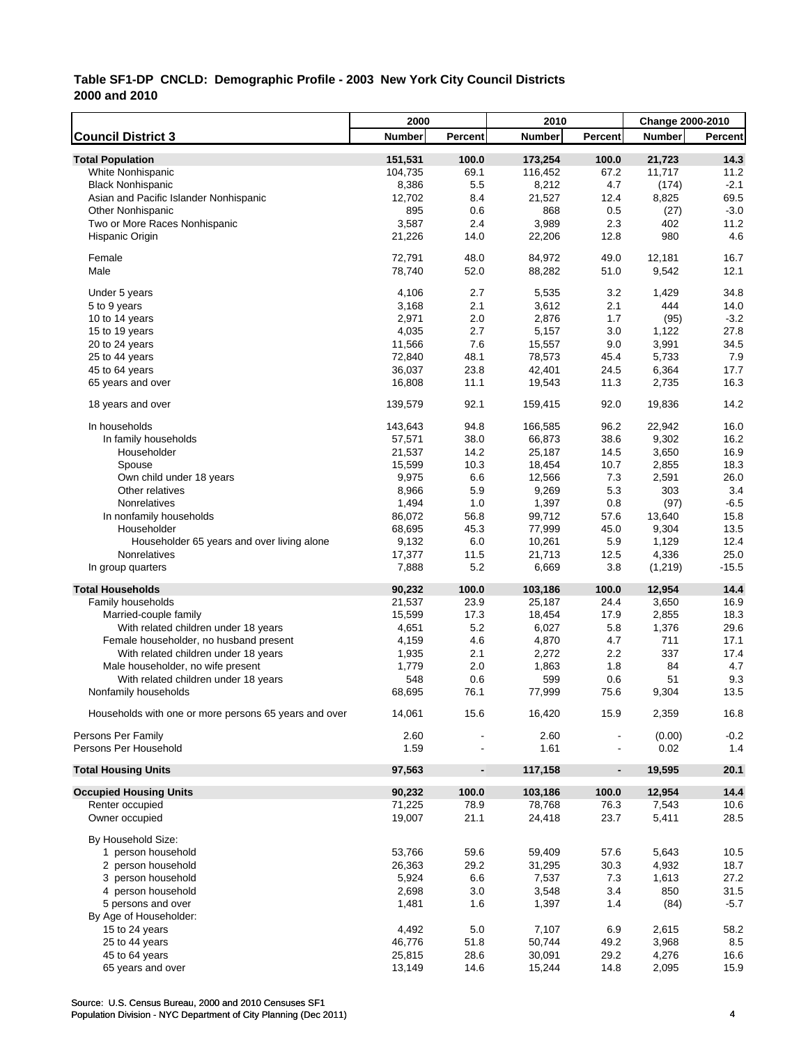|                                                       | 2000          |                          | 2010          |                | Change 2000-2010 |         |
|-------------------------------------------------------|---------------|--------------------------|---------------|----------------|------------------|---------|
| <b>Council District 3</b>                             | <b>Number</b> | Percent                  | <b>Number</b> | Percent        | <b>Number</b>    | Percent |
| <b>Total Population</b>                               | 151,531       | 100.0                    | 173,254       | 100.0          | 21,723           | 14.3    |
| White Nonhispanic                                     | 104,735       | 69.1                     | 116,452       | 67.2           | 11,717           | 11.2    |
| <b>Black Nonhispanic</b>                              | 8,386         | 5.5                      | 8,212         | 4.7            | (174)            | $-2.1$  |
| Asian and Pacific Islander Nonhispanic                | 12,702        | 8.4                      | 21,527        | 12.4           | 8,825            | 69.5    |
| <b>Other Nonhispanic</b>                              | 895           | 0.6                      | 868           | 0.5            | (27)             | $-3.0$  |
| Two or More Races Nonhispanic                         | 3,587         | 2.4                      | 3,989         | 2.3            | 402              | 11.2    |
| Hispanic Origin                                       | 21,226        | 14.0                     | 22,206        | 12.8           | 980              | 4.6     |
|                                                       |               |                          |               |                |                  |         |
| Female                                                | 72,791        | 48.0                     | 84,972        | 49.0           | 12,181           | 16.7    |
| Male                                                  | 78,740        | 52.0                     | 88,282        | 51.0           | 9,542            | 12.1    |
| Under 5 years                                         | 4,106         | 2.7                      | 5,535         | 3.2            | 1,429            | 34.8    |
| 5 to 9 years                                          | 3,168         | 2.1                      | 3,612         | 2.1            | 444              | 14.0    |
| 10 to 14 years                                        | 2,971         | 2.0                      | 2,876         | 1.7            | (95)             | $-3.2$  |
| 15 to 19 years                                        | 4,035         | 2.7                      | 5,157         | 3.0            | 1,122            | 27.8    |
| 20 to 24 years                                        | 11,566        | 7.6                      | 15,557        | 9.0            | 3,991            | 34.5    |
| 25 to 44 years                                        | 72,840        | 48.1                     | 78,573        | 45.4           | 5,733            | 7.9     |
| 45 to 64 years                                        | 36,037        | 23.8                     | 42,401        | 24.5           | 6,364            | 17.7    |
| 65 years and over                                     | 16,808        | 11.1                     | 19,543        | 11.3           | 2,735            | 16.3    |
|                                                       |               |                          |               |                |                  |         |
| 18 years and over                                     | 139,579       | 92.1                     | 159,415       | 92.0           | 19,836           | 14.2    |
| In households                                         | 143,643       | 94.8                     | 166,585       | 96.2           | 22,942           | 16.0    |
| In family households                                  | 57,571        | 38.0                     | 66,873        | 38.6           | 9,302            | 16.2    |
| Householder                                           | 21,537        | 14.2                     | 25,187        | 14.5           | 3,650            | 16.9    |
| Spouse                                                | 15,599        | 10.3                     | 18,454        | 10.7           | 2,855            | 18.3    |
| Own child under 18 years                              | 9,975         | 6.6                      | 12,566        | 7.3            | 2,591            | 26.0    |
| Other relatives                                       | 8,966         | 5.9                      | 9,269         | 5.3            | 303              | 3.4     |
| Nonrelatives                                          | 1,494         | 1.0                      | 1,397         | 0.8            | (97)             | $-6.5$  |
| In nonfamily households                               | 86,072        | 56.8                     | 99,712        | 57.6           | 13,640           | 15.8    |
| Householder                                           | 68,695        | 45.3                     | 77,999        | 45.0           | 9,304            | 13.5    |
| Householder 65 years and over living alone            | 9,132         | 6.0                      | 10,261        | 5.9            | 1,129            | 12.4    |
| Nonrelatives                                          | 17,377        | 11.5                     | 21,713        | 12.5           | 4,336            | 25.0    |
| In group quarters                                     | 7,888         | 5.2                      | 6,669         | 3.8            | (1,219)          | $-15.5$ |
| <b>Total Households</b>                               | 90,232        | 100.0                    | 103,186       | 100.0          | 12,954           | 14.4    |
| Family households                                     | 21,537        | 23.9                     | 25,187        | 24.4           | 3,650            | 16.9    |
| Married-couple family                                 | 15,599        | 17.3                     | 18,454        | 17.9           | 2,855            | 18.3    |
| With related children under 18 years                  | 4,651         | 5.2                      | 6,027         | 5.8            | 1,376            | 29.6    |
| Female householder, no husband present                | 4,159         | 4.6                      | 4,870         | 4.7            | 711              | 17.1    |
| With related children under 18 years                  | 1,935         | 2.1                      | 2,272         | 2.2            | 337              | 17.4    |
| Male householder, no wife present                     | 1,779         | 2.0                      | 1,863         | 1.8            | 84               | 4.7     |
| With related children under 18 years                  | 548           | 0.6                      | 599           | 0.6            | 51               | 9.3     |
| Nonfamily households                                  | 68,695        | 76.1                     | 77,999        | 75.6           | 9,304            | 13.5    |
|                                                       |               |                          |               |                |                  |         |
| Households with one or more persons 65 years and over | 14,061        | 15.6                     | 16,420        | 15.9           | 2,359            | 16.8    |
| Persons Per Family                                    | 2.60          |                          | 2.60          |                | (0.00)           | $-0.2$  |
| Persons Per Household                                 | 1.59          |                          | 1.61          |                | 0.02             | 1.4     |
| <b>Total Housing Units</b>                            | 97,563        | $\overline{\phantom{a}}$ | 117,158       | $\blacksquare$ | 19,595           | 20.1    |
| <b>Occupied Housing Units</b>                         | 90,232        | 100.0                    | 103,186       | 100.0          | 12,954           | 14.4    |
| Renter occupied                                       | 71,225        | 78.9                     | 78,768        | 76.3           | 7,543            | 10.6    |
| Owner occupied                                        | 19,007        | 21.1                     | 24,418        | 23.7           | 5,411            | 28.5    |
|                                                       |               |                          |               |                |                  |         |
| By Household Size:                                    |               |                          |               |                |                  |         |
| 1 person household                                    | 53,766        | 59.6                     | 59,409        | 57.6           | 5,643            | 10.5    |
| 2 person household                                    | 26,363        | 29.2                     | 31,295        | 30.3           | 4,932            | 18.7    |
| 3 person household                                    | 5,924         | 6.6                      | 7,537         | 7.3            | 1,613            | 27.2    |
| 4 person household                                    | 2,698         | 3.0                      | 3,548         | 3.4            | 850              | 31.5    |
| 5 persons and over                                    | 1,481         | 1.6                      | 1,397         | 1.4            | (84)             | $-5.7$  |
| By Age of Householder:                                |               |                          |               |                |                  |         |
| 15 to 24 years                                        | 4,492         | 5.0                      | 7,107         | 6.9            | 2,615            | 58.2    |
| 25 to 44 years                                        | 46,776        | 51.8                     | 50,744        | 49.2           | 3,968            | 8.5     |
| 45 to 64 years                                        | 25,815        | 28.6                     | 30,091        | 29.2           | 4,276            | 16.6    |
| 65 years and over                                     | 13,149        | 14.6                     | 15,244        | 14.8           | 2,095            | 15.9    |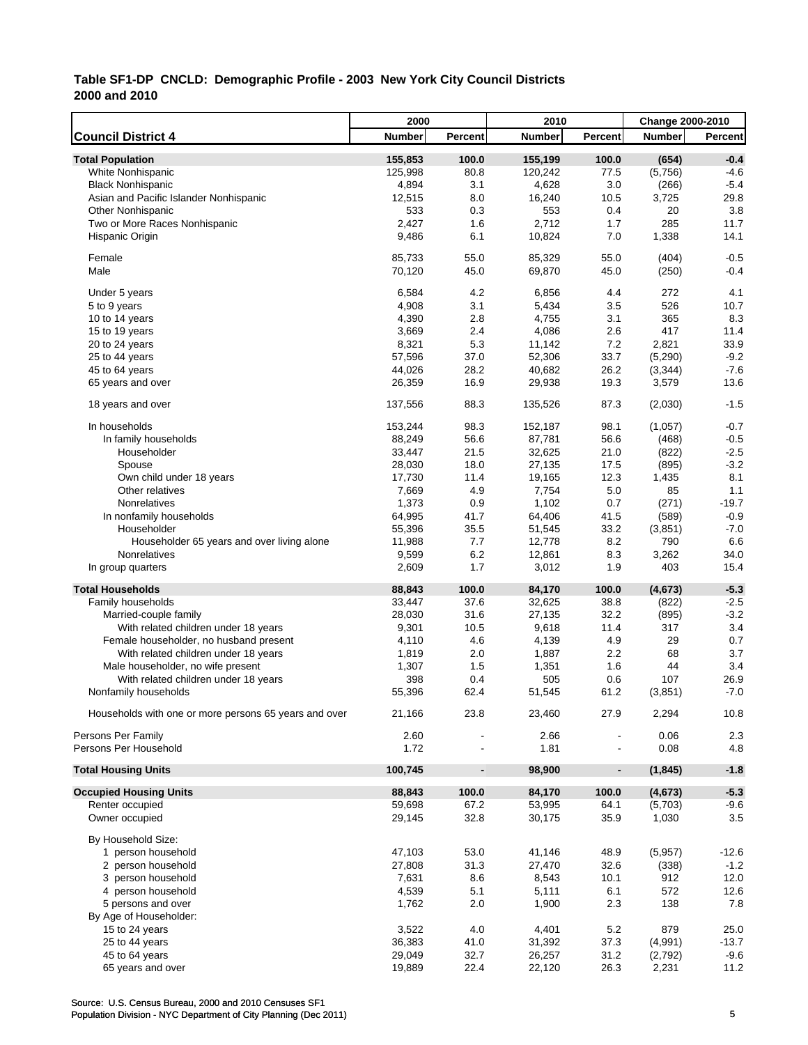|                                                       | 2000          |                              | 2010          |                | <b>Change 2000-2010</b> |         |
|-------------------------------------------------------|---------------|------------------------------|---------------|----------------|-------------------------|---------|
| <b>Council District 4</b>                             | <b>Number</b> | Percent                      | <b>Number</b> | Percent        | <b>Number</b>           | Percent |
| <b>Total Population</b>                               | 155,853       | 100.0                        | 155,199       | 100.0          | (654)                   | $-0.4$  |
| White Nonhispanic                                     | 125,998       | 80.8                         | 120,242       | 77.5           | (5,756)                 | $-4.6$  |
| <b>Black Nonhispanic</b>                              | 4,894         | 3.1                          | 4,628         | 3.0            | (266)                   | $-5.4$  |
| Asian and Pacific Islander Nonhispanic                | 12,515        | 8.0                          | 16,240        | 10.5           | 3,725                   | 29.8    |
| <b>Other Nonhispanic</b>                              | 533           | 0.3                          | 553           | 0.4            | 20                      | 3.8     |
| Two or More Races Nonhispanic                         | 2,427         | 1.6                          | 2,712         | 1.7            | 285                     | 11.7    |
| Hispanic Origin                                       | 9,486         | 6.1                          | 10,824        | 7.0            | 1,338                   | 14.1    |
| Female                                                | 85,733        | 55.0                         | 85,329        | 55.0           | (404)                   | $-0.5$  |
| Male                                                  | 70,120        | 45.0                         | 69,870        | 45.0           | (250)                   | $-0.4$  |
| Under 5 years                                         | 6,584         | 4.2                          | 6,856         | 4.4            | 272                     | 4.1     |
| 5 to 9 years                                          | 4,908         | 3.1                          | 5,434         | 3.5            | 526                     | 10.7    |
| 10 to 14 years                                        | 4,390         | 2.8                          | 4,755         | 3.1            | 365                     | 8.3     |
| 15 to 19 years                                        | 3,669         | 2.4                          | 4,086         | 2.6            | 417                     | 11.4    |
| 20 to 24 years                                        | 8,321         | 5.3                          | 11,142        | 7.2            | 2,821                   | 33.9    |
| 25 to 44 years                                        | 57,596        | 37.0                         | 52,306        | 33.7           | (5, 290)                | $-9.2$  |
| 45 to 64 years                                        | 44,026        | 28.2                         | 40,682        | 26.2           | (3, 344)                | $-7.6$  |
| 65 years and over                                     | 26,359        | 16.9                         | 29,938        | 19.3           | 3,579                   | 13.6    |
|                                                       |               |                              |               |                |                         |         |
| 18 years and over                                     | 137,556       | 88.3                         | 135,526       | 87.3           | (2,030)                 | $-1.5$  |
| In households                                         | 153,244       | 98.3                         | 152,187       | 98.1           | (1,057)                 | $-0.7$  |
| In family households                                  | 88,249        | 56.6                         | 87,781        | 56.6           | (468)                   | $-0.5$  |
| Householder                                           | 33,447        | 21.5                         | 32,625        | 21.0           | (822)                   | $-2.5$  |
| Spouse                                                | 28,030        | 18.0                         | 27,135        | 17.5           | (895)                   | $-3.2$  |
| Own child under 18 years                              | 17,730        | 11.4                         | 19,165        | 12.3           | 1,435                   | 8.1     |
| Other relatives                                       | 7,669         | 4.9                          | 7,754         | 5.0            | 85                      | 1.1     |
| Nonrelatives                                          | 1,373         | 0.9                          | 1,102         | 0.7            | (271)                   | $-19.7$ |
| In nonfamily households                               | 64,995        | 41.7                         | 64,406        | 41.5           | (589)                   | $-0.9$  |
| Householder                                           | 55,396        | 35.5                         | 51,545        | 33.2           | (3,851)                 | $-7.0$  |
| Householder 65 years and over living alone            | 11,988        | 7.7                          | 12,778        | 8.2            | 790                     | 6.6     |
| Nonrelatives                                          | 9,599         | 6.2                          | 12,861        | 8.3            | 3,262                   | 34.0    |
| In group quarters                                     | 2,609         | 1.7                          | 3,012         | 1.9            | 403                     | 15.4    |
| <b>Total Households</b>                               | 88,843        | 100.0                        | 84,170        | 100.0          | (4,673)                 | $-5.3$  |
| Family households                                     | 33,447        | 37.6                         | 32,625        | 38.8           | (822)                   | $-2.5$  |
| Married-couple family                                 | 28,030        | 31.6                         | 27,135        | 32.2           | (895)                   | $-3.2$  |
| With related children under 18 years                  | 9,301         | 10.5                         | 9,618         | 11.4           | 317                     | 3.4     |
| Female householder, no husband present                | 4,110         | 4.6                          | 4,139         | 4.9            | 29                      | 0.7     |
| With related children under 18 years                  | 1,819         | 2.0                          | 1,887         | 2.2            | 68                      | 3.7     |
| Male householder, no wife present                     | 1,307         | 1.5                          | 1,351         | 1.6            | 44                      | 3.4     |
| With related children under 18 years                  | 398           | 0.4                          | 505           | 0.6            | 107                     | 26.9    |
| Nonfamily households                                  | 55,396        | 62.4                         | 51,545        | 61.2           | (3,851)                 | $-7.0$  |
| Households with one or more persons 65 years and over | 21,166        | 23.8                         | 23,460        | 27.9           | 2,294                   | 10.8    |
| Persons Per Family                                    | 2.60          |                              | 2.66          |                | 0.06                    | 2.3     |
| Persons Per Household                                 | 1.72          |                              | 1.81          |                | 0.08                    | 4.8     |
| <b>Total Housing Units</b>                            | 100,745       | $\qquad \qquad \blacksquare$ | 98,900        | $\blacksquare$ | (1, 845)                | $-1.8$  |
| <b>Occupied Housing Units</b>                         | 88,843        | 100.0                        | 84,170        | 100.0          | (4, 673)                | $-5.3$  |
| Renter occupied                                       | 59,698        | 67.2                         | 53,995        | 64.1           | (5,703)                 | $-9.6$  |
| Owner occupied                                        | 29,145        | 32.8                         | 30,175        | 35.9           | 1,030                   | 3.5     |
|                                                       |               |                              |               |                |                         |         |
| By Household Size:                                    |               |                              |               |                |                         |         |
| 1 person household                                    | 47,103        | 53.0                         | 41,146        | 48.9           | (5,957)                 | $-12.6$ |
| 2 person household                                    | 27,808        | 31.3                         | 27,470        | 32.6           | (338)                   | $-1.2$  |
| 3 person household                                    | 7,631         | 8.6                          | 8,543         | 10.1           | 912                     | 12.0    |
| 4 person household                                    | 4,539         | 5.1                          | 5,111         | 6.1            | 572                     | 12.6    |
| 5 persons and over                                    | 1,762         | 2.0                          | 1,900         | 2.3            | 138                     | 7.8     |
| By Age of Householder:                                |               |                              |               |                |                         |         |
| 15 to 24 years                                        | 3,522         | 4.0                          | 4,401         | 5.2            | 879                     | 25.0    |
| 25 to 44 years                                        | 36,383        | 41.0                         | 31,392        | 37.3           | (4,991)                 | $-13.7$ |
| 45 to 64 years                                        | 29,049        | 32.7                         | 26,257        | 31.2           | (2,792)                 | $-9.6$  |
| 65 years and over                                     | 19,889        | 22.4                         | 22,120        | 26.3           | 2,231                   | 11.2    |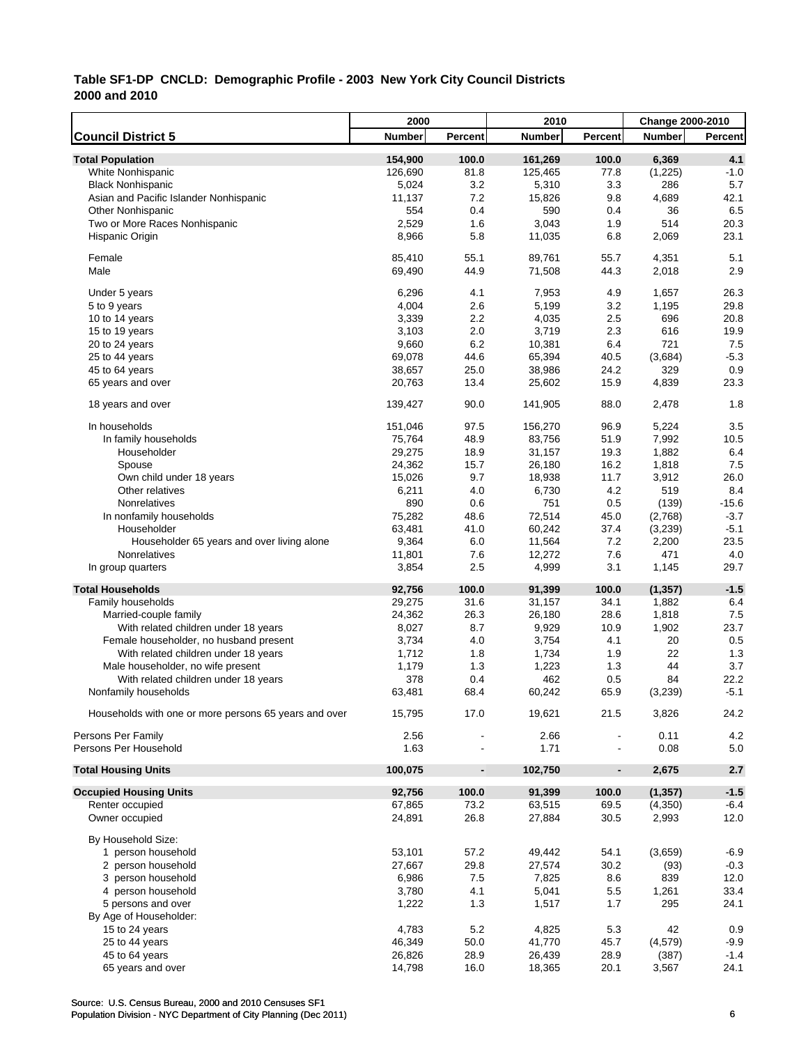|                                                       | 2000          |                              | 2010          |                          | Change 2000-2010 |         |
|-------------------------------------------------------|---------------|------------------------------|---------------|--------------------------|------------------|---------|
| <b>Council District 5</b>                             | <b>Number</b> | Percent                      | <b>Number</b> | Percent                  | <b>Number</b>    | Percent |
| <b>Total Population</b>                               | 154,900       | 100.0                        | 161,269       | 100.0                    | 6,369            | 4.1     |
| <b>White Nonhispanic</b>                              | 126,690       | 81.8                         | 125,465       | 77.8                     | (1,225)          | $-1.0$  |
| <b>Black Nonhispanic</b>                              | 5,024         | 3.2                          | 5,310         | 3.3                      | 286              | 5.7     |
| Asian and Pacific Islander Nonhispanic                | 11,137        | 7.2                          | 15,826        | 9.8                      | 4,689            | 42.1    |
| <b>Other Nonhispanic</b>                              | 554           | 0.4                          | 590           | 0.4                      | 36               | 6.5     |
| Two or More Races Nonhispanic                         | 2,529         | 1.6                          | 3,043         | 1.9                      | 514              | 20.3    |
| Hispanic Origin                                       | 8,966         | 5.8                          | 11,035        | 6.8                      | 2,069            | 23.1    |
|                                                       |               |                              |               |                          |                  |         |
| Female                                                | 85,410        | 55.1                         | 89,761        | 55.7                     | 4,351            | 5.1     |
| Male                                                  | 69,490        | 44.9                         | 71,508        | 44.3                     | 2,018            | 2.9     |
| Under 5 years                                         | 6,296         | 4.1                          | 7,953         | 4.9                      | 1,657            | 26.3    |
| 5 to 9 years                                          | 4,004         | 2.6                          | 5,199         | 3.2                      | 1,195            | 29.8    |
| 10 to 14 years                                        | 3,339         | 2.2                          | 4,035         | 2.5                      | 696              | 20.8    |
| 15 to 19 years                                        | 3,103         | 2.0                          | 3,719         | 2.3                      | 616              | 19.9    |
| 20 to 24 years                                        | 9,660         | 6.2                          | 10,381        | 6.4                      | 721              | 7.5     |
| 25 to 44 years                                        | 69,078        | 44.6                         | 65,394        | 40.5                     | (3,684)          | $-5.3$  |
| 45 to 64 years                                        | 38,657        | 25.0                         | 38,986        | 24.2                     | 329              | 0.9     |
| 65 years and over                                     | 20,763        | 13.4                         | 25,602        | 15.9                     | 4,839            | 23.3    |
|                                                       |               |                              |               |                          |                  |         |
| 18 years and over                                     | 139,427       | 90.0                         | 141,905       | 88.0                     | 2,478            | 1.8     |
| In households                                         | 151,046       | 97.5                         | 156,270       | 96.9                     | 5,224            | 3.5     |
| In family households                                  | 75,764        | 48.9                         | 83,756        | 51.9                     | 7,992            | 10.5    |
| Householder                                           | 29,275        | 18.9                         | 31,157        | 19.3                     | 1,882            | 6.4     |
| Spouse                                                | 24,362        | 15.7                         | 26,180        | 16.2                     | 1,818            | 7.5     |
| Own child under 18 years                              | 15,026        | 9.7                          | 18,938        | 11.7                     | 3,912            | 26.0    |
| Other relatives                                       | 6,211         | 4.0                          | 6,730         | 4.2                      | 519              | 8.4     |
| Nonrelatives                                          | 890           | 0.6                          | 751           | 0.5                      | (139)            | $-15.6$ |
| In nonfamily households                               | 75,282        | 48.6                         | 72,514        | 45.0                     | (2,768)          | $-3.7$  |
| Householder                                           | 63,481        | 41.0                         | 60,242        | 37.4                     | (3,239)          | $-5.1$  |
| Householder 65 years and over living alone            | 9,364         | 6.0                          | 11,564        | 7.2                      | 2,200            | 23.5    |
| Nonrelatives                                          | 11,801        | 7.6                          | 12,272        | 7.6                      | 471              | 4.0     |
| In group quarters                                     | 3,854         | 2.5                          | 4,999         | 3.1                      | 1,145            | 29.7    |
| <b>Total Households</b>                               | 92,756        | 100.0                        | 91,399        | 100.0                    | (1, 357)         | $-1.5$  |
| Family households                                     | 29,275        | 31.6                         | 31,157        | 34.1                     | 1,882            | 6.4     |
| Married-couple family                                 | 24,362        | 26.3                         | 26,180        | 28.6                     | 1,818            | 7.5     |
| With related children under 18 years                  | 8,027         | 8.7                          | 9,929         | 10.9                     | 1,902            | 23.7    |
| Female householder, no husband present                | 3,734         | 4.0                          | 3,754         | 4.1                      | 20               | 0.5     |
| With related children under 18 years                  | 1,712         | 1.8                          | 1,734         | 1.9                      | 22               | 1.3     |
| Male householder, no wife present                     | 1,179         | 1.3                          | 1,223         | 1.3                      | 44               | 3.7     |
| With related children under 18 years                  | 378           | 0.4                          | 462           | 0.5                      | 84               | 22.2    |
| Nonfamily households                                  | 63,481        | 68.4                         | 60,242        | 65.9                     | (3,239)          | $-5.1$  |
|                                                       |               |                              |               |                          |                  |         |
| Households with one or more persons 65 years and over | 15,795        | 17.0                         | 19,621        | 21.5                     | 3,826            | 24.2    |
| Persons Per Family                                    | 2.56          |                              | 2.66          |                          | 0.11             | 4.2     |
| Persons Per Household                                 | 1.63          |                              | 1.71          | $\overline{\phantom{a}}$ | 0.08             | 5.0     |
|                                                       |               |                              |               |                          |                  |         |
| <b>Total Housing Units</b>                            | 100,075       | $\qquad \qquad \blacksquare$ | 102,750       | $\blacksquare$           | 2,675            | 2.7     |
| <b>Occupied Housing Units</b>                         | 92,756        | 100.0                        | 91,399        | 100.0                    | (1, 357)         | $-1.5$  |
| Renter occupied                                       | 67,865        | 73.2                         | 63,515        | 69.5                     | (4,350)          | $-6.4$  |
| Owner occupied                                        | 24,891        | 26.8                         | 27,884        | 30.5                     | 2,993            | 12.0    |
|                                                       |               |                              |               |                          |                  |         |
| By Household Size:                                    |               |                              |               |                          |                  |         |
| 1 person household                                    | 53,101        | 57.2                         | 49,442        | 54.1                     | (3,659)          | $-6.9$  |
| 2 person household                                    | 27,667        | 29.8                         | 27,574        | 30.2                     | (93)             | $-0.3$  |
| 3 person household                                    | 6,986         | 7.5                          | 7,825         | 8.6                      | 839              | 12.0    |
| 4 person household                                    | 3,780         | 4.1                          | 5,041         | 5.5                      | 1,261            | 33.4    |
| 5 persons and over                                    | 1,222         | 1.3                          | 1,517         | 1.7                      | 295              | 24.1    |
| By Age of Householder:                                |               |                              |               |                          |                  |         |
| 15 to 24 years                                        | 4,783         | 5.2                          | 4,825         | 5.3                      | 42               | 0.9     |
| 25 to 44 years                                        | 46,349        | 50.0                         | 41,770        | 45.7                     | (4, 579)         | $-9.9$  |
| 45 to 64 years                                        | 26,826        | 28.9                         | 26,439        | 28.9                     | (387)            | $-1.4$  |
| 65 years and over                                     | 14,798        | 16.0                         | 18,365        | 20.1                     | 3,567            | 24.1    |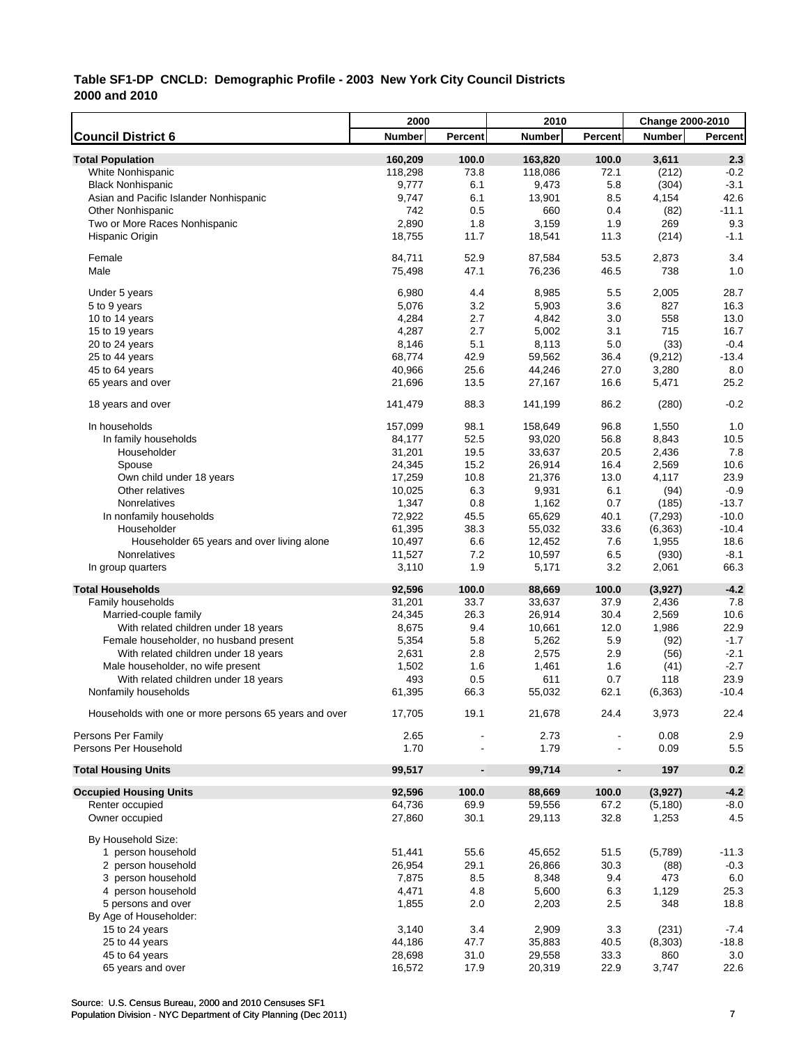|                                                       | 2000          |                              | 2010          |                          | <b>Change 2000-2010</b> |         |
|-------------------------------------------------------|---------------|------------------------------|---------------|--------------------------|-------------------------|---------|
| <b>Council District 6</b>                             | <b>Number</b> | Percent                      | <b>Number</b> | Percent                  | <b>Number</b>           | Percent |
| <b>Total Population</b>                               | 160,209       | 100.0                        | 163,820       | 100.0                    | 3,611                   | 2.3     |
| White Nonhispanic                                     | 118,298       | 73.8                         | 118,086       | 72.1                     | (212)                   | $-0.2$  |
| <b>Black Nonhispanic</b>                              | 9,777         | 6.1                          | 9,473         | 5.8                      | (304)                   | $-3.1$  |
| Asian and Pacific Islander Nonhispanic                | 9,747         | 6.1                          | 13,901        | 8.5                      | 4,154                   | 42.6    |
| <b>Other Nonhispanic</b>                              | 742           | 0.5                          | 660           | 0.4                      | (82)                    | $-11.1$ |
| Two or More Races Nonhispanic                         | 2,890         | 1.8                          | 3,159         | 1.9                      | 269                     | 9.3     |
| Hispanic Origin                                       | 18,755        | 11.7                         | 18,541        | 11.3                     | (214)                   | $-1.1$  |
| Female                                                | 84,711        | 52.9                         | 87,584        | 53.5                     | 2,873                   | 3.4     |
| Male                                                  | 75,498        | 47.1                         | 76,236        | 46.5                     | 738                     | 1.0     |
| Under 5 years                                         | 6,980         | 4.4                          | 8,985         | 5.5                      | 2,005                   | 28.7    |
| 5 to 9 years                                          | 5,076         | 3.2                          | 5,903         | 3.6                      | 827                     | 16.3    |
| 10 to 14 years                                        | 4,284         | 2.7                          | 4,842         | 3.0                      | 558                     | 13.0    |
| 15 to 19 years                                        | 4,287         | 2.7                          | 5,002         | 3.1                      | 715                     | 16.7    |
| 20 to 24 years                                        | 8,146         | 5.1                          | 8,113         | 5.0                      | (33)                    | $-0.4$  |
| 25 to 44 years                                        | 68,774        | 42.9                         | 59,562        | 36.4                     | (9,212)                 | $-13.4$ |
| 45 to 64 years                                        | 40,966        | 25.6                         | 44,246        | 27.0                     | 3,280                   | 8.0     |
| 65 years and over                                     | 21,696        | 13.5                         | 27,167        | 16.6                     | 5,471                   | 25.2    |
|                                                       |               |                              |               |                          |                         |         |
| 18 years and over                                     | 141,479       | 88.3                         | 141,199       | 86.2                     | (280)                   | $-0.2$  |
| In households                                         | 157,099       | 98.1                         | 158,649       | 96.8                     | 1,550                   | 1.0     |
| In family households                                  | 84,177        | 52.5                         | 93,020        | 56.8                     | 8,843                   | 10.5    |
| Householder                                           | 31,201        | 19.5                         | 33,637        | 20.5                     | 2,436                   | 7.8     |
| Spouse                                                | 24,345        | 15.2                         | 26,914        | 16.4                     | 2,569                   | 10.6    |
| Own child under 18 years                              | 17,259        | 10.8                         | 21,376        | 13.0                     | 4,117                   | 23.9    |
| Other relatives                                       | 10,025        | 6.3                          | 9,931         | 6.1                      | (94)                    | $-0.9$  |
| Nonrelatives                                          | 1,347         | 0.8                          | 1,162         | 0.7                      | (185)                   | $-13.7$ |
| In nonfamily households                               | 72,922        | 45.5                         | 65,629        | 40.1                     | (7, 293)                | $-10.0$ |
| Householder                                           | 61,395        | 38.3                         | 55,032        | 33.6                     | (6, 363)                | $-10.4$ |
| Householder 65 years and over living alone            | 10,497        | 6.6                          | 12,452        | 7.6                      | 1,955                   | 18.6    |
| Nonrelatives                                          | 11,527        | 7.2                          | 10,597        | 6.5                      | (930)                   | $-8.1$  |
| In group quarters                                     | 3,110         | 1.9                          | 5,171         | 3.2                      | 2,061                   | 66.3    |
| <b>Total Households</b>                               | 92,596        | 100.0                        | 88,669        | 100.0                    | (3,927)                 | $-4.2$  |
| Family households                                     | 31,201        | 33.7                         | 33,637        | 37.9                     | 2,436                   | 7.8     |
| Married-couple family                                 | 24,345        | 26.3                         | 26,914        | 30.4                     | 2,569                   | 10.6    |
| With related children under 18 years                  | 8,675         | 9.4                          | 10,661        | 12.0                     | 1,986                   | 22.9    |
| Female householder, no husband present                | 5,354         | 5.8                          | 5,262         | 5.9                      | (92)                    | $-1.7$  |
| With related children under 18 years                  | 2,631         | 2.8                          | 2,575         | 2.9                      | (56)                    | $-2.1$  |
| Male householder, no wife present                     | 1,502         | 1.6                          | 1,461         | 1.6                      | (41)                    | $-2.7$  |
| With related children under 18 years                  | 493           | 0.5                          | 611           | 0.7                      | 118                     | 23.9    |
| Nonfamily households                                  | 61,395        | 66.3                         | 55,032        | 62.1                     | (6, 363)                | $-10.4$ |
| Households with one or more persons 65 years and over | 17,705        | 19.1                         | 21,678        | 24.4                     | 3,973                   | 22.4    |
| Persons Per Family                                    | 2.65          |                              | 2.73          |                          | 0.08                    | 2.9     |
| Persons Per Household                                 | 1.70          |                              | 1.79          |                          | 0.09                    | 5.5     |
| <b>Total Housing Units</b>                            | 99,517        | $\qquad \qquad \blacksquare$ | 99,714        | $\overline{\phantom{a}}$ | 197                     | 0.2     |
| <b>Occupied Housing Units</b>                         | 92,596        | 100.0                        | 88,669        | 100.0                    | (3,927)                 | $-4.2$  |
| Renter occupied                                       | 64,736        | 69.9                         | 59,556        | 67.2                     | (5, 180)                | $-8.0$  |
| Owner occupied                                        | 27,860        | 30.1                         | 29,113        | 32.8                     | 1,253                   | 4.5     |
| By Household Size:                                    |               |                              |               |                          |                         |         |
| 1 person household                                    | 51,441        | 55.6                         | 45,652        | 51.5                     | (5,789)                 | $-11.3$ |
| 2 person household                                    | 26,954        | 29.1                         | 26,866        | 30.3                     | (88)                    | $-0.3$  |
| 3 person household                                    | 7,875         | 8.5                          | 8,348         | 9.4                      | 473                     | 6.0     |
| 4 person household                                    | 4,471         | 4.8                          | 5,600         | 6.3                      | 1,129                   | 25.3    |
| 5 persons and over                                    | 1,855         | 2.0                          | 2,203         | 2.5                      | 348                     | 18.8    |
| By Age of Householder:                                |               |                              |               |                          |                         |         |
| 15 to 24 years                                        | 3,140         | 3.4                          | 2,909         | 3.3                      | (231)                   | $-7.4$  |
| 25 to 44 years                                        | 44,186        | 47.7                         | 35,883        | 40.5                     | (8,303)                 | $-18.8$ |
| 45 to 64 years                                        | 28,698        | 31.0                         | 29,558        | 33.3                     | 860                     | 3.0     |
| 65 years and over                                     | 16,572        | 17.9                         | 20,319        | 22.9                     | 3,747                   | 22.6    |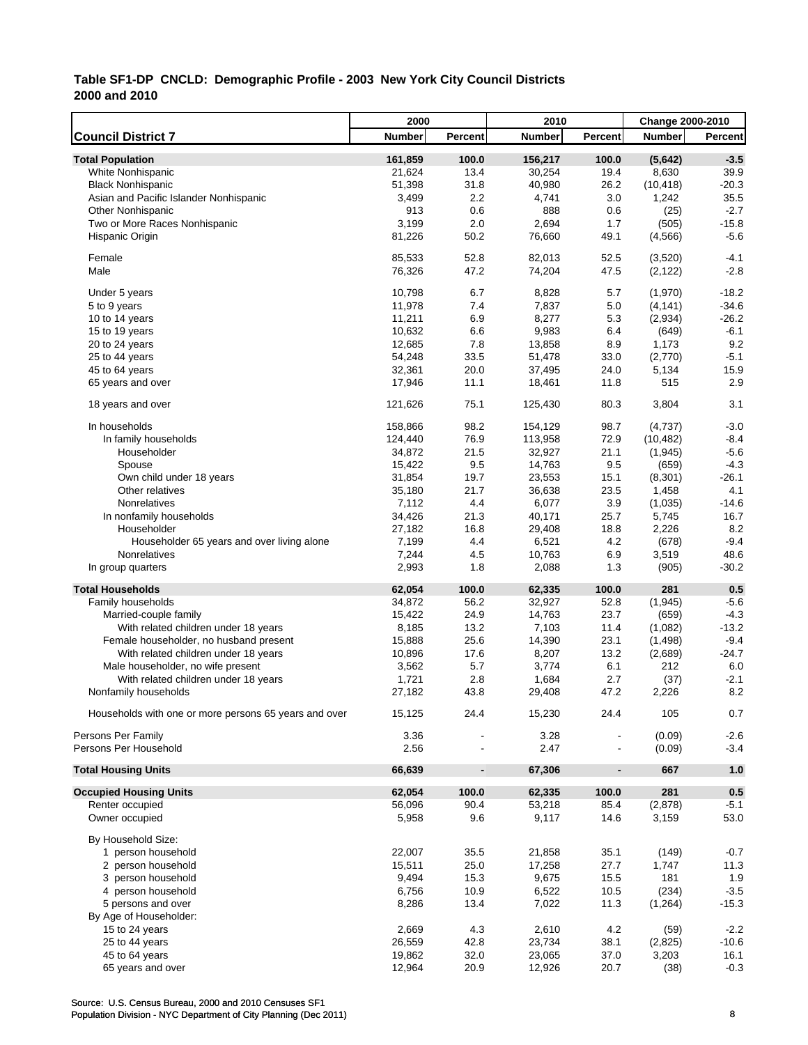|                                                       | 2000           |                              | 2010           |                          | <b>Change 2000-2010</b> |         |
|-------------------------------------------------------|----------------|------------------------------|----------------|--------------------------|-------------------------|---------|
| <b>Council District 7</b>                             | <b>Number</b>  | Percent                      | <b>Number</b>  | Percent                  | <b>Number</b>           | Percent |
| <b>Total Population</b>                               | 161,859        | 100.0                        | 156,217        | 100.0                    | (5,642)                 | $-3.5$  |
| White Nonhispanic                                     | 21,624         | 13.4                         | 30,254         | 19.4                     | 8,630                   | 39.9    |
| <b>Black Nonhispanic</b>                              | 51,398         | 31.8                         | 40,980         | 26.2                     | (10, 418)               | $-20.3$ |
| Asian and Pacific Islander Nonhispanic                | 3,499          | 2.2                          | 4,741          | 3.0                      | 1,242                   | 35.5    |
| <b>Other Nonhispanic</b>                              | 913            | 0.6                          | 888            | 0.6                      | (25)                    | $-2.7$  |
| Two or More Races Nonhispanic                         | 3,199          | 2.0                          | 2,694          | 1.7                      | (505)                   | $-15.8$ |
| Hispanic Origin                                       | 81,226         | 50.2                         | 76,660         | 49.1                     | (4, 566)                | $-5.6$  |
|                                                       |                |                              |                |                          |                         |         |
| Female                                                | 85,533         | 52.8                         | 82,013         | 52.5                     | (3,520)                 | $-4.1$  |
| Male                                                  | 76,326         | 47.2                         | 74,204         | 47.5                     | (2, 122)                | $-2.8$  |
| Under 5 years                                         | 10,798         | 6.7                          | 8,828          | 5.7                      | (1,970)                 | $-18.2$ |
| 5 to 9 years                                          | 11,978         | 7.4                          | 7,837          | 5.0                      | (4, 141)                | $-34.6$ |
| 10 to 14 years                                        | 11,211         | 6.9                          | 8,277          | 5.3                      | (2,934)                 | $-26.2$ |
| 15 to 19 years                                        | 10,632         | 6.6                          | 9,983          | 6.4                      | (649)                   | $-6.1$  |
| 20 to 24 years                                        | 12,685         | 7.8                          | 13,858         | 8.9                      | 1,173                   | $9.2\,$ |
| 25 to 44 years                                        | 54,248         | 33.5                         | 51,478         | 33.0                     | (2,770)                 | $-5.1$  |
| 45 to 64 years                                        | 32,361         | 20.0                         | 37,495         | 24.0                     | 5,134                   | 15.9    |
| 65 years and over                                     | 17,946         | 11.1                         | 18,461         | 11.8                     | 515                     | 2.9     |
| 18 years and over                                     | 121,626        | 75.1                         | 125,430        | 80.3                     | 3,804                   | 3.1     |
| In households                                         | 158,866        | 98.2                         | 154,129        | 98.7                     | (4,737)                 | $-3.0$  |
| In family households                                  | 124,440        | 76.9                         | 113,958        | 72.9                     | (10, 482)               | $-8.4$  |
| Householder                                           | 34,872         | 21.5                         | 32,927         | 21.1                     | (1, 945)                | $-5.6$  |
| Spouse                                                | 15,422         | 9.5                          | 14,763         | 9.5                      | (659)                   | $-4.3$  |
| Own child under 18 years                              | 31,854         | 19.7                         | 23,553         | 15.1                     | (8,301)                 | $-26.1$ |
| Other relatives                                       | 35,180         | 21.7                         | 36,638         | 23.5                     | 1,458                   | 4.1     |
| Nonrelatives                                          | 7,112          | 4.4                          | 6,077          | 3.9                      | (1,035)                 | $-14.6$ |
| In nonfamily households                               | 34,426         | 21.3                         | 40,171         | 25.7                     | 5,745                   | 16.7    |
| Householder                                           | 27,182         | 16.8                         | 29,408         | 18.8                     | 2,226                   | 8.2     |
| Householder 65 years and over living alone            | 7,199          | 4.4                          | 6,521          | 4.2                      | (678)                   | $-9.4$  |
| Nonrelatives                                          | 7,244          | 4.5                          | 10,763         | 6.9                      | 3,519                   | 48.6    |
| In group quarters                                     | 2,993          | 1.8                          | 2,088          | 1.3                      | (905)                   | $-30.2$ |
| <b>Total Households</b>                               | 62,054         | 100.0                        | 62,335         | 100.0                    | 281                     | 0.5     |
| Family households                                     | 34,872         | 56.2                         | 32,927         | 52.8                     | (1, 945)                | $-5.6$  |
| Married-couple family                                 | 15,422         | 24.9                         | 14,763         | 23.7                     | (659)                   | $-4.3$  |
| With related children under 18 years                  | 8,185          | 13.2                         | 7,103          | 11.4                     | (1,082)                 | $-13.2$ |
| Female householder, no husband present                | 15,888         | 25.6                         | 14,390         | 23.1                     | (1, 498)                | $-9.4$  |
| With related children under 18 years                  | 10,896         | 17.6                         | 8,207          | 13.2                     | (2,689)                 | $-24.7$ |
|                                                       |                | 5.7                          |                | 6.1                      | 212                     | 6.0     |
| Male householder, no wife present                     | 3,562<br>1,721 | 2.8                          | 3,774<br>1,684 | 2.7                      |                         | $-2.1$  |
| With related children under 18 years                  |                |                              |                | 47.2                     | (37)                    | 8.2     |
| Nonfamily households                                  | 27,182         | 43.8                         | 29,408         |                          | 2,226                   |         |
| Households with one or more persons 65 years and over | 15,125         | 24.4                         | 15,230         | 24.4                     | 105                     | 0.7     |
| Persons Per Family                                    | 3.36           |                              | 3.28           |                          | (0.09)                  | $-2.6$  |
| Persons Per Household                                 | 2.56           |                              | 2.47           |                          | (0.09)                  | $-3.4$  |
| <b>Total Housing Units</b>                            | 66,639         | $\qquad \qquad \blacksquare$ | 67,306         | $\overline{\phantom{a}}$ | 667                     | 1.0     |
| <b>Occupied Housing Units</b>                         | 62,054         | 100.0                        | 62,335         | 100.0                    | 281                     | $0.5\,$ |
| Renter occupied                                       | 56,096         | 90.4                         | 53,218         | 85.4                     | (2,878)                 | $-5.1$  |
| Owner occupied                                        | 5,958          | 9.6                          | 9,117          | 14.6                     | 3,159                   | 53.0    |
| By Household Size:                                    |                |                              |                |                          |                         |         |
| 1 person household                                    | 22,007         | 35.5                         | 21,858         | 35.1                     | (149)                   | $-0.7$  |
| 2 person household                                    | 15,511         | 25.0                         | 17,258         | 27.7                     | 1,747                   | 11.3    |
| 3 person household                                    | 9,494          | 15.3                         | 9,675          | 15.5                     | 181                     | 1.9     |
| 4 person household                                    | 6,756          | 10.9                         | 6,522          | 10.5                     | (234)                   | $-3.5$  |
| 5 persons and over                                    | 8,286          | 13.4                         | 7,022          | 11.3                     | (1,264)                 | $-15.3$ |
| By Age of Householder:                                |                |                              |                |                          |                         |         |
| 15 to 24 years                                        | 2,669          | 4.3                          | 2,610          | 4.2                      | (59)                    | $-2.2$  |
| 25 to 44 years                                        | 26,559         | 42.8                         | 23,734         | 38.1                     | (2,825)                 | $-10.6$ |
| 45 to 64 years                                        | 19,862         | 32.0                         | 23,065         | 37.0                     | 3,203                   | 16.1    |
| 65 years and over                                     | 12,964         | 20.9                         | 12,926         | 20.7                     | (38)                    | $-0.3$  |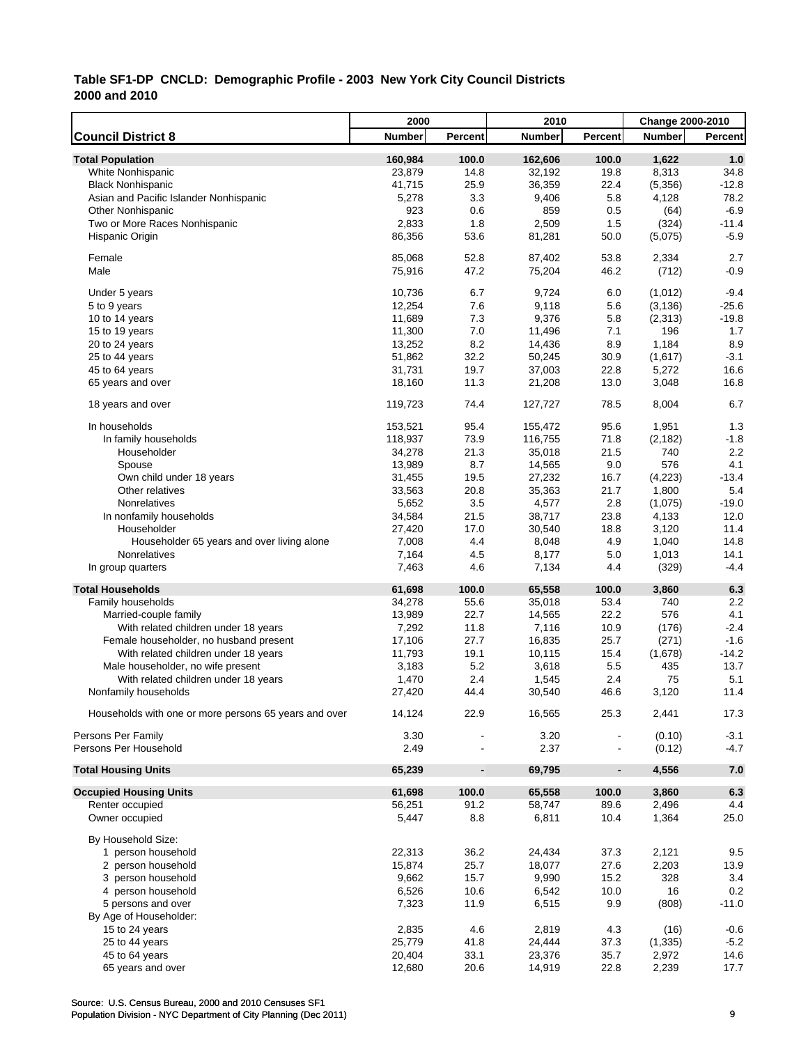|                                                       | 2000          |                              | 2010          |                          | <b>Change 2000-2010</b> |         |
|-------------------------------------------------------|---------------|------------------------------|---------------|--------------------------|-------------------------|---------|
| <b>Council District 8</b>                             | <b>Number</b> | Percent                      | <b>Number</b> | Percent                  | <b>Number</b>           | Percent |
| <b>Total Population</b>                               | 160,984       | 100.0                        | 162,606       | 100.0                    | 1,622                   | 1.0     |
| White Nonhispanic                                     | 23,879        | 14.8                         | 32,192        | 19.8                     | 8,313                   | 34.8    |
| <b>Black Nonhispanic</b>                              | 41,715        | 25.9                         | 36,359        | 22.4                     | (5,356)                 | $-12.8$ |
| Asian and Pacific Islander Nonhispanic                | 5,278         | 3.3                          | 9,406         | 5.8                      | 4,128                   | 78.2    |
| <b>Other Nonhispanic</b>                              | 923           | 0.6                          | 859           | 0.5                      | (64)                    | $-6.9$  |
| Two or More Races Nonhispanic                         | 2,833         | 1.8                          | 2,509         | 1.5                      | (324)                   | $-11.4$ |
| Hispanic Origin                                       | 86,356        | 53.6                         | 81,281        | 50.0                     | (5,075)                 | $-5.9$  |
| Female                                                | 85,068        | 52.8                         | 87,402        | 53.8                     | 2,334                   | 2.7     |
| Male                                                  | 75,916        | 47.2                         | 75,204        | 46.2                     | (712)                   | $-0.9$  |
| Under 5 years                                         | 10,736        | 6.7                          | 9,724         | 6.0                      | (1,012)                 | $-9.4$  |
| 5 to 9 years                                          | 12,254        | 7.6                          | 9,118         | 5.6                      | (3, 136)                | $-25.6$ |
| 10 to 14 years                                        | 11,689        | 7.3                          | 9,376         | 5.8                      | (2, 313)                | $-19.8$ |
| 15 to 19 years                                        | 11,300        | 7.0                          | 11,496        | 7.1                      | 196                     | 1.7     |
| 20 to 24 years                                        | 13,252        | 8.2                          | 14,436        | 8.9                      | 1,184                   | 8.9     |
| 25 to 44 years                                        | 51,862        | 32.2                         | 50,245        | 30.9                     | (1,617)                 | $-3.1$  |
| 45 to 64 years                                        | 31,731        | 19.7                         | 37,003        | 22.8                     | 5,272                   | 16.6    |
| 65 years and over                                     | 18,160        | 11.3                         | 21,208        | 13.0                     | 3,048                   | 16.8    |
| 18 years and over                                     | 119,723       | 74.4                         | 127,727       | 78.5                     | 8,004                   | 6.7     |
| In households                                         | 153,521       | 95.4                         | 155,472       | 95.6                     | 1,951                   | 1.3     |
| In family households                                  | 118,937       | 73.9                         | 116,755       | 71.8                     | (2, 182)                | $-1.8$  |
| Householder                                           | 34,278        | 21.3                         | 35,018        | 21.5                     | 740                     | 2.2     |
| Spouse                                                | 13,989        | 8.7                          | 14,565        | 9.0                      | 576                     | 4.1     |
| Own child under 18 years                              | 31,455        | 19.5                         | 27,232        | 16.7                     | (4,223)                 | $-13.4$ |
| Other relatives                                       | 33,563        | 20.8                         | 35,363        | 21.7                     | 1,800                   | 5.4     |
| Nonrelatives                                          | 5,652         | 3.5                          | 4,577         | 2.8                      | (1,075)                 | $-19.0$ |
| In nonfamily households                               | 34,584        | 21.5                         | 38,717        | 23.8                     | 4,133                   | 12.0    |
| Householder                                           | 27,420        | 17.0                         | 30,540        | 18.8                     | 3,120                   | 11.4    |
| Householder 65 years and over living alone            | 7,008         | 4.4                          | 8,048         | 4.9                      | 1,040                   | 14.8    |
| Nonrelatives                                          | 7,164         | 4.5                          | 8,177         | 5.0                      | 1,013                   | 14.1    |
| In group quarters                                     | 7,463         | 4.6                          | 7,134         | 4.4                      | (329)                   | $-4.4$  |
| <b>Total Households</b>                               | 61,698        | 100.0                        | 65,558        | 100.0                    | 3,860                   | 6.3     |
| Family households                                     | 34,278        | 55.6                         | 35,018        | 53.4                     | 740                     | 2.2     |
| Married-couple family                                 | 13,989        | 22.7                         | 14,565        | 22.2                     | 576                     | 4.1     |
| With related children under 18 years                  | 7,292         | 11.8                         | 7,116         | 10.9                     | (176)                   | $-2.4$  |
| Female householder, no husband present                | 17,106        | 27.7                         | 16,835        | 25.7                     | (271)                   | $-1.6$  |
| With related children under 18 years                  | 11,793        | 19.1                         | 10,115        | 15.4                     | (1,678)                 | $-14.2$ |
| Male householder, no wife present                     | 3,183         | 5.2                          | 3,618         | 5.5                      | 435                     | 13.7    |
| With related children under 18 years                  | 1,470         | 2.4                          | 1,545         | 2.4                      | 75                      | 5.1     |
| Nonfamily households                                  | 27,420        | 44.4                         | 30,540        | 46.6                     | 3,120                   | 11.4    |
| Households with one or more persons 65 years and over | 14,124        | 22.9                         | 16,565        | 25.3                     | 2,441                   | 17.3    |
| Persons Per Family                                    | 3.30          |                              | 3.20          |                          | (0.10)                  | $-3.1$  |
| Persons Per Household                                 | 2.49          |                              | 2.37          |                          | (0.12)                  | $-4.7$  |
| <b>Total Housing Units</b>                            | 65,239        | $\qquad \qquad \blacksquare$ | 69,795        | $\overline{\phantom{a}}$ | 4,556                   | $7.0$   |
| <b>Occupied Housing Units</b>                         | 61,698        | 100.0                        | 65,558        | 100.0                    | 3,860                   | 6.3     |
| Renter occupied                                       | 56,251        | 91.2                         | 58,747        | 89.6                     | 2,496                   | 4.4     |
| Owner occupied                                        | 5,447         | 8.8                          | 6,811         | 10.4                     | 1,364                   | 25.0    |
| By Household Size:                                    |               |                              |               |                          |                         |         |
| 1 person household                                    | 22,313        | 36.2                         | 24,434        | 37.3                     | 2,121                   | 9.5     |
| 2 person household                                    | 15,874        | 25.7                         | 18,077        | 27.6                     | 2,203                   | 13.9    |
| 3 person household                                    | 9,662         | 15.7                         | 9,990         | 15.2                     | 328                     | 3.4     |
| 4 person household                                    | 6,526         | 10.6                         | 6,542         | 10.0                     | 16                      | 0.2     |
| 5 persons and over                                    | 7,323         | 11.9                         | 6,515         | 9.9                      | (808)                   | $-11.0$ |
| By Age of Householder:                                |               |                              |               |                          |                         |         |
| 15 to 24 years                                        | 2,835         | 4.6                          | 2,819         | 4.3                      | (16)                    | $-0.6$  |
| 25 to 44 years                                        | 25,779        | 41.8                         | 24,444        | 37.3                     | (1, 335)                | $-5.2$  |
| 45 to 64 years                                        | 20,404        | 33.1                         | 23,376        | 35.7                     | 2,972                   | 14.6    |
| 65 years and over                                     | 12,680        | 20.6                         | 14,919        | 22.8                     | 2,239                   | 17.7    |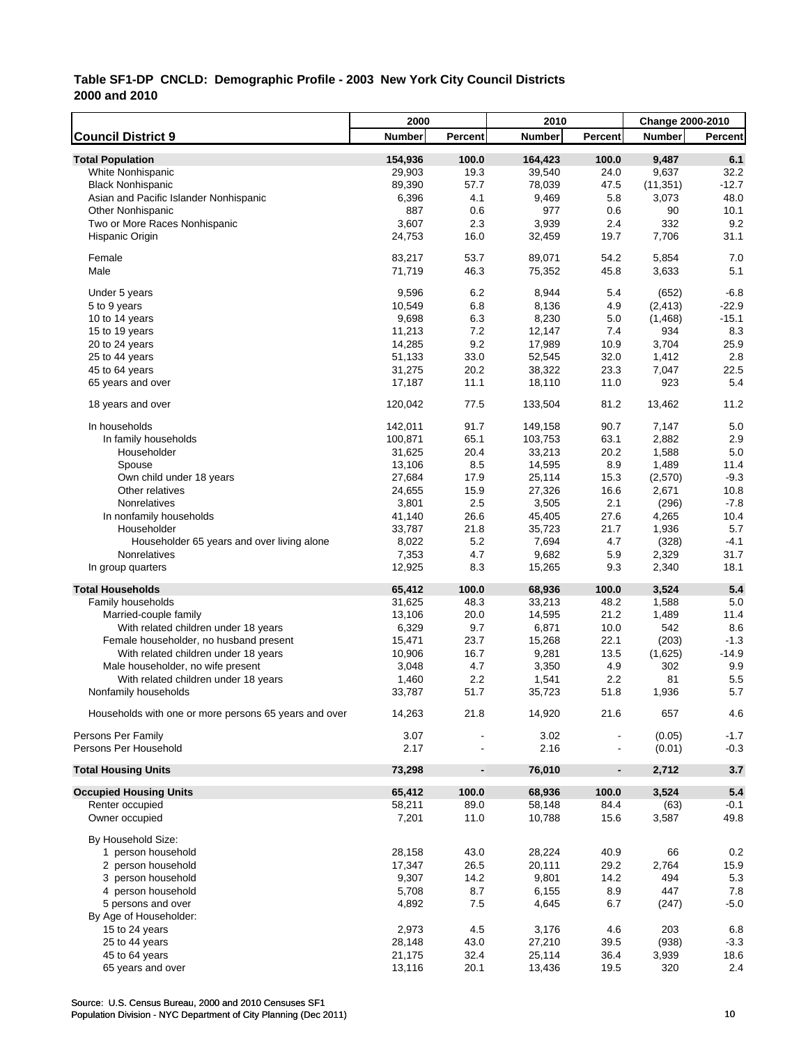|                                                       | 2000          |                          | 2010          |                | Change 2000-2010 |                |
|-------------------------------------------------------|---------------|--------------------------|---------------|----------------|------------------|----------------|
| <b>Council District 9</b>                             | <b>Number</b> | Percent                  | <b>Number</b> | Percent        | <b>Number</b>    | <b>Percent</b> |
| <b>Total Population</b>                               | 154,936       | 100.0                    | 164,423       | 100.0          | 9,487            | 6.1            |
| White Nonhispanic                                     | 29,903        | 19.3                     | 39,540        | 24.0           | 9,637            | 32.2           |
| <b>Black Nonhispanic</b>                              | 89,390        | 57.7                     | 78,039        | 47.5           | (11, 351)        | $-12.7$        |
| Asian and Pacific Islander Nonhispanic                | 6,396         | 4.1                      | 9,469         | 5.8            | 3,073            | 48.0           |
| <b>Other Nonhispanic</b>                              | 887           | 0.6                      | 977           | 0.6            | 90               | 10.1           |
| Two or More Races Nonhispanic                         | 3,607         | 2.3                      | 3,939         | 2.4            | 332              | 9.2            |
| Hispanic Origin                                       | 24,753        | 16.0                     | 32,459        | 19.7           | 7,706            | 31.1           |
|                                                       |               |                          |               |                |                  |                |
| Female                                                | 83,217        | 53.7                     | 89,071        | 54.2           | 5,854            | 7.0            |
| Male                                                  | 71,719        | 46.3                     | 75,352        | 45.8           | 3,633            | 5.1            |
|                                                       |               |                          |               |                |                  |                |
| Under 5 years                                         | 9,596         | 6.2                      | 8,944         | 5.4            | (652)            | $-6.8$         |
| 5 to 9 years                                          | 10,549        | 6.8                      | 8,136         | 4.9            | (2, 413)         | $-22.9$        |
| 10 to 14 years                                        | 9,698         | 6.3                      | 8,230         | 5.0            | (1, 468)         | $-15.1$        |
| 15 to 19 years                                        | 11,213        | 7.2                      | 12,147        | $7.4$          | 934              | 8.3            |
| 20 to 24 years                                        | 14,285        | 9.2                      | 17,989        | 10.9           | 3,704            | 25.9           |
| 25 to 44 years                                        | 51,133        | 33.0                     | 52,545        | 32.0           | 1,412            | 2.8            |
| 45 to 64 years                                        | 31,275        | 20.2                     | 38,322        | 23.3           | 7,047            | 22.5           |
| 65 years and over                                     | 17,187        | 11.1                     | 18,110        | 11.0           | 923              | 5.4            |
| 18 years and over                                     | 120,042       | 77.5                     | 133,504       | 81.2           | 13,462           | 11.2           |
|                                                       |               |                          |               |                |                  |                |
| In households                                         | 142,011       | 91.7                     | 149,158       | 90.7           | 7,147            | 5.0            |
| In family households                                  | 100,871       | 65.1                     | 103,753       | 63.1           | 2,882            | 2.9            |
| Householder                                           | 31,625        | 20.4                     | 33,213        | 20.2           | 1,588            | 5.0            |
| Spouse                                                | 13,106        | 8.5                      | 14,595        | 8.9            | 1,489            | 11.4           |
| Own child under 18 years                              | 27,684        | 17.9                     | 25,114        | 15.3           | (2,570)          | $-9.3$         |
| Other relatives                                       | 24,655        | 15.9                     | 27,326        | 16.6           | 2,671            | 10.8           |
| Nonrelatives                                          | 3,801         | 2.5                      | 3,505         | 2.1            | (296)            | $-7.8$         |
| In nonfamily households                               | 41,140        | 26.6                     | 45,405        | 27.6           | 4,265            | 10.4           |
| Householder                                           | 33,787        | 21.8                     | 35,723        | 21.7           | 1,936            | 5.7            |
| Householder 65 years and over living alone            | 8,022         | 5.2                      | 7,694         | 4.7            | (328)            | $-4.1$         |
| Nonrelatives                                          | 7,353         | 4.7                      | 9,682         | 5.9            | 2,329            | 31.7           |
| In group quarters                                     | 12,925        | 8.3                      | 15,265        | 9.3            | 2,340            | 18.1           |
|                                                       |               |                          |               |                |                  |                |
| <b>Total Households</b>                               | 65,412        | 100.0                    | 68,936        | 100.0          | 3,524            | 5.4            |
| Family households                                     | 31,625        | 48.3                     | 33,213        | 48.2           | 1,588            | 5.0            |
| Married-couple family                                 | 13,106        | 20.0                     | 14,595        | 21.2           | 1,489            | 11.4           |
| With related children under 18 years                  | 6,329         | 9.7                      | 6,871         | 10.0           | 542              | 8.6            |
| Female householder, no husband present                | 15,471        | 23.7                     | 15,268        | 22.1           | (203)            | $-1.3$         |
| With related children under 18 years                  | 10,906        | 16.7                     | 9,281         | 13.5           | (1,625)          | $-14.9$        |
| Male householder, no wife present                     | 3,048         | 4.7                      | 3,350         | 4.9            | 302              | 9.9            |
| With related children under 18 years                  | 1,460         | 2.2                      | 1,541         | 2.2            | 81               | 5.5            |
| Nonfamily households                                  | 33,787        | 51.7                     | 35,723        | 51.8           | 1,936            | 5.7            |
|                                                       |               |                          |               |                |                  |                |
| Households with one or more persons 65 years and over | 14,263        | 21.8                     | 14,920        | 21.6           | 657              | 4.6            |
|                                                       |               |                          |               |                |                  |                |
| Persons Per Family                                    | 3.07          |                          | 3.02          |                | (0.05)           | $-1.7$         |
| Persons Per Household                                 | 2.17          |                          | 2.16          |                | (0.01)           | $-0.3$         |
| <b>Total Housing Units</b>                            | 73,298        | $\overline{\phantom{a}}$ | 76,010        | $\blacksquare$ | 2,712            | 3.7            |
|                                                       |               |                          |               |                |                  |                |
| <b>Occupied Housing Units</b>                         | 65,412        | 100.0                    | 68,936        | 100.0          | 3,524            | 5.4            |
| Renter occupied                                       | 58,211        | 89.0                     | 58,148        | 84.4           | (63)             | $-0.1$         |
| Owner occupied                                        | 7,201         | 11.0                     | 10,788        | 15.6           | 3,587            | 49.8           |
| By Household Size:                                    |               |                          |               |                |                  |                |
| 1 person household                                    | 28,158        | 43.0                     | 28,224        | 40.9           | 66               | 0.2            |
| 2 person household                                    | 17,347        | 26.5                     | 20,111        | 29.2           | 2,764            | 15.9           |
| 3 person household                                    | 9,307         | 14.2                     | 9,801         | 14.2           | 494              | 5.3            |
|                                                       |               |                          |               |                | 447              |                |
| 4 person household                                    | 5,708         | 8.7                      | 6,155         | 8.9            |                  | 7.8            |
| 5 persons and over                                    | 4,892         | 7.5                      | 4,645         | 6.7            | (247)            | $-5.0$         |
| By Age of Householder:                                |               |                          |               |                |                  |                |
| 15 to 24 years                                        | 2,973         | 4.5                      | 3,176         | 4.6            | 203              | 6.8            |
| 25 to 44 years                                        | 28,148        | 43.0                     | 27,210        | 39.5           | (938)            | $-3.3$         |
| 45 to 64 years                                        | 21,175        | 32.4                     | 25,114        | 36.4           | 3,939            | 18.6           |
| 65 years and over                                     | 13,116        | 20.1                     | 13,436        | 19.5           | 320              | 2.4            |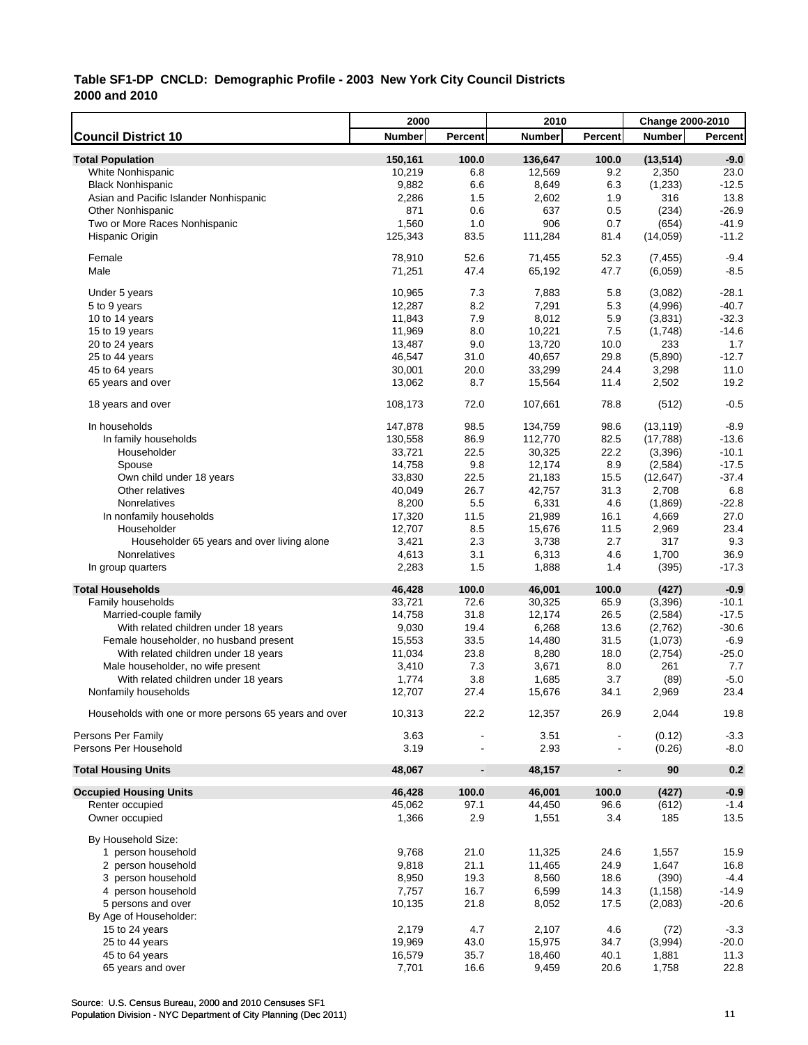|                                                       | 2000          |                              | 2010          |                          | <b>Change 2000-2010</b> |         |
|-------------------------------------------------------|---------------|------------------------------|---------------|--------------------------|-------------------------|---------|
| <b>Council District 10</b>                            | <b>Number</b> | Percent                      | <b>Number</b> | Percent                  | <b>Number</b>           | Percent |
| <b>Total Population</b>                               | 150,161       | 100.0                        | 136,647       | 100.0                    | (13, 514)               | $-9.0$  |
| White Nonhispanic                                     | 10,219        | 6.8                          | 12,569        | 9.2                      | 2,350                   | 23.0    |
| <b>Black Nonhispanic</b>                              | 9,882         | 6.6                          | 8,649         | 6.3                      | (1, 233)                | $-12.5$ |
| Asian and Pacific Islander Nonhispanic                | 2,286         | 1.5                          | 2,602         | 1.9                      | 316                     | 13.8    |
| <b>Other Nonhispanic</b>                              | 871           | 0.6                          | 637           | 0.5                      | (234)                   | $-26.9$ |
| Two or More Races Nonhispanic                         | 1,560         | 1.0                          | 906           | 0.7                      | (654)                   | $-41.9$ |
| Hispanic Origin                                       | 125,343       | 83.5                         | 111,284       | 81.4                     | (14,059)                | $-11.2$ |
|                                                       |               |                              |               |                          |                         |         |
| Female                                                | 78,910        | 52.6                         | 71,455        | 52.3                     | (7, 455)                | $-9.4$  |
| Male                                                  | 71,251        | 47.4                         | 65,192        | 47.7                     | (6.059)                 | $-8.5$  |
|                                                       |               |                              |               |                          |                         |         |
| Under 5 years                                         | 10,965        | 7.3                          | 7,883         | 5.8                      | (3,082)                 | $-28.1$ |
| 5 to 9 years                                          | 12,287        | 8.2                          | 7,291         | 5.3                      | (4,996)                 | $-40.7$ |
| 10 to 14 years                                        | 11,843        | 7.9                          | 8,012         | 5.9                      | (3,831)                 | $-32.3$ |
| 15 to 19 years                                        | 11,969        | 8.0                          | 10,221        | 7.5                      | (1,748)                 | $-14.6$ |
| 20 to 24 years                                        | 13,487        | 9.0                          | 13,720        | 10.0                     | 233                     | 1.7     |
| 25 to 44 years                                        | 46,547        | 31.0                         | 40,657        | 29.8                     | (5,890)                 | $-12.7$ |
| 45 to 64 years                                        | 30,001        | 20.0                         | 33,299        | 24.4                     | 3,298                   | 11.0    |
| 65 years and over                                     | 13,062        | 8.7                          | 15,564        | 11.4                     | 2,502                   | 19.2    |
|                                                       |               |                              |               |                          |                         |         |
| 18 years and over                                     | 108,173       | 72.0                         | 107,661       | 78.8                     | (512)                   | $-0.5$  |
| In households                                         | 147,878       | 98.5                         | 134,759       | 98.6                     | (13, 119)               | $-8.9$  |
| In family households                                  | 130,558       | 86.9                         | 112,770       | 82.5                     | (17, 788)               | $-13.6$ |
|                                                       |               |                              |               |                          |                         |         |
| Householder                                           | 33,721        | 22.5                         | 30,325        | 22.2                     | (3, 396)                | $-10.1$ |
| Spouse                                                | 14,758        | 9.8                          | 12,174        | 8.9                      | (2, 584)                | $-17.5$ |
| Own child under 18 years                              | 33,830        | 22.5                         | 21,183        | 15.5                     | (12, 647)               | $-37.4$ |
| Other relatives                                       | 40,049        | 26.7                         | 42,757        | 31.3                     | 2,708                   | 6.8     |
| Nonrelatives                                          | 8,200         | 5.5                          | 6,331         | 4.6                      | (1,869)                 | $-22.8$ |
| In nonfamily households                               | 17,320        | 11.5                         | 21,989        | 16.1                     | 4,669                   | 27.0    |
| Householder                                           | 12,707        | 8.5                          | 15,676        | 11.5                     | 2,969                   | 23.4    |
| Householder 65 years and over living alone            | 3,421         | 2.3                          | 3,738         | 2.7                      | 317                     | 9.3     |
| Nonrelatives                                          | 4,613         | 3.1                          | 6,313         | 4.6                      | 1,700                   | 36.9    |
| In group quarters                                     | 2,283         | 1.5                          | 1,888         | 1.4                      | (395)                   | -17.3   |
| <b>Total Households</b>                               | 46,428        | 100.0                        | 46,001        | 100.0                    | (427)                   | $-0.9$  |
| Family households                                     | 33,721        | 72.6                         | 30,325        | 65.9                     | (3,396)                 | $-10.1$ |
|                                                       |               | 31.8                         |               | 26.5                     |                         | $-17.5$ |
| Married-couple family                                 | 14,758        |                              | 12,174        |                          | (2,584)                 |         |
| With related children under 18 years                  | 9,030         | 19.4                         | 6,268         | 13.6                     | (2,762)                 | $-30.6$ |
| Female householder, no husband present                | 15,553        | 33.5                         | 14,480        | 31.5                     | (1,073)                 | $-6.9$  |
| With related children under 18 years                  | 11,034        | 23.8                         | 8,280         | 18.0                     | (2,754)                 | $-25.0$ |
| Male householder, no wife present                     | 3,410         | 7.3                          | 3,671         | 8.0                      | 261                     | 7.7     |
| With related children under 18 years                  | 1,774         | 3.8                          | 1,685         | 3.7                      | (89)                    | $-5.0$  |
| Nonfamily households                                  | 12,707        | 27.4                         | 15,676        | 34.1                     | 2,969                   | 23.4    |
|                                                       |               |                              |               |                          |                         |         |
| Households with one or more persons 65 years and over | 10,313        | 22.2                         | 12,357        | 26.9                     | 2,044                   | 19.8    |
| Persons Per Family                                    | 3.63          |                              | 3.51          |                          | (0.12)                  | $-3.3$  |
| Persons Per Household                                 | 3.19          |                              | 2.93          |                          | (0.26)                  | $-8.0$  |
|                                                       |               |                              |               |                          |                         |         |
| <b>Total Housing Units</b>                            | 48,067        | $\qquad \qquad \blacksquare$ | 48,157        | $\overline{\phantom{a}}$ | 90                      | 0.2     |
| <b>Occupied Housing Units</b>                         | 46,428        | 100.0                        | 46,001        | 100.0                    | (427)                   | $-0.9$  |
| Renter occupied                                       | 45,062        | 97.1                         | 44,450        | 96.6                     | (612)                   | $-1.4$  |
| Owner occupied                                        | 1,366         | 2.9                          | 1,551         | 3.4                      | 185                     | 13.5    |
|                                                       |               |                              |               |                          |                         |         |
| By Household Size:                                    |               |                              |               |                          |                         |         |
| 1 person household                                    | 9,768         | 21.0                         | 11,325        | 24.6                     | 1,557                   | 15.9    |
| 2 person household                                    | 9,818         | 21.1                         | 11,465        | 24.9                     | 1,647                   | 16.8    |
| 3 person household                                    | 8,950         | 19.3                         | 8,560         | 18.6                     | (390)                   | $-4.4$  |
| 4 person household                                    | 7,757         | 16.7                         | 6,599         | 14.3                     | (1, 158)                | $-14.9$ |
| 5 persons and over                                    | 10,135        | 21.8                         | 8,052         | 17.5                     | (2,083)                 | $-20.6$ |
| By Age of Householder:                                |               |                              |               |                          |                         |         |
| 15 to 24 years                                        | 2,179         | 4.7                          | 2,107         | 4.6                      | (72)                    | $-3.3$  |
| 25 to 44 years                                        | 19,969        | 43.0                         | 15,975        | 34.7                     | (3,994)                 | $-20.0$ |
| 45 to 64 years                                        | 16,579        | 35.7                         | 18,460        | 40.1                     | 1,881                   | 11.3    |
| 65 years and over                                     | 7,701         | 16.6                         | 9,459         | 20.6                     | 1,758                   | 22.8    |
|                                                       |               |                              |               |                          |                         |         |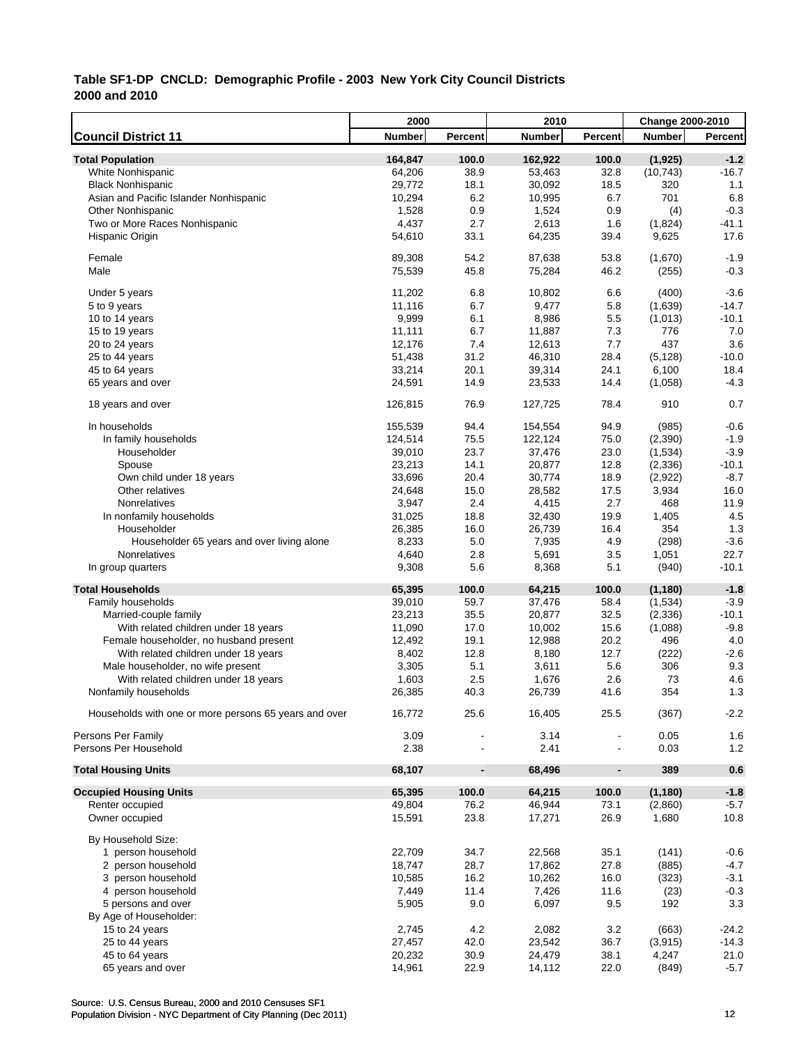|                                                       | 2000          |                              | 2010          |                          | <b>Change 2000-2010</b> |         |
|-------------------------------------------------------|---------------|------------------------------|---------------|--------------------------|-------------------------|---------|
| <b>Council District 11</b>                            | <b>Number</b> | Percent                      | <b>Number</b> | Percent                  | <b>Number</b>           | Percent |
| <b>Total Population</b>                               | 164,847       | 100.0                        | 162,922       | 100.0                    | (1, 925)                | $-1.2$  |
| White Nonhispanic                                     | 64,206        | 38.9                         | 53,463        | 32.8                     | (10, 743)               | $-16.7$ |
| <b>Black Nonhispanic</b>                              | 29,772        | 18.1                         | 30,092        | 18.5                     | 320                     | 1.1     |
| Asian and Pacific Islander Nonhispanic                | 10,294        | 6.2                          | 10,995        | 6.7                      | 701                     | 6.8     |
| <b>Other Nonhispanic</b>                              | 1,528         | 0.9                          | 1,524         | 0.9                      | (4)                     | $-0.3$  |
| Two or More Races Nonhispanic                         | 4,437         | 2.7                          | 2,613         | 1.6                      | (1,824)                 | $-41.1$ |
| Hispanic Origin                                       | 54,610        | 33.1                         | 64,235        | 39.4                     | 9,625                   | 17.6    |
| Female                                                | 89,308        | 54.2                         | 87,638        | 53.8                     | (1,670)                 | $-1.9$  |
| Male                                                  | 75,539        | 45.8                         | 75,284        | 46.2                     | (255)                   | $-0.3$  |
|                                                       |               |                              |               |                          |                         |         |
| Under 5 years                                         | 11,202        | 6.8                          | 10,802        | 6.6                      | (400)                   | $-3.6$  |
| 5 to 9 years                                          | 11,116        | 6.7                          | 9,477         | 5.8                      | (1,639)                 | $-14.7$ |
| 10 to 14 years                                        | 9,999         | 6.1                          | 8,986         | 5.5                      | (1,013)                 | $-10.1$ |
| 15 to 19 years                                        | 11,111        | 6.7                          | 11,887        | 7.3                      | 776                     | 7.0     |
| 20 to 24 years                                        | 12,176        | 7.4                          | 12,613        | 7.7                      | 437                     | 3.6     |
| 25 to 44 years                                        | 51,438        | 31.2                         | 46,310        | 28.4                     | (5, 128)                | $-10.0$ |
| 45 to 64 years                                        | 33,214        | 20.1                         | 39,314        | 24.1                     | 6,100                   | 18.4    |
| 65 years and over                                     | 24,591        | 14.9                         | 23,533        | 14.4                     | (1,058)                 | $-4.3$  |
| 18 years and over                                     | 126,815       | 76.9                         | 127,725       | 78.4                     | 910                     | 0.7     |
| In households                                         | 155,539       | 94.4                         | 154,554       | 94.9                     | (985)                   | $-0.6$  |
| In family households                                  | 124,514       | 75.5                         | 122,124       | 75.0                     | (2, 390)                | $-1.9$  |
| Householder                                           | 39,010        | 23.7                         | 37,476        | 23.0                     | (1,534)                 | $-3.9$  |
| Spouse                                                | 23,213        | 14.1                         | 20,877        | 12.8                     | (2, 336)                | $-10.1$ |
| Own child under 18 years                              | 33,696        | 20.4                         | 30,774        | 18.9                     | (2,922)                 | $-8.7$  |
| Other relatives                                       | 24,648        | 15.0                         | 28,582        | 17.5                     | 3,934                   | 16.0    |
| Nonrelatives                                          | 3,947         | 2.4                          | 4,415         | 2.7                      | 468                     | 11.9    |
| In nonfamily households                               | 31,025        | 18.8                         | 32,430        | 19.9                     | 1,405                   | 4.5     |
| Householder                                           | 26,385        | 16.0                         | 26,739        | 16.4                     | 354                     | 1.3     |
| Householder 65 years and over living alone            | 8,233         | 5.0                          | 7,935         | 4.9                      | (298)                   | $-3.6$  |
| Nonrelatives                                          | 4,640         | 2.8                          | 5,691         | 3.5                      | 1,051                   | 22.7    |
| In group quarters                                     | 9,308         | 5.6                          | 8,368         | 5.1                      | (940)                   | $-10.1$ |
| <b>Total Households</b>                               | 65,395        | 100.0                        | 64,215        | 100.0                    | (1, 180)                | $-1.8$  |
| Family households                                     | 39,010        | 59.7                         | 37,476        | 58.4                     | (1,534)                 | $-3.9$  |
| Married-couple family                                 | 23,213        | 35.5                         | 20,877        | 32.5                     | (2, 336)                | $-10.1$ |
| With related children under 18 years                  | 11,090        | 17.0                         | 10,002        | 15.6                     | (1,088)                 | $-9.8$  |
| Female householder, no husband present                | 12,492        | 19.1                         | 12,988        | 20.2                     | 496                     | 4.0     |
| With related children under 18 years                  | 8,402         | 12.8                         | 8,180         | 12.7                     | (222)                   | $-2.6$  |
| Male householder, no wife present                     | 3,305         | 5.1                          | 3,611         | 5.6                      | 306                     | 9.3     |
|                                                       | 1,603         | 2.5                          | 1,676         | 2.6                      | 73                      | 4.6     |
| With related children under 18 years                  |               |                              |               | 41.6                     | 354                     | 1.3     |
| Nonfamily households                                  | 26,385        | 40.3                         | 26,739        |                          |                         |         |
| Households with one or more persons 65 years and over | 16,772        | 25.6                         | 16,405        | 25.5                     | (367)                   | $-2.2$  |
| Persons Per Family                                    | 3.09          |                              | 3.14          |                          | 0.05                    | 1.6     |
| Persons Per Household                                 | 2.38          |                              | 2.41          |                          | 0.03                    | 1.2     |
| <b>Total Housing Units</b>                            | 68,107        | $\qquad \qquad \blacksquare$ | 68,496        | $\overline{\phantom{a}}$ | 389                     | 0.6     |
| <b>Occupied Housing Units</b>                         | 65,395        | 100.0                        | 64,215        | 100.0                    | (1, 180)                | $-1.8$  |
| Renter occupied                                       | 49,804        | 76.2                         | 46,944        | 73.1                     | (2,860)                 | $-5.7$  |
| Owner occupied                                        | 15,591        | 23.8                         | 17,271        | 26.9                     | 1,680                   | 10.8    |
| By Household Size:                                    |               |                              |               |                          |                         |         |
| 1 person household                                    | 22,709        | 34.7                         | 22,568        | 35.1                     | (141)                   | $-0.6$  |
| 2 person household                                    | 18,747        | 28.7                         | 17,862        | 27.8                     | (885)                   | $-4.7$  |
| 3 person household                                    | 10,585        | 16.2                         | 10,262        | 16.0                     | (323)                   | $-3.1$  |
| 4 person household                                    | 7,449         | 11.4                         | 7,426         | 11.6                     | (23)                    | $-0.3$  |
| 5 persons and over                                    | 5,905         | 9.0                          | 6,097         | 9.5                      | 192                     | 3.3     |
| By Age of Householder:                                |               |                              |               |                          |                         |         |
| 15 to 24 years                                        | 2,745         | 4.2                          | 2,082         | 3.2                      | (663)                   | $-24.2$ |
| 25 to 44 years                                        | 27,457        | 42.0                         | 23,542        | 36.7                     | (3, 915)                | $-14.3$ |
| 45 to 64 years                                        | 20,232        | 30.9                         | 24,479        | 38.1                     | 4,247                   | 21.0    |
| 65 years and over                                     | 14,961        | 22.9                         | 14,112        | 22.0                     | (849)                   | $-5.7$  |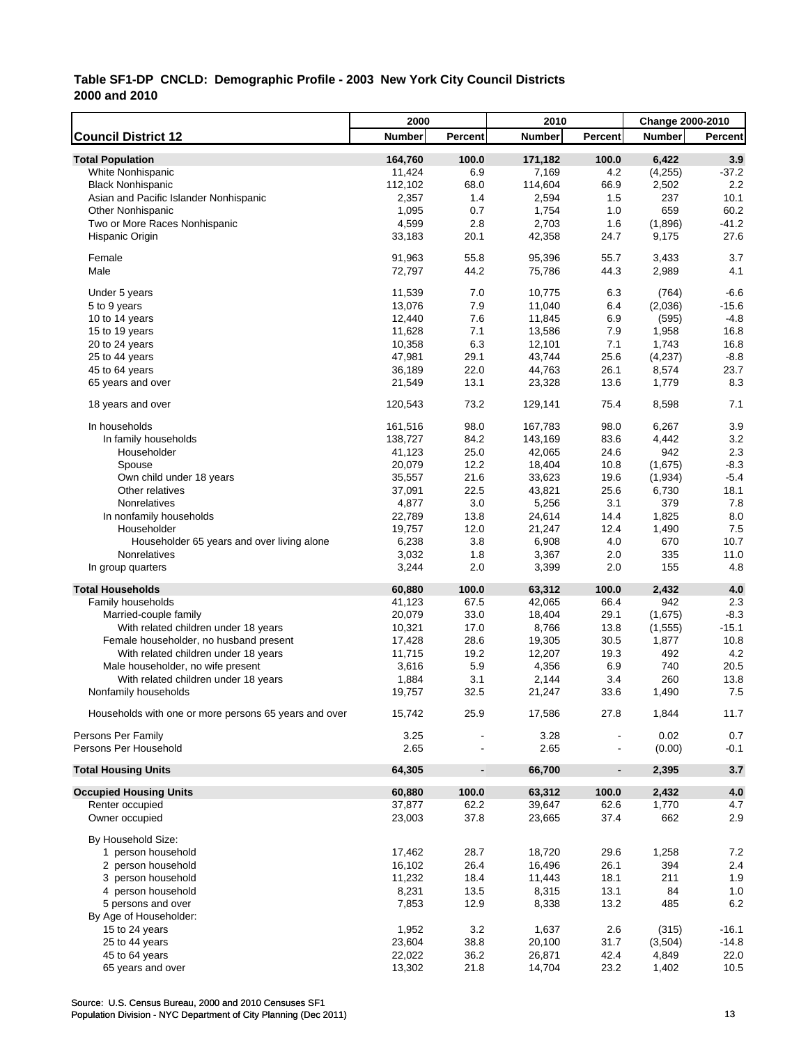|                                                       | 2000          |                          | 2010          |                | Change 2000-2010 |                |
|-------------------------------------------------------|---------------|--------------------------|---------------|----------------|------------------|----------------|
| <b>Council District 12</b>                            | <b>Number</b> | Percent                  | <b>Number</b> | Percent        | <b>Number</b>    | <b>Percent</b> |
| <b>Total Population</b>                               | 164,760       | 100.0                    | 171,182       | 100.0          | 6,422            | 3.9            |
| White Nonhispanic                                     | 11,424        | 6.9                      | 7,169         | 4.2            | (4,255)          | $-37.2$        |
| <b>Black Nonhispanic</b>                              | 112,102       | 68.0                     | 114,604       | 66.9           | 2,502            | 2.2            |
| Asian and Pacific Islander Nonhispanic                | 2,357         | 1.4                      | 2,594         | 1.5            | 237              | 10.1           |
| <b>Other Nonhispanic</b>                              | 1,095         | 0.7                      | 1,754         | 1.0            | 659              | 60.2           |
| Two or More Races Nonhispanic                         | 4,599         | 2.8                      | 2,703         | 1.6            | (1,896)          | $-41.2$        |
| Hispanic Origin                                       | 33,183        | 20.1                     | 42,358        | 24.7           | 9,175            | 27.6           |
|                                                       |               |                          |               |                |                  |                |
| Female                                                | 91,963        | 55.8                     | 95,396        | 55.7           | 3,433            | 3.7            |
| Male                                                  | 72,797        | 44.2                     | 75,786        | 44.3           | 2,989            | 4.1            |
| Under 5 years                                         | 11,539        | 7.0                      | 10,775        | 6.3            | (764)            | $-6.6$         |
| 5 to 9 years                                          | 13,076        | 7.9                      | 11,040        | 6.4            | (2,036)          | $-15.6$        |
| 10 to 14 years                                        | 12,440        | 7.6                      | 11,845        | 6.9            | (595)            | $-4.8$         |
| 15 to 19 years                                        | 11,628        | 7.1                      | 13,586        | 7.9            | 1,958            | 16.8           |
| 20 to 24 years                                        | 10,358        | 6.3                      | 12,101        | 7.1            | 1,743            | 16.8           |
| 25 to 44 years                                        | 47,981        | 29.1                     | 43,744        | 25.6           | (4,237)          | $-8.8$         |
| 45 to 64 years                                        | 36,189        | 22.0                     | 44,763        | 26.1           | 8,574            | 23.7           |
| 65 years and over                                     | 21,549        | 13.1                     | 23,328        | 13.6           | 1,779            | 8.3            |
|                                                       |               |                          |               |                |                  |                |
| 18 years and over                                     | 120,543       | 73.2                     | 129,141       | 75.4           | 8,598            | 7.1            |
| In households                                         | 161,516       | 98.0                     | 167,783       | 98.0           | 6,267            | 3.9            |
| In family households                                  | 138,727       | 84.2                     | 143,169       | 83.6           | 4,442            | 3.2            |
| Householder                                           | 41,123        | 25.0                     | 42,065        | 24.6           | 942              | 2.3            |
| Spouse                                                | 20,079        | 12.2                     | 18,404        | 10.8           | (1,675)          | $-8.3$         |
| Own child under 18 years                              | 35,557        | 21.6                     | 33,623        | 19.6           | (1,934)          | $-5.4$         |
| Other relatives                                       | 37,091        | 22.5                     | 43,821        | 25.6           | 6,730            | 18.1           |
| Nonrelatives                                          | 4,877         | 3.0                      | 5,256         | 3.1            | 379              | 7.8            |
| In nonfamily households                               | 22,789        | 13.8                     | 24,614        | 14.4           | 1,825            | 8.0            |
| Householder                                           | 19,757        | 12.0                     | 21,247        | 12.4           | 1,490            | 7.5            |
| Householder 65 years and over living alone            | 6,238         | 3.8                      | 6,908         | 4.0            | 670              | 10.7           |
| Nonrelatives                                          | 3,032         | 1.8                      | 3,367         | 2.0            | 335              | 11.0           |
| In group quarters                                     | 3,244         | 2.0                      | 3,399         | 2.0            | 155              | 4.8            |
| <b>Total Households</b>                               | 60,880        | 100.0                    | 63,312        | 100.0          | 2,432            | 4.0            |
| Family households                                     | 41,123        | 67.5                     | 42,065        | 66.4           | 942              | 2.3            |
| Married-couple family                                 | 20,079        | 33.0                     | 18,404        | 29.1           | (1,675)          | $-8.3$         |
| With related children under 18 years                  | 10,321        | 17.0                     | 8,766         | 13.8           | (1, 555)         | $-15.1$        |
| Female householder, no husband present                | 17,428        | 28.6                     | 19,305        | 30.5           | 1,877            | 10.8           |
| With related children under 18 years                  | 11,715        | 19.2                     | 12,207        | 19.3           | 492              | 4.2            |
| Male householder, no wife present                     | 3,616         | 5.9                      | 4,356         | 6.9            | 740              | 20.5           |
| With related children under 18 years                  | 1,884         | 3.1                      | 2,144         | 3.4            | 260              | 13.8           |
| Nonfamily households                                  | 19,757        | 32.5                     | 21,247        | 33.6           | 1,490            | 7.5            |
|                                                       |               |                          |               |                |                  |                |
| Households with one or more persons 65 years and over | 15,742        | 25.9                     | 17,586        | 27.8           | 1,844            | 11.7           |
| Persons Per Family                                    | 3.25          |                          | 3.28          |                | 0.02             | 0.7            |
| Persons Per Household                                 | 2.65          |                          | 2.65          |                | (0.00)           | $-0.1$         |
| <b>Total Housing Units</b>                            | 64,305        | $\overline{\phantom{a}}$ | 66,700        | $\blacksquare$ | 2,395            | 3.7            |
| <b>Occupied Housing Units</b>                         | 60,880        | 100.0                    | 63,312        | 100.0          | 2,432            | $4.0$          |
| Renter occupied                                       | 37,877        | 62.2                     | 39,647        | 62.6           | 1,770            | 4.7            |
| Owner occupied                                        | 23,003        | 37.8                     | 23,665        | 37.4           | 662              | 2.9            |
| By Household Size:                                    |               |                          |               |                |                  |                |
| 1 person household                                    | 17,462        | 28.7                     | 18,720        | 29.6           | 1,258            | 7.2            |
| 2 person household                                    | 16,102        | 26.4                     | 16,496        | 26.1           | 394              | 2.4            |
| 3 person household                                    | 11,232        | 18.4                     | 11,443        | 18.1           | 211              | 1.9            |
| 4 person household                                    | 8,231         | 13.5                     | 8,315         | 13.1           | 84               | 1.0            |
| 5 persons and over                                    | 7,853         | 12.9                     | 8,338         | 13.2           | 485              | 6.2            |
| By Age of Householder:                                |               |                          |               |                |                  |                |
| 15 to 24 years                                        | 1,952         | 3.2                      | 1,637         | 2.6            | (315)            | $-16.1$        |
| 25 to 44 years                                        | 23,604        | 38.8                     | 20,100        | 31.7           | (3,504)          | $-14.8$        |
| 45 to 64 years                                        | 22,022        | 36.2                     | 26,871        | 42.4           | 4,849            | 22.0           |
| 65 years and over                                     | 13,302        | 21.8                     | 14,704        | 23.2           | 1,402            | 10.5           |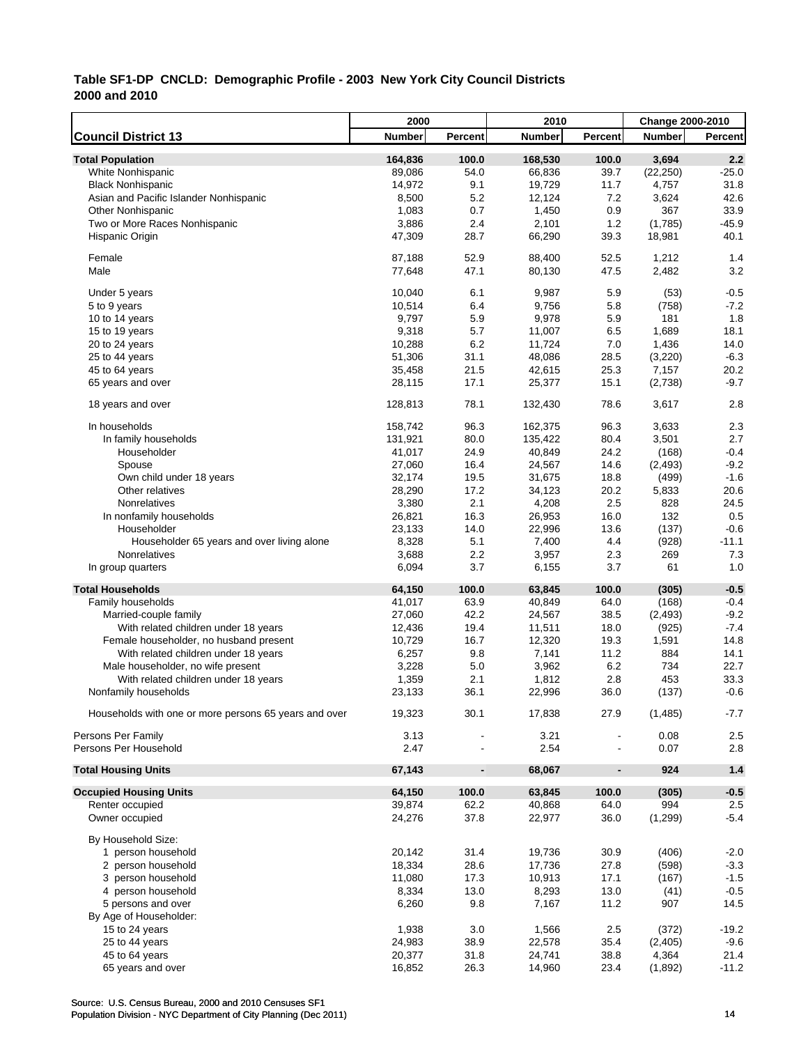|                                                       | 2000    |                          | 2010          |                          | Change 2000-2010 |                |
|-------------------------------------------------------|---------|--------------------------|---------------|--------------------------|------------------|----------------|
| <b>Council District 13</b>                            | Number  | Percent                  | <b>Number</b> | Percent                  | <b>Number</b>    | <b>Percent</b> |
| <b>Total Population</b>                               | 164,836 | 100.0                    | 168,530       | 100.0                    | 3,694            | 2.2            |
| White Nonhispanic                                     | 89,086  | 54.0                     | 66,836        | 39.7                     | (22, 250)        | $-25.0$        |
| <b>Black Nonhispanic</b>                              | 14,972  | 9.1                      | 19,729        | 11.7                     | 4,757            | 31.8           |
| Asian and Pacific Islander Nonhispanic                | 8,500   | 5.2                      | 12,124        | 7.2                      | 3,624            | 42.6           |
| <b>Other Nonhispanic</b>                              | 1,083   | 0.7                      | 1,450         | 0.9                      | 367              | 33.9           |
| Two or More Races Nonhispanic                         | 3,886   | 2.4                      | 2,101         | 1.2                      | (1,785)          | $-45.9$        |
| Hispanic Origin                                       | 47,309  | 28.7                     | 66,290        | 39.3                     | 18,981           | 40.1           |
| Female                                                | 87,188  | 52.9                     | 88,400        | 52.5                     | 1,212            | 1.4            |
| Male                                                  | 77,648  | 47.1                     | 80,130        | 47.5                     | 2,482            | 3.2            |
| Under 5 years                                         | 10,040  | 6.1                      | 9,987         | 5.9                      | (53)             | $-0.5$         |
| 5 to 9 years                                          | 10,514  | 6.4                      | 9,756         | 5.8                      | (758)            | $-7.2$         |
| 10 to 14 years                                        | 9,797   | 5.9                      | 9,978         | 5.9                      | 181              | 1.8            |
| 15 to 19 years                                        | 9,318   | 5.7                      | 11,007        | 6.5                      | 1,689            | 18.1           |
| 20 to 24 years                                        | 10,288  | 6.2                      | 11,724        | 7.0                      | 1,436            | 14.0           |
| 25 to 44 years                                        | 51,306  | 31.1                     | 48,086        | 28.5                     | (3,220)          | $-6.3$         |
| 45 to 64 years                                        | 35,458  | 21.5                     | 42,615        | 25.3                     | 7,157            | 20.2           |
| 65 years and over                                     | 28,115  | 17.1                     | 25,377        | 15.1                     | (2,738)          | $-9.7$         |
|                                                       |         |                          |               |                          |                  |                |
| 18 years and over                                     | 128,813 | 78.1                     | 132,430       | 78.6                     | 3,617            | 2.8            |
| In households                                         | 158,742 | 96.3                     | 162,375       | 96.3                     | 3,633            | 2.3            |
| In family households                                  | 131,921 | 80.0                     | 135,422       | 80.4                     | 3,501            | 2.7            |
| Householder                                           | 41,017  | 24.9                     | 40,849        | 24.2                     | (168)            | $-0.4$         |
| Spouse                                                | 27,060  | 16.4                     | 24,567        | 14.6                     | (2, 493)         | $-9.2$         |
| Own child under 18 years                              | 32,174  | 19.5                     | 31,675        | 18.8                     | (499)            | $-1.6$         |
| Other relatives                                       | 28,290  | 17.2                     | 34,123        | 20.2                     | 5,833            | 20.6           |
| Nonrelatives                                          | 3,380   | 2.1                      | 4,208         | 2.5                      | 828              | 24.5           |
| In nonfamily households                               | 26,821  | 16.3                     | 26,953        | 16.0                     | 132              | 0.5            |
| Householder                                           | 23,133  | 14.0                     | 22,996        | 13.6                     | (137)            | $-0.6$         |
| Householder 65 years and over living alone            | 8,328   | 5.1                      | 7,400         | 4.4                      | (928)            | $-11.1$        |
| Nonrelatives                                          | 3,688   | 2.2                      | 3,957         | 2.3                      | 269              | 7.3            |
| In group quarters                                     | 6,094   | 3.7                      | 6,155         | 3.7                      | 61               | 1.0            |
| <b>Total Households</b>                               | 64,150  | 100.0                    | 63,845        | 100.0                    | (305)            | $-0.5$         |
| Family households                                     | 41,017  | 63.9                     | 40,849        | 64.0                     | (168)            | $-0.4$         |
| Married-couple family                                 | 27,060  | 42.2                     | 24,567        | 38.5                     | (2, 493)         | $-9.2$         |
| With related children under 18 years                  | 12,436  | 19.4                     | 11,511        | 18.0                     | (925)            | $-7.4$         |
| Female householder, no husband present                | 10,729  | 16.7                     | 12,320        | 19.3                     | 1,591            | 14.8           |
| With related children under 18 years                  | 6,257   | 9.8                      | 7,141         | 11.2                     | 884              | 14.1           |
| Male householder, no wife present                     | 3,228   | 5.0                      | 3,962         | 6.2                      | 734              | 22.7           |
| With related children under 18 years                  | 1,359   | 2.1                      | 1,812         | 2.8                      | 453              | 33.3           |
| Nonfamily households                                  | 23,133  | 36.1                     | 22,996        | 36.0                     | (137)            | $-0.6$         |
| Households with one or more persons 65 years and over | 19,323  | 30.1                     | 17,838        | 27.9                     | (1, 485)         | $-7.7$         |
| Persons Per Family                                    | 3.13    |                          | 3.21          |                          | 0.08             | 2.5            |
| Persons Per Household                                 | 2.47    |                          | 2.54          |                          | 0.07             | 2.8            |
| <b>Total Housing Units</b>                            | 67,143  | $\overline{\phantom{a}}$ | 68,067        | $\overline{\phantom{a}}$ | 924              | $1.4$          |
| <b>Occupied Housing Units</b>                         | 64,150  | 100.0                    | 63,845        | 100.0                    | (305)            | $-0.5$         |
| Renter occupied                                       | 39,874  | 62.2                     | 40,868        | 64.0                     | 994              | 2.5            |
| Owner occupied                                        | 24,276  | 37.8                     | 22,977        | 36.0                     | (1, 299)         | $-5.4$         |
| By Household Size:                                    |         |                          |               |                          |                  |                |
| 1 person household                                    | 20,142  | 31.4                     | 19,736        | 30.9                     | (406)            | $-2.0$         |
| 2 person household                                    | 18,334  | 28.6                     | 17,736        | 27.8                     | (598)            | $-3.3$         |
| 3 person household                                    | 11,080  | 17.3                     | 10,913        | 17.1                     | (167)            | $-1.5$         |
| 4 person household                                    | 8,334   | 13.0                     | 8,293         | 13.0                     | (41)             | $-0.5$         |
| 5 persons and over                                    | 6,260   | 9.8                      | 7,167         | 11.2                     | 907              | 14.5           |
| By Age of Householder:                                |         |                          |               |                          |                  |                |
| 15 to 24 years                                        | 1,938   | 3.0                      | 1,566         | 2.5                      | (372)            | $-19.2$        |
| 25 to 44 years                                        | 24,983  | 38.9                     | 22,578        | 35.4                     | (2,405)          | $-9.6$         |
| 45 to 64 years                                        | 20,377  | 31.8                     | 24,741        | 38.8                     | 4,364            | 21.4           |
| 65 years and over                                     | 16,852  | 26.3                     | 14,960        | 23.4                     | (1,892)          | $-11.2$        |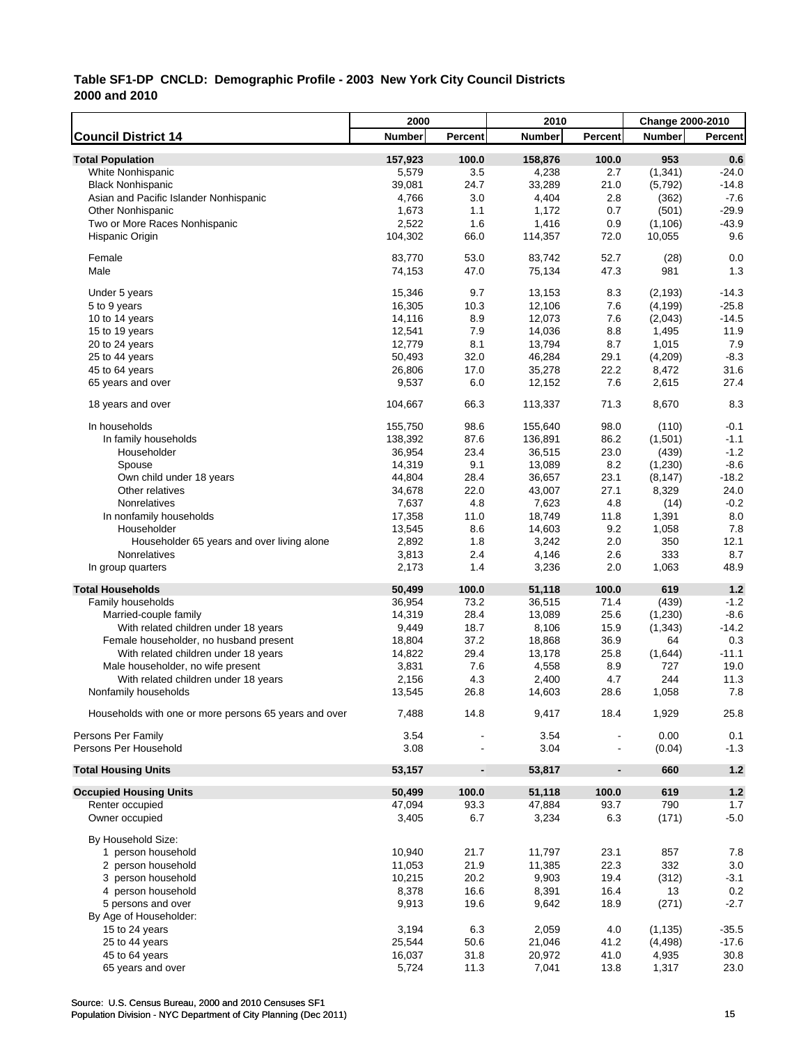|                                                       | 2000          |                          | 2010          |                          | Change 2000-2010 |                |
|-------------------------------------------------------|---------------|--------------------------|---------------|--------------------------|------------------|----------------|
| <b>Council District 14</b>                            | <b>Number</b> | Percent                  | <b>Number</b> | Percent                  | <b>Number</b>    | <b>Percent</b> |
| <b>Total Population</b>                               | 157,923       | 100.0                    | 158,876       | 100.0                    | 953              | 0.6            |
| White Nonhispanic                                     | 5,579         | 3.5                      | 4,238         | 2.7                      | (1, 341)         | $-24.0$        |
| <b>Black Nonhispanic</b>                              | 39,081        | 24.7                     | 33,289        | 21.0                     | (5,792)          | $-14.8$        |
| Asian and Pacific Islander Nonhispanic                | 4,766         | 3.0                      | 4,404         | 2.8                      | (362)            | $-7.6$         |
| <b>Other Nonhispanic</b>                              | 1,673         | 1.1                      | 1,172         | 0.7                      | (501)            | $-29.9$        |
| Two or More Races Nonhispanic                         | 2,522         | 1.6                      | 1,416         | 0.9                      | (1,106)          | $-43.9$        |
| Hispanic Origin                                       | 104,302       | 66.0                     | 114,357       | 72.0                     | 10,055           | 9.6            |
| Female                                                | 83,770        | 53.0                     | 83,742        | 52.7                     |                  | 0.0            |
| Male                                                  | 74,153        | 47.0                     | 75,134        | 47.3                     | (28)<br>981      | 1.3            |
|                                                       |               |                          |               |                          |                  |                |
| Under 5 years                                         | 15,346        | 9.7                      | 13,153        | 8.3                      | (2, 193)         | $-14.3$        |
| 5 to 9 years                                          | 16,305        | 10.3                     | 12,106        | 7.6                      | (4, 199)         | $-25.8$        |
| 10 to 14 years                                        | 14,116        | 8.9                      | 12,073        | 7.6                      | (2,043)          | $-14.5$        |
| 15 to 19 years                                        | 12,541        | 7.9                      | 14,036        | 8.8                      | 1,495            | 11.9           |
| 20 to 24 years                                        | 12,779        | 8.1                      | 13,794        | 8.7                      | 1,015            | 7.9            |
| 25 to 44 years                                        | 50,493        | 32.0                     | 46,284        | 29.1                     | (4,209)          | $-8.3$         |
| 45 to 64 years                                        | 26,806        | 17.0                     | 35,278        | 22.2                     | 8,472            | 31.6           |
| 65 years and over                                     | 9,537         | 6.0                      | 12,152        | 7.6                      | 2,615            | 27.4           |
| 18 years and over                                     | 104,667       | 66.3                     | 113,337       | 71.3                     | 8,670            | 8.3            |
| In households                                         | 155,750       | 98.6                     | 155,640       | 98.0                     | (110)            | $-0.1$         |
| In family households                                  | 138,392       | 87.6                     | 136,891       | 86.2                     | (1,501)          | $-1.1$         |
| Householder                                           | 36,954        | 23.4                     | 36,515        | 23.0                     | (439)            | $-1.2$         |
| Spouse                                                | 14,319        | 9.1                      | 13,089        | 8.2                      | (1,230)          | $-8.6$         |
| Own child under 18 years                              | 44,804        | 28.4                     | 36,657        | 23.1                     | (8, 147)         | $-18.2$        |
| Other relatives                                       | 34,678        | 22.0                     | 43,007        | 27.1                     | 8,329            | 24.0           |
| Nonrelatives                                          | 7,637         | 4.8                      | 7,623         | 4.8                      | (14)             | $-0.2$         |
| In nonfamily households                               | 17,358        | 11.0                     | 18,749        | 11.8                     | 1,391            | 8.0            |
| Householder                                           | 13,545        | 8.6                      | 14,603        | 9.2                      | 1,058            | 7.8            |
| Householder 65 years and over living alone            | 2,892         | 1.8                      | 3,242         | 2.0                      | 350              | 12.1           |
| Nonrelatives                                          | 3,813         | 2.4                      | 4,146         | 2.6                      | 333              | 8.7            |
| In group quarters                                     | 2,173         | 1.4                      | 3,236         | 2.0                      | 1,063            | 48.9           |
| <b>Total Households</b>                               | 50,499        | 100.0                    | 51,118        | 100.0                    | 619              | 1.2            |
| Family households                                     | 36,954        | 73.2                     | 36,515        | 71.4                     | (439)            | $-1.2$         |
| Married-couple family                                 | 14,319        | 28.4                     | 13,089        | 25.6                     | (1,230)          | $-8.6$         |
| With related children under 18 years                  | 9,449         | 18.7                     | 8,106         | 15.9                     | (1, 343)         | $-14.2$        |
| Female householder, no husband present                | 18,804        | 37.2                     | 18,868        | 36.9                     | 64               | 0.3            |
| With related children under 18 years                  | 14,822        | 29.4                     | 13,178        | 25.8                     | (1,644)          | $-11.1$        |
| Male householder, no wife present                     | 3,831         | 7.6                      | 4,558         | 8.9                      | 727              | 19.0           |
| With related children under 18 years                  | 2,156         | 4.3                      | 2,400         | 4.7                      | 244              | 11.3           |
| Nonfamily households                                  | 13,545        | 26.8                     | 14,603        | 28.6                     | 1,058            | 7.8            |
| Households with one or more persons 65 years and over | 7,488         | 14.8                     | 9,417         | 18.4                     | 1,929            | 25.8           |
| Persons Per Family                                    | 3.54          |                          | 3.54          |                          | 0.00             | 0.1            |
| Persons Per Household                                 | 3.08          |                          | 3.04          |                          | (0.04)           | $-1.3$         |
| <b>Total Housing Units</b>                            | 53,157        | $\overline{\phantom{a}}$ | 53,817        | $\overline{\phantom{a}}$ | 660              | $1.2$          |
| <b>Occupied Housing Units</b>                         | 50,499        | 100.0                    | 51,118        | 100.0                    | 619              | $1.2$          |
| Renter occupied                                       | 47,094        | 93.3                     | 47,884        | 93.7                     | 790              | 1.7            |
| Owner occupied                                        | 3,405         | 6.7                      | 3,234         | 6.3                      | (171)            | $-5.0$         |
| By Household Size:                                    |               |                          |               |                          |                  |                |
| 1 person household                                    | 10,940        | 21.7                     | 11,797        | 23.1                     | 857              | 7.8            |
| 2 person household                                    | 11,053        | 21.9                     | 11,385        | 22.3                     | 332              | 3.0            |
| 3 person household                                    | 10,215        | 20.2                     | 9,903         | 19.4                     | (312)            | $-3.1$         |
| 4 person household                                    | 8,378         | 16.6                     | 8,391         | 16.4                     | 13               | 0.2            |
| 5 persons and over                                    | 9,913         | 19.6                     | 9,642         | 18.9                     | (271)            | $-2.7$         |
| By Age of Householder:                                |               |                          |               |                          |                  |                |
| 15 to 24 years                                        | 3,194         | 6.3                      | 2,059         | 4.0                      | (1, 135)         | $-35.5$        |
| 25 to 44 years                                        | 25,544        | 50.6                     | 21,046        | 41.2                     | (4, 498)         | $-17.6$        |
| 45 to 64 years                                        | 16,037        | 31.8                     | 20,972        | 41.0                     | 4,935            | 30.8           |
| 65 years and over                                     | 5,724         | 11.3                     | 7,041         | 13.8                     | 1,317            | 23.0           |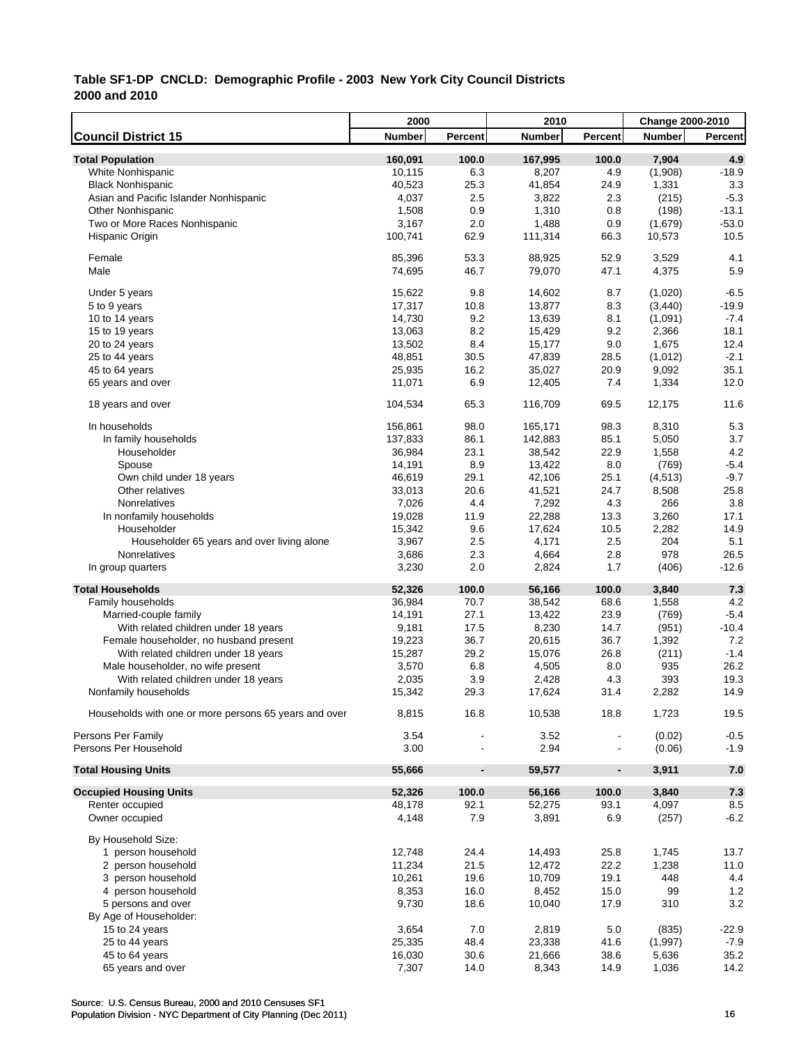|                                                       | 2000          |                          | 2010          |                | Change 2000-2010 |                |
|-------------------------------------------------------|---------------|--------------------------|---------------|----------------|------------------|----------------|
| <b>Council District 15</b>                            | <b>Number</b> | Percent                  | <b>Number</b> | Percent        | <b>Number</b>    | <b>Percent</b> |
| <b>Total Population</b>                               | 160,091       | 100.0                    | 167,995       | 100.0          | 7,904            | 4.9            |
| White Nonhispanic                                     | 10,115        | 6.3                      | 8,207         | 4.9            | (1,908)          | $-18.9$        |
| <b>Black Nonhispanic</b>                              | 40,523        | 25.3                     | 41,854        | 24.9           | 1,331            | 3.3            |
| Asian and Pacific Islander Nonhispanic                | 4,037         | 2.5                      | 3,822         | 2.3            | (215)            | $-5.3$         |
| <b>Other Nonhispanic</b>                              | 1,508         | 0.9                      | 1,310         | 0.8            | (198)            | $-13.1$        |
| Two or More Races Nonhispanic                         | 3,167         | 2.0                      | 1,488         | 0.9            | (1,679)          | $-53.0$        |
| Hispanic Origin                                       | 100,741       | 62.9                     | 111,314       | 66.3           | 10,573           | 10.5           |
|                                                       |               |                          |               |                |                  |                |
| Female                                                | 85,396        | 53.3                     | 88,925        | 52.9           | 3,529            | 4.1            |
| Male                                                  | 74,695        | 46.7                     | 79,070        | 47.1           | 4,375            | 5.9            |
| Under 5 years                                         | 15,622        | 9.8                      | 14,602        | 8.7            | (1,020)          | $-6.5$         |
| 5 to 9 years                                          | 17,317        | 10.8                     | 13,877        | 8.3            | (3, 440)         | $-19.9$        |
| 10 to 14 years                                        | 14,730        | 9.2                      | 13,639        | 8.1            | (1,091)          | $-7.4$         |
| 15 to 19 years                                        | 13,063        | 8.2                      | 15,429        | 9.2            | 2,366            | 18.1           |
| 20 to 24 years                                        | 13,502        | 8.4                      | 15,177        | 9.0            | 1,675            | 12.4           |
| 25 to 44 years                                        | 48,851        | 30.5                     | 47,839        | 28.5           | (1,012)          | $-2.1$         |
| 45 to 64 years                                        | 25,935        | 16.2                     | 35,027        | 20.9           | 9,092            | 35.1           |
|                                                       | 11,071        | 6.9                      | 12,405        | 7.4            | 1,334            | 12.0           |
| 65 years and over                                     |               |                          |               |                |                  |                |
| 18 years and over                                     | 104,534       | 65.3                     | 116,709       | 69.5           | 12,175           | 11.6           |
| In households                                         | 156,861       | 98.0                     | 165,171       | 98.3           | 8,310            | 5.3            |
| In family households                                  | 137,833       | 86.1                     | 142,883       | 85.1           | 5,050            | 3.7            |
| Householder                                           | 36,984        | 23.1                     | 38,542        | 22.9           | 1,558            | 4.2            |
| Spouse                                                | 14,191        | 8.9                      | 13,422        | 8.0            | (769)            | $-5.4$         |
| Own child under 18 years                              | 46,619        | 29.1                     | 42,106        | 25.1           | (4,513)          | $-9.7$         |
| Other relatives                                       | 33,013        | 20.6                     | 41,521        | 24.7           | 8,508            | 25.8           |
| Nonrelatives                                          | 7,026         | 4.4                      | 7,292         | 4.3            | 266              | 3.8            |
| In nonfamily households                               | 19,028        | 11.9                     | 22,288        | 13.3           | 3,260            | 17.1           |
| Householder                                           | 15,342        | 9.6                      | 17,624        | 10.5           | 2,282            | 14.9           |
| Householder 65 years and over living alone            | 3,967         | 2.5                      | 4,171         | 2.5            | 204              | 5.1            |
| Nonrelatives                                          | 3,686         | 2.3                      | 4,664         | 2.8            | 978              | 26.5           |
| In group quarters                                     | 3,230         | 2.0                      | 2,824         | 1.7            | (406)            | $-12.6$        |
| <b>Total Households</b>                               | 52,326        | 100.0                    | 56,166        | 100.0          | 3,840            | 7.3            |
| Family households                                     | 36,984        | 70.7                     | 38,542        | 68.6           | 1,558            | 4.2            |
| Married-couple family                                 | 14,191        | 27.1                     | 13,422        | 23.9           | (769)            | $-5.4$         |
| With related children under 18 years                  | 9,181         | 17.5                     | 8,230         | 14.7           | (951)            | $-10.4$        |
| Female householder, no husband present                | 19,223        | 36.7                     | 20,615        | 36.7           | 1,392            | 7.2            |
| With related children under 18 years                  | 15,287        | 29.2                     | 15,076        | 26.8           | (211)            | $-1.4$         |
| Male householder, no wife present                     | 3,570         | 6.8                      | 4,505         | 8.0            | 935              | 26.2           |
| With related children under 18 years                  | 2,035         | 3.9                      | 2,428         | 4.3            | 393              | 19.3           |
| Nonfamily households                                  | 15,342        | 29.3                     | 17,624        | 31.4           | 2,282            | 14.9           |
|                                                       |               |                          |               |                |                  |                |
| Households with one or more persons 65 years and over | 8,815         | 16.8                     | 10,538        | 18.8           | 1,723            | 19.5           |
| Persons Per Family                                    | 3.54          |                          | 3.52          |                | (0.02)           | $-0.5$         |
| Persons Per Household                                 | 3.00          |                          | 2.94          |                | (0.06)           | $-1.9$         |
| <b>Total Housing Units</b>                            | 55,666        | $\overline{\phantom{a}}$ | 59,577        | $\blacksquare$ | 3,911            | 7.0            |
| <b>Occupied Housing Units</b>                         | 52,326        | 100.0                    | 56,166        | 100.0          | 3,840            | $7.3$          |
| Renter occupied                                       | 48,178        | 92.1                     | 52,275        | 93.1           | 4,097            | 8.5            |
| Owner occupied                                        | 4,148         | 7.9                      | 3,891         | 6.9            | (257)            | $-6.2$         |
| By Household Size:                                    |               |                          |               |                |                  |                |
| 1 person household                                    | 12,748        | 24.4                     | 14,493        | 25.8           | 1,745            | 13.7           |
| 2 person household                                    | 11,234        | 21.5                     | 12,472        | 22.2           | 1,238            | 11.0           |
| 3 person household                                    | 10,261        | 19.6                     | 10,709        | 19.1           | 448              | 4.4            |
| 4 person household                                    | 8,353         | 16.0                     | 8,452         | 15.0           | 99               | 1.2            |
| 5 persons and over                                    | 9,730         | 18.6                     | 10,040        | 17.9           | 310              | 3.2            |
| By Age of Householder:                                |               |                          |               |                |                  |                |
| 15 to 24 years                                        | 3,654         | 7.0                      | 2,819         | 5.0            | (835)            | $-22.9$        |
| 25 to 44 years                                        | 25,335        | 48.4                     | 23,338        | 41.6           | (1, 997)         | $-7.9$         |
| 45 to 64 years                                        | 16,030        | 30.6                     | 21,666        | 38.6           | 5,636            | 35.2           |
| 65 years and over                                     | 7,307         | 14.0                     | 8,343         | 14.9           | 1,036            | 14.2           |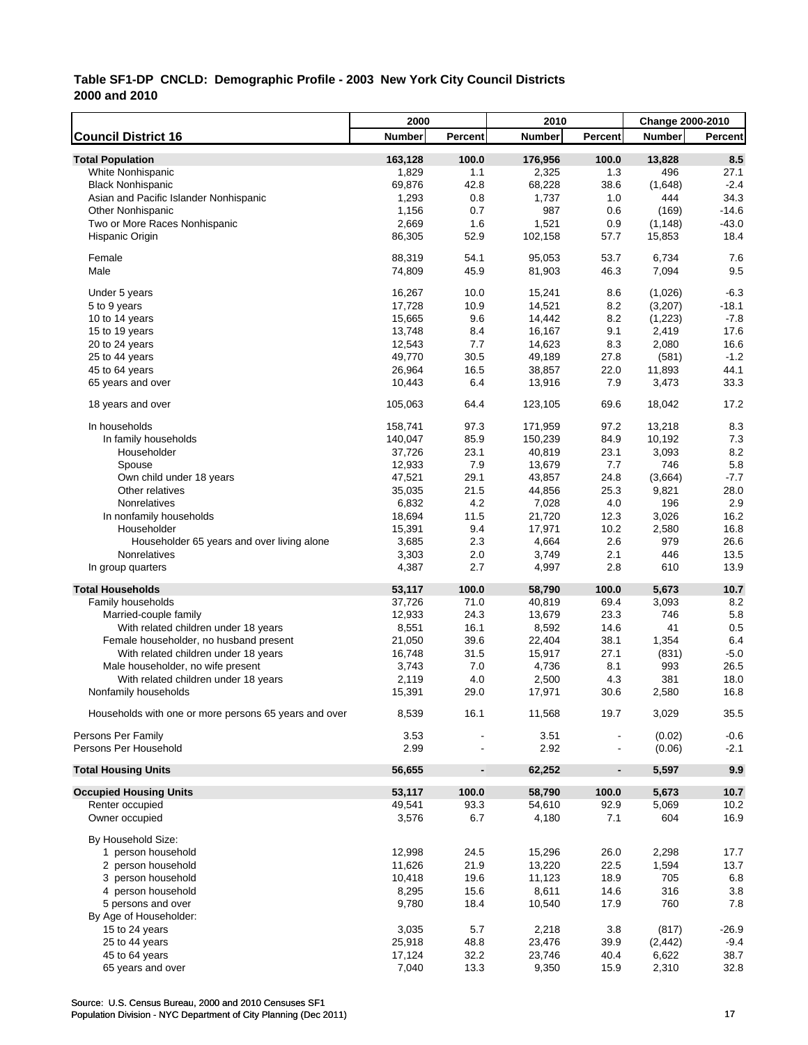|                                                       | 2000          |                              | 2010          |                          | <b>Change 2000-2010</b> |         |
|-------------------------------------------------------|---------------|------------------------------|---------------|--------------------------|-------------------------|---------|
| <b>Council District 16</b>                            | <b>Number</b> | Percent                      | <b>Number</b> | Percent                  | <b>Number</b>           | Percent |
| <b>Total Population</b>                               | 163,128       | 100.0                        | 176,956       | 100.0                    | 13,828                  | 8.5     |
| White Nonhispanic                                     | 1,829         | 1.1                          | 2,325         | 1.3                      | 496                     | 27.1    |
| <b>Black Nonhispanic</b>                              | 69,876        | 42.8                         | 68,228        | 38.6                     | (1,648)                 | $-2.4$  |
| Asian and Pacific Islander Nonhispanic                | 1,293         | 0.8                          | 1,737         | 1.0                      | 444                     | 34.3    |
| <b>Other Nonhispanic</b>                              | 1,156         | 0.7                          | 987           | 0.6                      | (169)                   | $-14.6$ |
| Two or More Races Nonhispanic                         | 2,669         | 1.6                          | 1,521         | 0.9                      | (1, 148)                | $-43.0$ |
| Hispanic Origin                                       | 86,305        | 52.9                         | 102,158       | 57.7                     | 15,853                  | 18.4    |
|                                                       |               |                              |               |                          |                         |         |
| Female                                                | 88,319        | 54.1                         | 95,053        | 53.7                     | 6,734                   | 7.6     |
| Male                                                  | 74,809        | 45.9                         | 81,903        | 46.3                     | 7,094                   | 9.5     |
|                                                       |               |                              |               |                          |                         |         |
| Under 5 years                                         | 16,267        | 10.0                         | 15,241        | 8.6                      | (1,026)                 | $-6.3$  |
| 5 to 9 years                                          | 17,728        | 10.9                         | 14,521        | 8.2                      | (3,207)                 | $-18.1$ |
| 10 to 14 years                                        | 15,665        | 9.6                          | 14,442        | 8.2                      | (1, 223)                | $-7.8$  |
| 15 to 19 years                                        | 13,748        | 8.4                          | 16,167        | 9.1                      | 2,419                   | 17.6    |
| 20 to 24 years                                        | 12,543        | 7.7                          | 14,623        | 8.3                      | 2,080                   | 16.6    |
| 25 to 44 years                                        | 49,770        | 30.5                         | 49,189        | 27.8                     | (581)                   | $-1.2$  |
| 45 to 64 years                                        | 26,964        | 16.5                         | 38,857        | 22.0                     | 11,893                  | 44.1    |
| 65 years and over                                     | 10,443        | 6.4                          | 13,916        | 7.9                      | 3,473                   | 33.3    |
| 18 years and over                                     | 105,063       | 64.4                         | 123,105       | 69.6                     | 18,042                  | 17.2    |
|                                                       |               |                              |               |                          |                         |         |
| In households                                         | 158,741       | 97.3                         | 171,959       | 97.2                     | 13,218                  | 8.3     |
| In family households                                  | 140,047       | 85.9                         | 150,239       | 84.9                     | 10,192                  | 7.3     |
| Householder                                           | 37,726        | 23.1                         | 40,819        | 23.1                     | 3,093                   | 8.2     |
| Spouse                                                | 12,933        | 7.9                          | 13,679        | 7.7                      | 746                     | 5.8     |
| Own child under 18 years                              | 47,521        | 29.1                         | 43,857        | 24.8                     | (3,664)                 | $-7.7$  |
| Other relatives                                       | 35,035        | 21.5                         | 44,856        | 25.3                     | 9,821                   | 28.0    |
| Nonrelatives                                          | 6,832         | 4.2                          | 7,028         | 4.0                      | 196                     | 2.9     |
| In nonfamily households                               | 18,694        | 11.5                         | 21,720        | 12.3                     | 3,026                   | 16.2    |
| Householder                                           | 15,391        | 9.4                          | 17,971        | 10.2                     | 2,580                   | 16.8    |
| Householder 65 years and over living alone            | 3,685         | 2.3                          | 4,664         | 2.6                      | 979                     | 26.6    |
| Nonrelatives                                          | 3,303         | 2.0                          | 3,749         | 2.1                      | 446                     | 13.5    |
| In group quarters                                     | 4,387         | 2.7                          | 4,997         | 2.8                      | 610                     | 13.9    |
|                                                       |               |                              |               |                          |                         |         |
| <b>Total Households</b>                               | 53,117        | 100.0                        | 58,790        | 100.0                    | 5,673                   | 10.7    |
| Family households                                     | 37,726        | 71.0                         | 40,819        | 69.4                     | 3,093                   | 8.2     |
| Married-couple family                                 | 12,933        | 24.3                         | 13,679        | 23.3                     | 746                     | 5.8     |
| With related children under 18 years                  | 8,551         | 16.1                         | 8,592         | 14.6                     | 41                      | 0.5     |
| Female householder, no husband present                | 21,050        | 39.6                         | 22,404        | 38.1                     | 1,354                   | 6.4     |
| With related children under 18 years                  | 16,748        | 31.5                         | 15,917        | 27.1                     | (831)                   | $-5.0$  |
| Male householder, no wife present                     | 3,743         | 7.0                          | 4,736         | 8.1                      | 993                     | 26.5    |
| With related children under 18 years                  | 2,119         | 4.0                          | 2,500         | 4.3                      | 381                     | 18.0    |
| Nonfamily households                                  | 15,391        | 29.0                         | 17,971        | 30.6                     | 2,580                   | 16.8    |
|                                                       |               |                              |               |                          |                         |         |
| Households with one or more persons 65 years and over | 8,539         | 16.1                         | 11,568        | 19.7                     | 3,029                   | 35.5    |
| Persons Per Family                                    | 3.53          |                              | 3.51          |                          | (0.02)                  | $-0.6$  |
| Persons Per Household                                 | 2.99          |                              | 2.92          | $\overline{\phantom{a}}$ | (0.06)                  | $-2.1$  |
|                                                       |               |                              |               |                          |                         |         |
| <b>Total Housing Units</b>                            | 56,655        | $\qquad \qquad \blacksquare$ | 62,252        | $\overline{\phantom{a}}$ | 5,597                   | 9.9     |
| <b>Occupied Housing Units</b>                         | 53,117        | 100.0                        | 58,790        | 100.0                    | 5,673                   | 10.7    |
| Renter occupied                                       | 49,541        | 93.3                         | 54,610        | 92.9                     | 5,069                   | 10.2    |
| Owner occupied                                        | 3,576         | 6.7                          | 4,180         | 7.1                      | 604                     | 16.9    |
|                                                       |               |                              |               |                          |                         |         |
| By Household Size:                                    |               |                              |               |                          |                         |         |
| 1 person household                                    | 12,998        | 24.5                         | 15,296        | 26.0                     | 2,298                   | 17.7    |
| 2 person household                                    | 11,626        | 21.9                         | 13,220        | 22.5                     | 1,594                   | 13.7    |
| 3 person household                                    | 10,418        | 19.6                         | 11,123        | 18.9                     | 705                     | 6.8     |
| 4 person household                                    | 8,295         | 15.6                         | 8,611         | 14.6                     | 316                     | 3.8     |
| 5 persons and over                                    | 9,780         | 18.4                         | 10,540        | 17.9                     | 760                     | 7.8     |
| By Age of Householder:                                |               |                              |               |                          |                         |         |
| 15 to 24 years                                        | 3,035         | 5.7                          | 2,218         | 3.8                      | (817)                   | $-26.9$ |
| 25 to 44 years                                        | 25,918        | 48.8                         | 23,476        | 39.9                     | (2, 442)                | $-9.4$  |
| 45 to 64 years                                        | 17,124        | 32.2                         | 23,746        | 40.4                     | 6,622                   | 38.7    |
| 65 years and over                                     | 7,040         | 13.3                         | 9,350         | 15.9                     | 2,310                   | 32.8    |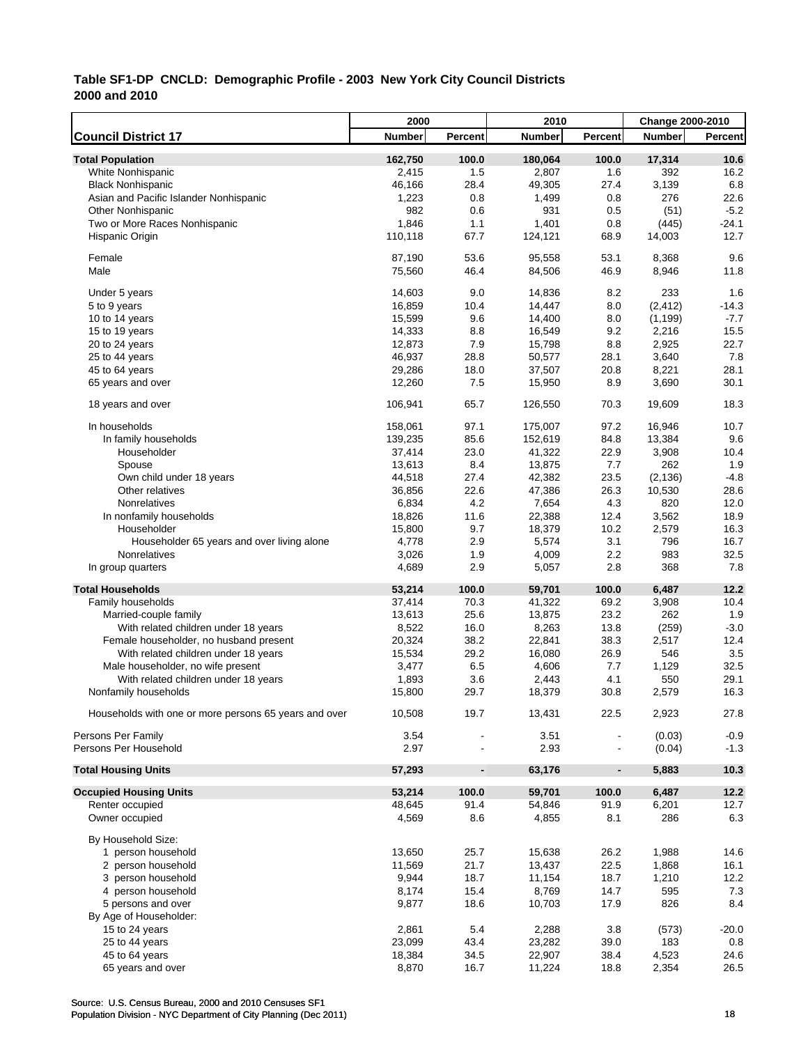|                                                       | 2000             |                              | 2010             |                | <b>Change 2000-2010</b> |                  |
|-------------------------------------------------------|------------------|------------------------------|------------------|----------------|-------------------------|------------------|
| <b>Council District 17</b>                            | <b>Number</b>    | Percent                      | <b>Number</b>    | Percent        | <b>Number</b>           | Percent          |
| <b>Total Population</b>                               | 162,750          | 100.0                        | 180,064          | 100.0          | 17,314                  | 10.6             |
| White Nonhispanic                                     | 2,415            | 1.5                          | 2,807            | 1.6            | 392                     | 16.2             |
| <b>Black Nonhispanic</b>                              | 46,166           | 28.4                         | 49,305           | 27.4           | 3,139                   | 6.8              |
| Asian and Pacific Islander Nonhispanic                | 1,223            | 0.8                          | 1,499            | 0.8            | 276                     | 22.6             |
| <b>Other Nonhispanic</b>                              | 982              | 0.6                          | 931              | 0.5            | (51)                    | $-5.2$           |
| Two or More Races Nonhispanic                         | 1,846            | 1.1                          | 1,401            | 0.8            | (445)                   | -24.1            |
| Hispanic Origin                                       | 110,118          | 67.7                         | 124,121          | 68.9           | 14,003                  | 12.7             |
| Female                                                | 87,190           | 53.6                         |                  | 53.1           |                         | 9.6              |
| Male                                                  | 75,560           | 46.4                         | 95,558<br>84,506 | 46.9           | 8,368<br>8,946          | 11.8             |
| Under 5 years                                         | 14,603           | 9.0                          | 14,836           | 8.2            | 233                     | 1.6              |
| 5 to 9 years                                          | 16,859           | 10.4                         | 14,447           | 8.0            | (2, 412)                | $-14.3$          |
| 10 to 14 years                                        | 15,599           | 9.6                          | 14,400           | 8.0            | (1, 199)                | $-7.7$           |
| 15 to 19 years                                        | 14,333           | 8.8                          | 16,549           | 9.2            | 2,216                   | 15.5             |
|                                                       |                  | 7.9                          | 15,798           | 8.8            | 2,925                   | 22.7             |
| 20 to 24 years                                        | 12,873<br>46,937 | 28.8                         |                  | 28.1           | 3,640                   | 7.8              |
| 25 to 44 years                                        |                  |                              | 50,577           |                |                         | 28.1             |
| 45 to 64 years                                        | 29,286           | 18.0                         | 37,507           | 20.8           | 8,221                   |                  |
| 65 years and over                                     | 12,260           | 7.5                          | 15,950           | 8.9            | 3,690                   | 30.1             |
| 18 years and over                                     | 106,941          | 65.7                         | 126,550          | 70.3           | 19,609                  | 18.3             |
| In households                                         | 158,061          | 97.1                         | 175,007          | 97.2           | 16,946                  | 10.7             |
| In family households                                  | 139,235          | 85.6                         | 152,619          | 84.8           | 13,384                  | 9.6              |
| Householder                                           | 37,414           | 23.0                         | 41,322           | 22.9           | 3,908                   | 10.4             |
| Spouse                                                | 13,613           | 8.4                          | 13,875           | 7.7            | 262                     | 1.9              |
| Own child under 18 years                              | 44,518           | 27.4                         | 42,382           | 23.5           | (2, 136)                | $-4.8$           |
| Other relatives                                       | 36,856           | 22.6                         | 47,386           | 26.3           | 10,530                  | 28.6             |
| Nonrelatives                                          | 6,834            | 4.2                          | 7,654            | 4.3            | 820                     | 12.0             |
| In nonfamily households                               | 18,826           | 11.6                         | 22,388           | 12.4           | 3,562                   | 18.9             |
| Householder                                           | 15,800           | 9.7                          | 18,379           | 10.2           | 2,579                   | 16.3             |
| Householder 65 years and over living alone            | 4,778            | 2.9                          | 5,574            | 3.1            | 796                     | 16.7             |
| Nonrelatives                                          | 3,026            | 1.9                          | 4,009            | 2.2            | 983                     | 32.5             |
| In group quarters                                     | 4,689            | 2.9                          | 5,057            | 2.8            | 368                     | 7.8              |
| <b>Total Households</b>                               | 53,214           | 100.0                        | 59,701           | 100.0          | 6,487                   | 12.2             |
| Family households                                     | 37,414           | 70.3                         | 41,322           | 69.2           | 3,908                   | 10.4             |
| Married-couple family                                 | 13,613           | 25.6                         | 13,875           | 23.2           | 262                     | 1.9              |
| With related children under 18 years                  | 8,522            | 16.0                         | 8,263            | 13.8           | (259)                   | $-3.0$           |
| Female householder, no husband present                | 20,324           | 38.2                         | 22,841           | 38.3           | 2,517                   | 12.4             |
| With related children under 18 years                  | 15,534           | 29.2                         | 16,080           | 26.9           | 546                     | 3.5              |
| Male householder, no wife present                     | 3,477            | 6.5                          | 4,606            | 7.7            | 1,129                   | 32.5             |
| With related children under 18 years                  | 1,893            | 3.6                          | 2,443            | 4.1            | 550                     | 29.1             |
| Nonfamily households                                  | 15,800           | 29.7                         | 18,379           | 30.8           | 2,579                   | 16.3             |
| Households with one or more persons 65 years and over | 10,508           | 19.7                         | 13,431           | 22.5           | 2,923                   | 27.8             |
|                                                       |                  |                              |                  |                |                         |                  |
| Persons Per Family<br>Persons Per Household           | 3.54<br>2.97     |                              | 3.51<br>2.93     |                | (0.03)<br>(0.04)        | $-0.9$<br>$-1.3$ |
| <b>Total Housing Units</b>                            | 57,293           | $\qquad \qquad \blacksquare$ | 63,176           | $\blacksquare$ | 5,883                   | 10.3             |
|                                                       |                  |                              |                  |                | 6,487                   |                  |
| <b>Occupied Housing Units</b><br>Renter occupied      | 53,214           | 100.0<br>91.4                | 59,701<br>54,846 | 100.0<br>91.9  |                         | 12.2             |
|                                                       | 48,645           |                              |                  |                | 6,201                   | 12.7             |
| Owner occupied                                        | 4,569            | 8.6                          | 4,855            | 8.1            | 286                     | 6.3              |
| By Household Size:                                    |                  |                              |                  |                |                         |                  |
| 1 person household                                    | 13,650           | 25.7                         | 15,638           | 26.2           | 1,988                   | 14.6             |
| 2 person household                                    | 11,569           | 21.7                         | 13,437           | 22.5           | 1,868                   | 16.1             |
| 3 person household                                    | 9,944            | 18.7                         | 11,154           | 18.7           | 1,210                   | 12.2             |
| 4 person household                                    | 8,174            | 15.4                         | 8,769            | 14.7           | 595                     | 7.3              |
| 5 persons and over                                    | 9,877            | 18.6                         | 10,703           | 17.9           | 826                     | 8.4              |
| By Age of Householder:                                |                  |                              |                  |                |                         |                  |
| 15 to 24 years                                        | 2,861            | 5.4                          | 2,288            | 3.8            | (573)                   | $-20.0$          |
| 25 to 44 years                                        | 23,099           | 43.4                         | 23,282           | 39.0           | 183                     | 0.8              |
| 45 to 64 years                                        | 18,384           | 34.5                         | 22,907           | 38.4           | 4,523                   | 24.6             |
| 65 years and over                                     | 8,870            | 16.7                         | 11,224           | 18.8           | 2,354                   | 26.5             |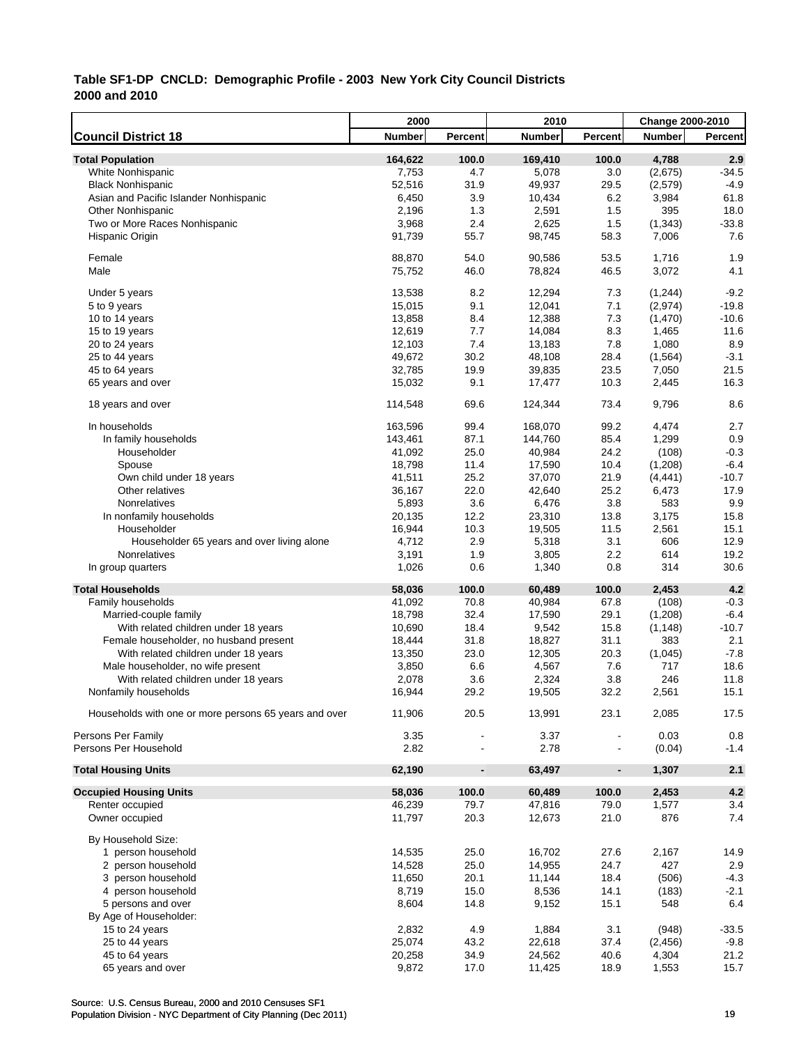|                                                       | 2000    |                          | 2010          |                | Change 2000-2010 |                |
|-------------------------------------------------------|---------|--------------------------|---------------|----------------|------------------|----------------|
| <b>Council District 18</b>                            | Number  | Percent                  | <b>Number</b> | Percent        | <b>Number</b>    | <b>Percent</b> |
| <b>Total Population</b>                               | 164,622 | 100.0                    | 169,410       | 100.0          | 4,788            | 2.9            |
| White Nonhispanic                                     | 7,753   | 4.7                      | 5,078         | 3.0            | (2,675)          | $-34.5$        |
| <b>Black Nonhispanic</b>                              | 52,516  | 31.9                     | 49,937        | 29.5           | (2,579)          | $-4.9$         |
| Asian and Pacific Islander Nonhispanic                | 6,450   | 3.9                      | 10,434        | 6.2            | 3,984            | 61.8           |
| <b>Other Nonhispanic</b>                              | 2,196   | 1.3                      | 2,591         | 1.5            | 395              | 18.0           |
| Two or More Races Nonhispanic                         | 3,968   | 2.4                      | 2,625         | 1.5            | (1, 343)         | $-33.8$        |
| Hispanic Origin                                       | 91,739  | 55.7                     | 98,745        | 58.3           | 7,006            | 7.6            |
|                                                       |         |                          |               |                |                  |                |
| Female                                                | 88,870  | 54.0                     | 90,586        | 53.5           | 1,716            | 1.9            |
| Male                                                  | 75,752  | 46.0                     | 78,824        | 46.5           | 3,072            | 4.1            |
| Under 5 years                                         | 13,538  | 8.2                      | 12,294        | 7.3            | (1,244)          | $-9.2$         |
| 5 to 9 years                                          | 15,015  | 9.1                      | 12,041        | 7.1            | (2,974)          | $-19.8$        |
| 10 to 14 years                                        | 13,858  | 8.4                      | 12,388        | 7.3            | (1,470)          | $-10.6$        |
| 15 to 19 years                                        | 12,619  | 7.7                      | 14,084        | 8.3            | 1,465            | 11.6           |
| 20 to 24 years                                        | 12,103  | 7.4                      | 13,183        | 7.8            | 1,080            | 8.9            |
| 25 to 44 years                                        | 49,672  | 30.2                     | 48,108        | 28.4           | (1, 564)         | $-3.1$         |
| 45 to 64 years                                        | 32,785  | 19.9                     | 39,835        | 23.5           | 7,050            | 21.5           |
| 65 years and over                                     | 15,032  | 9.1                      | 17,477        | 10.3           | 2,445            | 16.3           |
|                                                       |         |                          |               |                |                  |                |
| 18 years and over                                     | 114,548 | 69.6                     | 124,344       | 73.4           | 9,796            | 8.6            |
| In households                                         | 163,596 | 99.4                     | 168,070       | 99.2           | 4,474            | 2.7            |
| In family households                                  | 143,461 | 87.1                     | 144,760       | 85.4           | 1,299            | 0.9            |
| Householder                                           | 41,092  | 25.0                     | 40,984        | 24.2           | (108)            | $-0.3$         |
| Spouse                                                | 18,798  | 11.4                     | 17,590        | 10.4           | (1,208)          | $-6.4$         |
| Own child under 18 years                              | 41,511  | 25.2                     | 37,070        | 21.9           | (4, 441)         | $-10.7$        |
| Other relatives                                       | 36,167  | 22.0                     | 42,640        | 25.2           | 6,473            | 17.9           |
| Nonrelatives                                          | 5,893   | 3.6                      | 6,476         | 3.8            | 583              | 9.9            |
| In nonfamily households                               | 20,135  | 12.2                     | 23,310        | 13.8           | 3,175            | 15.8           |
| Householder                                           | 16,944  | 10.3                     | 19,505        | 11.5           | 2,561            | 15.1           |
| Householder 65 years and over living alone            | 4,712   | 2.9                      | 5,318         | 3.1            | 606              | 12.9           |
| Nonrelatives                                          | 3,191   | 1.9                      | 3,805         | 2.2            | 614              | 19.2           |
| In group quarters                                     | 1,026   | 0.6                      | 1,340         | 0.8            | 314              | 30.6           |
| <b>Total Households</b>                               | 58,036  | 100.0                    | 60,489        | 100.0          | 2,453            | 4.2            |
| Family households                                     | 41,092  | 70.8                     | 40,984        | 67.8           | (108)            | $-0.3$         |
| Married-couple family                                 | 18,798  | 32.4                     | 17,590        | 29.1           | (1,208)          | $-6.4$         |
| With related children under 18 years                  | 10,690  | 18.4                     | 9,542         | 15.8           | (1, 148)         | $-10.7$        |
| Female householder, no husband present                | 18,444  | 31.8                     | 18,827        | 31.1           | 383              | 2.1            |
| With related children under 18 years                  | 13,350  | 23.0                     | 12,305        | 20.3           | (1,045)          | $-7.8$         |
| Male householder, no wife present                     | 3,850   | 6.6                      | 4,567         | 7.6            | 717              | 18.6           |
| With related children under 18 years                  | 2,078   | 3.6                      | 2,324         | 3.8            | 246              | 11.8           |
| Nonfamily households                                  | 16,944  | 29.2                     | 19,505        | 32.2           | 2,561            | 15.1           |
| Households with one or more persons 65 years and over | 11,906  | 20.5                     | 13,991        | 23.1           | 2,085            | 17.5           |
|                                                       |         |                          |               |                |                  |                |
| Persons Per Family                                    | 3.35    |                          | 3.37          |                | 0.03             | 0.8            |
| Persons Per Household                                 | 2.82    |                          | 2.78          |                | (0.04)           | $-1.4$         |
| <b>Total Housing Units</b>                            | 62,190  | $\overline{\phantom{a}}$ | 63,497        | $\blacksquare$ | 1,307            | 2.1            |
| <b>Occupied Housing Units</b>                         | 58,036  | 100.0                    | 60,489        | 100.0          | 2,453            | 4.2            |
| Renter occupied                                       | 46,239  | 79.7                     | 47,816        | 79.0           | 1,577            | 3.4            |
| Owner occupied                                        | 11,797  | 20.3                     | 12,673        | 21.0           | 876              | 7.4            |
| By Household Size:                                    |         |                          |               |                |                  |                |
| 1 person household                                    | 14,535  | 25.0                     | 16,702        | 27.6           | 2,167            | 14.9           |
| 2 person household                                    | 14,528  | 25.0                     | 14,955        | 24.7           | 427              | 2.9            |
| 3 person household                                    | 11,650  | 20.1                     | 11,144        | 18.4           | (506)            | $-4.3$         |
| 4 person household                                    | 8,719   | 15.0                     | 8,536         | 14.1           | (183)            | $-2.1$         |
| 5 persons and over                                    | 8,604   | 14.8                     | 9,152         | 15.1           | 548              | 6.4            |
| By Age of Householder:                                |         |                          |               |                |                  |                |
| 15 to 24 years                                        | 2,832   | 4.9                      | 1,884         | 3.1            | (948)            | $-33.5$        |
| 25 to 44 years                                        | 25,074  | 43.2                     | 22,618        | 37.4           | (2, 456)         | $-9.8$         |
| 45 to 64 years                                        | 20,258  | 34.9                     | 24,562        | 40.6           | 4,304            | 21.2           |
| 65 years and over                                     | 9,872   | 17.0                     | 11,425        | 18.9           | 1,553            | 15.7           |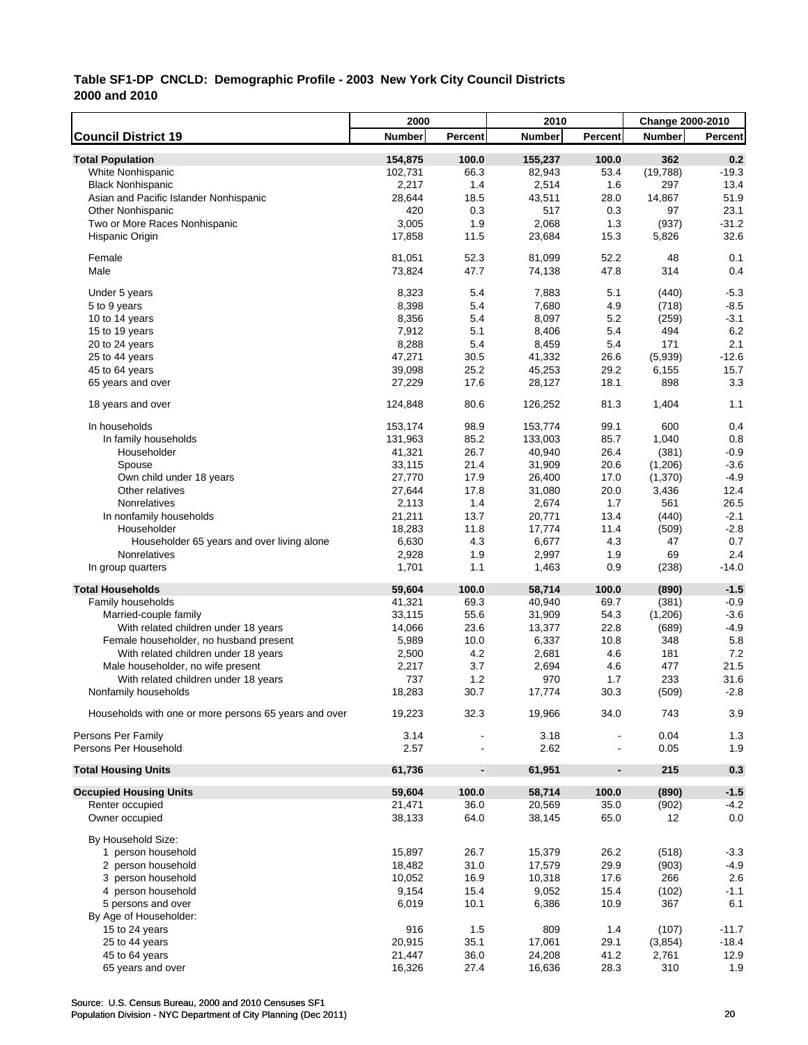|                                                       | 2000    |                          | 2010          |                | Change 2000-2010 |                |
|-------------------------------------------------------|---------|--------------------------|---------------|----------------|------------------|----------------|
| <b>Council District 19</b>                            | Number  | Percent                  | <b>Number</b> | <b>Percent</b> | <b>Number</b>    | <b>Percent</b> |
| <b>Total Population</b>                               | 154,875 | 100.0                    | 155,237       | 100.0          | 362              | 0.2            |
| White Nonhispanic                                     | 102,731 | 66.3                     | 82,943        | 53.4           | (19,788)         | $-19.3$        |
| <b>Black Nonhispanic</b>                              | 2,217   | 1.4                      | 2,514         | 1.6            | 297              | 13.4           |
| Asian and Pacific Islander Nonhispanic                | 28,644  | 18.5                     | 43,511        | 28.0           | 14,867           | 51.9           |
| <b>Other Nonhispanic</b>                              | 420     | 0.3                      | 517           | 0.3            | 97               | 23.1           |
| Two or More Races Nonhispanic                         | 3,005   | 1.9                      | 2,068         | 1.3            | (937)            | $-31.2$        |
| Hispanic Origin                                       | 17,858  | 11.5                     | 23,684        | 15.3           | 5,826            | 32.6           |
|                                                       |         |                          |               |                |                  |                |
| Female                                                | 81,051  | 52.3                     | 81,099        | 52.2           | 48               | 0.1            |
| Male                                                  | 73,824  | 47.7                     | 74,138        | 47.8           | 314              | 0.4            |
|                                                       |         |                          |               |                |                  |                |
| Under 5 years                                         | 8,323   | 5.4                      | 7,883         | 5.1            | (440)            | $-5.3$         |
| 5 to 9 years                                          | 8,398   | 5.4                      | 7,680         | 4.9            | (718)            | $-8.5$         |
| 10 to 14 years                                        | 8,356   | 5.4                      | 8,097         | 5.2            | (259)            | $-3.1$         |
| 15 to 19 years                                        | 7,912   | 5.1                      | 8,406         | 5.4            | 494              | 6.2            |
| 20 to 24 years                                        | 8,288   | 5.4                      | 8,459         | 5.4            | 171              | 2.1            |
| 25 to 44 years                                        | 47,271  | 30.5                     | 41,332        | 26.6           | (5,939)          | $-12.6$        |
| 45 to 64 years                                        | 39,098  | 25.2                     | 45,253        | 29.2           | 6,155            | 15.7           |
| 65 years and over                                     | 27,229  | 17.6                     | 28,127        | 18.1           | 898              | 3.3            |
| 18 years and over                                     | 124,848 | 80.6                     | 126,252       | 81.3           | 1,404            | 1.1            |
|                                                       |         |                          |               |                |                  |                |
| In households                                         | 153,174 | 98.9                     | 153,774       | 99.1           | 600              | 0.4            |
| In family households                                  | 131,963 | 85.2                     | 133,003       | 85.7           | 1,040            | 0.8            |
| Householder                                           | 41,321  | 26.7                     | 40,940        | 26.4           | (381)            | $-0.9$         |
| Spouse                                                | 33,115  | 21.4                     | 31,909        | 20.6           | (1,206)          | $-3.6$         |
| Own child under 18 years                              | 27,770  | 17.9                     | 26,400        | 17.0           | (1, 370)         | $-4.9$         |
| Other relatives                                       | 27,644  | 17.8                     | 31,080        | 20.0           | 3,436            | 12.4           |
| Nonrelatives                                          | 2,113   | 1.4                      | 2,674         | 1.7            | 561              | 26.5           |
| In nonfamily households                               | 21,211  | 13.7                     | 20,771        | 13.4           | (440)            | $-2.1$         |
| Householder                                           | 18,283  | 11.8                     | 17,774        | 11.4           | (509)            | $-2.8$         |
| Householder 65 years and over living alone            | 6,630   | 4.3                      | 6,677         | 4.3            | 47               | 0.7            |
| Nonrelatives                                          | 2,928   | 1.9                      | 2,997         | 1.9            | 69               | 2.4            |
| In group quarters                                     | 1,701   | 1.1                      | 1,463         | 0.9            | (238)            | $-14.0$        |
|                                                       |         |                          |               |                |                  |                |
| <b>Total Households</b>                               | 59,604  | 100.0                    | 58,714        | 100.0          | (890)            | $-1.5$         |
| Family households                                     | 41,321  | 69.3                     | 40,940        | 69.7           | (381)            | $-0.9$         |
| Married-couple family                                 | 33,115  | 55.6                     | 31,909        | 54.3           | (1,206)          | $-3.6$         |
| With related children under 18 years                  | 14,066  | 23.6                     | 13,377        | 22.8           | (689)            | $-4.9$         |
| Female householder, no husband present                | 5,989   | 10.0                     | 6,337         | 10.8           | 348              | 5.8            |
| With related children under 18 years                  | 2,500   | 4.2                      | 2,681         | 4.6            | 181              | 7.2            |
| Male householder, no wife present                     | 2,217   | 3.7                      | 2,694         | 4.6            | 477              | 21.5           |
| With related children under 18 years                  | 737     | 1.2                      | 970           | 1.7            | 233              | 31.6           |
| Nonfamily households                                  | 18,283  | 30.7                     | 17,774        | 30.3           | (509)            | $-2.8$         |
|                                                       |         |                          |               |                |                  |                |
| Households with one or more persons 65 years and over | 19,223  | 32.3                     | 19,966        | 34.0           | 743              | 3.9            |
| Persons Per Family                                    | 3.14    |                          | 3.18          |                | 0.04             | 1.3            |
| Persons Per Household                                 | 2.57    |                          | 2.62          |                | 0.05             | 1.9            |
|                                                       |         |                          |               |                |                  |                |
| <b>Total Housing Units</b>                            | 61,736  | $\overline{\phantom{a}}$ | 61,951        | $\blacksquare$ | 215              | 0.3            |
| <b>Occupied Housing Units</b>                         | 59,604  | 100.0                    | 58,714        | 100.0          | (890)            | $-1.5$         |
| Renter occupied                                       | 21,471  | 36.0                     | 20,569        | 35.0           | (902)            | $-4.2$         |
| Owner occupied                                        | 38,133  | 64.0                     | 38,145        | 65.0           | 12               | 0.0            |
|                                                       |         |                          |               |                |                  |                |
| By Household Size:                                    |         |                          |               |                |                  |                |
| 1 person household                                    | 15,897  | 26.7                     | 15,379        | 26.2           | (518)            | $-3.3$         |
| 2 person household                                    | 18,482  | 31.0                     | 17,579        | 29.9           | (903)            | $-4.9$         |
| 3 person household                                    | 10,052  | 16.9                     | 10,318        | 17.6           | 266              | 2.6            |
| 4 person household                                    | 9,154   | 15.4                     | 9,052         | 15.4           | (102)            | $-1.1$         |
| 5 persons and over                                    | 6,019   | 10.1                     | 6,386         | 10.9           | 367              | 6.1            |
| By Age of Householder:                                |         |                          |               |                |                  |                |
| 15 to 24 years                                        | 916     | 1.5                      | 809           | 1.4            | (107)            | $-11.7$        |
| 25 to 44 years                                        | 20,915  | 35.1                     | 17,061        | 29.1           | (3,854)          | $-18.4$        |
| 45 to 64 years                                        | 21,447  | 36.0                     | 24,208        | 41.2           | 2,761            | 12.9           |
| 65 years and over                                     | 16,326  | 27.4                     | 16,636        | 28.3           | 310              | 1.9            |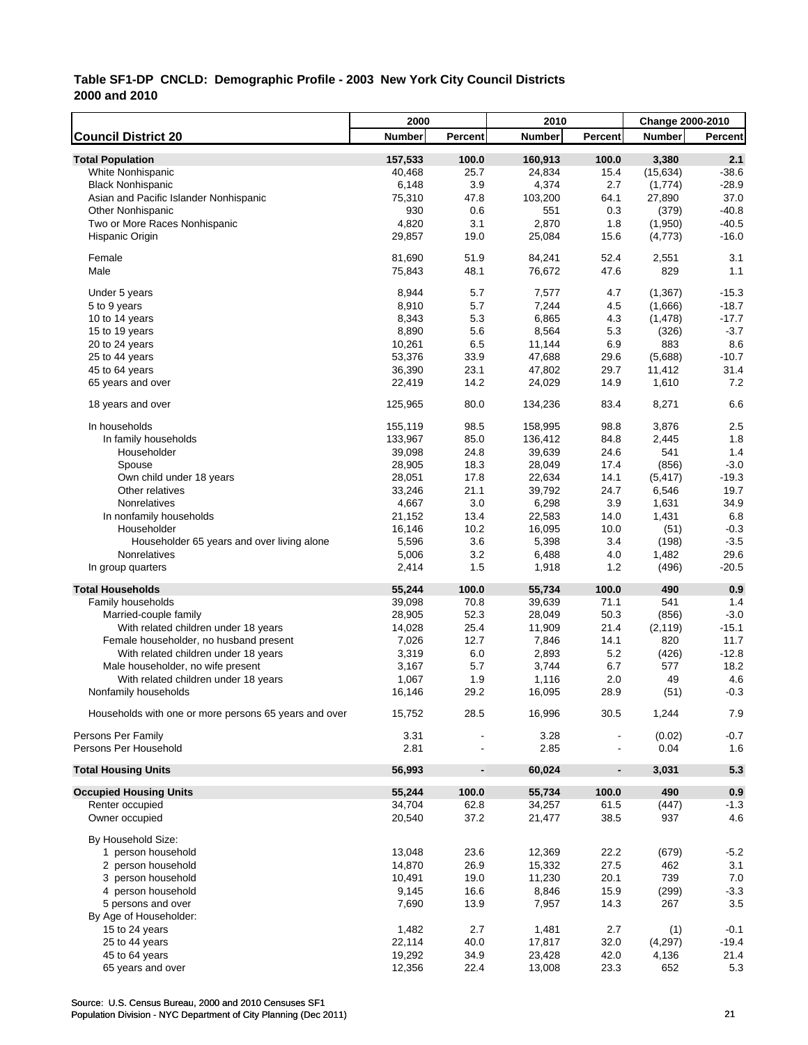|                                                       | 2000    |                          | 2010          |                | Change 2000-2010 |                |
|-------------------------------------------------------|---------|--------------------------|---------------|----------------|------------------|----------------|
| <b>Council District 20</b>                            | Number  | Percent                  | <b>Number</b> | Percent        | <b>Number</b>    | <b>Percent</b> |
| <b>Total Population</b>                               | 157,533 | 100.0                    | 160,913       | 100.0          | 3,380            | 2.1            |
| White Nonhispanic                                     | 40,468  | 25.7                     | 24,834        | 15.4           | (15, 634)        | $-38.6$        |
| <b>Black Nonhispanic</b>                              | 6,148   | 3.9                      | 4,374         | 2.7            | (1,774)          | $-28.9$        |
| Asian and Pacific Islander Nonhispanic                | 75,310  | 47.8                     | 103,200       | 64.1           | 27,890           | 37.0           |
| <b>Other Nonhispanic</b>                              | 930     | 0.6                      | 551           | 0.3            | (379)            | $-40.8$        |
| Two or More Races Nonhispanic                         | 4,820   | 3.1                      | 2,870         | 1.8            | (1,950)          | $-40.5$        |
| Hispanic Origin                                       | 29,857  | 19.0                     | 25,084        | 15.6           | (4, 773)         | $-16.0$        |
|                                                       |         |                          |               |                |                  |                |
| Female                                                | 81,690  | 51.9                     | 84,241        | 52.4           | 2,551            | 3.1            |
| Male                                                  | 75,843  | 48.1                     | 76,672        | 47.6           | 829              | 1.1            |
|                                                       |         |                          |               |                |                  |                |
| Under 5 years                                         | 8,944   | 5.7                      | 7,577         | 4.7            | (1,367)          | $-15.3$        |
| 5 to 9 years                                          | 8,910   | 5.7                      | 7,244         | 4.5            | (1,666)          | $-18.7$        |
| 10 to 14 years                                        | 8,343   | 5.3                      | 6,865         | 4.3            | (1, 478)         | $-17.7$        |
| 15 to 19 years                                        | 8,890   | 5.6                      | 8,564         | 5.3            | (326)            | $-3.7$         |
| 20 to 24 years                                        | 10,261  | 6.5                      | 11,144        | 6.9            | 883              | 8.6            |
| 25 to 44 years                                        | 53,376  | 33.9                     | 47,688        | 29.6           | (5,688)          | $-10.7$        |
| 45 to 64 years                                        | 36,390  | 23.1                     | 47,802        | 29.7           | 11,412           | 31.4           |
| 65 years and over                                     | 22,419  | 14.2                     | 24,029        | 14.9           | 1,610            | 7.2            |
|                                                       |         |                          |               |                |                  |                |
| 18 years and over                                     | 125,965 | 80.0                     | 134,236       | 83.4           | 8,271            | 6.6            |
| In households                                         | 155,119 | 98.5                     | 158,995       | 98.8           | 3,876            | 2.5            |
| In family households                                  | 133,967 | 85.0                     | 136,412       | 84.8           | 2,445            | 1.8            |
|                                                       |         |                          |               |                | 541              | 1.4            |
| Householder                                           | 39,098  | 24.8                     | 39,639        | 24.6           |                  |                |
| Spouse                                                | 28,905  | 18.3                     | 28,049        | 17.4           | (856)            | $-3.0$         |
| Own child under 18 years                              | 28,051  | 17.8                     | 22,634        | 14.1           | (5, 417)         | $-19.3$        |
| Other relatives                                       | 33,246  | 21.1                     | 39,792        | 24.7           | 6,546            | 19.7           |
| Nonrelatives                                          | 4,667   | 3.0                      | 6,298         | 3.9            | 1,631            | 34.9           |
| In nonfamily households                               | 21,152  | 13.4                     | 22,583        | 14.0           | 1,431            | 6.8            |
| Householder                                           | 16,146  | 10.2                     | 16,095        | 10.0           | (51)             | $-0.3$         |
| Householder 65 years and over living alone            | 5,596   | 3.6                      | 5,398         | 3.4            | (198)            | $-3.5$         |
| Nonrelatives                                          | 5,006   | 3.2                      | 6,488         | 4.0            | 1,482            | 29.6           |
| In group quarters                                     | 2,414   | 1.5                      | 1,918         | 1.2            | (496)            | $-20.5$        |
| <b>Total Households</b>                               | 55,244  | 100.0                    | 55,734        | 100.0          | 490              | 0.9            |
| Family households                                     | 39,098  | 70.8                     | 39,639        | 71.1           | 541              | 1.4            |
| Married-couple family                                 | 28,905  | 52.3                     | 28,049        | 50.3           | (856)            | $-3.0$         |
|                                                       |         |                          |               |                |                  |                |
| With related children under 18 years                  | 14,028  | 25.4                     | 11,909        | 21.4           | (2, 119)         | $-15.1$        |
| Female householder, no husband present                | 7,026   | 12.7                     | 7,846         | 14.1           | 820              | 11.7           |
| With related children under 18 years                  | 3,319   | 6.0                      | 2,893         | 5.2            | (426)            | $-12.8$        |
| Male householder, no wife present                     | 3,167   | 5.7                      | 3,744         | 6.7            | 577              | 18.2           |
| With related children under 18 years                  | 1,067   | 1.9                      | 1,116         | 2.0            | 49               | 4.6            |
| Nonfamily households                                  | 16,146  | 29.2                     | 16,095        | 28.9           | (51)             | $-0.3$         |
|                                                       |         |                          |               |                |                  |                |
| Households with one or more persons 65 years and over | 15,752  | 28.5                     | 16,996        | 30.5           | 1,244            | 7.9            |
| Persons Per Family                                    | 3.31    |                          | 3.28          |                | (0.02)           | $-0.7$         |
| Persons Per Household                                 | 2.81    |                          | 2.85          |                | 0.04             | 1.6            |
|                                                       |         |                          |               |                |                  |                |
| <b>Total Housing Units</b>                            | 56,993  | $\overline{\phantom{a}}$ | 60,024        | $\blacksquare$ | 3,031            | 5.3            |
| <b>Occupied Housing Units</b>                         | 55,244  | 100.0                    | 55,734        | 100.0          | 490              | 0.9            |
| Renter occupied                                       | 34,704  | 62.8                     | 34,257        | 61.5           | (447)            | $-1.3$         |
| Owner occupied                                        | 20,540  | 37.2                     | 21,477        | 38.5           | 937              | 4.6            |
|                                                       |         |                          |               |                |                  |                |
| By Household Size:                                    |         |                          |               |                |                  |                |
| 1 person household                                    | 13,048  | 23.6                     | 12,369        | 22.2           | (679)            | $-5.2$         |
| 2 person household                                    | 14,870  | 26.9                     | 15,332        | 27.5           | 462              | 3.1            |
| 3 person household                                    | 10,491  | 19.0                     | 11,230        | 20.1           | 739              | $7.0\,$        |
| 4 person household                                    | 9,145   | 16.6                     | 8,846         | 15.9           | (299)            | $-3.3$         |
| 5 persons and over                                    | 7,690   | 13.9                     | 7,957         | 14.3           | 267              | 3.5            |
| By Age of Householder:                                |         |                          |               |                |                  |                |
| 15 to 24 years                                        | 1,482   | 2.7                      | 1,481         | 2.7            | (1)              | $-0.1$         |
| 25 to 44 years                                        | 22,114  | 40.0                     | 17,817        | 32.0           | (4, 297)         | $-19.4$        |
| 45 to 64 years                                        | 19,292  | 34.9                     | 23,428        | 42.0           | 4,136            | 21.4           |
| 65 years and over                                     | 12,356  | 22.4                     | 13,008        | 23.3           | 652              | 5.3            |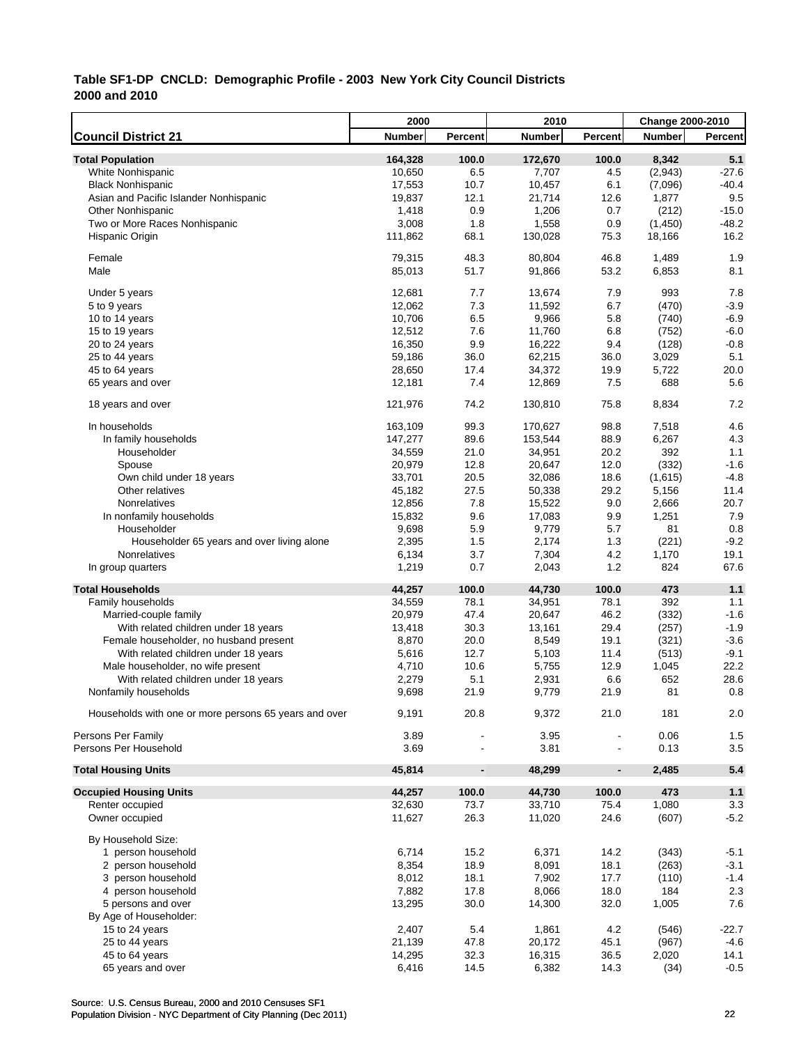|                                                       | 2000          |                              | 2010          |                          | <b>Change 2000-2010</b> |         |
|-------------------------------------------------------|---------------|------------------------------|---------------|--------------------------|-------------------------|---------|
| <b>Council District 21</b>                            | <b>Number</b> | Percent                      | <b>Number</b> | Percent                  | <b>Number</b>           | Percent |
| <b>Total Population</b>                               | 164,328       | 100.0                        | 172,670       | 100.0                    | 8,342                   | 5.1     |
| White Nonhispanic                                     | 10,650        | 6.5                          | 7,707         | 4.5                      | (2,943)                 | $-27.6$ |
| <b>Black Nonhispanic</b>                              | 17,553        | 10.7                         | 10,457        | 6.1                      | (7,096)                 | $-40.4$ |
| Asian and Pacific Islander Nonhispanic                | 19,837        | 12.1                         | 21,714        | 12.6                     | 1,877                   | 9.5     |
| <b>Other Nonhispanic</b>                              | 1,418         | 0.9                          | 1,206         | 0.7                      | (212)                   | $-15.0$ |
| Two or More Races Nonhispanic                         | 3,008         | 1.8                          | 1,558         | 0.9                      | (1,450)                 | $-48.2$ |
| Hispanic Origin                                       | 111,862       | 68.1                         | 130,028       | 75.3                     | 18,166                  | 16.2    |
|                                                       |               |                              |               |                          |                         |         |
| Female                                                | 79,315        | 48.3                         | 80,804        | 46.8                     | 1,489                   | 1.9     |
| Male                                                  | 85,013        | 51.7                         | 91,866        | 53.2                     | 6,853                   | 8.1     |
| Under 5 years                                         | 12,681        | 7.7                          | 13,674        | 7.9                      | 993                     | 7.8     |
| 5 to 9 years                                          | 12,062        | 7.3                          | 11,592        | 6.7                      | (470)                   | $-3.9$  |
| 10 to 14 years                                        | 10,706        | 6.5                          | 9,966         | 5.8                      | (740)                   | $-6.9$  |
| 15 to 19 years                                        | 12,512        | 7.6                          | 11,760        | 6.8                      | (752)                   | $-6.0$  |
| 20 to 24 years                                        | 16,350        | 9.9                          | 16,222        | 9.4                      | (128)                   | $-0.8$  |
| 25 to 44 years                                        | 59,186        | 36.0                         | 62,215        | 36.0                     | 3,029                   | 5.1     |
| 45 to 64 years                                        | 28,650        | 17.4                         | 34,372        | 19.9                     | 5,722                   | 20.0    |
| 65 years and over                                     | 12,181        | 7.4                          | 12,869        | 7.5                      | 688                     | 5.6     |
|                                                       |               |                              |               |                          |                         |         |
| 18 years and over                                     | 121,976       | 74.2                         | 130,810       | 75.8                     | 8,834                   | 7.2     |
| In households                                         | 163,109       | 99.3                         | 170,627       | 98.8                     | 7,518                   | 4.6     |
| In family households                                  | 147,277       | 89.6                         | 153,544       | 88.9                     | 6,267                   | 4.3     |
| Householder                                           | 34,559        | 21.0                         | 34,951        | 20.2                     | 392                     | 1.1     |
| Spouse                                                | 20,979        | 12.8                         | 20,647        | 12.0                     | (332)                   | $-1.6$  |
| Own child under 18 years                              | 33,701        | 20.5                         | 32,086        | 18.6                     | (1,615)                 | $-4.8$  |
| Other relatives                                       | 45,182        | 27.5                         | 50,338        | 29.2                     | 5,156                   | 11.4    |
| Nonrelatives                                          | 12,856        | 7.8                          | 15,522        | 9.0                      | 2,666                   | 20.7    |
| In nonfamily households                               | 15,832        | 9.6                          | 17,083        | 9.9                      | 1,251                   | 7.9     |
| Householder                                           | 9,698         | 5.9                          | 9,779         | 5.7                      | 81                      | 0.8     |
| Householder 65 years and over living alone            | 2,395         | 1.5                          | 2,174         | 1.3                      | (221)                   | $-9.2$  |
| Nonrelatives                                          | 6,134         | 3.7                          | 7,304         | 4.2                      | 1,170                   | 19.1    |
| In group quarters                                     | 1,219         | 0.7                          | 2,043         | 1.2                      | 824                     | 67.6    |
| <b>Total Households</b>                               | 44,257        | 100.0                        | 44,730        | 100.0                    | 473                     | $1.1$   |
| Family households                                     | 34,559        | 78.1                         | 34,951        | 78.1                     | 392                     | 1.1     |
| Married-couple family                                 | 20,979        | 47.4                         | 20,647        | 46.2                     | (332)                   | $-1.6$  |
| With related children under 18 years                  | 13,418        | 30.3                         | 13,161        | 29.4                     | (257)                   | $-1.9$  |
| Female householder, no husband present                | 8,870         | 20.0                         | 8,549         | 19.1                     | (321)                   | $-3.6$  |
| With related children under 18 years                  | 5,616         | 12.7                         | 5,103         | 11.4                     | (513)                   | $-9.1$  |
| Male householder, no wife present                     | 4,710         | 10.6                         | 5,755         | 12.9                     | 1,045                   | 22.2    |
| With related children under 18 years                  | 2,279         | 5.1                          | 2,931         | 6.6                      | 652                     | 28.6    |
| Nonfamily households                                  | 9,698         | 21.9                         | 9,779         | 21.9                     | 81                      | 0.8     |
|                                                       |               |                              |               |                          |                         |         |
| Households with one or more persons 65 years and over | 9,191         | 20.8                         | 9,372         | 21.0                     | 181                     | 2.0     |
| Persons Per Family                                    | 3.89          |                              | 3.95          |                          | 0.06                    | 1.5     |
| Persons Per Household                                 | 3.69          |                              | 3.81          |                          | 0.13                    | 3.5     |
| <b>Total Housing Units</b>                            | 45,814        | $\qquad \qquad \blacksquare$ | 48,299        | $\overline{\phantom{a}}$ | 2,485                   | 5.4     |
| <b>Occupied Housing Units</b>                         | 44,257        | 100.0                        | 44,730        | 100.0                    | 473                     | 1.1     |
| Renter occupied                                       | 32,630        | 73.7                         | 33,710        | 75.4                     | 1,080                   | 3.3     |
| Owner occupied                                        | 11,627        | 26.3                         | 11,020        | 24.6                     | (607)                   | $-5.2$  |
| By Household Size:                                    |               |                              |               |                          |                         |         |
| 1 person household                                    | 6,714         | 15.2                         | 6,371         | 14.2                     | (343)                   | $-5.1$  |
| 2 person household                                    | 8,354         | 18.9                         | 8,091         | 18.1                     | (263)                   | $-3.1$  |
| 3 person household                                    | 8,012         | 18.1                         | 7,902         | 17.7                     | (110)                   | $-1.4$  |
| 4 person household                                    | 7,882         | 17.8                         | 8,066         | 18.0                     | 184                     | 2.3     |
| 5 persons and over                                    | 13,295        | 30.0                         | 14,300        | 32.0                     | 1,005                   | 7.6     |
| By Age of Householder:                                |               |                              |               |                          |                         |         |
| 15 to 24 years                                        | 2,407         | 5.4                          | 1,861         | 4.2                      | (546)                   | -22.7   |
| 25 to 44 years                                        | 21,139        | 47.8                         | 20,172        | 45.1                     | (967)                   | $-4.6$  |
| 45 to 64 years                                        | 14,295        | 32.3                         | 16,315        | 36.5                     | 2,020                   | 14.1    |
| 65 years and over                                     | 6,416         | 14.5                         | 6,382         | 14.3                     | (34)                    | $-0.5$  |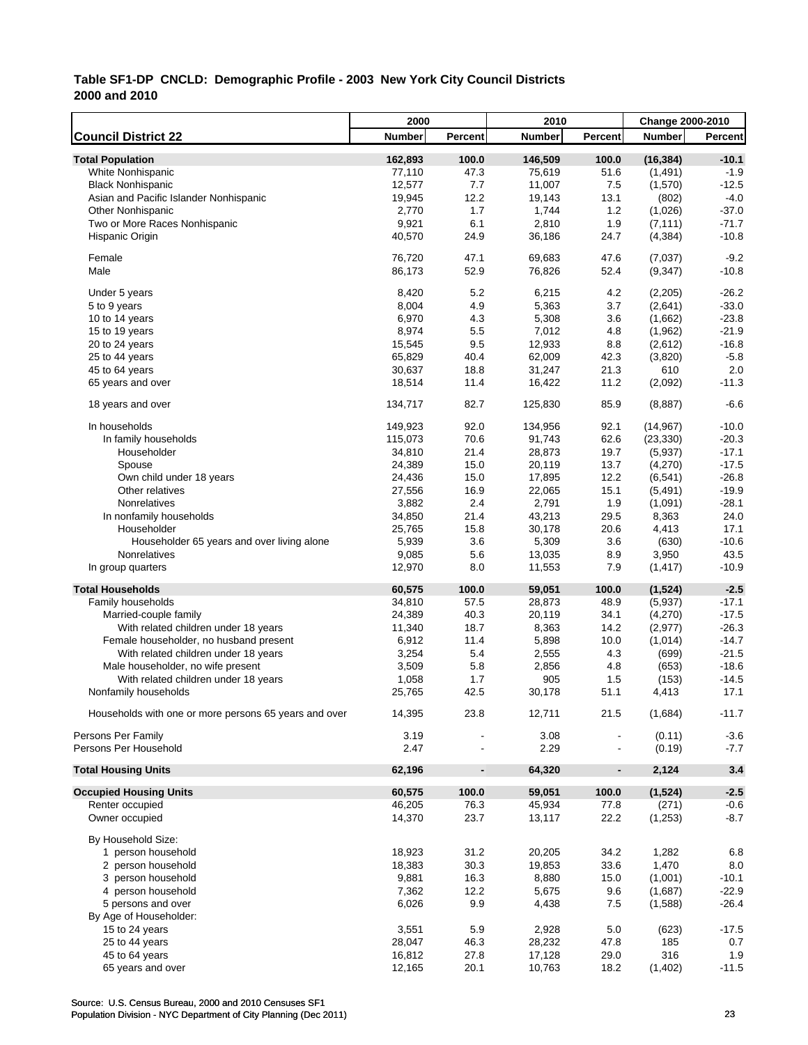|                                                       | 2000            |                              | 2010             |                | Change 2000-2010  |               |
|-------------------------------------------------------|-----------------|------------------------------|------------------|----------------|-------------------|---------------|
| <b>Council District 22</b>                            | <b>Number</b>   | Percent                      | <b>Number</b>    | Percent        | <b>Number</b>     | Percent       |
| <b>Total Population</b>                               | 162,893         | 100.0                        | 146,509          | 100.0          | (16, 384)         | $-10.1$       |
| White Nonhispanic                                     | 77,110          | 47.3                         | 75,619           | 51.6           | (1,491)           | $-1.9$        |
| <b>Black Nonhispanic</b>                              | 12,577          | 7.7                          | 11,007           | 7.5            | (1,570)           | $-12.5$       |
| Asian and Pacific Islander Nonhispanic                | 19,945          | 12.2                         | 19,143           | 13.1           | (802)             | $-4.0$        |
| <b>Other Nonhispanic</b>                              | 2,770           | 1.7                          | 1,744            | 1.2            | (1,026)           | $-37.0$       |
| Two or More Races Nonhispanic                         | 9,921           | 6.1                          | 2,810            | 1.9            | (7, 111)          | $-71.7$       |
| Hispanic Origin                                       | 40,570          | 24.9                         | 36,186           | 24.7           | (4, 384)          | $-10.8$       |
| Female                                                | 76,720          | 47.1                         | 69,683           | 47.6           | (7,037)           | $-9.2$        |
| Male                                                  | 86,173          | 52.9                         | 76,826           | 52.4           | (9, 347)          | $-10.8$       |
| Under 5 years                                         | 8,420           | 5.2                          | 6,215            | 4.2            | (2,205)           | $-26.2$       |
| 5 to 9 years                                          | 8,004           | 4.9                          | 5,363            | 3.7            | (2,641)           | $-33.0$       |
| 10 to 14 years                                        | 6,970           | 4.3                          | 5,308            | 3.6            | (1,662)           | $-23.8$       |
| 15 to 19 years                                        | 8,974           | 5.5                          | 7,012            | 4.8            | (1,962)           | $-21.9$       |
| 20 to 24 years                                        | 15,545          | 9.5                          | 12,933           | 8.8            | (2,612)           | $-16.8$       |
| 25 to 44 years                                        | 65,829          | 40.4                         | 62,009           | 42.3           | (3,820)           | $-5.8$        |
| 45 to 64 years                                        | 30,637          | 18.8                         | 31,247           | 21.3           | 610               | 2.0           |
| 65 years and over                                     | 18,514          | 11.4                         | 16,422           | 11.2           | (2,092)           | $-11.3$       |
| 18 years and over                                     | 134,717         | 82.7                         | 125,830          | 85.9           | (8,887)           | $-6.6$        |
|                                                       |                 |                              |                  |                |                   |               |
| In households                                         | 149,923         | 92.0                         | 134,956          | 92.1           | (14, 967)         | $-10.0$       |
| In family households                                  | 115,073         | 70.6                         | 91,743           | 62.6           | (23, 330)         | $-20.3$       |
| Householder                                           | 34,810          | 21.4                         | 28,873           | 19.7           | (5,937)           | $-17.1$       |
| Spouse                                                | 24,389          | 15.0                         | 20,119           | 13.7           | (4,270)           | $-17.5$       |
| Own child under 18 years                              | 24,436          | 15.0                         | 17,895           | 12.2           | (6, 541)          | $-26.8$       |
| Other relatives                                       | 27,556          | 16.9                         | 22,065           | 15.1           | (5, 491)          | $-19.9$       |
| Nonrelatives                                          | 3,882           | 2.4                          | 2,791            | 1.9            | (1,091)           | $-28.1$       |
| In nonfamily households                               | 34,850          | 21.4                         | 43,213           | 29.5           | 8,363             | 24.0          |
| Householder                                           | 25,765          | 15.8                         | 30,178           | 20.6           | 4,413             | 17.1          |
| Householder 65 years and over living alone            | 5,939           | 3.6                          | 5,309            | 3.6            | (630)             | $-10.6$       |
| Nonrelatives<br>In group quarters                     | 9,085<br>12,970 | 5.6<br>8.0                   | 13,035<br>11,553 | 8.9<br>7.9     | 3,950<br>(1, 417) | 43.5<br>-10.9 |
|                                                       |                 |                              |                  |                |                   |               |
| <b>Total Households</b>                               | 60,575          | 100.0                        | 59,051           | 100.0          | (1,524)           | $-2.5$        |
| Family households                                     | 34,810          | 57.5                         | 28,873           | 48.9           | (5,937)           | $-17.1$       |
| Married-couple family                                 | 24,389          | 40.3                         | 20,119           | 34.1           | (4,270)           | $-17.5$       |
| With related children under 18 years                  | 11,340          | 18.7                         | 8,363            | 14.2           | (2, 977)          | $-26.3$       |
| Female householder, no husband present                | 6,912           | 11.4                         | 5,898            | 10.0           | (1,014)           | $-14.7$       |
| With related children under 18 years                  | 3,254           | 5.4                          | 2,555            | 4.3            | (699)             | $-21.5$       |
| Male householder, no wife present                     | 3,509           | 5.8                          | 2,856            | 4.8            | (653)             | $-18.6$       |
| With related children under 18 years                  | 1,058           | 1.7                          | 905              | 1.5            | (153)             | $-14.5$       |
| Nonfamily households                                  | 25,765          | 42.5                         | 30,178           | 51.1           | 4,413             | 17.1          |
| Households with one or more persons 65 years and over | 14,395          | 23.8                         | 12,711           | 21.5           | (1,684)           | $-11.7$       |
| Persons Per Family                                    | 3.19            |                              | 3.08             |                | (0.11)            | $-3.6$        |
| Persons Per Household                                 | 2.47            |                              | 2.29             |                | (0.19)            | $-7.7$        |
| <b>Total Housing Units</b>                            | 62,196          | $\qquad \qquad \blacksquare$ | 64,320           | $\blacksquare$ | 2,124             | 3.4           |
| <b>Occupied Housing Units</b>                         | 60,575          | 100.0                        | 59,051           | 100.0          | (1,524)           | $-2.5$        |
| Renter occupied                                       | 46,205          | 76.3                         | 45,934           | 77.8           | (271)             | $-0.6$        |
| Owner occupied                                        | 14,370          | 23.7                         | 13,117           | 22.2           | (1,253)           | $-8.7$        |
| By Household Size:                                    |                 |                              |                  |                |                   |               |
| 1 person household                                    | 18,923          | 31.2                         | 20,205           | 34.2           | 1,282             | 6.8           |
| 2 person household                                    | 18,383          | 30.3                         | 19,853           | 33.6           | 1,470             | 8.0           |
| 3 person household                                    | 9,881           | 16.3                         | 8,880            | 15.0           | (1,001)           | $-10.1$       |
| 4 person household                                    | 7,362           | 12.2                         | 5,675            | 9.6            | (1,687)           | $-22.9$       |
| 5 persons and over                                    | 6,026           | 9.9                          | 4,438            | 7.5            | (1,588)           | $-26.4$       |
| By Age of Householder:                                |                 |                              |                  |                |                   |               |
| 15 to 24 years                                        | 3,551           | 5.9                          | 2,928            | 5.0            | (623)             | $-17.5$       |
| 25 to 44 years                                        | 28,047          | 46.3                         | 28,232           | 47.8           | 185               | 0.7           |
| 45 to 64 years                                        | 16,812          | 27.8                         | 17,128           | 29.0           | 316               | 1.9           |
| 65 years and over                                     | 12,165          | 20.1                         | 10,763           | 18.2           | (1,402)           | $-11.5$       |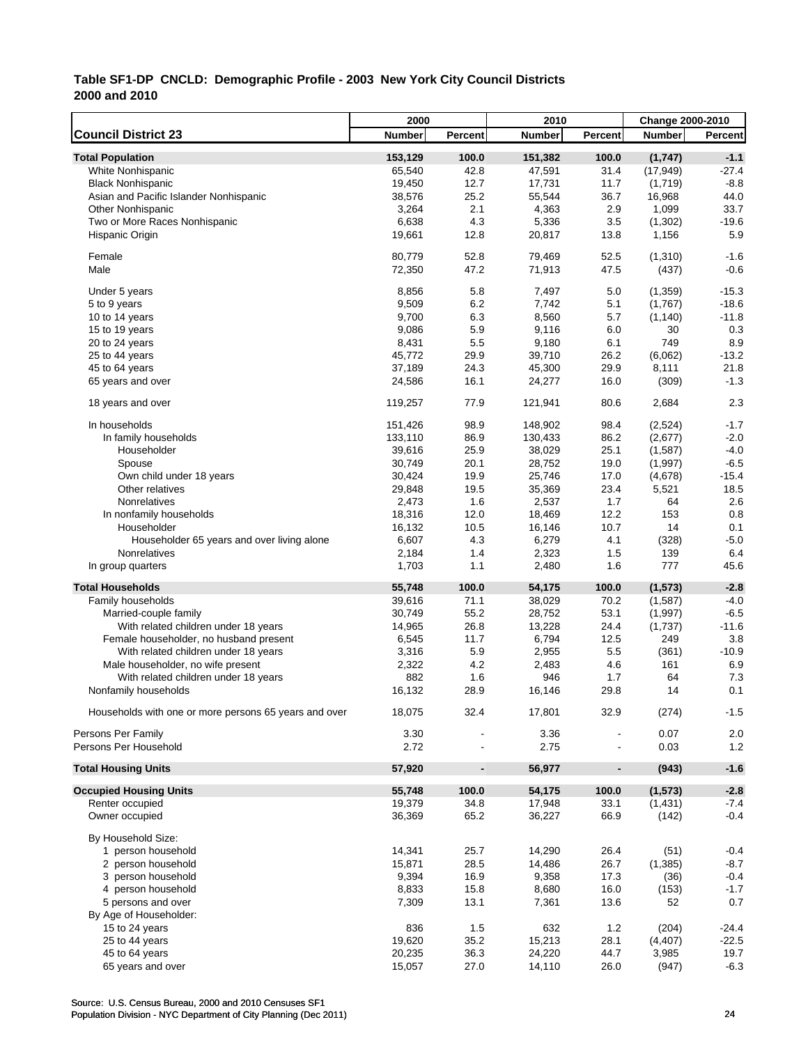|                                                       | 2000            |                          | 2010            |                          | Change 2000-2010 |                |
|-------------------------------------------------------|-----------------|--------------------------|-----------------|--------------------------|------------------|----------------|
| <b>Council District 23</b>                            | <b>Number</b>   | Percent                  | <b>Number</b>   | <b>Percent</b>           | <b>Number</b>    | <b>Percent</b> |
| <b>Total Population</b>                               | 153,129         | 100.0                    | 151,382         | 100.0                    | (1,747)          | $-1.1$         |
| White Nonhispanic                                     | 65,540          | 42.8                     | 47,591          | 31.4                     | (17, 949)        | $-27.4$        |
| <b>Black Nonhispanic</b>                              | 19,450          | 12.7                     | 17,731          | 11.7                     | (1,719)          | $-8.8$         |
| Asian and Pacific Islander Nonhispanic                | 38,576          | 25.2                     | 55,544          | 36.7                     | 16,968           | 44.0           |
| <b>Other Nonhispanic</b>                              | 3,264           | 2.1                      | 4,363           | 2.9                      | 1,099            | 33.7           |
| Two or More Races Nonhispanic                         | 6,638           | 4.3                      | 5,336           | 3.5                      | (1, 302)         | $-19.6$        |
| Hispanic Origin                                       | 19,661          | 12.8                     | 20,817          | 13.8                     | 1,156            | 5.9            |
| Female                                                | 80,779          | 52.8                     | 79,469          | 52.5                     | (1, 310)         | $-1.6$         |
| Male                                                  | 72,350          | 47.2                     | 71,913          | 47.5                     | (437)            | $-0.6$         |
| Under 5 years                                         | 8,856           | 5.8                      | 7,497           | 5.0                      | (1,359)          | $-15.3$        |
| 5 to 9 years                                          | 9,509           | 6.2                      | 7,742           | 5.1                      | (1,767)          | $-18.6$        |
| 10 to 14 years                                        | 9,700           | 6.3                      | 8,560           | 5.7                      | (1, 140)         | $-11.8$        |
| 15 to 19 years                                        | 9,086           | 5.9                      | 9,116           | 6.0                      | 30               | 0.3            |
| 20 to 24 years                                        | 8,431           | 5.5                      | 9,180           | 6.1                      | 749              | 8.9            |
| 25 to 44 years                                        | 45,772          | 29.9                     | 39,710          | 26.2                     | (6,062)          | $-13.2$        |
| 45 to 64 years                                        | 37,189          | 24.3                     | 45,300          | 29.9                     | 8,111            | 21.8           |
| 65 years and over                                     | 24,586          | 16.1                     | 24,277          | 16.0                     | (309)            | $-1.3$         |
| 18 years and over                                     | 119,257         | 77.9                     | 121,941         | 80.6                     | 2,684            | 2.3            |
| In households                                         | 151,426         | 98.9                     | 148,902         | 98.4                     | (2,524)          | $-1.7$         |
| In family households                                  | 133,110         | 86.9                     | 130,433         | 86.2                     | (2,677)          | $-2.0$         |
| Householder                                           | 39,616          | 25.9                     | 38,029          | 25.1                     | (1,587)          | $-4.0$         |
| Spouse                                                | 30,749          | 20.1                     | 28,752          | 19.0                     | (1,997)          | $-6.5$         |
| Own child under 18 years                              | 30,424          | 19.9                     | 25,746          | 17.0                     | (4,678)          | $-15.4$        |
| Other relatives                                       | 29,848          | 19.5                     | 35,369          | 23.4                     | 5,521            | 18.5           |
| Nonrelatives                                          | 2,473           | 1.6                      | 2,537           | 1.7                      | 64               | 2.6            |
| In nonfamily households                               | 18,316          | 12.0                     | 18,469          | 12.2                     | 153              | 0.8            |
| Householder                                           |                 | 10.5                     |                 | 10.7                     | 14               | 0.1            |
|                                                       | 16,132<br>6,607 | 4.3                      | 16,146<br>6,279 | 4.1                      | (328)            | $-5.0$         |
| Householder 65 years and over living alone            |                 |                          |                 |                          |                  |                |
| Nonrelatives<br>In group quarters                     | 2,184<br>1,703  | 1.4<br>1.1               | 2,323<br>2,480  | 1.5<br>1.6               | 139<br>777       | 6.4<br>45.6    |
| <b>Total Households</b>                               | 55,748          | 100.0                    | 54,175          | 100.0                    | (1, 573)         | $-2.8$         |
| Family households                                     | 39,616          | 71.1                     | 38,029          | 70.2                     | (1,587)          | $-4.0$         |
| Married-couple family                                 | 30,749          | 55.2                     | 28,752          | 53.1                     | (1,997)          | $-6.5$         |
|                                                       |                 | 26.8                     |                 | 24.4                     |                  | $-11.6$        |
| With related children under 18 years                  | 14,965          |                          | 13,228          |                          | (1,737)          |                |
| Female householder, no husband present                | 6,545           | 11.7                     | 6,794           | 12.5                     | 249              | 3.8            |
| With related children under 18 years                  | 3,316           | 5.9                      | 2,955           | 5.5                      | (361)            | $-10.9$        |
| Male householder, no wife present                     | 2,322           | 4.2                      | 2,483           | 4.6                      | 161              | 6.9            |
| With related children under 18 years                  | 882             | 1.6                      | 946             | 1.7                      | 64               | 7.3            |
| Nonfamily households                                  | 16,132          | 28.9                     | 16,146          | 29.8                     | 14               | 0.1            |
| Households with one or more persons 65 years and over | 18,075          | 32.4                     | 17,801          | 32.9                     | (274)            | $-1.5$         |
| Persons Per Family                                    | 3.30            |                          | 3.36            |                          | 0.07             | 2.0            |
| Persons Per Household                                 | 2.72            |                          | 2.75            |                          | 0.03             | 1.2            |
| <b>Total Housing Units</b>                            | 57,920          | $\overline{\phantom{a}}$ | 56,977          | $\overline{\phantom{0}}$ | (943)            | $-1.6$         |
| <b>Occupied Housing Units</b>                         | 55,748          | 100.0                    | 54,175          | 100.0                    | (1, 573)         | $-2.8$         |
| Renter occupied                                       | 19,379          | 34.8                     | 17,948          | 33.1                     | (1, 431)         | $-7.4$         |
| Owner occupied                                        | 36,369          | 65.2                     | 36,227          | 66.9                     | (142)            | $-0.4$         |
| By Household Size:                                    |                 |                          |                 |                          |                  |                |
| 1 person household                                    | 14,341          | 25.7                     | 14,290          | 26.4                     | (51)             | $-0.4$         |
| 2 person household                                    | 15,871          | 28.5                     | 14,486          | 26.7                     | (1,385)          | $-8.7$         |
| 3 person household                                    | 9,394           | 16.9                     | 9,358           | 17.3                     | (36)             | $-0.4$         |
| 4 person household                                    | 8,833           | 15.8                     | 8,680           | 16.0                     | (153)            | $-1.7$         |
| 5 persons and over                                    | 7,309           | 13.1                     | 7,361           | 13.6                     | 52               | 0.7            |
| By Age of Householder:                                |                 |                          |                 |                          |                  |                |
| 15 to 24 years                                        | 836             | 1.5                      | 632             | 1.2                      | (204)            | $-24.4$        |
| 25 to 44 years                                        | 19,620          | 35.2                     | 15,213          | 28.1                     | (4, 407)         | $-22.5$        |
| 45 to 64 years                                        | 20,235          | 36.3                     | 24,220          | 44.7                     | 3,985            | 19.7           |
| 65 years and over                                     | 15,057          | 27.0                     | 14,110          | 26.0                     | (947)            | $-6.3$         |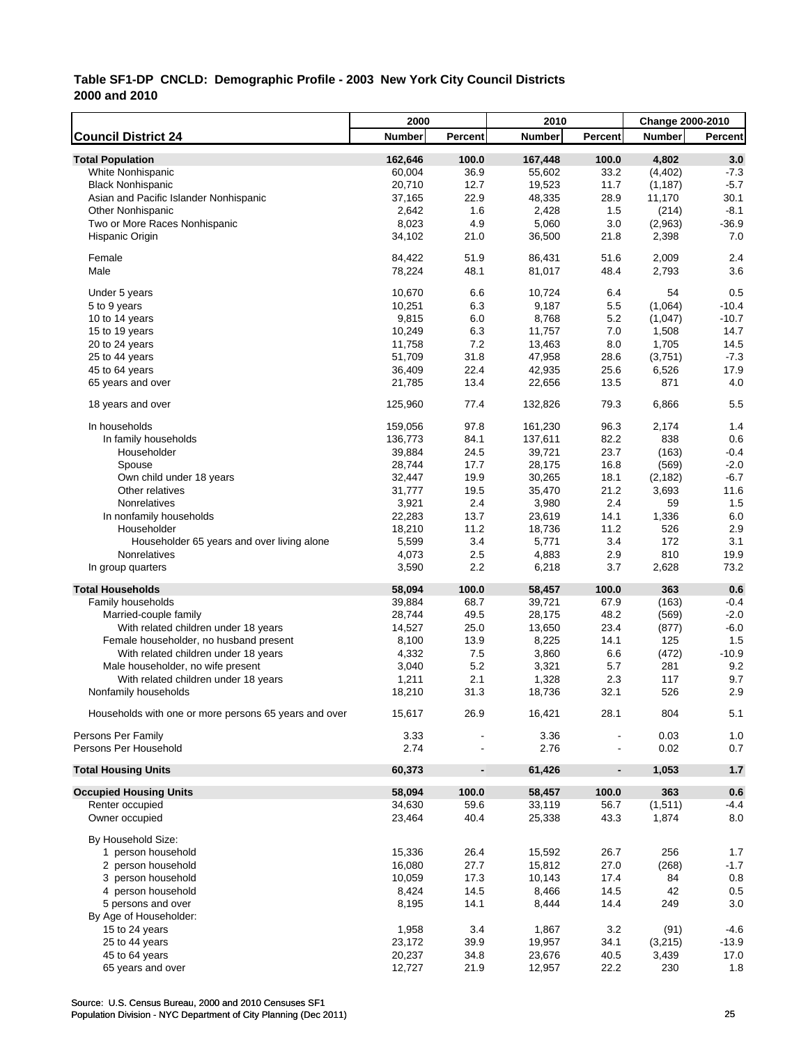|                                                       | 2000          |                              | 2010          |                          | <b>Change 2000-2010</b> |              |
|-------------------------------------------------------|---------------|------------------------------|---------------|--------------------------|-------------------------|--------------|
| <b>Council District 24</b>                            | <b>Number</b> | Percent                      | <b>Number</b> | Percent                  | <b>Number</b>           | Percent      |
| <b>Total Population</b>                               | 162,646       | 100.0                        | 167,448       | 100.0                    | 4,802                   | 3.0          |
| White Nonhispanic                                     | 60,004        | 36.9                         | 55,602        | 33.2                     | (4, 402)                | $-7.3$       |
| <b>Black Nonhispanic</b>                              | 20,710        | 12.7                         | 19,523        | 11.7                     | (1, 187)                | $-5.7$       |
| Asian and Pacific Islander Nonhispanic                | 37,165        | 22.9                         | 48,335        | 28.9                     | 11,170                  | 30.1         |
| <b>Other Nonhispanic</b>                              | 2,642         | 1.6                          | 2,428         | 1.5                      | (214)                   | $-8.1$       |
| Two or More Races Nonhispanic                         | 8,023         | 4.9                          | 5,060         | 3.0                      | (2,963)                 | $-36.9$      |
| Hispanic Origin                                       | 34,102        | 21.0                         | 36,500        | 21.8                     | 2,398                   | 7.0          |
| Female                                                | 84,422        | 51.9                         | 86,431        | 51.6                     | 2,009                   | 2.4          |
| Male                                                  | 78,224        | 48.1                         | 81,017        | 48.4                     | 2,793                   | 3.6          |
| Under 5 years                                         | 10,670        | 6.6                          | 10,724        | 6.4                      | 54                      | 0.5          |
| 5 to 9 years                                          | 10,251        | 6.3                          | 9,187         | 5.5                      | (1,064)                 | $-10.4$      |
| 10 to 14 years                                        | 9,815         | 6.0                          | 8,768         | 5.2                      | (1,047)                 | $-10.7$      |
| 15 to 19 years                                        | 10,249        | 6.3                          | 11,757        | 7.0                      | 1,508                   | 14.7         |
| 20 to 24 years                                        | 11,758        | 7.2                          | 13,463        | 8.0                      | 1,705                   | 14.5         |
| 25 to 44 years                                        | 51,709        | 31.8                         | 47,958        | 28.6                     | (3,751)                 | $-7.3$       |
| 45 to 64 years                                        | 36,409        | 22.4                         | 42,935        | 25.6                     | 6,526                   | 17.9         |
| 65 years and over                                     | 21,785        | 13.4                         | 22,656        | 13.5                     | 871                     | 4.0          |
|                                                       |               |                              |               |                          |                         |              |
| 18 years and over                                     | 125,960       | 77.4                         | 132,826       | 79.3                     | 6,866                   | 5.5          |
| In households                                         | 159,056       | 97.8                         | 161,230       | 96.3                     | 2,174                   | 1.4          |
| In family households                                  | 136,773       | 84.1                         | 137,611       | 82.2                     | 838                     | 0.6          |
| Householder                                           | 39,884        | 24.5                         | 39,721        | 23.7                     | (163)                   | $-0.4$       |
| Spouse                                                | 28,744        | 17.7                         | 28,175        | 16.8                     | (569)                   | $-2.0$       |
| Own child under 18 years                              | 32,447        | 19.9                         | 30,265        | 18.1                     | (2, 182)                | $-6.7$       |
| Other relatives                                       | 31,777        | 19.5                         | 35,470        | 21.2                     | 3,693                   | 11.6         |
| Nonrelatives                                          | 3,921         | 2.4                          | 3,980         | 2.4                      | 59                      | 1.5          |
| In nonfamily households                               | 22,283        | 13.7                         | 23,619        | 14.1                     | 1,336                   | 6.0          |
| Householder                                           | 18,210        | 11.2                         | 18,736        | 11.2                     | 526                     | 2.9          |
| Householder 65 years and over living alone            | 5,599         | 3.4                          | 5,771         | 3.4                      | 172                     | 3.1          |
| Nonrelatives                                          | 4,073         | 2.5                          | 4,883         | 2.9                      | 810                     | 19.9         |
| In group quarters                                     | 3,590         | 2.2                          | 6,218         | 3.7                      | 2,628                   | 73.2         |
| <b>Total Households</b>                               | 58,094        | 100.0                        | 58,457        | 100.0                    | 363                     | 0.6          |
| Family households                                     | 39,884        | 68.7                         | 39,721        | 67.9                     | (163)                   | $-0.4$       |
| Married-couple family                                 | 28,744        | 49.5                         | 28,175        | 48.2                     | (569)                   | $-2.0$       |
| With related children under 18 years                  | 14,527        | 25.0                         | 13,650        | 23.4                     | (877)                   | $-6.0$       |
| Female householder, no husband present                | 8,100         | 13.9                         | 8,225         | 14.1                     | 125                     | 1.5          |
| With related children under 18 years                  | 4,332         | 7.5                          | 3,860         | 6.6                      | (472)                   | $-10.9$      |
| Male householder, no wife present                     | 3,040         | 5.2                          | 3,321         | 5.7                      | 281                     | 9.2          |
| With related children under 18 years                  | 1,211         | 2.1                          | 1,328         | 2.3                      | 117                     | 9.7          |
| Nonfamily households                                  | 18,210        | 31.3                         | 18,736        | 32.1                     | 526                     | 2.9          |
| Households with one or more persons 65 years and over | 15,617        | 26.9                         | 16,421        | 28.1                     | 804                     | 5.1          |
|                                                       |               |                              |               |                          |                         |              |
| Persons Per Family<br>Persons Per Household           | 3.33<br>2.74  |                              | 3.36<br>2.76  |                          | 0.03<br>0.02            | $1.0$<br>0.7 |
|                                                       | 60,373        |                              | 61,426        |                          | 1,053                   | $1.7$        |
| <b>Total Housing Units</b>                            |               | $\qquad \qquad \blacksquare$ |               | $\overline{\phantom{a}}$ |                         |              |
| <b>Occupied Housing Units</b>                         | 58,094        | 100.0                        | 58,457        | 100.0                    | 363                     | 0.6          |
| Renter occupied                                       | 34,630        | 59.6                         | 33,119        | 56.7                     | (1,511)                 | $-4.4$       |
| Owner occupied                                        | 23,464        | 40.4                         | 25,338        | 43.3                     | 1,874                   | 8.0          |
| By Household Size:                                    |               |                              |               |                          |                         |              |
| 1 person household                                    | 15,336        | 26.4                         | 15,592        | 26.7                     | 256                     | 1.7          |
| 2 person household                                    | 16,080        | 27.7                         | 15,812        | 27.0                     | (268)                   | $-1.7$       |
| 3 person household                                    | 10,059        | 17.3                         | 10,143        | 17.4                     | 84                      | 0.8          |
| 4 person household                                    | 8,424         | 14.5                         | 8,466         | 14.5                     | 42                      | 0.5          |
| 5 persons and over                                    | 8,195         | 14.1                         | 8,444         | 14.4                     | 249                     | 3.0          |
| By Age of Householder:                                |               |                              |               |                          |                         |              |
| 15 to 24 years                                        | 1,958         | 3.4                          | 1,867         | 3.2                      | (91)                    | $-4.6$       |
| 25 to 44 years                                        | 23,172        | 39.9                         | 19,957        | 34.1                     | (3,215)                 | $-13.9$      |
| 45 to 64 years                                        | 20,237        | 34.8                         | 23,676        | 40.5                     | 3,439                   | 17.0         |
| 65 years and over                                     | 12,727        | 21.9                         | 12,957        | 22.2                     | 230                     | 1.8          |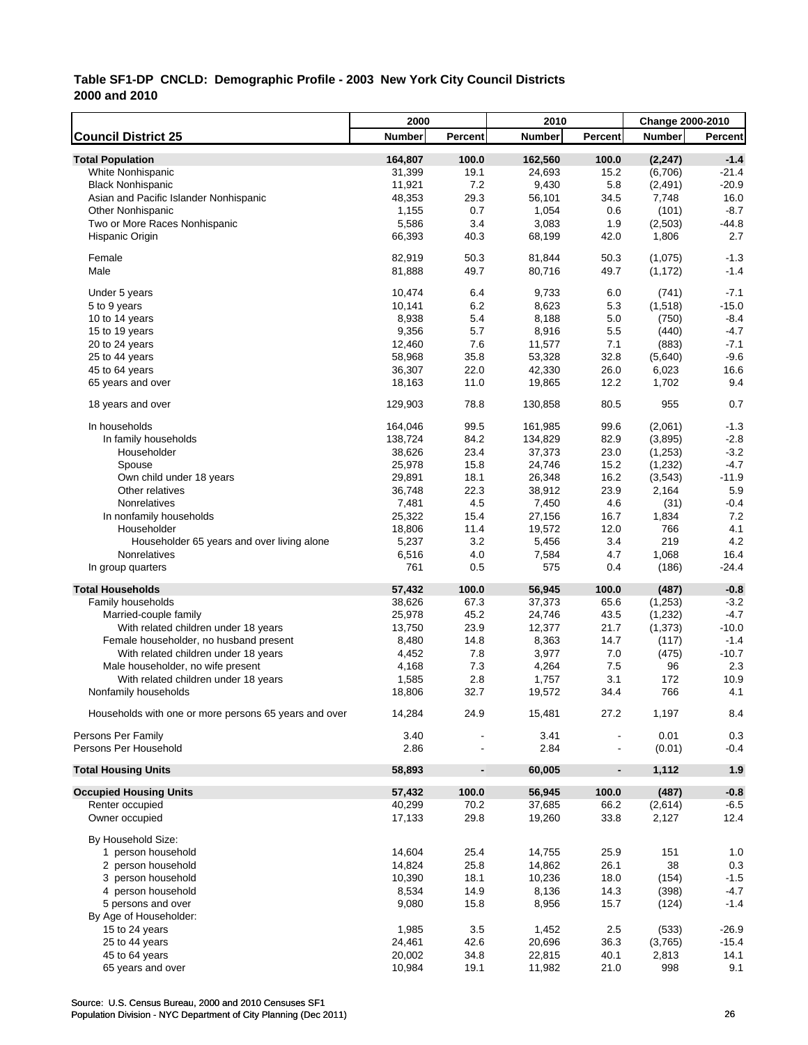|                                                       | 2000          |                          | 2010               |                | Change 2000-2010 |         |
|-------------------------------------------------------|---------------|--------------------------|--------------------|----------------|------------------|---------|
| <b>Council District 25</b>                            | <b>Number</b> | Percent                  | <b>Number</b>      | <b>Percent</b> | <b>Number</b>    | Percent |
| <b>Total Population</b>                               | 164,807       | 100.0                    | 162,560            | 100.0          | (2, 247)         | $-1.4$  |
| White Nonhispanic                                     | 31,399        | 19.1                     | 24,693             | 15.2           | (6,706)          | $-21.4$ |
| <b>Black Nonhispanic</b>                              | 11,921        | 7.2                      | 9,430              | 5.8            | (2, 491)         | $-20.9$ |
| Asian and Pacific Islander Nonhispanic                | 48,353        | 29.3                     | 56,101             | 34.5           | 7,748            | 16.0    |
| <b>Other Nonhispanic</b>                              | 1,155         | 0.7                      | 1,054              | 0.6            | (101)            | $-8.7$  |
| Two or More Races Nonhispanic                         | 5,586         | 3.4                      | 3,083              | 1.9            | (2,503)          | $-44.8$ |
| Hispanic Origin                                       | 66,393        | 40.3                     | 68,199             | 42.0           | 1,806            | 2.7     |
|                                                       |               |                          |                    |                |                  |         |
| Female                                                | 82,919        | 50.3                     | 81,844             | 50.3           | (1,075)          | $-1.3$  |
| Male                                                  | 81,888        | 49.7                     | 80,716             | 49.7           | (1, 172)         | $-1.4$  |
|                                                       |               |                          |                    |                |                  |         |
| Under 5 years                                         | 10,474        | 6.4                      | 9,733              | 6.0            | (741)            | $-7.1$  |
| 5 to 9 years                                          | 10,141        | 6.2                      | 8,623              | 5.3            | (1,518)          | $-15.0$ |
| 10 to 14 years                                        | 8,938         | 5.4                      | 8,188              | 5.0            | (750)            | $-8.4$  |
| 15 to 19 years                                        | 9,356         | 5.7                      | 8,916              | 5.5            | (440)            | $-4.7$  |
| 20 to 24 years                                        | 12,460        | 7.6                      | 11,577             | 7.1            | (883)            | $-7.1$  |
| 25 to 44 years                                        | 58,968        | 35.8                     | 53,328             | 32.8           | (5,640)          | $-9.6$  |
| 45 to 64 years                                        | 36,307        | 22.0                     | 42,330             | 26.0           | 6,023            | 16.6    |
| 65 years and over                                     | 18,163        | 11.0                     | 19,865             | 12.2           | 1,702            | 9.4     |
| 18 years and over                                     | 129,903       | 78.8                     | 130,858            | 80.5           | 955              | 0.7     |
|                                                       |               |                          |                    |                |                  |         |
| In households                                         | 164,046       | 99.5                     | 161,985<br>134,829 | 99.6           | (2,061)          | $-1.3$  |
| In family households                                  | 138,724       | 84.2                     |                    | 82.9           | (3,895)          | $-2.8$  |
| Householder                                           | 38,626        | 23.4                     | 37,373             | 23.0           | (1,253)          | $-3.2$  |
| Spouse                                                | 25,978        | 15.8                     | 24,746             | 15.2           | (1, 232)         | $-4.7$  |
| Own child under 18 years                              | 29,891        | 18.1                     | 26,348             | 16.2           | (3,543)          | $-11.9$ |
| Other relatives                                       | 36,748        | 22.3                     | 38,912             | 23.9           | 2,164            | 5.9     |
| Nonrelatives                                          | 7,481         | 4.5                      | 7,450              | 4.6            | (31)             | $-0.4$  |
| In nonfamily households                               | 25,322        | 15.4                     | 27,156             | 16.7           | 1,834            | 7.2     |
| Householder                                           | 18,806        | 11.4                     | 19,572             | 12.0           | 766              | 4.1     |
| Householder 65 years and over living alone            | 5,237         | 3.2                      | 5,456              | 3.4            | 219              | 4.2     |
| Nonrelatives                                          | 6,516         | 4.0                      | 7,584              | 4.7            | 1,068            | 16.4    |
| In group quarters                                     | 761           | 0.5                      | 575                | 0.4            | (186)            | -24.4   |
| <b>Total Households</b>                               | 57,432        | 100.0                    | 56,945             | 100.0          | (487)            | $-0.8$  |
| Family households                                     | 38,626        | 67.3                     | 37,373             | 65.6           | (1,253)          | $-3.2$  |
| Married-couple family                                 | 25,978        | 45.2                     | 24,746             | 43.5           | (1, 232)         | $-4.7$  |
| With related children under 18 years                  | 13,750        | 23.9                     | 12,377             | 21.7           | (1, 373)         | $-10.0$ |
| Female householder, no husband present                | 8,480         | 14.8                     | 8,363              | 14.7           | (117)            | $-1.4$  |
| With related children under 18 years                  | 4,452         | 7.8                      | 3,977              | 7.0            | (475)            | $-10.7$ |
| Male householder, no wife present                     | 4,168         | 7.3                      | 4,264              | 7.5            | 96               | 2.3     |
| With related children under 18 years                  | 1,585         | 2.8                      | 1,757              | 3.1            | 172              | 10.9    |
| Nonfamily households                                  | 18,806        | 32.7                     | 19,572             | 34.4           | 766              | 4.1     |
| Households with one or more persons 65 years and over | 14,284        | 24.9                     | 15,481             | 27.2           | 1,197            | 8.4     |
| Persons Per Family                                    | 3.40          |                          | 3.41               |                | 0.01             | 0.3     |
| Persons Per Household                                 | 2.86          |                          | 2.84               |                | (0.01)           | $-0.4$  |
|                                                       |               |                          |                    |                |                  |         |
| <b>Total Housing Units</b>                            | 58,893        | $\overline{\phantom{a}}$ | 60,005             | $\blacksquare$ | 1,112            | 1.9     |
| <b>Occupied Housing Units</b>                         | 57,432        | 100.0                    | 56,945             | 100.0          | (487)            | $-0.8$  |
| Renter occupied                                       | 40,299        | 70.2                     | 37,685             | 66.2           | (2,614)          | $-6.5$  |
| Owner occupied                                        | 17,133        | 29.8                     | 19,260             | 33.8           | 2,127            | 12.4    |
| By Household Size:                                    |               |                          |                    |                |                  |         |
| 1 person household                                    | 14,604        | 25.4                     | 14,755             | 25.9           | 151              | 1.0     |
| 2 person household                                    | 14,824        | 25.8                     | 14,862             | 26.1           | 38               | 0.3     |
| 3 person household                                    | 10,390        | 18.1                     | 10,236             | 18.0           | (154)            | $-1.5$  |
| 4 person household                                    | 8,534         | 14.9                     | 8,136              | 14.3           | (398)            | $-4.7$  |
| 5 persons and over                                    | 9,080         | 15.8                     | 8,956              | 15.7           | (124)            | $-1.4$  |
| By Age of Householder:                                |               |                          |                    |                |                  |         |
| 15 to 24 years                                        | 1,985         | 3.5                      | 1,452              | 2.5            | (533)            | $-26.9$ |
| 25 to 44 years                                        | 24,461        | 42.6                     | 20,696             | 36.3           | (3,765)          | $-15.4$ |
| 45 to 64 years                                        | 20,002        | 34.8                     | 22,815             | 40.1           | 2,813            | 14.1    |
| 65 years and over                                     | 10,984        | 19.1                     | 11,982             | 21.0           | 998              | 9.1     |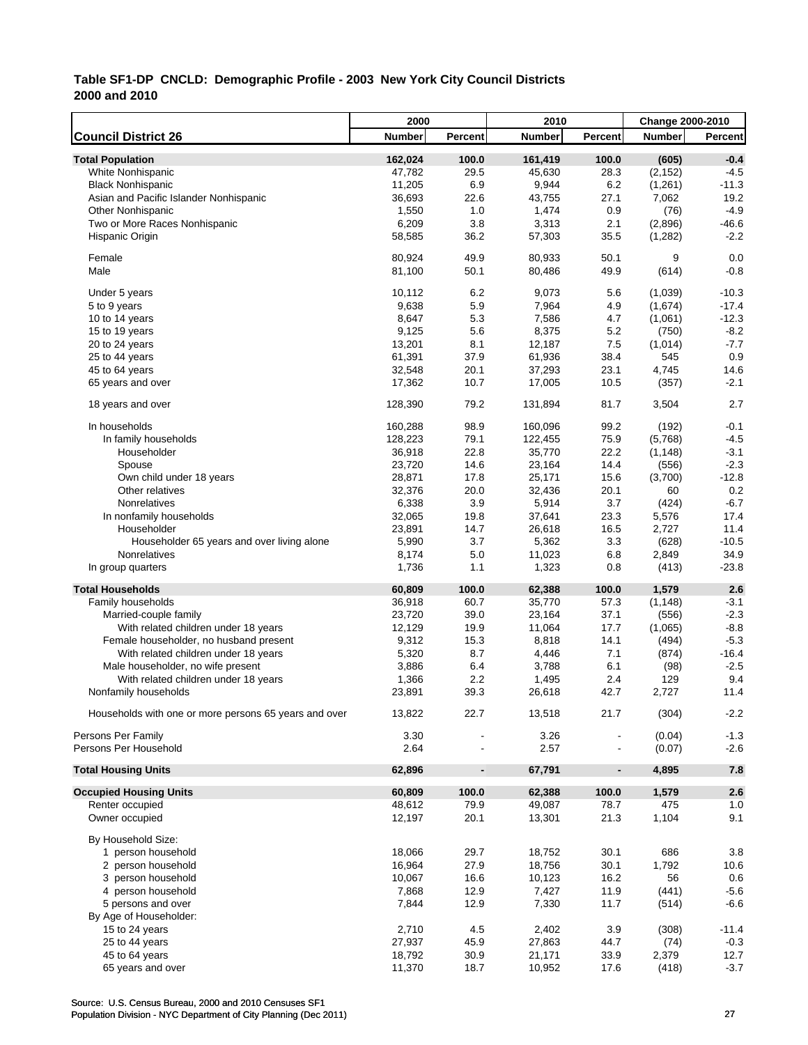|                                                       | 2000         |                          | 2010          |                | Change 2000-2010 |                  |
|-------------------------------------------------------|--------------|--------------------------|---------------|----------------|------------------|------------------|
| <b>Council District 26</b>                            | Number       | Percent                  | <b>Number</b> | Percent        | <b>Number</b>    | <b>Percent</b>   |
| <b>Total Population</b>                               | 162,024      | 100.0                    | 161,419       | 100.0          | (605)            | $-0.4$           |
| White Nonhispanic                                     | 47,782       | 29.5                     | 45,630        | 28.3           | (2, 152)         | $-4.5$           |
| <b>Black Nonhispanic</b>                              | 11,205       | 6.9                      | 9,944         | 6.2            | (1,261)          | $-11.3$          |
| Asian and Pacific Islander Nonhispanic                | 36,693       | 22.6                     | 43,755        | 27.1           | 7,062            | 19.2             |
| <b>Other Nonhispanic</b>                              | 1,550        | 1.0                      | 1,474         | 0.9            | (76)             | $-4.9$           |
| Two or More Races Nonhispanic                         | 6,209        | 3.8                      | 3,313         | 2.1            | (2,896)          | $-46.6$          |
| Hispanic Origin                                       | 58,585       | 36.2                     | 57,303        | 35.5           | (1, 282)         | $-2.2$           |
|                                                       |              |                          |               |                |                  |                  |
| Female                                                | 80,924       | 49.9                     | 80,933        | 50.1           | 9                | 0.0              |
| Male                                                  | 81,100       | 50.1                     | 80,486        | 49.9           | (614)            | $-0.8$           |
| Under 5 years                                         | 10,112       | 6.2                      | 9,073         | 5.6            | (1,039)          | $-10.3$          |
| 5 to 9 years                                          | 9,638        | 5.9                      | 7,964         | 4.9            | (1,674)          | $-17.4$          |
| 10 to 14 years                                        | 8,647        | 5.3                      | 7,586         | 4.7            | (1,061)          | $-12.3$          |
| 15 to 19 years                                        | 9,125        | 5.6                      | 8,375         | 5.2            | (750)            | $-8.2$           |
| 20 to 24 years                                        | 13,201       | 8.1                      | 12,187        | 7.5            | (1,014)          | $-7.7$           |
| 25 to 44 years                                        | 61,391       | 37.9                     | 61,936        | 38.4           | 545              | 0.9              |
| 45 to 64 years                                        | 32,548       | 20.1                     | 37,293        | 23.1           | 4,745            | 14.6             |
| 65 years and over                                     | 17,362       | 10.7                     | 17,005        | 10.5           | (357)            | $-2.1$           |
| 18 years and over                                     | 128,390      | 79.2                     | 131,894       | 81.7           | 3,504            | 2.7              |
| In households                                         | 160,288      | 98.9                     | 160,096       | 99.2           | (192)            | $-0.1$           |
| In family households                                  | 128,223      | 79.1                     | 122,455       | 75.9           | (5,768)          | $-4.5$           |
| Householder                                           | 36,918       | 22.8                     | 35,770        | 22.2           | (1, 148)         | $-3.1$           |
| Spouse                                                | 23,720       | 14.6                     | 23,164        | 14.4           | (556)            | $-2.3$           |
| Own child under 18 years                              | 28,871       | 17.8                     | 25,171        | 15.6           | (3,700)          | $-12.8$          |
| Other relatives                                       | 32,376       | 20.0                     | 32,436        | 20.1           | 60               | 0.2              |
| Nonrelatives                                          | 6,338        | 3.9                      | 5,914         | 3.7            | (424)            | $-6.7$           |
| In nonfamily households                               | 32,065       | 19.8                     | 37,641        | 23.3           | 5,576            | 17.4             |
| Householder                                           | 23,891       | 14.7                     | 26,618        | 16.5           | 2,727            | 11.4             |
| Householder 65 years and over living alone            | 5,990        | 3.7                      | 5,362         | 3.3            | (628)            | $-10.5$          |
| Nonrelatives                                          | 8,174        | 5.0                      | 11,023        | 6.8            | 2,849            | 34.9             |
| In group quarters                                     | 1,736        | 1.1                      | 1,323         | 0.8            | (413)            | $-23.8$          |
| <b>Total Households</b>                               | 60,809       | 100.0                    | 62,388        | 100.0          | 1,579            | 2.6              |
| Family households                                     | 36,918       | 60.7                     | 35,770        | 57.3           | (1, 148)         | $-3.1$           |
| Married-couple family                                 | 23,720       | 39.0                     | 23,164        | 37.1           | (556)            | $-2.3$           |
| With related children under 18 years                  | 12,129       | 19.9                     | 11,064        | 17.7           | (1,065)          | $-8.8$           |
| Female householder, no husband present                | 9,312        | 15.3                     | 8,818         | 14.1           | (494)            | $-5.3$           |
| With related children under 18 years                  | 5,320        | 8.7                      | 4,446         | 7.1            | (874)            | $-16.4$          |
| Male householder, no wife present                     | 3,886        | 6.4                      | 3,788         | 6.1            | (98)             | $-2.5$           |
| With related children under 18 years                  | 1,366        | 2.2                      | 1,495         | 2.4            | 129              | 9.4              |
| Nonfamily households                                  | 23,891       | 39.3                     | 26,618        | 42.7           | 2,727            | 11.4             |
|                                                       |              |                          |               |                |                  |                  |
| Households with one or more persons 65 years and over | 13,822       | 22.7                     | 13,518        | 21.7           | (304)            | $-2.2$           |
| Persons Per Family<br>Persons Per Household           | 3.30<br>2.64 |                          | 3.26<br>2.57  |                | (0.04)           | $-1.3$<br>$-2.6$ |
|                                                       |              |                          |               |                | (0.07)           |                  |
| <b>Total Housing Units</b>                            | 62,896       | $\overline{\phantom{a}}$ | 67,791        | $\blacksquare$ | 4,895            | 7.8              |
| <b>Occupied Housing Units</b>                         | 60,809       | 100.0                    | 62,388        | 100.0          | 1,579            | 2.6              |
| Renter occupied                                       | 48,612       | 79.9                     | 49,087        | 78.7           | 475              | 1.0              |
| Owner occupied                                        | 12,197       | 20.1                     | 13,301        | 21.3           | 1,104            | 9.1              |
| By Household Size:                                    |              |                          |               |                |                  |                  |
| 1 person household                                    | 18,066       | 29.7                     | 18,752        | 30.1           | 686              | 3.8              |
| 2 person household                                    | 16,964       | 27.9                     | 18,756        | 30.1           | 1,792            | 10.6             |
| 3 person household                                    | 10,067       | 16.6                     | 10,123        | 16.2           | 56               | 0.6              |
| 4 person household                                    | 7,868        | 12.9                     | 7,427         | 11.9           | (441)            | $-5.6$           |
| 5 persons and over                                    | 7,844        | 12.9                     | 7,330         | 11.7           | (514)            | $-6.6$           |
| By Age of Householder:                                |              |                          |               |                |                  |                  |
| 15 to 24 years                                        | 2,710        | 4.5                      | 2,402         | 3.9            | (308)            | $-11.4$          |
| 25 to 44 years                                        | 27,937       | 45.9                     | 27,863        | 44.7           | (74)             | $-0.3$           |
| 45 to 64 years                                        | 18,792       | 30.9                     | 21,171        | 33.9           | 2,379            | 12.7             |
| 65 years and over                                     | 11,370       | 18.7                     | 10,952        | 17.6           | (418)            | $-3.7$           |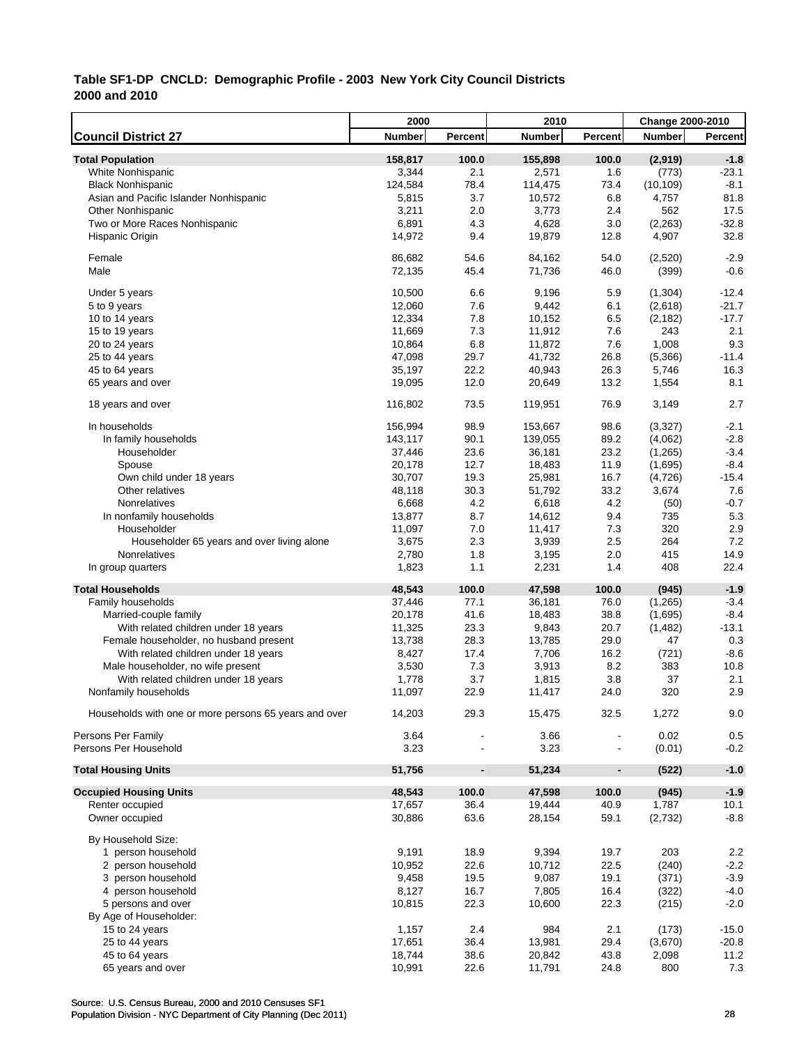|                                                       | 2000           |                              | 2010             |                          | <b>Change 2000-2010</b> |              |
|-------------------------------------------------------|----------------|------------------------------|------------------|--------------------------|-------------------------|--------------|
| <b>Council District 27</b>                            | <b>Number</b>  | Percent                      | <b>Number</b>    | Percent                  | <b>Number</b>           | Percent      |
| <b>Total Population</b>                               | 158,817        | 100.0                        | 155,898          | 100.0                    | (2,919)                 | $-1.8$       |
| White Nonhispanic                                     | 3,344          | 2.1                          | 2,571            | 1.6                      | (773)                   | $-23.1$      |
| <b>Black Nonhispanic</b>                              | 124,584        | 78.4                         | 114,475          | 73.4                     | (10, 109)               | $-8.1$       |
| Asian and Pacific Islander Nonhispanic                | 5,815          | 3.7                          | 10,572           | 6.8                      | 4,757                   | 81.8         |
| <b>Other Nonhispanic</b>                              | 3,211          | 2.0                          | 3,773            | 2.4                      | 562                     | 17.5         |
| Two or More Races Nonhispanic                         | 6,891          | 4.3                          | 4,628            | 3.0                      | (2, 263)                | $-32.8$      |
| Hispanic Origin                                       | 14,972         | 9.4                          | 19,879           | 12.8                     | 4,907                   | 32.8         |
|                                                       |                |                              |                  |                          |                         |              |
| Female                                                | 86,682         | 54.6                         | 84,162           | 54.0                     | (2,520)                 | $-2.9$       |
| Male                                                  | 72,135         | 45.4                         | 71,736           | 46.0                     | (399)                   | $-0.6$       |
| Under 5 years                                         | 10,500         | 6.6                          | 9.196            | 5.9                      | (1, 304)                | $-12.4$      |
| 5 to 9 years                                          | 12,060         | 7.6                          | 9,442            | 6.1                      | (2,618)                 | $-21.7$      |
| 10 to 14 years                                        | 12,334         | 7.8                          | 10,152           | 6.5                      | (2, 182)                | $-17.7$      |
| 15 to 19 years                                        | 11,669         | 7.3                          | 11,912           | 7.6                      | 243                     | 2.1          |
| 20 to 24 years                                        | 10,864         | 6.8                          | 11,872           | 7.6                      | 1,008                   | 9.3          |
| 25 to 44 years                                        | 47,098         | 29.7                         | 41,732           | 26.8                     | (5,366)                 | $-11.4$      |
| 45 to 64 years                                        | 35,197         | 22.2                         | 40,943           | 26.3                     | 5,746                   | 16.3         |
| 65 years and over                                     | 19,095         | 12.0                         | 20,649           | 13.2                     | 1,554                   | 8.1          |
| 18 years and over                                     | 116,802        | 73.5                         | 119,951          | 76.9                     | 3,149                   | 2.7          |
| In households                                         | 156,994        | 98.9                         | 153,667          | 98.6                     | (3,327)                 | $-2.1$       |
| In family households                                  | 143,117        | 90.1                         | 139,055          | 89.2                     | (4,062)                 | $-2.8$       |
| Householder                                           | 37,446         | 23.6                         | 36,181           | 23.2                     | (1, 265)                | $-3.4$       |
|                                                       | 20,178         | 12.7                         |                  | 11.9                     | (1,695)                 | $-8.4$       |
| Spouse                                                | 30,707         | 19.3                         | 18,483<br>25,981 | 16.7                     | (4,726)                 | $-15.4$      |
| Own child under 18 years                              |                | 30.3                         | 51,792           | 33.2                     | 3,674                   | 7.6          |
| Other relatives                                       | 48,118         |                              |                  |                          |                         |              |
| Nonrelatives                                          | 6,668          | 4.2                          | 6,618            | 4.2                      | (50)                    | $-0.7$       |
| In nonfamily households                               | 13,877         | 8.7                          | 14,612           | 9.4                      | 735                     | 5.3          |
| Householder                                           | 11,097         | 7.0                          | 11,417           | 7.3                      | 320                     | 2.9<br>7.2   |
| Householder 65 years and over living alone            | 3,675          | 2.3                          | 3,939            | 2.5                      | 264                     |              |
| Nonrelatives<br>In group quarters                     | 2,780<br>1,823 | 1.8<br>1.1                   | 3,195<br>2,231   | 2.0<br>1.4               | 415<br>408              | 14.9<br>22.4 |
|                                                       |                |                              |                  |                          |                         |              |
| <b>Total Households</b>                               | 48,543         | 100.0                        | 47,598           | 100.0                    | (945)                   | $-1.9$       |
| Family households                                     | 37,446         | 77.1                         | 36,181           | 76.0                     | (1,265)                 | $-3.4$       |
| Married-couple family                                 | 20,178         | 41.6                         | 18,483           | 38.8                     | (1,695)                 | $-8.4$       |
| With related children under 18 years                  | 11,325         | 23.3                         | 9,843            | 20.7                     | (1, 482)                | $-13.1$      |
| Female householder, no husband present                | 13,738         | 28.3                         | 13,785           | 29.0                     | 47                      | 0.3          |
| With related children under 18 years                  | 8,427          | 17.4                         | 7,706            | 16.2                     | (721)                   | $-8.6$       |
| Male householder, no wife present                     | 3,530          | 7.3                          | 3,913            | 8.2                      | 383                     | 10.8         |
| With related children under 18 years                  | 1,778          | 3.7                          | 1,815            | 3.8                      | 37                      | 2.1          |
| Nonfamily households                                  | 11,097         | 22.9                         | 11,417           | 24.0                     | 320                     | 2.9          |
| Households with one or more persons 65 years and over | 14,203         | 29.3                         | 15,475           | 32.5                     | 1,272                   | 9.0          |
| Persons Per Family                                    | 3.64           |                              | 3.66             |                          | 0.02                    | 0.5          |
| Persons Per Household                                 | 3.23           |                              | 3.23             | $\overline{\phantom{a}}$ | (0.01)                  | $-0.2$       |
| <b>Total Housing Units</b>                            | 51,756         | $\qquad \qquad \blacksquare$ | 51,234           | $\overline{\phantom{a}}$ | (522)                   | $-1.0$       |
| <b>Occupied Housing Units</b>                         | 48,543         | 100.0                        | 47,598           | 100.0                    | (945)                   | $-1.9$       |
| Renter occupied                                       | 17,657         | 36.4                         | 19,444           | 40.9                     | 1,787                   | 10.1         |
| Owner occupied                                        | 30,886         | 63.6                         | 28,154           | 59.1                     | (2,732)                 | $-8.8$       |
| By Household Size:                                    |                |                              |                  |                          |                         |              |
| 1 person household                                    | 9,191          | 18.9                         | 9,394            | 19.7                     | 203                     | 2.2          |
| 2 person household                                    | 10,952         | 22.6                         | 10,712           | 22.5                     | (240)                   | $-2.2$       |
| 3 person household                                    | 9,458          | 19.5                         | 9,087            | 19.1                     | (371)                   | $-3.9$       |
| 4 person household                                    | 8,127          | 16.7                         | 7,805            | 16.4                     | (322)                   | $-4.0$       |
| 5 persons and over                                    | 10,815         | 22.3                         | 10,600           | 22.3                     | (215)                   | $-2.0$       |
| By Age of Householder:                                |                |                              |                  |                          |                         |              |
| 15 to 24 years                                        | 1,157          | 2.4                          | 984              | 2.1                      | (173)                   | $-15.0$      |
| 25 to 44 years                                        | 17,651         | 36.4                         | 13,981           | 29.4                     | (3,670)                 | $-20.8$      |
| 45 to 64 years                                        | 18,744         | 38.6                         | 20,842           | 43.8                     | 2,098                   | 11.2         |
| 65 years and over                                     | 10,991         | 22.6                         | 11,791           | 24.8                     | 800                     | 7.3          |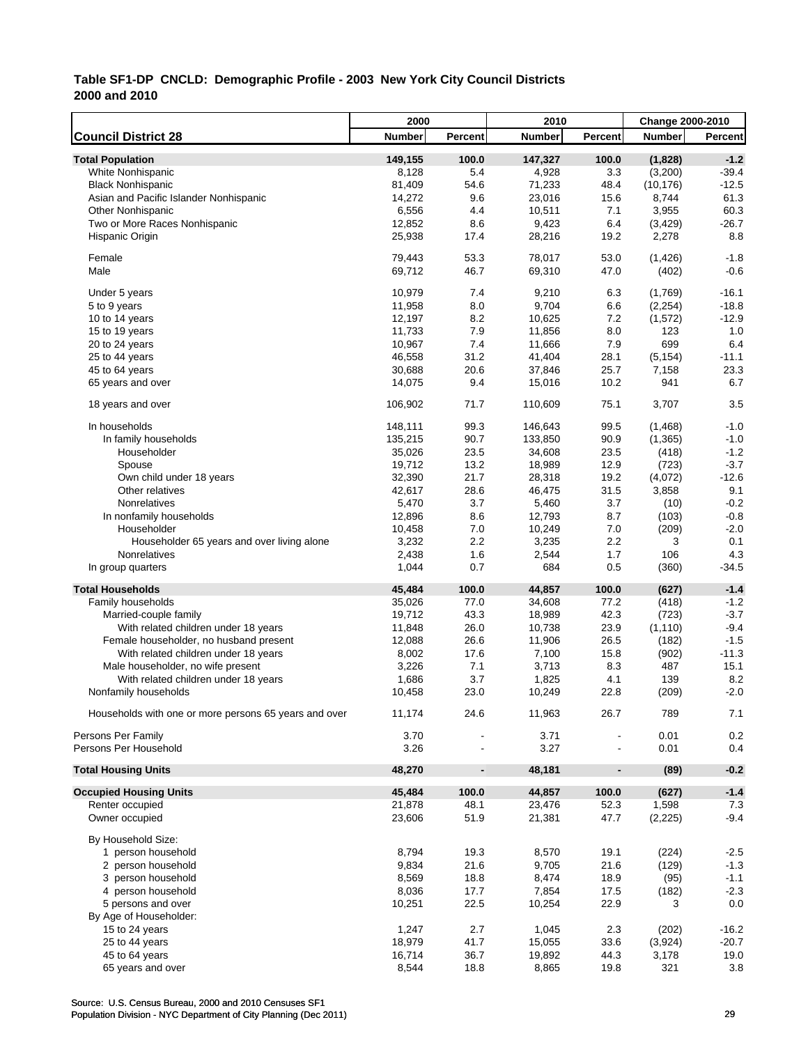|                                                       | 2000    |                          | 2010          |                          | Change 2000-2010 |                |
|-------------------------------------------------------|---------|--------------------------|---------------|--------------------------|------------------|----------------|
| <b>Council District 28</b>                            | Number  | Percent                  | <b>Number</b> | Percent                  | <b>Number</b>    | <b>Percent</b> |
| <b>Total Population</b>                               | 149,155 | 100.0                    | 147,327       | 100.0                    | (1,828)          | $-1.2$         |
| White Nonhispanic                                     | 8,128   | 5.4                      | 4,928         | 3.3                      | (3,200)          | $-39.4$        |
| <b>Black Nonhispanic</b>                              | 81,409  | 54.6                     | 71,233        | 48.4                     | (10, 176)        | $-12.5$        |
| Asian and Pacific Islander Nonhispanic                | 14,272  | 9.6                      | 23,016        | 15.6                     | 8,744            | 61.3           |
| <b>Other Nonhispanic</b>                              | 6,556   | 4.4                      | 10,511        | 7.1                      | 3,955            | 60.3           |
| Two or More Races Nonhispanic                         | 12,852  | 8.6                      | 9,423         | 6.4                      | (3, 429)         | $-26.7$        |
| Hispanic Origin                                       | 25,938  | 17.4                     | 28,216        | 19.2                     | 2,278            | 8.8            |
|                                                       |         |                          |               |                          |                  |                |
| Female                                                | 79,443  | 53.3                     | 78,017        | 53.0                     | (1, 426)         | $-1.8$         |
| Male                                                  | 69,712  | 46.7                     | 69,310        | 47.0                     | (402)            | $-0.6$         |
|                                                       |         |                          |               |                          |                  |                |
| Under 5 years                                         | 10,979  | 7.4                      | 9,210         | 6.3                      | (1,769)          | $-16.1$        |
| 5 to 9 years                                          | 11,958  | 8.0                      | 9,704         | 6.6                      | (2,254)          | $-18.8$        |
| 10 to 14 years                                        | 12,197  | 8.2                      | 10,625        | 7.2                      | (1, 572)         | $-12.9$        |
| 15 to 19 years                                        | 11,733  | 7.9                      | 11,856        | 8.0                      | 123              | 1.0            |
| 20 to 24 years                                        | 10,967  | 7.4                      | 11,666        | 7.9                      | 699              | 6.4            |
| 25 to 44 years                                        | 46,558  | 31.2                     | 41,404        | 28.1                     | (5, 154)         | $-11.1$        |
| 45 to 64 years                                        | 30,688  | 20.6                     | 37,846        | 25.7                     | 7,158            | 23.3           |
| 65 years and over                                     | 14,075  | 9.4                      | 15,016        | 10.2                     | 941              | 6.7            |
|                                                       |         |                          |               |                          |                  |                |
| 18 years and over                                     | 106,902 | 71.7                     | 110,609       | 75.1                     | 3,707            | 3.5            |
| In households                                         | 148,111 | 99.3                     | 146,643       | 99.5                     | (1,468)          | $-1.0$         |
| In family households                                  | 135,215 | 90.7                     | 133,850       | 90.9                     | (1, 365)         | $-1.0$         |
| Householder                                           |         |                          |               |                          |                  |                |
|                                                       | 35,026  | 23.5                     | 34,608        | 23.5                     | (418)            | $-1.2$         |
| Spouse                                                | 19,712  | 13.2                     | 18,989        | 12.9                     | (723)            | $-3.7$         |
| Own child under 18 years                              | 32,390  | 21.7                     | 28,318        | 19.2                     | (4,072)          | $-12.6$        |
| Other relatives                                       | 42,617  | 28.6                     | 46,475        | 31.5                     | 3,858            | 9.1            |
| Nonrelatives                                          | 5,470   | 3.7                      | 5,460         | 3.7                      | (10)             | $-0.2$         |
| In nonfamily households                               | 12,896  | 8.6                      | 12,793        | 8.7                      | (103)            | $-0.8$         |
| Householder                                           | 10,458  | 7.0                      | 10,249        | 7.0                      | (209)            | $-2.0$         |
| Householder 65 years and over living alone            | 3,232   | 2.2                      | 3,235         | 2.2                      | 3                | 0.1            |
| Nonrelatives                                          | 2,438   | 1.6                      | 2,544         | 1.7                      | 106              | 4.3            |
| In group quarters                                     | 1,044   | 0.7                      | 684           | 0.5                      | (360)            | $-34.5$        |
| <b>Total Households</b>                               | 45,484  | 100.0                    | 44,857        | 100.0                    | (627)            | $-1.4$         |
| Family households                                     | 35,026  | 77.0                     | 34,608        | 77.2                     | (418)            | $-1.2$         |
| Married-couple family                                 | 19,712  | 43.3                     | 18,989        | 42.3                     | (723)            | $-3.7$         |
| With related children under 18 years                  | 11,848  | 26.0                     | 10,738        | 23.9                     | (1, 110)         | $-9.4$         |
| Female householder, no husband present                | 12,088  | 26.6                     | 11,906        | 26.5                     | (182)            | $-1.5$         |
|                                                       |         |                          |               |                          |                  |                |
| With related children under 18 years                  | 8,002   | 17.6                     | 7,100         | 15.8                     | (902)            | $-11.3$        |
| Male householder, no wife present                     | 3,226   | 7.1                      | 3,713         | 8.3                      | 487              | 15.1           |
| With related children under 18 years                  | 1,686   | 3.7                      | 1,825         | 4.1                      | 139              | 8.2            |
| Nonfamily households                                  | 10,458  | 23.0                     | 10,249        | 22.8                     | (209)            | $-2.0$         |
| Households with one or more persons 65 years and over | 11,174  | 24.6                     | 11,963        | 26.7                     | 789              | 7.1            |
|                                                       |         |                          |               |                          |                  |                |
| Persons Per Family                                    | 3.70    |                          | 3.71          |                          | 0.01             | 0.2            |
| Persons Per Household                                 | 3.26    |                          | 3.27          |                          | 0.01             | 0.4            |
| <b>Total Housing Units</b>                            | 48,270  | $\overline{\phantom{a}}$ | 48,181        | $\overline{\phantom{a}}$ | (89)             | $-0.2$         |
|                                                       |         |                          |               |                          |                  |                |
| <b>Occupied Housing Units</b>                         | 45,484  | 100.0                    | 44,857        | 100.0                    | (627)            | $-1.4$         |
| Renter occupied                                       | 21,878  | 48.1                     | 23,476        | 52.3                     | 1,598            | 7.3            |
| Owner occupied                                        | 23,606  | 51.9                     | 21,381        | 47.7                     | (2,225)          | $-9.4$         |
| By Household Size:                                    |         |                          |               |                          |                  |                |
| 1 person household                                    | 8,794   | 19.3                     | 8,570         | 19.1                     | (224)            | $-2.5$         |
| 2 person household                                    | 9,834   | 21.6                     | 9,705         | 21.6                     | (129)            | $-1.3$         |
| 3 person household                                    | 8,569   | 18.8                     | 8,474         | 18.9                     | (95)             | $-1.1$         |
| 4 person household                                    | 8,036   | 17.7                     | 7,854         | 17.5                     | (182)            | $-2.3$         |
| 5 persons and over                                    | 10,251  | 22.5                     | 10,254        | 22.9                     | 3                | 0.0            |
|                                                       |         |                          |               |                          |                  |                |
| By Age of Householder:                                |         |                          |               |                          |                  |                |
| 15 to 24 years                                        | 1,247   | 2.7                      | 1,045         | 2.3                      | (202)            | $-16.2$        |
| 25 to 44 years                                        | 18,979  | 41.7                     | 15,055        | 33.6                     | (3,924)          | $-20.7$        |
| 45 to 64 years                                        | 16,714  | 36.7                     | 19,892        | 44.3                     | 3,178            | 19.0           |
| 65 years and over                                     | 8,544   | 18.8                     | 8,865         | 19.8                     | 321              | 3.8            |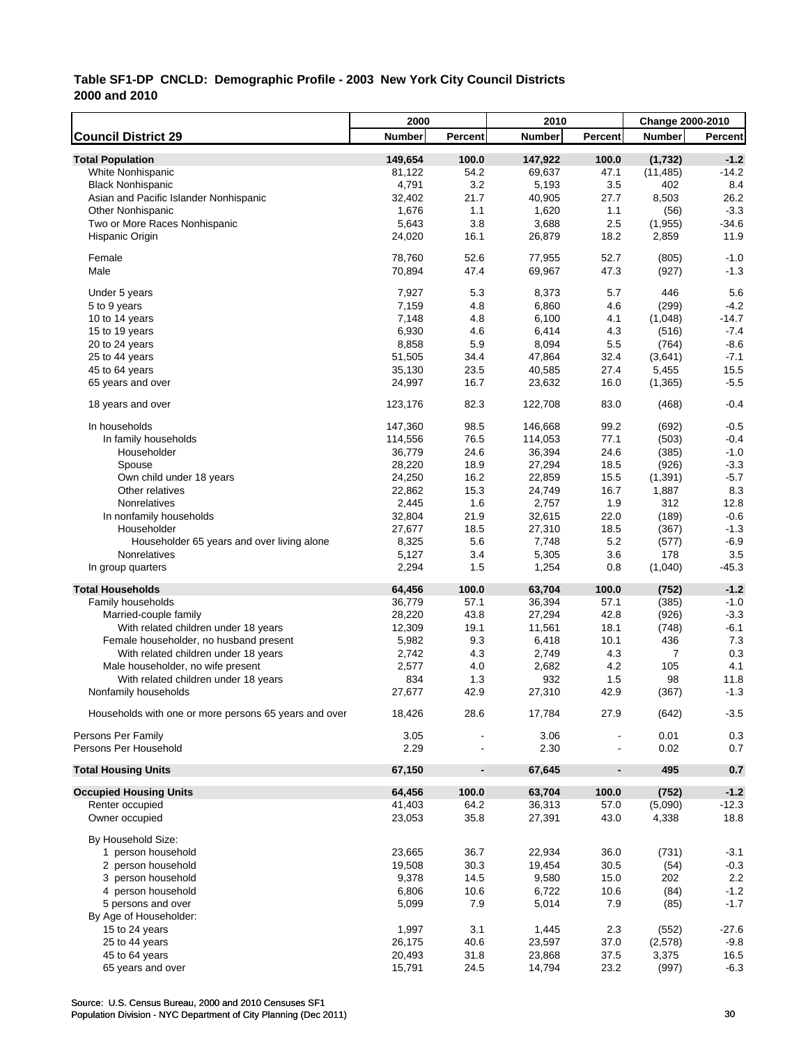|                                                       | 2000           |                          | 2010           |                          | Change 2000-2010 |              |
|-------------------------------------------------------|----------------|--------------------------|----------------|--------------------------|------------------|--------------|
| <b>Council District 29</b>                            | Number         | Percent                  | <b>Number</b>  | <b>Percent</b>           | <b>Number</b>    | Percent      |
| <b>Total Population</b>                               | 149,654        | 100.0                    | 147,922        | 100.0                    | (1,732)          | $-1.2$       |
| White Nonhispanic                                     | 81,122         | 54.2                     | 69,637         | 47.1                     | (11, 485)        | $-14.2$      |
| <b>Black Nonhispanic</b>                              | 4,791          | 3.2                      | 5,193          | 3.5                      | 402              | 8.4          |
| Asian and Pacific Islander Nonhispanic                | 32,402         | 21.7                     | 40,905         | 27.7                     | 8,503            | 26.2         |
| <b>Other Nonhispanic</b>                              | 1,676          | 1.1                      | 1,620          | 1.1                      | (56)             | $-3.3$       |
| Two or More Races Nonhispanic                         | 5,643          | 3.8                      | 3,688          | 2.5                      | (1,955)          | $-34.6$      |
| Hispanic Origin                                       | 24,020         | 16.1                     | 26,879         | 18.2                     | 2,859            | 11.9         |
|                                                       |                |                          |                |                          |                  |              |
| Female                                                | 78,760         | 52.6                     | 77,955         | 52.7                     | (805)            | $-1.0$       |
| Male                                                  | 70,894         | 47.4                     | 69,967         | 47.3                     | (927)            | $-1.3$       |
| Under 5 years                                         | 7,927          | 5.3                      | 8,373          | 5.7                      | 446              | 5.6          |
| 5 to 9 years                                          | 7,159          | 4.8                      | 6,860          | 4.6                      | (299)            | $-4.2$       |
| 10 to 14 years                                        | 7,148          | 4.8                      | 6,100          | 4.1                      | (1,048)          | $-14.7$      |
| 15 to 19 years                                        | 6,930          | 4.6                      | 6,414          | 4.3                      | (516)            | $-7.4$       |
| 20 to 24 years                                        | 8,858          | 5.9                      | 8,094          | 5.5                      | (764)            | $-8.6$       |
| 25 to 44 years                                        | 51,505         | 34.4                     | 47,864         | 32.4                     | (3,641)          | $-7.1$       |
| 45 to 64 years                                        | 35,130         | 23.5                     | 40,585         | 27.4                     | 5,455            | 15.5         |
| 65 years and over                                     | 24,997         | 16.7                     | 23,632         | 16.0                     | (1, 365)         | $-5.5$       |
| 18 years and over                                     | 123,176        | 82.3                     | 122,708        | 83.0                     | (468)            | $-0.4$       |
| In households                                         | 147,360        | 98.5                     | 146,668        | 99.2                     | (692)            | $-0.5$       |
| In family households                                  | 114,556        | 76.5                     | 114,053        | 77.1                     | (503)            | $-0.4$       |
| Householder                                           | 36,779         | 24.6                     | 36,394         | 24.6                     | (385)            | $-1.0$       |
| Spouse                                                | 28,220         | 18.9                     | 27,294         | 18.5                     | (926)            | $-3.3$       |
| Own child under 18 years                              | 24,250         | 16.2                     | 22,859         | 15.5                     | (1, 391)         | $-5.7$       |
| Other relatives                                       | 22,862         | 15.3                     | 24,749         | 16.7                     | 1,887            | 8.3          |
| Nonrelatives                                          | 2,445          | 1.6                      | 2,757          | 1.9                      | 312              | 12.8         |
|                                                       | 32,804         | 21.9                     | 32,615         | 22.0                     | (189)            | $-0.6$       |
| In nonfamily households<br>Householder                | 27,677         | 18.5                     | 27,310         | 18.5                     | (367)            | $-1.3$       |
|                                                       |                | 5.6                      |                | 5.2                      |                  | $-6.9$       |
| Householder 65 years and over living alone            | 8,325          |                          | 7,748          |                          | (577)            |              |
| Nonrelatives<br>In group quarters                     | 5,127<br>2,294 | 3.4<br>1.5               | 5,305<br>1,254 | 3.6<br>0.8               | 178<br>(1,040)   | 3.5<br>-45.3 |
|                                                       |                |                          |                |                          |                  |              |
| <b>Total Households</b>                               | 64,456         | 100.0                    | 63,704         | 100.0                    | (752)            | $-1.2$       |
| Family households                                     | 36,779         | 57.1                     | 36,394         | 57.1                     | (385)            | $-1.0$       |
| Married-couple family                                 | 28,220         | 43.8                     | 27,294         | 42.8                     | (926)            | $-3.3$       |
| With related children under 18 years                  | 12,309         | 19.1                     | 11,561         | 18.1                     | (748)            | $-6.1$       |
| Female householder, no husband present                | 5,982          | 9.3                      | 6,418          | 10.1                     | 436              | 7.3          |
| With related children under 18 years                  | 2,742          | 4.3                      | 2,749          | 4.3                      | 7                | 0.3          |
| Male householder, no wife present                     | 2,577          | 4.0                      | 2,682          | 4.2                      | 105              | 4.1          |
| With related children under 18 years                  | 834            | 1.3                      | 932            | 1.5                      | 98               | 11.8         |
| Nonfamily households                                  | 27,677         | 42.9                     | 27,310         | 42.9                     | (367)            | $-1.3$       |
| Households with one or more persons 65 years and over | 18,426         | 28.6                     | 17,784         | 27.9                     | (642)            | $-3.5$       |
| Persons Per Family                                    | 3.05           |                          | 3.06           |                          | 0.01             | 0.3          |
| Persons Per Household                                 | 2.29           |                          | 2.30           |                          | 0.02             | 0.7          |
| <b>Total Housing Units</b>                            | 67,150         | $\overline{\phantom{a}}$ | 67,645         | $\overline{\phantom{a}}$ | 495              | 0.7          |
| <b>Occupied Housing Units</b>                         | 64,456         | 100.0                    | 63,704         | 100.0                    | (752)            | $-1.2$       |
| Renter occupied                                       | 41,403         | 64.2                     | 36,313         | 57.0                     | (5,090)          | $-12.3$      |
| Owner occupied                                        | 23,053         | 35.8                     | 27,391         | 43.0                     | 4,338            | 18.8         |
| By Household Size:                                    |                |                          |                |                          |                  |              |
| 1 person household                                    | 23,665         | 36.7                     | 22,934         | 36.0                     | (731)            | $-3.1$       |
| 2 person household                                    | 19,508         | 30.3                     | 19,454         | 30.5                     | (54)             | $-0.3$       |
| 3 person household                                    | 9,378          | 14.5                     | 9,580          | 15.0                     | 202              | 2.2          |
| 4 person household                                    | 6,806          | 10.6                     | 6,722          | 10.6                     | (84)             | $-1.2$       |
| 5 persons and over                                    | 5,099          | 7.9                      | 5,014          | 7.9                      | (85)             | $-1.7$       |
| By Age of Householder:                                |                |                          |                |                          |                  |              |
| 15 to 24 years                                        | 1,997          | 3.1                      | 1,445          | 2.3                      | (552)            | $-27.6$      |
| 25 to 44 years                                        | 26,175         | 40.6                     | 23,597         | 37.0                     | (2,578)          | $-9.8$       |
| 45 to 64 years                                        | 20,493         | 31.8                     | 23,868         | 37.5                     | 3,375            | 16.5         |
| 65 years and over                                     | 15,791         | 24.5                     | 14,794         | 23.2                     | (997)            | $-6.3$       |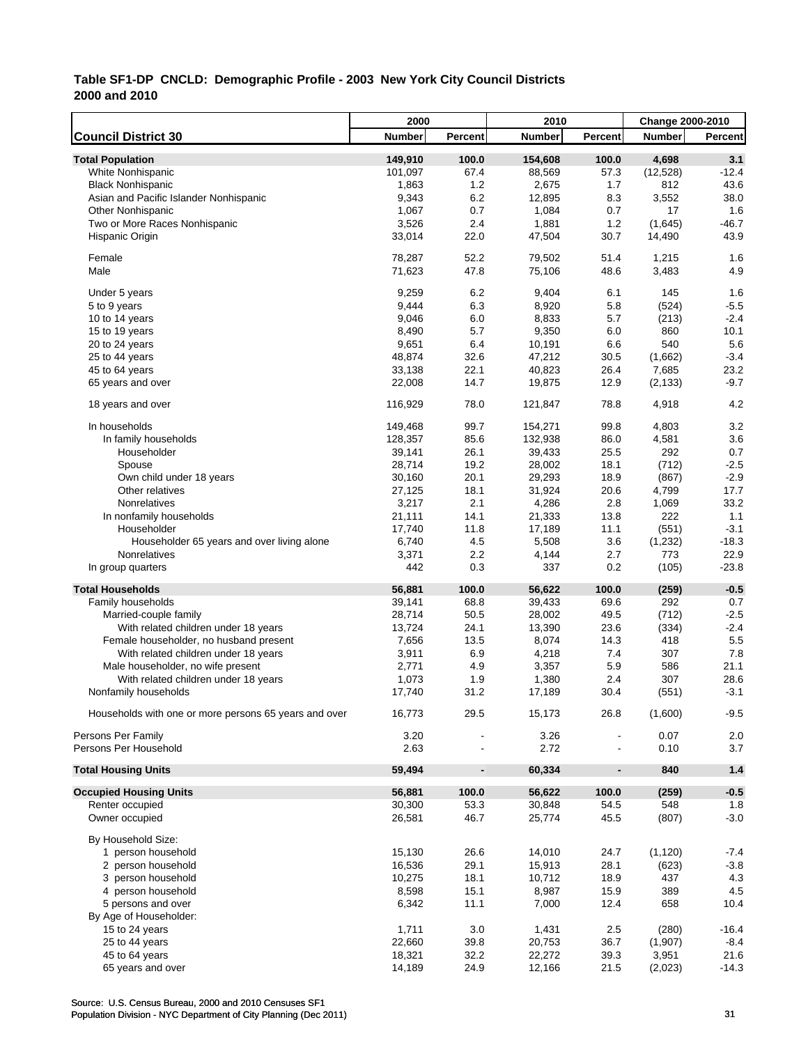|                                                       | 2000          |                          | 2010          |                          | Change 2000-2010 |                |
|-------------------------------------------------------|---------------|--------------------------|---------------|--------------------------|------------------|----------------|
| <b>Council District 30</b>                            | <b>Number</b> | Percent                  | <b>Number</b> | Percent                  | <b>Number</b>    | <b>Percent</b> |
| <b>Total Population</b>                               | 149,910       | 100.0                    | 154,608       | 100.0                    | 4,698            | 3.1            |
| White Nonhispanic                                     | 101,097       | 67.4                     | 88,569        | 57.3                     | (12,528)         | $-12.4$        |
| <b>Black Nonhispanic</b>                              | 1,863         | 1.2                      | 2,675         | 1.7                      | 812              | 43.6           |
| Asian and Pacific Islander Nonhispanic                | 9,343         | 6.2                      | 12,895        | 8.3                      | 3,552            | 38.0           |
| <b>Other Nonhispanic</b>                              | 1,067         | 0.7                      | 1,084         | 0.7                      | 17               | 1.6            |
| Two or More Races Nonhispanic                         | 3,526         | 2.4                      | 1,881         | 1.2                      | (1,645)          | $-46.7$        |
| Hispanic Origin                                       | 33,014        | 22.0                     | 47,504        | 30.7                     | 14,490           | 43.9           |
|                                                       |               |                          |               |                          |                  |                |
| Female                                                | 78,287        | 52.2                     | 79,502        | 51.4                     | 1,215            | 1.6            |
| Male                                                  | 71,623        | 47.8                     | 75,106        | 48.6                     | 3,483            | 4.9            |
|                                                       |               |                          |               |                          |                  |                |
| Under 5 years                                         | 9,259         | 6.2                      | 9,404         | 6.1                      | 145              | 1.6            |
| 5 to 9 years                                          | 9,444         | 6.3                      | 8,920         | 5.8                      | (524)            | $-5.5$         |
| 10 to 14 years                                        | 9,046         | 6.0                      | 8,833         | 5.7                      | (213)            | $-2.4$         |
| 15 to 19 years                                        | 8,490         | 5.7                      | 9,350         | 6.0                      | 860              | 10.1           |
| 20 to 24 years                                        | 9,651         | 6.4                      | 10,191        | 6.6                      | 540              | 5.6            |
| 25 to 44 years                                        | 48,874        | 32.6                     | 47,212        | 30.5                     | (1,662)          | $-3.4$         |
| 45 to 64 years                                        | 33,138        | 22.1                     | 40,823        | 26.4                     | 7,685            | 23.2           |
| 65 years and over                                     | 22,008        | 14.7                     | 19,875        | 12.9                     | (2, 133)         | $-9.7$         |
| 18 years and over                                     | 116,929       | 78.0                     | 121,847       | 78.8                     | 4,918            | 4.2            |
|                                                       |               |                          |               |                          |                  |                |
| In households                                         | 149,468       | 99.7                     | 154,271       | 99.8                     | 4,803            | 3.2            |
| In family households                                  | 128,357       | 85.6                     | 132,938       | 86.0                     | 4,581            | 3.6            |
| Householder                                           | 39,141        | 26.1                     | 39,433        | 25.5                     | 292              | 0.7            |
| Spouse                                                | 28,714        | 19.2                     | 28,002        | 18.1                     | (712)            | $-2.5$         |
| Own child under 18 years                              | 30,160        | 20.1                     | 29,293        | 18.9                     | (867)            | $-2.9$         |
| Other relatives                                       | 27,125        | 18.1                     | 31,924        | 20.6                     | 4,799            | 17.7           |
| Nonrelatives                                          | 3,217         | 2.1                      | 4,286         | 2.8                      | 1,069            | 33.2           |
| In nonfamily households                               | 21,111        | 14.1                     | 21,333        | 13.8                     | 222              | 1.1            |
| Householder                                           | 17,740        | 11.8                     | 17,189        | 11.1                     | (551)            | $-3.1$         |
| Householder 65 years and over living alone            | 6,740         | 4.5                      | 5,508         | 3.6                      | (1, 232)         | $-18.3$        |
| Nonrelatives                                          | 3,371         | 2.2                      | 4,144         | 2.7                      | 773              | 22.9           |
| In group quarters                                     | 442           | 0.3                      | 337           | 0.2                      | (105)            | $-23.8$        |
|                                                       |               |                          |               |                          |                  |                |
| <b>Total Households</b>                               | 56,881        | 100.0                    | 56,622        | 100.0                    | (259)            | $-0.5$         |
| Family households                                     | 39,141        | 68.8                     | 39,433        | 69.6                     | 292              | 0.7            |
| Married-couple family                                 | 28,714        | 50.5                     | 28,002        | 49.5                     | (712)            | $-2.5$         |
| With related children under 18 years                  | 13,724        | 24.1                     | 13,390        | 23.6                     | (334)            | $-2.4$         |
| Female householder, no husband present                | 7,656         | 13.5                     | 8,074         | 14.3                     | 418              | 5.5            |
| With related children under 18 years                  | 3,911         | 6.9                      | 4,218         | 7.4                      | 307              | 7.8            |
| Male householder, no wife present                     | 2,771         | 4.9                      | 3,357         | 5.9                      | 586              | 21.1           |
| With related children under 18 years                  | 1,073         | 1.9                      | 1,380         | 2.4                      | 307              | 28.6           |
| Nonfamily households                                  | 17,740        | 31.2                     | 17,189        | 30.4                     | (551)            | $-3.1$         |
| Households with one or more persons 65 years and over | 16,773        | 29.5                     | 15,173        | 26.8                     | (1,600)          | $-9.5$         |
|                                                       |               |                          |               |                          |                  |                |
| Persons Per Family                                    | 3.20          |                          | 3.26          |                          | 0.07             | 2.0            |
| Persons Per Household                                 | 2.63          |                          | 2.72          |                          | 0.10             | 3.7            |
|                                                       |               |                          |               |                          |                  |                |
| <b>Total Housing Units</b>                            | 59,494        | $\overline{\phantom{a}}$ | 60,334        | $\overline{\phantom{a}}$ | 840              | $1.4$          |
| <b>Occupied Housing Units</b>                         | 56,881        | 100.0                    | 56,622        | 100.0                    | (259)            | $-0.5$         |
| Renter occupied                                       | 30,300        | 53.3                     | 30,848        | 54.5                     | 548              | 1.8            |
| Owner occupied                                        | 26,581        | 46.7                     | 25,774        | 45.5                     | (807)            | $-3.0$         |
|                                                       |               |                          |               |                          |                  |                |
| By Household Size:                                    |               |                          |               |                          |                  |                |
| 1 person household                                    | 15,130        | 26.6                     | 14,010        | 24.7                     | (1, 120)         | -7.4           |
| 2 person household                                    | 16,536        | 29.1                     | 15,913        | 28.1                     | (623)            | $-3.8$         |
| 3 person household                                    | 10,275        | 18.1                     | 10,712        | 18.9                     | 437              | 4.3            |
| 4 person household                                    | 8,598         | 15.1                     | 8,987         | 15.9                     | 389              | 4.5            |
| 5 persons and over                                    | 6,342         | 11.1                     | 7,000         | 12.4                     | 658              | 10.4           |
| By Age of Householder:                                |               |                          |               |                          |                  |                |
| 15 to 24 years                                        | 1,711         | 3.0                      | 1,431         | 2.5                      | (280)            | $-16.4$        |
| 25 to 44 years                                        | 22,660        | 39.8                     | 20,753        | 36.7                     | (1,907)          | $-8.4$         |
| 45 to 64 years                                        | 18,321        | 32.2                     | 22,272        | 39.3                     | 3,951            | 21.6           |
| 65 years and over                                     | 14,189        | 24.9                     | 12,166        | 21.5                     | (2,023)          | $-14.3$        |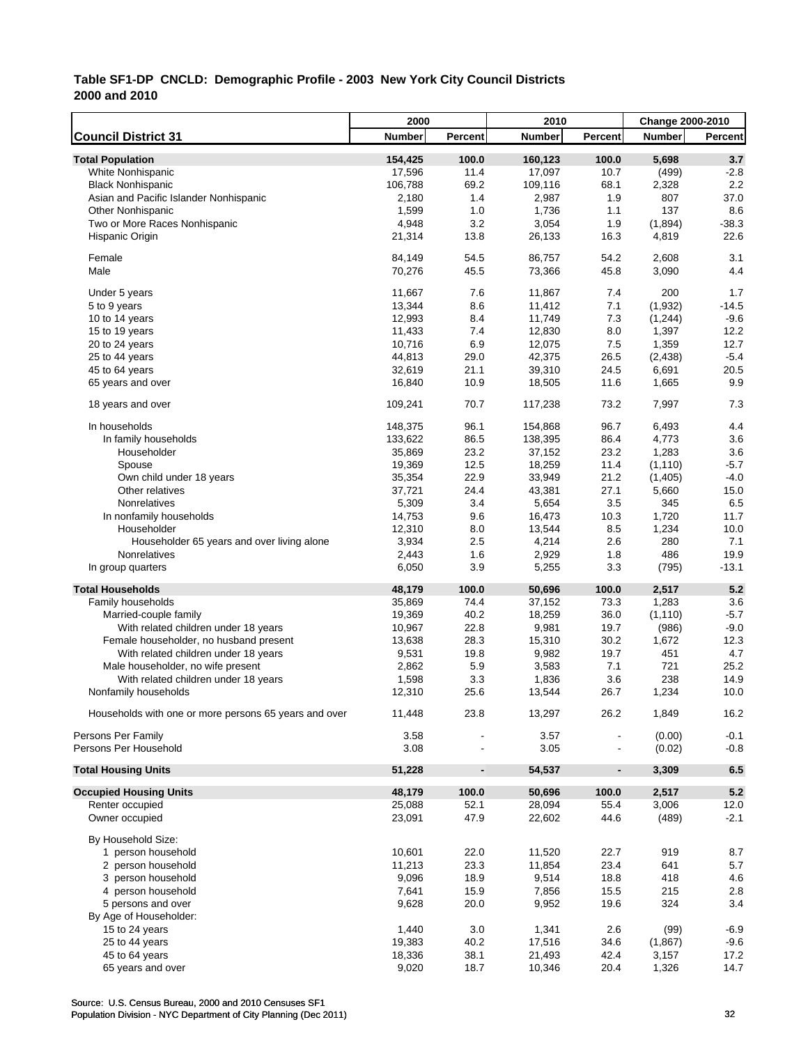|                                                       | 2000          |                          | 2010          |                | Change 2000-2010 |                  |
|-------------------------------------------------------|---------------|--------------------------|---------------|----------------|------------------|------------------|
| <b>Council District 31</b>                            | <b>Number</b> | Percent                  | <b>Number</b> | Percent        | <b>Number</b>    | <b>Percent</b>   |
| <b>Total Population</b>                               | 154,425       | 100.0                    | 160,123       | 100.0          | 5,698            | 3.7              |
| White Nonhispanic                                     | 17,596        | 11.4                     | 17,097        | 10.7           | (499)            | $-2.8$           |
| <b>Black Nonhispanic</b>                              | 106,788       | 69.2                     | 109,116       | 68.1           | 2,328            | 2.2              |
| Asian and Pacific Islander Nonhispanic                | 2,180         | 1.4                      | 2,987         | 1.9            | 807              | 37.0             |
| <b>Other Nonhispanic</b>                              | 1,599         | 1.0                      | 1,736         | 1.1            | 137              | 8.6              |
| Two or More Races Nonhispanic                         | 4,948         | 3.2                      | 3,054         | 1.9            | (1,894)          | $-38.3$          |
| Hispanic Origin                                       | 21,314        | 13.8                     | 26,133        | 16.3           | 4,819            | 22.6             |
| Female                                                | 84,149        | 54.5                     | 86,757        | 54.2           | 2,608            | 3.1              |
| Male                                                  | 70,276        | 45.5                     | 73,366        | 45.8           | 3,090            | 4.4              |
|                                                       |               |                          |               |                |                  |                  |
| Under 5 years                                         | 11,667        | 7.6                      | 11,867        | 7.4            | 200              | 1.7              |
| 5 to 9 years                                          | 13,344        | 8.6                      | 11,412        | 7.1            | (1,932)          | $-14.5$          |
| 10 to 14 years                                        | 12,993        | 8.4                      | 11,749        | 7.3            | (1, 244)         | $-9.6$           |
| 15 to 19 years                                        | 11,433        | 7.4                      | 12,830        | 8.0            | 1,397            | 12.2             |
| 20 to 24 years                                        | 10,716        | 6.9                      | 12,075        | 7.5            | 1,359            | 12.7             |
| 25 to 44 years                                        | 44,813        | 29.0                     | 42,375        | 26.5           | (2, 438)         | $-5.4$           |
| 45 to 64 years                                        | 32,619        | 21.1                     | 39,310        | 24.5           | 6,691            | 20.5             |
| 65 years and over                                     | 16,840        | 10.9                     | 18,505        | 11.6           | 1,665            | 9.9              |
| 18 years and over                                     | 109,241       | 70.7                     | 117,238       | 73.2           | 7,997            | 7.3              |
| In households                                         | 148,375       | 96.1                     | 154,868       | 96.7           | 6,493            | 4.4              |
| In family households                                  | 133,622       | 86.5                     | 138,395       | 86.4           | 4,773            | 3.6              |
| Householder                                           | 35,869        | 23.2                     | 37,152        | 23.2           | 1,283            | 3.6              |
| Spouse                                                | 19,369        | 12.5                     | 18,259        | 11.4           | (1, 110)         | $-5.7$           |
| Own child under 18 years                              | 35,354        | 22.9                     | 33,949        | 21.2           | (1, 405)         | $-4.0$           |
| Other relatives                                       | 37,721        | 24.4                     | 43,381        | 27.1           | 5,660            | 15.0             |
| Nonrelatives                                          | 5,309         | 3.4                      | 5,654         | 3.5            | 345              | 6.5              |
| In nonfamily households                               | 14,753        | 9.6                      | 16,473        | 10.3           | 1,720            | 11.7             |
| Householder                                           | 12,310        | 8.0                      | 13,544        | 8.5            | 1,234            | 10.0             |
| Householder 65 years and over living alone            | 3,934         | 2.5                      | 4,214         | 2.6            | 280              | 7.1              |
| Nonrelatives                                          | 2,443         | 1.6                      | 2,929         | 1.8            | 486              | 19.9             |
| In group quarters                                     | 6,050         | 3.9                      | 5,255         | 3.3            | (795)            | $-13.1$          |
| <b>Total Households</b>                               | 48,179        | 100.0                    | 50,696        | 100.0          | 2,517            | 5.2              |
| Family households                                     | 35,869        | 74.4                     | 37,152        | 73.3           | 1,283            | 3.6              |
| Married-couple family                                 | 19,369        | 40.2                     | 18,259        | 36.0           | (1, 110)         | $-5.7$           |
| With related children under 18 years                  | 10,967        | 22.8                     | 9,981         | 19.7           | (986)            | $-9.0$           |
| Female householder, no husband present                | 13,638        | 28.3                     | 15,310        | 30.2           | 1,672            | 12.3             |
| With related children under 18 years                  | 9,531         | 19.8                     | 9,982         | 19.7           | 451              | 4.7              |
| Male householder, no wife present                     | 2,862         | 5.9                      | 3,583         | 7.1            | 721              | 25.2             |
| With related children under 18 years                  | 1,598         | 3.3                      | 1,836         | 3.6            | 238              | 14.9             |
| Nonfamily households                                  | 12,310        | 25.6                     | 13,544        | 26.7           | 1,234            | 10.0             |
| Households with one or more persons 65 years and over | 11,448        | 23.8                     | 13,297        | 26.2           | 1,849            | 16.2             |
|                                                       |               |                          |               |                |                  |                  |
| Persons Per Family<br>Persons Per Household           | 3.58<br>3.08  |                          | 3.57<br>3.05  |                | (0.00)<br>(0.02) | $-0.1$<br>$-0.8$ |
| <b>Total Housing Units</b>                            | 51,228        | $\overline{\phantom{a}}$ | 54,537        | $\blacksquare$ | 3,309            | $6.5\,$          |
|                                                       |               |                          |               |                |                  |                  |
| <b>Occupied Housing Units</b>                         | 48,179        | 100.0                    | 50,696        | 100.0          | 2,517            | 5.2              |
| Renter occupied                                       | 25,088        | 52.1                     | 28,094        | 55.4           | 3,006            | 12.0             |
| Owner occupied                                        | 23,091        | 47.9                     | 22,602        | 44.6           | (489)            | $-2.1$           |
| By Household Size:                                    |               |                          |               |                |                  |                  |
| 1 person household                                    | 10,601        | 22.0                     | 11,520        | 22.7           | 919              | 8.7              |
| 2 person household                                    | 11,213        | 23.3                     | 11,854        | 23.4           | 641              | $5.7\,$          |
| 3 person household                                    | 9,096         | 18.9                     | 9,514         | 18.8           | 418              | 4.6              |
| 4 person household                                    | 7,641         | 15.9                     | 7,856         | 15.5           | 215              | 2.8              |
| 5 persons and over                                    | 9,628         | 20.0                     | 9,952         | 19.6           | 324              | 3.4              |
| By Age of Householder:                                |               |                          |               |                |                  |                  |
| 15 to 24 years                                        | 1,440         | 3.0                      | 1,341         | 2.6            | (99)             | $-6.9$           |
| 25 to 44 years                                        | 19,383        | 40.2                     | 17,516        | 34.6           | (1,867)          | $-9.6$           |
| 45 to 64 years                                        | 18,336        | 38.1                     | 21,493        | 42.4           | 3,157            | 17.2             |
| 65 years and over                                     | 9,020         | 18.7                     | 10,346        | 20.4           | 1,326            | 14.7             |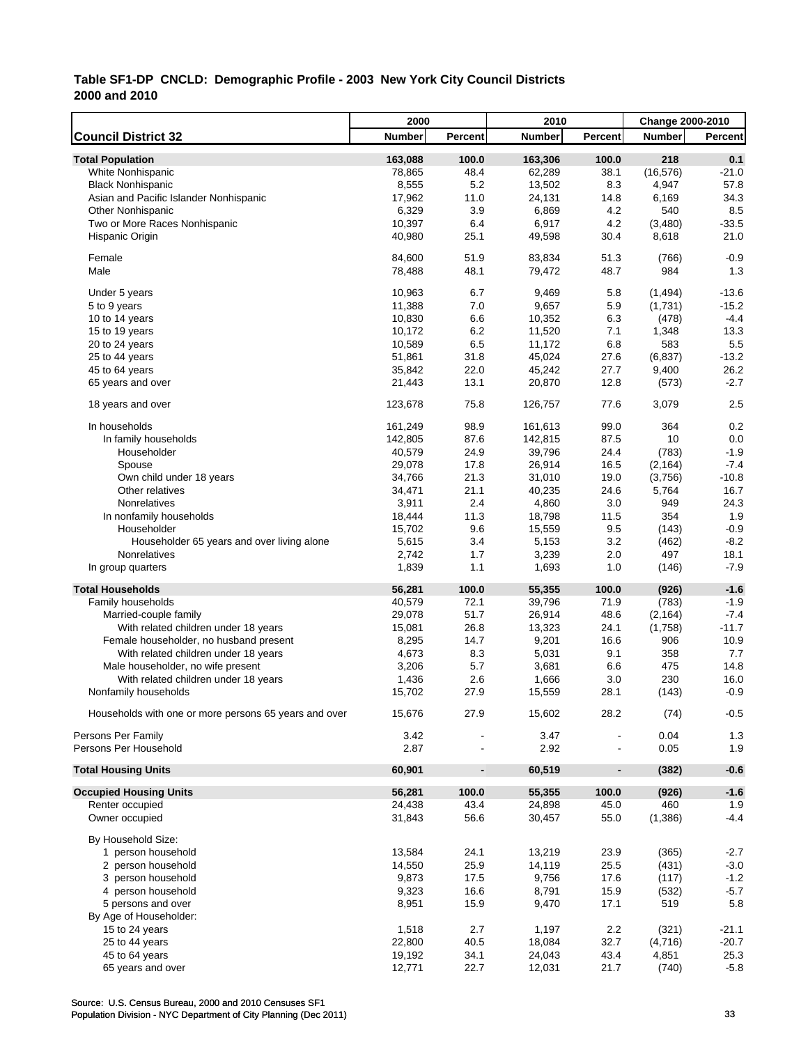|                                                       | 2000          |                          | 2010          |                          | Change 2000-2010 |         |
|-------------------------------------------------------|---------------|--------------------------|---------------|--------------------------|------------------|---------|
| <b>Council District 32</b>                            | <b>Number</b> | Percent                  | <b>Number</b> | Percent                  | <b>Number</b>    | Percent |
| <b>Total Population</b>                               | 163,088       | 100.0                    | 163,306       | 100.0                    | 218              | 0.1     |
| <b>White Nonhispanic</b>                              | 78,865        | 48.4                     | 62,289        | 38.1                     | (16, 576)        | $-21.0$ |
| <b>Black Nonhispanic</b>                              | 8,555         | 5.2                      | 13,502        | 8.3                      | 4,947            | 57.8    |
| Asian and Pacific Islander Nonhispanic                | 17,962        | 11.0                     | 24,131        | 14.8                     | 6,169            | 34.3    |
| <b>Other Nonhispanic</b>                              | 6,329         | 3.9                      | 6,869         | 4.2                      | 540              | 8.5     |
| Two or More Races Nonhispanic                         | 10,397        | 6.4                      | 6,917         | 4.2                      | (3,480)          | $-33.5$ |
| Hispanic Origin                                       | 40,980        | 25.1                     | 49,598        | 30.4                     | 8,618            | 21.0    |
|                                                       |               |                          |               |                          |                  |         |
| Female                                                | 84,600        | 51.9                     | 83,834        | 51.3                     | (766)            | $-0.9$  |
| Male                                                  | 78,488        | 48.1                     | 79,472        | 48.7                     | 984              | 1.3     |
| Under 5 years                                         | 10,963        | 6.7                      | 9,469         | 5.8                      | (1, 494)         | $-13.6$ |
| 5 to 9 years                                          | 11,388        | 7.0                      | 9,657         | 5.9                      | (1,731)          | $-15.2$ |
| 10 to 14 years                                        | 10,830        | 6.6                      | 10,352        | 6.3                      | (478)            | $-4.4$  |
| 15 to 19 years                                        | 10,172        | 6.2                      | 11,520        | 7.1                      | 1,348            | 13.3    |
| 20 to 24 years                                        | 10,589        | 6.5                      | 11,172        | 6.8                      | 583              | 5.5     |
| 25 to 44 years                                        | 51,861        | 31.8                     | 45,024        | 27.6                     | (6, 837)         | $-13.2$ |
| 45 to 64 years                                        | 35,842        | 22.0                     | 45,242        | 27.7                     | 9,400            | 26.2    |
| 65 years and over                                     | 21,443        | 13.1                     | 20,870        | 12.8                     | (573)            | $-2.7$  |
|                                                       |               |                          |               |                          |                  |         |
| 18 years and over                                     | 123,678       | 75.8                     | 126,757       | 77.6                     | 3,079            | 2.5     |
| In households                                         | 161,249       | 98.9                     | 161,613       | 99.0                     | 364              | 0.2     |
| In family households                                  | 142,805       | 87.6                     | 142,815       | 87.5                     | 10               | 0.0     |
| Householder                                           | 40,579        | 24.9                     | 39,796        | 24.4                     | (783)            | $-1.9$  |
| Spouse                                                | 29,078        | 17.8                     | 26,914        | 16.5                     | (2, 164)         | $-7.4$  |
| Own child under 18 years                              | 34,766        | 21.3                     | 31,010        | 19.0                     | (3,756)          | $-10.8$ |
| Other relatives                                       | 34,471        | 21.1                     | 40,235        | 24.6                     | 5,764            | 16.7    |
| Nonrelatives                                          | 3,911         | 2.4                      | 4,860         | 3.0                      | 949              | 24.3    |
| In nonfamily households                               | 18,444        | 11.3                     | 18,798        | 11.5                     | 354              | 1.9     |
| Householder                                           | 15,702        | 9.6                      | 15,559        | 9.5                      | (143)            | $-0.9$  |
| Householder 65 years and over living alone            | 5,615         | 3.4                      | 5,153         | 3.2                      | (462)            | $-8.2$  |
| Nonrelatives                                          | 2,742         | 1.7                      | 3,239         | 2.0                      | 497              | 18.1    |
| In group quarters                                     | 1,839         | 1.1                      | 1,693         | 1.0                      | (146)            | $-7.9$  |
| <b>Total Households</b>                               | 56,281        | 100.0                    | 55,355        | 100.0                    | (926)            | $-1.6$  |
| Family households                                     | 40,579        | 72.1                     | 39,796        | 71.9                     | (783)            | $-1.9$  |
| Married-couple family                                 | 29,078        | 51.7                     | 26,914        | 48.6                     | (2, 164)         | $-7.4$  |
| With related children under 18 years                  | 15,081        | 26.8                     | 13,323        | 24.1                     | (1,758)          | $-11.7$ |
| Female householder, no husband present                | 8,295         | 14.7                     | 9,201         | 16.6                     | 906              | 10.9    |
| With related children under 18 years                  | 4,673         | 8.3                      | 5,031         | 9.1                      | 358              | 7.7     |
| Male householder, no wife present                     | 3,206         | 5.7                      | 3,681         | 6.6                      | 475              | 14.8    |
| With related children under 18 years                  | 1,436         | 2.6                      | 1,666         | 3.0                      | 230              | 16.0    |
| Nonfamily households                                  | 15,702        | 27.9                     | 15,559        | 28.1                     | (143)            | $-0.9$  |
|                                                       |               |                          |               |                          |                  |         |
| Households with one or more persons 65 years and over | 15,676        | 27.9                     | 15,602        | 28.2                     | (74)             | $-0.5$  |
| Persons Per Family                                    | 3.42          |                          | 3.47          |                          | 0.04             | 1.3     |
| Persons Per Household                                 | 2.87          |                          | 2.92          | $\overline{\phantom{a}}$ | 0.05             | 1.9     |
| <b>Total Housing Units</b>                            | 60,901        | $\overline{\phantom{a}}$ | 60,519        | $\blacksquare$           | (382)            | $-0.6$  |
| <b>Occupied Housing Units</b>                         | 56,281        | 100.0                    | 55,355        | 100.0                    | (926)            | $-1.6$  |
| Renter occupied                                       | 24,438        | 43.4                     | 24,898        | 45.0                     | 460              | 1.9     |
| Owner occupied                                        | 31,843        | 56.6                     | 30,457        | 55.0                     | (1,386)          | $-4.4$  |
| By Household Size:                                    |               |                          |               |                          |                  |         |
| 1 person household                                    | 13,584        | 24.1                     | 13,219        | 23.9                     | (365)            | $-2.7$  |
| 2 person household                                    | 14,550        | 25.9                     | 14,119        | 25.5                     | (431)            | $-3.0$  |
| 3 person household                                    | 9,873         | 17.5                     | 9,756         | 17.6                     | (117)            | $-1.2$  |
| 4 person household                                    | 9,323         | 16.6                     | 8,791         | 15.9                     | (532)            | $-5.7$  |
| 5 persons and over                                    | 8,951         | 15.9                     | 9,470         | 17.1                     | 519              | 5.8     |
| By Age of Householder:                                |               |                          |               |                          |                  |         |
| 15 to 24 years                                        | 1,518         | 2.7                      | 1,197         | 2.2                      | (321)            | $-21.1$ |
| 25 to 44 years                                        | 22,800        | 40.5                     | 18,084        | 32.7                     | (4,716)          | $-20.7$ |
| 45 to 64 years                                        | 19,192        | 34.1                     | 24,043        | 43.4                     | 4,851            | 25.3    |
| 65 years and over                                     | 12,771        | 22.7                     | 12,031        | 21.7                     | (740)            | $-5.8$  |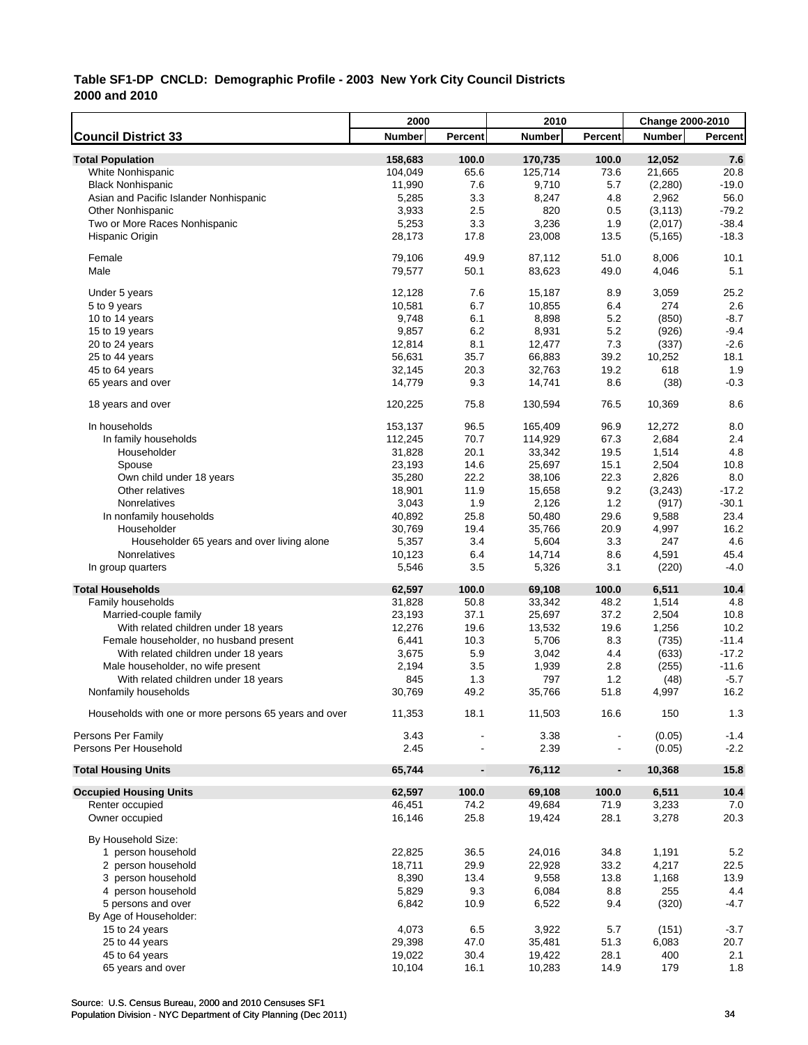|                                                       | 2000          |                          | 2010          |                | Change 2000-2010 |                  |
|-------------------------------------------------------|---------------|--------------------------|---------------|----------------|------------------|------------------|
| <b>Council District 33</b>                            | <b>Number</b> | Percent                  | <b>Number</b> | <b>Percent</b> | <b>Number</b>    | <b>Percent</b>   |
| <b>Total Population</b>                               | 158,683       | 100.0                    | 170,735       | 100.0          | 12,052           | 7.6              |
| White Nonhispanic                                     | 104,049       | 65.6                     | 125,714       | 73.6           | 21,665           | 20.8             |
| <b>Black Nonhispanic</b>                              | 11,990        | 7.6                      | 9,710         | 5.7            | (2, 280)         | $-19.0$          |
| Asian and Pacific Islander Nonhispanic                | 5,285         | 3.3                      | 8,247         | 4.8            | 2,962            | 56.0             |
| <b>Other Nonhispanic</b>                              | 3,933         | 2.5                      | 820           | 0.5            | (3, 113)         | $-79.2$          |
| Two or More Races Nonhispanic                         | 5,253         | 3.3                      | 3,236         | 1.9            | (2,017)          | $-38.4$          |
| Hispanic Origin                                       | 28,173        | 17.8                     | 23,008        | 13.5           | (5, 165)         | $-18.3$          |
|                                                       |               |                          |               |                |                  |                  |
| Female                                                | 79,106        | 49.9                     | 87,112        | 51.0           | 8,006            | 10.1             |
| Male                                                  | 79,577        | 50.1                     | 83,623        | 49.0           | 4,046            | 5.1              |
|                                                       |               |                          |               |                |                  |                  |
| Under 5 years                                         | 12,128        | 7.6<br>6.7               | 15,187        | 8.9            | 3,059            | 25.2             |
| 5 to 9 years                                          | 10,581        |                          | 10,855        | 6.4            | 274              | 2.6              |
| 10 to 14 years                                        | 9,748         | 6.1                      | 8,898         | 5.2            | (850)            | $-8.7$           |
| 15 to 19 years                                        | 9,857         | 6.2                      | 8,931         | 5.2            | (926)            | $-9.4$           |
| 20 to 24 years                                        | 12,814        | 8.1                      | 12,477        | 7.3            | (337)            | $-2.6$           |
| 25 to 44 years                                        | 56,631        | 35.7                     | 66,883        | 39.2           | 10,252           | 18.1             |
| 45 to 64 years                                        | 32,145        | 20.3                     | 32,763        | 19.2           | 618              | 1.9              |
| 65 years and over                                     | 14,779        | 9.3                      | 14,741        | 8.6            | (38)             | $-0.3$           |
| 18 years and over                                     | 120,225       | 75.8                     | 130,594       | 76.5           | 10,369           | 8.6              |
|                                                       |               |                          |               |                |                  |                  |
| In households                                         | 153,137       | 96.5                     | 165,409       | 96.9           | 12,272           | 8.0              |
| In family households                                  | 112,245       | 70.7                     | 114,929       | 67.3           | 2,684            | 2.4              |
| Householder                                           | 31,828        | 20.1                     | 33,342        | 19.5           | 1,514            | 4.8              |
| Spouse                                                | 23,193        | 14.6                     | 25,697        | 15.1           | 2,504            | 10.8             |
| Own child under 18 years                              | 35,280        | 22.2                     | 38,106        | 22.3           | 2,826            | 8.0              |
| Other relatives                                       | 18,901        | 11.9                     | 15,658        | 9.2            | (3,243)          | $-17.2$          |
| Nonrelatives                                          | 3,043         | 1.9                      | 2,126         | 1.2            | (917)            | $-30.1$          |
| In nonfamily households                               | 40,892        | 25.8                     | 50,480        | 29.6           | 9,588            | 23.4             |
| Householder                                           | 30,769        | 19.4                     | 35,766        | 20.9           | 4,997            | 16.2             |
| Householder 65 years and over living alone            | 5,357         | 3.4                      | 5,604         | 3.3            | 247              | 4.6              |
| Nonrelatives                                          | 10,123        | 6.4                      | 14,714        | 8.6            | 4,591            | 45.4             |
| In group quarters                                     | 5,546         | 3.5                      | 5,326         | 3.1            | (220)            | $-4.0$           |
| <b>Total Households</b>                               | 62,597        | 100.0                    | 69,108        | 100.0          | 6,511            | 10.4             |
| Family households                                     | 31,828        | 50.8                     | 33,342        | 48.2           | 1,514            | 4.8              |
| Married-couple family                                 | 23,193        | 37.1                     | 25,697        | 37.2           | 2,504            | 10.8             |
| With related children under 18 years                  | 12,276        | 19.6                     | 13,532        | 19.6           | 1,256            | 10.2             |
| Female householder, no husband present                | 6,441         | 10.3                     | 5,706         | 8.3            | (735)            | $-11.4$          |
| With related children under 18 years                  | 3,675         | 5.9                      | 3,042         | 4.4            | (633)            | $-17.2$          |
| Male householder, no wife present                     | 2,194         | 3.5                      | 1,939         | 2.8            | (255)            | $-11.6$          |
| With related children under 18 years                  | 845           | 1.3                      | 797           | 1.2            | (48)             | $-5.7$           |
| Nonfamily households                                  | 30,769        | 49.2                     | 35,766        | 51.8           | 4,997            | 16.2             |
|                                                       |               |                          |               |                |                  |                  |
| Households with one or more persons 65 years and over | 11,353        | 18.1                     | 11,503        | 16.6           | 150              | 1.3              |
|                                                       |               |                          |               |                |                  |                  |
| Persons Per Family<br>Persons Per Household           | 3.43<br>2.45  |                          | 3.38<br>2.39  |                | (0.05)           | $-1.4$<br>$-2.2$ |
|                                                       |               |                          |               |                | (0.05)           |                  |
| <b>Total Housing Units</b>                            | 65,744        | $\overline{\phantom{a}}$ | 76,112        | $\blacksquare$ | 10,368           | 15.8             |
| <b>Occupied Housing Units</b>                         | 62,597        | 100.0                    | 69,108        | 100.0          | 6,511            | 10.4             |
| Renter occupied                                       | 46,451        | 74.2                     | 49,684        | 71.9           | 3,233            | 7.0              |
| Owner occupied                                        | 16,146        | 25.8                     | 19,424        | 28.1           | 3,278            | 20.3             |
|                                                       |               |                          |               |                |                  |                  |
| By Household Size:                                    |               |                          |               |                |                  |                  |
| 1 person household                                    | 22,825        | 36.5                     | 24,016        | 34.8           | 1,191            | 5.2              |
| 2 person household                                    | 18,711        | 29.9                     | 22,928        | 33.2           | 4,217            | 22.5             |
| 3 person household                                    | 8,390         | 13.4                     | 9,558         | 13.8           | 1,168            | 13.9             |
| 4 person household                                    | 5,829         | 9.3                      | 6,084         | 8.8            | 255              | 4.4              |
| 5 persons and over                                    | 6,842         | 10.9                     | 6,522         | 9.4            | (320)            | -4.7             |
| By Age of Householder:                                |               |                          |               |                |                  |                  |
| 15 to 24 years                                        | 4,073         | 6.5                      | 3,922         | 5.7            | (151)            | $-3.7$           |
| 25 to 44 years                                        | 29,398        | 47.0                     | 35,481        | 51.3           | 6,083            | 20.7             |
| 45 to 64 years                                        | 19,022        | 30.4                     | 19,422        | 28.1           | 400              | 2.1              |
| 65 years and over                                     | 10,104        | 16.1                     | 10,283        | 14.9           | 179              | 1.8              |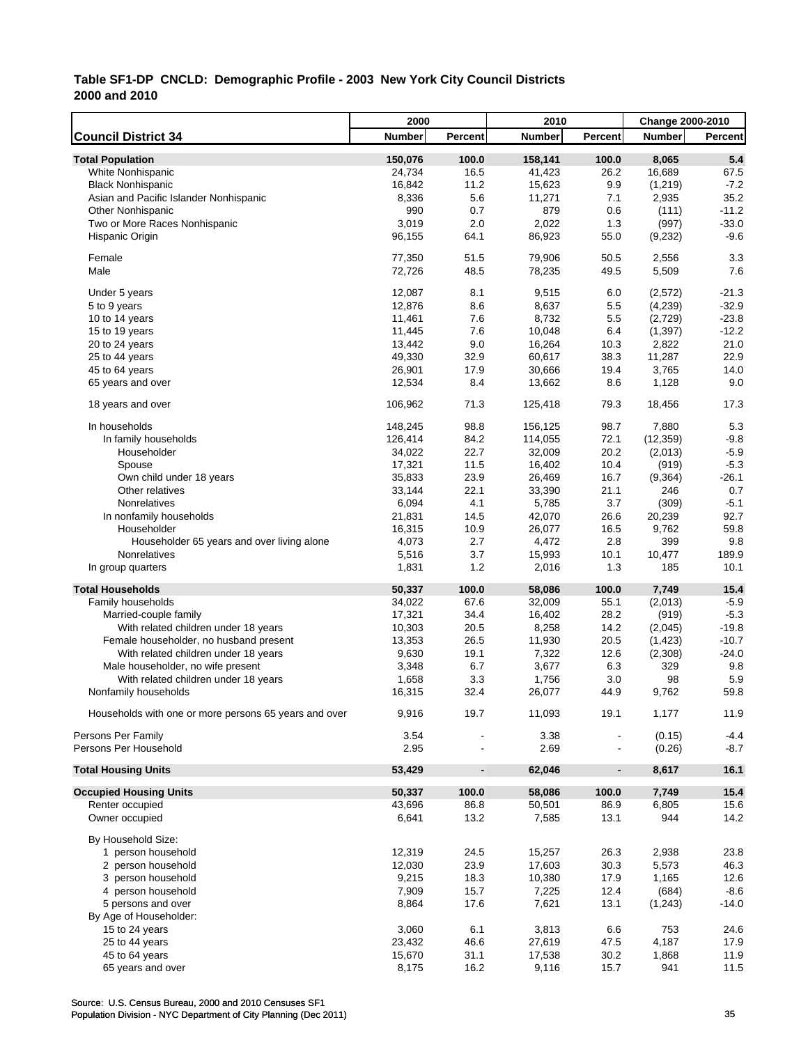|                                                       | 2000          |                          | 2010          |                | Change 2000-2010 |                |
|-------------------------------------------------------|---------------|--------------------------|---------------|----------------|------------------|----------------|
| <b>Council District 34</b>                            | <b>Number</b> | Percent                  | <b>Number</b> | <b>Percent</b> | <b>Number</b>    | <b>Percent</b> |
| <b>Total Population</b>                               | 150,076       | 100.0                    | 158,141       | 100.0          | 8,065            | 5.4            |
| White Nonhispanic                                     | 24,734        | 16.5                     | 41,423        | 26.2           | 16,689           | 67.5           |
| <b>Black Nonhispanic</b>                              | 16,842        | 11.2                     | 15,623        | 9.9            | (1, 219)         | $-7.2$         |
| Asian and Pacific Islander Nonhispanic                | 8,336         | 5.6                      | 11,271        | 7.1            | 2,935            | 35.2           |
| <b>Other Nonhispanic</b>                              | 990           | 0.7                      | 879           | 0.6            | (111)            | $-11.2$        |
| Two or More Races Nonhispanic                         | 3,019         | 2.0                      | 2,022         | 1.3            | (997)            | $-33.0$        |
| Hispanic Origin                                       | 96,155        | 64.1                     | 86,923        | 55.0           | (9,232)          | $-9.6$         |
|                                                       |               |                          |               |                |                  |                |
| Female                                                | 77,350        | 51.5                     | 79,906        | 50.5           | 2,556            | 3.3            |
| Male                                                  | 72,726        | 48.5                     | 78,235        | 49.5           | 5,509            | 7.6            |
|                                                       |               |                          |               |                |                  |                |
| Under 5 years                                         | 12,087        | 8.1                      | 9,515         | 6.0            | (2,572)          | $-21.3$        |
| 5 to 9 years                                          | 12,876        | 8.6                      | 8,637         | 5.5            | (4,239)          | $-32.9$        |
| 10 to 14 years                                        | 11,461        | 7.6                      | 8,732         | 5.5            | (2,729)          | $-23.8$        |
| 15 to 19 years                                        | 11,445        | 7.6                      | 10,048        | 6.4            | (1, 397)         | $-12.2$        |
| 20 to 24 years                                        | 13,442        | 9.0                      | 16,264        | 10.3           | 2,822            | 21.0           |
| 25 to 44 years                                        | 49,330        | 32.9                     | 60,617        | 38.3           | 11,287           | 22.9           |
| 45 to 64 years                                        | 26,901        | 17.9                     | 30,666        | 19.4           | 3,765            | 14.0           |
| 65 years and over                                     | 12,534        | 8.4                      | 13,662        | 8.6            | 1,128            | 9.0            |
|                                                       |               |                          |               |                |                  |                |
| 18 years and over                                     | 106,962       | 71.3                     | 125,418       | 79.3           | 18,456           | 17.3           |
| In households                                         | 148,245       | 98.8                     | 156,125       | 98.7           | 7,880            | 5.3            |
| In family households                                  | 126,414       | 84.2                     | 114,055       | 72.1           | (12, 359)        | $-9.8$         |
| Householder                                           | 34,022        | 22.7                     | 32,009        | 20.2           |                  | $-5.9$         |
|                                                       |               |                          |               |                | (2,013)          |                |
| Spouse                                                | 17,321        | 11.5                     | 16,402        | 10.4           | (919)            | $-5.3$         |
| Own child under 18 years                              | 35,833        | 23.9                     | 26,469        | 16.7           | (9,364)          | $-26.1$        |
| Other relatives                                       | 33.144        | 22.1                     | 33,390        | 21.1           | 246              | 0.7            |
| Nonrelatives                                          | 6,094         | 4.1                      | 5,785         | 3.7            | (309)            | $-5.1$         |
| In nonfamily households                               | 21,831        | 14.5                     | 42,070        | 26.6           | 20,239           | 92.7           |
| Householder                                           | 16,315        | 10.9                     | 26,077        | 16.5           | 9,762            | 59.8           |
| Householder 65 years and over living alone            | 4,073         | 2.7                      | 4,472         | 2.8            | 399              | 9.8            |
| Nonrelatives                                          | 5,516         | 3.7                      | 15,993        | 10.1           | 10,477           | 189.9          |
| In group quarters                                     | 1,831         | 1.2                      | 2,016         | 1.3            | 185              | 10.1           |
| <b>Total Households</b>                               | 50,337        | 100.0                    | 58,086        | 100.0          | 7,749            | 15.4           |
| Family households                                     | 34,022        | 67.6                     | 32,009        | 55.1           | (2,013)          | $-5.9$         |
| Married-couple family                                 | 17,321        | 34.4                     | 16,402        | 28.2           | (919)            | $-5.3$         |
| With related children under 18 years                  | 10,303        | 20.5                     | 8,258         | 14.2           | (2,045)          | $-19.8$        |
| Female householder, no husband present                | 13,353        | 26.5                     | 11,930        | 20.5           | (1, 423)         | $-10.7$        |
|                                                       |               |                          |               |                |                  |                |
| With related children under 18 years                  | 9,630         | 19.1                     | 7,322         | 12.6           | (2,308)          | $-24.0$        |
| Male householder, no wife present                     | 3,348         | 6.7                      | 3,677         | 6.3            | 329              | 9.8            |
| With related children under 18 years                  | 1,658         | 3.3                      | 1,756         | 3.0            | 98               | 5.9            |
| Nonfamily households                                  | 16,315        | 32.4                     | 26,077        | 44.9           | 9,762            | 59.8           |
| Households with one or more persons 65 years and over | 9,916         | 19.7                     | 11,093        | 19.1           | 1,177            | 11.9           |
|                                                       |               |                          |               |                |                  |                |
| Persons Per Family                                    | 3.54          |                          | 3.38          |                | (0.15)           | $-4.4$         |
| Persons Per Household                                 | 2.95          |                          | 2.69          |                | (0.26)           | $-8.7$         |
| <b>Total Housing Units</b>                            | 53,429        | $\overline{\phantom{a}}$ | 62,046        | $\blacksquare$ | 8,617            | 16.1           |
|                                                       |               |                          |               |                |                  |                |
| <b>Occupied Housing Units</b>                         | 50,337        | 100.0                    | 58,086        | 100.0          | 7,749            | 15.4           |
| Renter occupied                                       | 43,696        | 86.8                     | 50,501        | 86.9           | 6,805            | 15.6           |
| Owner occupied                                        | 6,641         | 13.2                     | 7,585         | 13.1           | 944              | 14.2           |
| By Household Size:                                    |               |                          |               |                |                  |                |
| 1 person household                                    | 12,319        | 24.5                     | 15,257        | 26.3           | 2,938            | 23.8           |
| 2 person household                                    | 12,030        | 23.9                     | 17,603        | 30.3           | 5,573            | 46.3           |
| 3 person household                                    | 9,215         | 18.3                     | 10,380        | 17.9           | 1,165            | 12.6           |
| 4 person household                                    | 7,909         | 15.7                     | 7,225         | 12.4           | (684)            | $-8.6$         |
|                                                       |               |                          |               |                |                  |                |
| 5 persons and over                                    | 8,864         | 17.6                     | 7,621         | 13.1           | (1, 243)         | $-14.0$        |
| By Age of Householder:                                |               |                          |               |                |                  |                |
| 15 to 24 years                                        | 3,060         | 6.1                      | 3,813         | 6.6            | 753              | 24.6           |
| 25 to 44 years                                        | 23,432        | 46.6                     | 27,619        | 47.5           | 4,187            | 17.9           |
| 45 to 64 years                                        | 15,670        | 31.1                     | 17,538        | 30.2           | 1,868            | 11.9           |
| 65 years and over                                     | 8,175         | 16.2                     | 9,116         | 15.7           | 941              | 11.5           |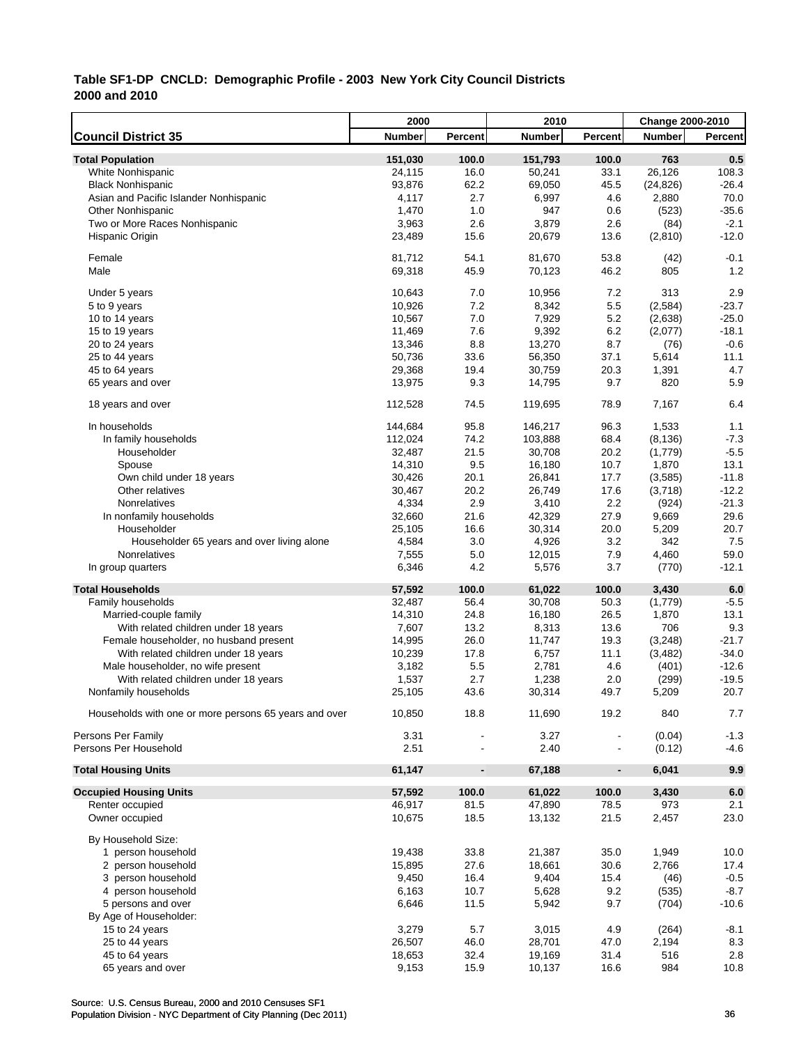|                                                       | 2000             |                          | 2010          |                | Change 2000-2010 |                |
|-------------------------------------------------------|------------------|--------------------------|---------------|----------------|------------------|----------------|
| <b>Council District 35</b>                            | Number           | Percent                  | <b>Number</b> | <b>Percent</b> | <b>Number</b>    | <b>Percent</b> |
| <b>Total Population</b>                               | 151,030          | 100.0                    | 151,793       | 100.0          | 763              | 0.5            |
| White Nonhispanic                                     | 24,115           | 16.0                     | 50,241        | 33.1           | 26,126           | 108.3          |
| <b>Black Nonhispanic</b>                              | 93,876           | 62.2                     | 69,050        | 45.5           | (24, 826)        | $-26.4$        |
| Asian and Pacific Islander Nonhispanic                | 4,117            | 2.7                      | 6,997         | 4.6            | 2,880            | 70.0           |
| <b>Other Nonhispanic</b>                              | 1,470            | 1.0                      | 947           | 0.6            | (523)            | $-35.6$        |
| Two or More Races Nonhispanic                         | 3,963            | 2.6                      | 3,879         | 2.6            | (84)             | $-2.1$         |
| Hispanic Origin                                       | 23,489           | 15.6                     | 20,679        | 13.6           | (2,810)          | $-12.0$        |
|                                                       |                  |                          |               |                |                  |                |
| Female                                                | 81,712           | 54.1                     | 81,670        | 53.8           | (42)             | $-0.1$         |
| Male                                                  | 69,318           | 45.9                     | 70,123        | 46.2           | 805              | 1.2            |
| Under 5 years                                         | 10,643           | 7.0                      | 10,956        | 7.2            | 313              | 2.9            |
| 5 to 9 years                                          | 10,926           | 7.2                      | 8,342         | 5.5            | (2, 584)         | $-23.7$        |
| 10 to 14 years                                        | 10,567           | 7.0                      | 7,929         | 5.2            | (2,638)          | $-25.0$        |
| 15 to 19 years                                        | 11,469           | 7.6                      | 9,392         | 6.2            | (2,077)          | $-18.1$        |
| 20 to 24 years                                        | 13,346           | 8.8                      | 13,270        | 8.7            | (76)             | $-0.6$         |
| 25 to 44 years                                        | 50,736           | 33.6                     | 56,350        | 37.1           | 5,614            | 11.1           |
| 45 to 64 years                                        | 29,368           | 19.4                     | 30,759        | 20.3           | 1,391            | 4.7            |
| 65 years and over                                     | 13,975           | 9.3                      | 14,795        | 9.7            | 820              | 5.9            |
| 18 years and over                                     | 112,528          | 74.5                     | 119,695       | 78.9           | 7.167            | 6.4            |
| In households                                         | 144,684          | 95.8                     | 146,217       | 96.3           | 1,533            | 1.1            |
| In family households                                  | 112,024          | 74.2                     | 103,888       | 68.4           | (8, 136)         | $-7.3$         |
| Householder                                           | 32,487           | 21.5                     | 30,708        | 20.2           | (1,779)          | $-5.5$         |
| Spouse                                                | 14,310           | 9.5                      | 16,180        | 10.7           | 1,870            | 13.1           |
| Own child under 18 years                              | 30,426           | 20.1                     | 26,841        | 17.7           | (3,585)          | $-11.8$        |
| Other relatives                                       | 30,467           | 20.2                     | 26,749        | 17.6           | (3,718)          | $-12.2$        |
| Nonrelatives                                          | 4,334            | 2.9                      | 3,410         | 2.2            | (924)            | $-21.3$        |
| In nonfamily households                               |                  | 21.6                     | 42,329        | 27.9           | 9,669            | 29.6           |
| Householder                                           | 32,660<br>25,105 | 16.6                     | 30,314        | 20.0           | 5,209            | 20.7           |
| Householder 65 years and over living alone            | 4,584            | 3.0                      | 4,926         | 3.2            | 342              | 7.5            |
| Nonrelatives                                          | 7,555            | 5.0                      | 12,015        | 7.9            | 4,460            | 59.0           |
| In group quarters                                     | 6,346            | 4.2                      | 5,576         | 3.7            | (770)            | $-12.1$        |
|                                                       |                  |                          |               |                |                  |                |
| <b>Total Households</b>                               | 57,592           | 100.0                    | 61,022        | 100.0          | 3,430            | 6.0            |
| Family households                                     | 32,487           | 56.4                     | 30,708        | 50.3           | (1,779)          | $-5.5$         |
| Married-couple family                                 | 14,310           | 24.8                     | 16,180        | 26.5           | 1,870            | 13.1           |
| With related children under 18 years                  | 7,607            | 13.2                     | 8,313         | 13.6           | 706              | 9.3<br>$-21.7$ |
| Female householder, no husband present                | 14,995           | 26.0                     | 11,747        | 19.3           | (3, 248)         |                |
| With related children under 18 years                  | 10,239           | 17.8                     | 6,757         | 11.1           | (3, 482)         | $-34.0$        |
| Male householder, no wife present                     | 3,182            | 5.5                      | 2,781         | 4.6            | (401)            | $-12.6$        |
| With related children under 18 years                  | 1,537            | 2.7                      | 1,238         | 2.0            | (299)            | $-19.5$        |
| Nonfamily households                                  | 25,105           | 43.6                     | 30,314        | 49.7           | 5,209            | 20.7           |
| Households with one or more persons 65 years and over | 10,850           | 18.8                     | 11,690        | 19.2           | 840              | 7.7            |
| Persons Per Family                                    | 3.31             |                          | 3.27          |                | (0.04)           | $-1.3$         |
| Persons Per Household                                 | 2.51             |                          | 2.40          |                | (0.12)           | $-4.6$         |
| <b>Total Housing Units</b>                            | 61,147           | $\overline{\phantom{a}}$ | 67,188        | $\blacksquare$ | 6,041            | 9.9            |
| <b>Occupied Housing Units</b>                         | 57,592           | 100.0                    | 61,022        | 100.0          | 3,430            | $6.0\,$        |
| Renter occupied                                       | 46,917           | 81.5                     | 47,890        | 78.5           | 973              | 2.1            |
| Owner occupied                                        | 10,675           | 18.5                     | 13,132        | 21.5           | 2,457            | 23.0           |
| By Household Size:                                    |                  |                          |               |                |                  |                |
| 1 person household                                    | 19,438           | 33.8                     | 21,387        | 35.0           | 1,949            | 10.0           |
| 2 person household                                    | 15,895           | 27.6                     | 18,661        | 30.6           | 2,766            | 17.4           |
| 3 person household                                    | 9,450            | 16.4                     | 9,404         | 15.4           | (46)             | $-0.5$         |
| 4 person household                                    | 6,163            | 10.7                     | 5,628         | 9.2            | (535)            | $-8.7$         |
| 5 persons and over                                    | 6,646            | 11.5                     | 5,942         | 9.7            | (704)            | $-10.6$        |
| By Age of Householder:                                |                  |                          |               |                |                  |                |
| 15 to 24 years                                        | 3,279            | 5.7                      | 3,015         | 4.9            | (264)            | $-8.1$         |
| 25 to 44 years                                        | 26,507           | 46.0                     | 28,701        | 47.0           | 2,194            | 8.3            |
| 45 to 64 years                                        | 18,653           | 32.4                     | 19,169        | 31.4           | 516              | 2.8            |
| 65 years and over                                     | 9,153            | 15.9                     | 10,137        | 16.6           | 984              | 10.8           |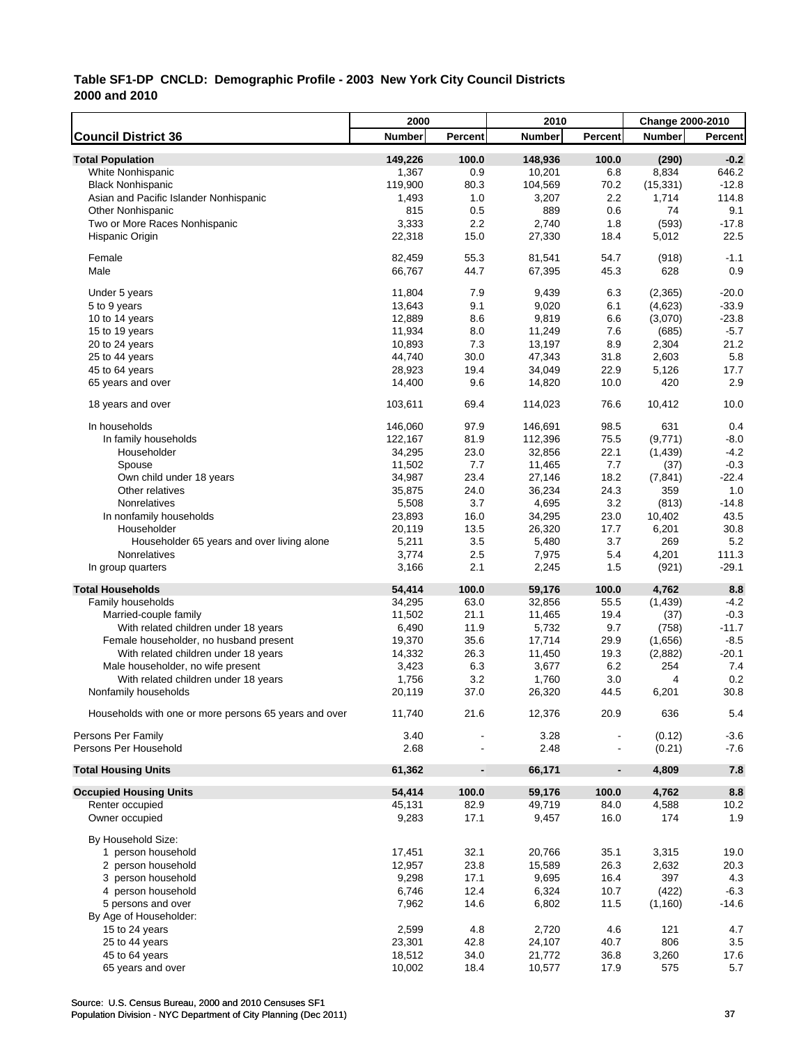|                                                               | 2000             |                          | 2010             |                | Change 2000-2010  |                |
|---------------------------------------------------------------|------------------|--------------------------|------------------|----------------|-------------------|----------------|
| <b>Council District 36</b>                                    | <b>Number</b>    | Percent                  | <b>Number</b>    | Percent        | <b>Number</b>     | <b>Percent</b> |
| <b>Total Population</b>                                       | 149,226          | 100.0                    | 148,936          | 100.0          | (290)             | $-0.2$         |
| White Nonhispanic                                             | 1,367            | 0.9                      | 10,201           | 6.8            | 8,834             | 646.2          |
| <b>Black Nonhispanic</b>                                      | 119,900          | 80.3                     | 104,569          | 70.2           | (15, 331)         | $-12.8$        |
| Asian and Pacific Islander Nonhispanic                        | 1,493            | 1.0                      | 3,207            | 2.2            | 1,714             | 114.8          |
| <b>Other Nonhispanic</b>                                      | 815              | 0.5                      | 889              | 0.6            | 74                | 9.1            |
| Two or More Races Nonhispanic                                 | 3,333            | 2.2                      | 2,740            | 1.8            | (593)             | $-17.8$        |
| Hispanic Origin                                               | 22,318           | 15.0                     | 27,330           | 18.4           | 5,012             | 22.5           |
|                                                               |                  |                          |                  |                |                   |                |
| Female<br>Male                                                | 82,459<br>66,767 | 55.3<br>44.7             | 81,541<br>67,395 | 54.7<br>45.3   | (918)<br>628      | $-1.1$<br>0.9  |
|                                                               |                  |                          |                  |                |                   |                |
| Under 5 years                                                 | 11,804           | 7.9                      | 9,439            | 6.3            | (2,365)           | $-20.0$        |
| 5 to 9 years                                                  | 13,643           | 9.1                      | 9,020            | 6.1            | (4,623)           | $-33.9$        |
| 10 to 14 years                                                | 12,889           | 8.6                      | 9,819            | 6.6            | (3,070)           | $-23.8$        |
| 15 to 19 years                                                | 11,934           | 8.0                      | 11,249           | 7.6            | (685)             | $-5.7$         |
| 20 to 24 years                                                | 10,893           | 7.3                      | 13,197           | 8.9            | 2,304             | 21.2           |
| 25 to 44 years                                                | 44,740           | 30.0                     | 47,343           | 31.8           | 2,603             | 5.8            |
| 45 to 64 years                                                | 28,923           | 19.4                     | 34,049           | 22.9           | 5,126             | 17.7           |
| 65 years and over                                             | 14,400           | 9.6                      | 14,820           | 10.0           | 420               | 2.9            |
| 18 years and over                                             | 103,611          | 69.4                     | 114,023          | 76.6           | 10,412            | 10.0           |
| In households                                                 | 146,060          | 97.9                     | 146,691          | 98.5           | 631               | 0.4            |
| In family households                                          | 122,167          | 81.9                     | 112,396          | 75.5           | (9,771)           | $-8.0$         |
| Householder                                                   | 34,295           | 23.0                     | 32,856           | 22.1           | (1, 439)          | $-4.2$         |
| Spouse                                                        | 11,502           | 7.7                      | 11,465           | 7.7            | (37)              | $-0.3$         |
| Own child under 18 years                                      | 34,987           | 23.4                     | 27,146           | 18.2           | (7, 841)          | $-22.4$        |
| Other relatives                                               | 35,875           | 24.0                     | 36,234           | 24.3           | 359               | 1.0            |
| Nonrelatives                                                  | 5,508            | 3.7                      | 4,695            | 3.2            | (813)             | $-14.8$        |
| In nonfamily households                                       | 23,893           | 16.0                     | 34,295           | 23.0           | 10,402            | 43.5           |
| Householder                                                   | 20,119           | 13.5                     | 26,320           | 17.7           | 6,201             | 30.8           |
| Householder 65 years and over living alone                    | 5,211            | 3.5                      | 5,480            | 3.7            | 269               | 5.2            |
| Nonrelatives                                                  | 3,774            | 2.5                      | 7,975            | 5.4            | 4,201             | 111.3          |
| In group quarters                                             | 3,166            | 2.1                      | 2,245            | 1.5            | (921)             | $-29.1$        |
|                                                               |                  |                          |                  |                |                   |                |
| <b>Total Households</b>                                       | 54,414<br>34,295 | 100.0<br>63.0            | 59,176           | 100.0<br>55.5  | 4,762<br>(1, 439) | 8.8<br>$-4.2$  |
| Family households                                             |                  | 21.1                     | 32,856           | 19.4           |                   | $-0.3$         |
| Married-couple family<br>With related children under 18 years | 11,502<br>6,490  | 11.9                     | 11,465<br>5,732  | 9.7            | (37)              | $-11.7$        |
|                                                               |                  |                          |                  |                | (758)             |                |
| Female householder, no husband present                        | 19,370           | 35.6                     | 17,714           | 29.9           | (1,656)           | $-8.5$         |
| With related children under 18 years                          | 14,332           | 26.3                     | 11,450           | 19.3           | (2,882)           | $-20.1$        |
| Male householder, no wife present                             | 3,423            | 6.3                      | 3,677            | 6.2            | 254               | 7.4            |
| With related children under 18 years                          | 1,756            | 3.2                      | 1,760            | 3.0            | 4                 | 0.2            |
| Nonfamily households                                          | 20,119           | 37.0                     | 26,320           | 44.5           | 6,201             | 30.8           |
| Households with one or more persons 65 years and over         | 11,740           | 21.6                     | 12,376           | 20.9           | 636               | 5.4            |
| Persons Per Family                                            | 3.40             |                          | 3.28             |                | (0.12)            | $-3.6$         |
| Persons Per Household                                         | 2.68             |                          | 2.48             |                | (0.21)            | $-7.6$         |
| <b>Total Housing Units</b>                                    | 61,362           | $\overline{\phantom{a}}$ | 66,171           | $\blacksquare$ | 4,809             | 7.8            |
| <b>Occupied Housing Units</b>                                 | 54,414           | 100.0                    | 59,176           | 100.0          | 4,762             | 8.8            |
| Renter occupied                                               | 45,131           | 82.9                     | 49,719           | 84.0           | 4,588             | 10.2           |
| Owner occupied                                                | 9,283            | 17.1                     | 9,457            | 16.0           | 174               | 1.9            |
| By Household Size:                                            |                  |                          |                  |                |                   |                |
| 1 person household                                            | 17,451           | 32.1                     | 20,766           | 35.1           | 3,315             | 19.0           |
| 2 person household                                            | 12,957           | 23.8                     | 15,589           | 26.3           | 2,632             | 20.3           |
| 3 person household                                            | 9,298            | 17.1                     | 9,695            | 16.4           | 397               | 4.3            |
| 4 person household                                            | 6,746            | 12.4                     | 6,324            | 10.7           | (422)             | $-6.3$         |
| 5 persons and over                                            | 7,962            | 14.6                     | 6,802            | 11.5           | (1, 160)          | $-14.6$        |
| By Age of Householder:                                        |                  |                          |                  |                |                   |                |
| 15 to 24 years                                                | 2,599            | 4.8                      | 2,720            | 4.6            | 121               | 4.7            |
| 25 to 44 years                                                | 23,301           | 42.8                     | 24,107           | 40.7           | 806               | 3.5            |
| 45 to 64 years                                                | 18,512           | 34.0                     | 21,772           | 36.8           | 3,260             | 17.6           |
| 65 years and over                                             | 10,002           | 18.4                     | 10,577           | 17.9           | 575               | 5.7            |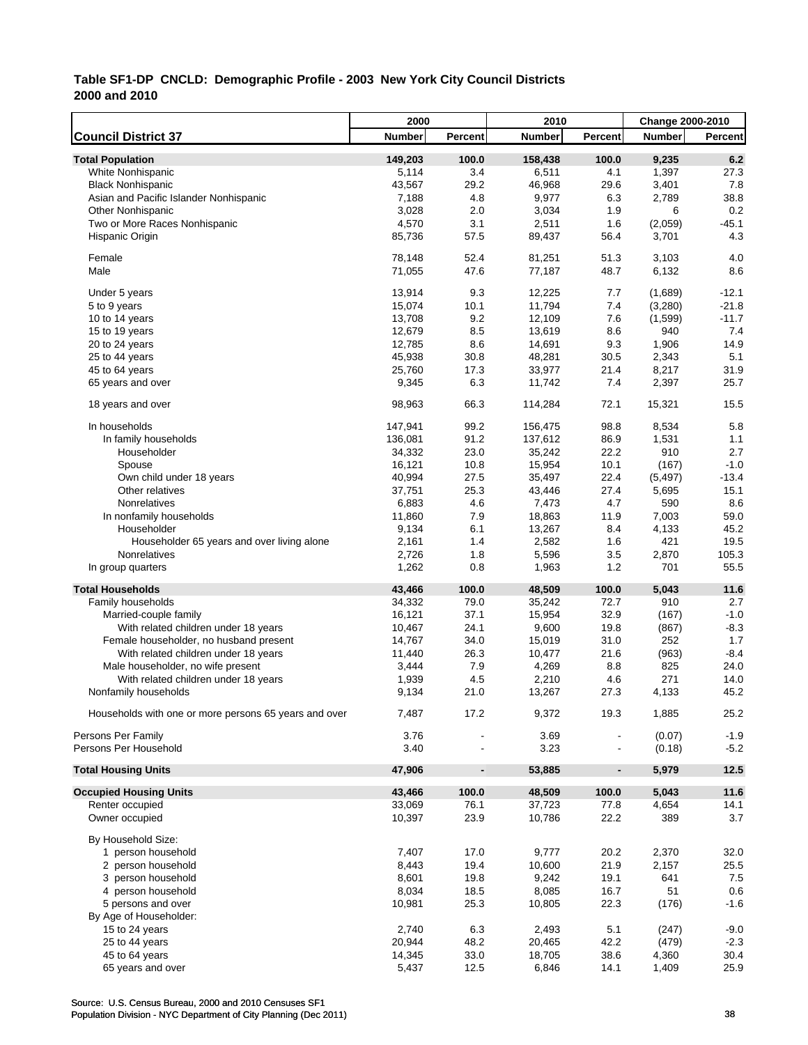|                                                       | 2000    |                          | 2010          |                          | Change 2000-2010 |                |
|-------------------------------------------------------|---------|--------------------------|---------------|--------------------------|------------------|----------------|
| <b>Council District 37</b>                            | Number  | Percent                  | <b>Number</b> | Percent                  | <b>Number</b>    | <b>Percent</b> |
| <b>Total Population</b>                               | 149,203 | 100.0                    | 158,438       | 100.0                    | 9,235            | 6.2            |
| White Nonhispanic                                     | 5,114   | 3.4                      | 6,511         | 4.1                      | 1,397            | 27.3           |
| <b>Black Nonhispanic</b>                              | 43,567  | 29.2                     | 46,968        | 29.6                     | 3,401            | 7.8            |
| Asian and Pacific Islander Nonhispanic                | 7,188   | 4.8                      | 9,977         | 6.3                      | 2,789            | 38.8           |
| <b>Other Nonhispanic</b>                              | 3,028   | 2.0                      | 3,034         | 1.9                      | 6                | 0.2            |
| Two or More Races Nonhispanic                         | 4,570   | 3.1                      | 2,511         | 1.6                      | (2,059)          | $-45.1$        |
| Hispanic Origin                                       | 85,736  | 57.5                     | 89,437        | 56.4                     | 3,701            | 4.3            |
|                                                       |         |                          |               |                          |                  |                |
| Female                                                | 78,148  | 52.4                     | 81,251        | 51.3                     | 3,103            | 4.0            |
| Male                                                  | 71,055  | 47.6                     | 77,187        | 48.7                     | 6,132            | 8.6            |
| Under 5 years                                         | 13,914  | 9.3                      | 12,225        | 7.7                      | (1,689)          | $-12.1$        |
| 5 to 9 years                                          | 15,074  | 10.1                     | 11,794        | 7.4                      | (3,280)          | $-21.8$        |
| 10 to 14 years                                        | 13,708  | 9.2                      | 12,109        | 7.6                      | (1,599)          | $-11.7$        |
| 15 to 19 years                                        | 12,679  | 8.5                      | 13,619        | 8.6                      | 940              | 7.4            |
| 20 to 24 years                                        | 12,785  | 8.6                      | 14,691        | 9.3                      | 1,906            | 14.9           |
| 25 to 44 years                                        | 45,938  | 30.8                     | 48,281        | 30.5                     | 2,343            | 5.1            |
| 45 to 64 years                                        | 25,760  | 17.3                     | 33,977        | 21.4                     | 8,217            | 31.9           |
| 65 years and over                                     | 9,345   | 6.3                      | 11,742        | 7.4                      | 2,397            | 25.7           |
|                                                       |         |                          |               |                          |                  |                |
| 18 years and over                                     | 98,963  | 66.3                     | 114,284       | 72.1                     | 15,321           | 15.5           |
| In households                                         | 147,941 | 99.2                     | 156,475       | 98.8                     | 8,534            | 5.8            |
| In family households                                  | 136,081 | 91.2                     | 137,612       | 86.9                     | 1,531            | 1.1            |
| Householder                                           | 34,332  | 23.0                     | 35,242        | 22.2                     | 910              | 2.7            |
| Spouse                                                | 16,121  | 10.8                     | 15,954        | 10.1                     | (167)            | $-1.0$         |
| Own child under 18 years                              | 40,994  | 27.5                     | 35,497        | 22.4                     | (5, 497)         | $-13.4$        |
| Other relatives                                       | 37,751  | 25.3                     | 43,446        | 27.4                     | 5,695            | 15.1           |
| Nonrelatives                                          | 6,883   | 4.6                      | 7,473         | 4.7                      | 590              | 8.6            |
| In nonfamily households                               | 11,860  | 7.9                      | 18,863        | 11.9                     | 7,003            | 59.0           |
| Householder                                           | 9,134   | 6.1                      | 13,267        | 8.4                      | 4,133            | 45.2           |
| Householder 65 years and over living alone            | 2,161   | 1.4                      | 2,582         | 1.6                      | 421              | 19.5           |
| Nonrelatives                                          | 2,726   | 1.8                      | 5,596         | 3.5                      | 2,870            | 105.3          |
| In group quarters                                     | 1,262   | 0.8                      | 1,963         | 1.2                      | 701              | 55.5           |
| <b>Total Households</b>                               | 43,466  | 100.0                    | 48,509        | 100.0                    | 5,043            | 11.6           |
| Family households                                     | 34,332  | 79.0                     | 35,242        | 72.7                     | 910              | 2.7            |
| Married-couple family                                 | 16,121  | 37.1                     | 15,954        | 32.9                     | (167)            | $-1.0$         |
| With related children under 18 years                  | 10,467  | 24.1                     | 9,600         | 19.8                     | (867)            | $-8.3$         |
| Female householder, no husband present                | 14,767  | 34.0                     | 15,019        | 31.0                     | 252              | 1.7            |
| With related children under 18 years                  | 11,440  | 26.3                     | 10,477        | 21.6                     | (963)            | $-8.4$         |
| Male householder, no wife present                     | 3,444   | 7.9                      | 4,269         | 8.8                      | 825              | 24.0           |
| With related children under 18 years                  | 1,939   | 4.5                      | 2,210         | 4.6                      | 271              | 14.0           |
| Nonfamily households                                  | 9,134   | 21.0                     | 13,267        | 27.3                     | 4,133            | 45.2           |
|                                                       |         |                          |               |                          |                  |                |
| Households with one or more persons 65 years and over | 7,487   | 17.2                     | 9,372         | 19.3                     | 1,885            | 25.2           |
| Persons Per Family                                    | 3.76    |                          | 3.69          |                          | (0.07)           | $-1.9$         |
| Persons Per Household                                 | 3.40    |                          | 3.23          |                          | (0.18)           | $-5.2$         |
| <b>Total Housing Units</b>                            | 47,906  | $\overline{\phantom{a}}$ | 53,885        | $\overline{\phantom{a}}$ | 5,979            | 12.5           |
|                                                       |         |                          |               |                          |                  |                |
| <b>Occupied Housing Units</b>                         | 43,466  | 100.0                    | 48,509        | 100.0                    | 5,043            | 11.6           |
| Renter occupied                                       | 33,069  | 76.1                     | 37,723        | 77.8                     | 4,654            | 14.1           |
| Owner occupied                                        | 10,397  | 23.9                     | 10,786        | 22.2                     | 389              | 3.7            |
| By Household Size:                                    |         |                          |               |                          |                  |                |
| 1 person household                                    | 7,407   | 17.0                     | 9,777         | 20.2                     | 2,370            | 32.0           |
| 2 person household                                    | 8,443   | 19.4                     | 10,600        | 21.9                     | 2,157            | 25.5           |
| 3 person household                                    | 8,601   | 19.8                     | 9,242         | 19.1                     | 641              | 7.5            |
| 4 person household                                    | 8,034   | 18.5                     | 8,085         | 16.7                     | 51               | 0.6            |
| 5 persons and over                                    | 10,981  | 25.3                     | 10,805        | 22.3                     | (176)            | $-1.6$         |
| By Age of Householder:                                |         |                          |               |                          |                  |                |
| 15 to 24 years                                        | 2,740   | 6.3                      | 2,493         | 5.1                      | (247)            | $-9.0$         |
| 25 to 44 years                                        | 20,944  | 48.2                     | 20,465        | 42.2                     | (479)            | $-2.3$         |
| 45 to 64 years                                        | 14,345  | 33.0                     | 18,705        | 38.6                     | 4,360            | 30.4           |
| 65 years and over                                     | 5,437   | 12.5                     | 6,846         | 14.1                     | 1,409            | 25.9           |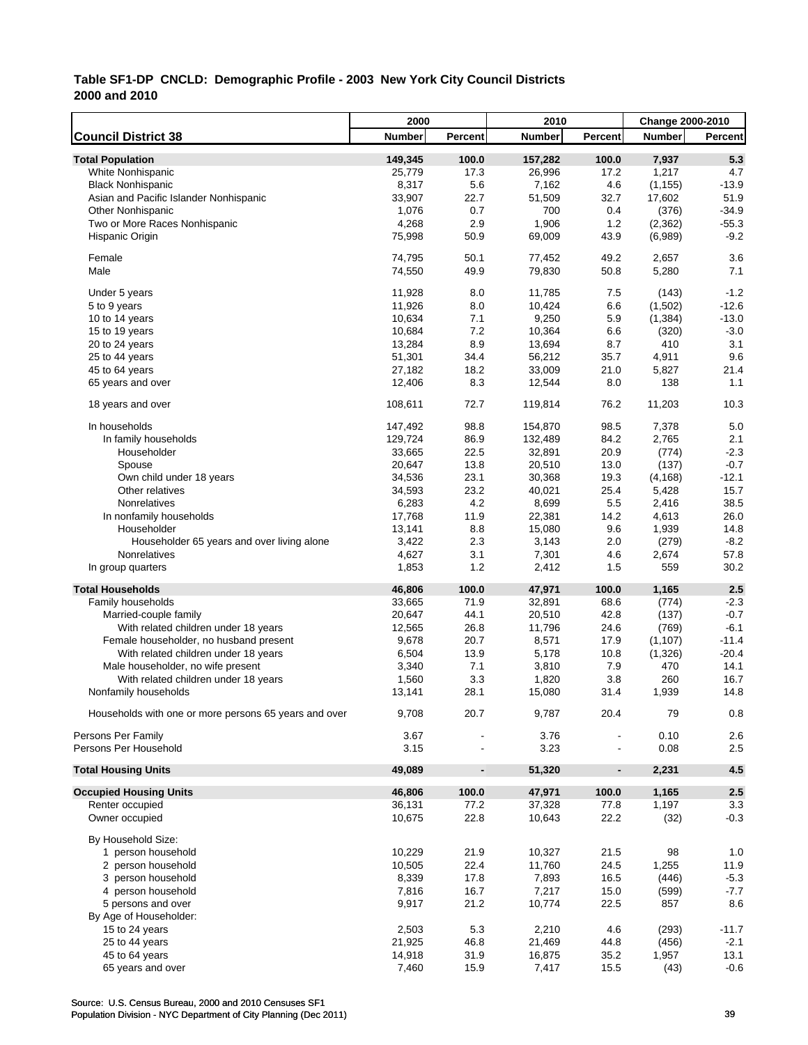|                                                       | 2000          |                              | 2010          |                          | <b>Change 2000-2010</b> |         |
|-------------------------------------------------------|---------------|------------------------------|---------------|--------------------------|-------------------------|---------|
| <b>Council District 38</b>                            | <b>Number</b> | Percent                      | <b>Number</b> | Percent                  | <b>Number</b>           | Percent |
| <b>Total Population</b>                               | 149,345       | 100.0                        | 157,282       | 100.0                    | 7,937                   | 5.3     |
| White Nonhispanic                                     | 25,779        | 17.3                         | 26,996        | 17.2                     | 1,217                   | 4.7     |
| <b>Black Nonhispanic</b>                              | 8,317         | 5.6                          | 7,162         | 4.6                      | (1, 155)                | $-13.9$ |
| Asian and Pacific Islander Nonhispanic                | 33,907        | 22.7                         | 51,509        | 32.7                     | 17,602                  | 51.9    |
| <b>Other Nonhispanic</b>                              | 1,076         | 0.7                          | 700           | 0.4                      | (376)                   | $-34.9$ |
| Two or More Races Nonhispanic                         | 4,268         | 2.9                          | 1,906         | 1.2                      | (2, 362)                | $-55.3$ |
| Hispanic Origin                                       | 75,998        | 50.9                         | 69,009        | 43.9                     | (6,989)                 | $-9.2$  |
| Female                                                | 74,795        | 50.1                         | 77,452        | 49.2                     | 2,657                   | 3.6     |
| Male                                                  | 74,550        | 49.9                         | 79,830        | 50.8                     | 5,280                   | 7.1     |
| Under 5 years                                         | 11,928        | 8.0                          | 11,785        | 7.5                      | (143)                   | $-1.2$  |
| 5 to 9 years                                          | 11,926        | 8.0                          | 10,424        | 6.6                      | (1,502)                 | $-12.6$ |
| 10 to 14 years                                        | 10,634        | 7.1                          | 9,250         | 5.9                      | (1, 384)                | $-13.0$ |
| 15 to 19 years                                        | 10,684        | 7.2                          | 10,364        | 6.6                      | (320)                   | $-3.0$  |
| 20 to 24 years                                        | 13,284        | 8.9                          | 13,694        | 8.7                      | 410                     | 3.1     |
| 25 to 44 years                                        | 51,301        | 34.4                         | 56,212        | 35.7                     | 4,911                   | 9.6     |
| 45 to 64 years                                        | 27,182        | 18.2                         | 33,009        | 21.0                     | 5,827                   | 21.4    |
| 65 years and over                                     | 12,406        | 8.3                          | 12,544        | 8.0                      | 138                     | 1.1     |
| 18 years and over                                     | 108,611       | 72.7                         | 119,814       | 76.2                     | 11,203                  | 10.3    |
| In households                                         | 147,492       | 98.8                         | 154,870       | 98.5                     | 7,378                   | 5.0     |
| In family households                                  | 129,724       | 86.9                         | 132,489       | 84.2                     | 2,765                   | 2.1     |
| Householder                                           | 33,665        | 22.5                         | 32,891        | 20.9                     | (774)                   | $-2.3$  |
| Spouse                                                | 20,647        | 13.8                         | 20,510        | 13.0                     | (137)                   | $-0.7$  |
| Own child under 18 years                              | 34,536        | 23.1                         | 30,368        | 19.3                     | (4, 168)                | $-12.1$ |
| Other relatives                                       | 34,593        | 23.2                         | 40,021        | 25.4                     | 5,428                   | 15.7    |
| Nonrelatives                                          | 6,283         | 4.2                          | 8,699         | 5.5                      | 2,416                   | 38.5    |
| In nonfamily households                               | 17,768        | 11.9                         | 22,381        | 14.2                     | 4,613                   | 26.0    |
| Householder                                           | 13,141        | 8.8                          | 15,080        | 9.6                      | 1,939                   | 14.8    |
| Householder 65 years and over living alone            | 3,422         | 2.3                          | 3,143         | 2.0                      | (279)                   | $-8.2$  |
| Nonrelatives                                          | 4,627         | 3.1                          | 7,301         | 4.6                      | 2,674                   | 57.8    |
| In group quarters                                     | 1,853         | 1.2                          | 2,412         | 1.5                      | 559                     | 30.2    |
| <b>Total Households</b>                               | 46,806        | 100.0                        | 47,971        | 100.0                    | 1,165                   | 2.5     |
| Family households                                     | 33,665        | 71.9                         | 32,891        | 68.6                     | (774)                   | $-2.3$  |
| Married-couple family                                 | 20,647        | 44.1                         | 20,510        | 42.8                     | (137)                   | $-0.7$  |
| With related children under 18 years                  | 12,565        | 26.8                         | 11,796        | 24.6                     | (769)                   | $-6.1$  |
| Female householder, no husband present                | 9,678         | 20.7                         | 8,571         | 17.9                     | (1, 107)                | $-11.4$ |
| With related children under 18 years                  | 6,504         | 13.9                         | 5,178         | 10.8                     | (1,326)                 | $-20.4$ |
| Male householder, no wife present                     | 3,340         | 7.1                          | 3,810         | 7.9                      | 470                     | 14.1    |
| With related children under 18 years                  | 1,560         | 3.3                          | 1,820         | 3.8                      | 260                     | 16.7    |
| Nonfamily households                                  | 13,141        | 28.1                         | 15,080        | 31.4                     | 1,939                   | 14.8    |
| Households with one or more persons 65 years and over | 9,708         | 20.7                         | 9,787         | 20.4                     | 79                      | 0.8     |
| Persons Per Family                                    | 3.67          |                              | 3.76          |                          | 0.10                    | 2.6     |
| Persons Per Household                                 | 3.15          |                              | 3.23          | $\overline{\phantom{a}}$ | 0.08                    | 2.5     |
| <b>Total Housing Units</b>                            | 49,089        | $\qquad \qquad \blacksquare$ | 51,320        | $\blacksquare$           | 2,231                   | 4.5     |
| <b>Occupied Housing Units</b>                         | 46,806        | 100.0                        | 47,971        | 100.0                    | 1,165                   | 2.5     |
| Renter occupied                                       | 36,131        | 77.2                         | 37,328        | 77.8                     | 1,197                   | 3.3     |
| Owner occupied                                        | 10,675        | 22.8                         | 10,643        | 22.2                     | (32)                    | $-0.3$  |
| By Household Size:                                    |               |                              |               |                          |                         |         |
| 1 person household                                    | 10,229        | 21.9                         | 10,327        | 21.5                     | 98                      | 1.0     |
| 2 person household                                    | 10,505        | 22.4                         | 11,760        | 24.5                     | 1,255                   | 11.9    |
| 3 person household                                    | 8,339         | 17.8                         | 7,893         | 16.5                     | (446)                   | $-5.3$  |
| 4 person household                                    | 7,816         | 16.7                         | 7,217         | 15.0                     | (599)                   | $-7.7$  |
| 5 persons and over                                    | 9,917         | 21.2                         | 10,774        | 22.5                     | 857                     | 8.6     |
| By Age of Householder:                                |               |                              |               |                          |                         |         |
| 15 to 24 years                                        | 2,503         | 5.3                          | 2,210         | 4.6                      | (293)                   | $-11.7$ |
| 25 to 44 years                                        | 21,925        | 46.8                         | 21,469        | 44.8                     | (456)                   | $-2.1$  |
| 45 to 64 years                                        | 14,918        | 31.9                         | 16,875        | 35.2                     | 1,957                   | 13.1    |
| 65 years and over                                     | 7,460         | 15.9                         | 7,417         | 15.5                     | (43)                    | $-0.6$  |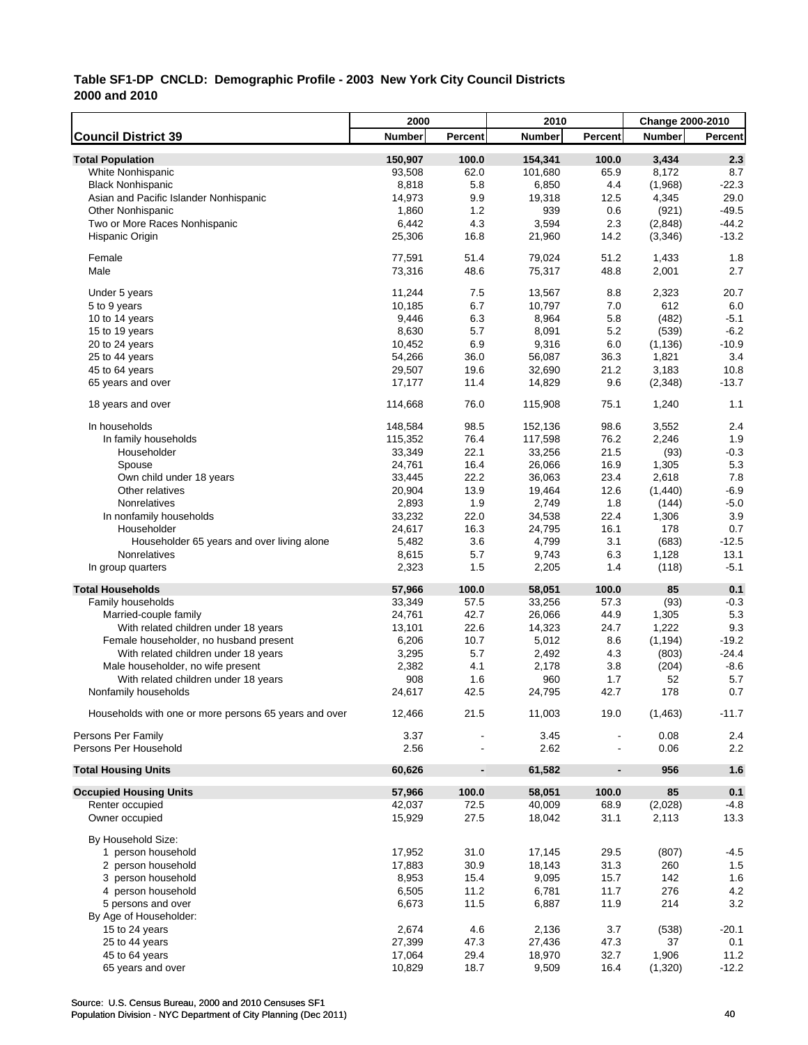|                                                       | 2000          |                              | 2010          |                          | <b>Change 2000-2010</b> |         |
|-------------------------------------------------------|---------------|------------------------------|---------------|--------------------------|-------------------------|---------|
| <b>Council District 39</b>                            | <b>Number</b> | Percent                      | <b>Number</b> | Percent                  | <b>Number</b>           | Percent |
| <b>Total Population</b>                               | 150,907       | 100.0                        | 154,341       | 100.0                    | 3,434                   | 2.3     |
| White Nonhispanic                                     | 93,508        | 62.0                         | 101,680       | 65.9                     | 8,172                   | 8.7     |
| <b>Black Nonhispanic</b>                              | 8,818         | 5.8                          | 6,850         | 4.4                      | (1,968)                 | $-22.3$ |
| Asian and Pacific Islander Nonhispanic                | 14,973        | 9.9                          | 19,318        | 12.5                     | 4,345                   | 29.0    |
| <b>Other Nonhispanic</b>                              | 1,860         | 1.2                          | 939           | 0.6                      | (921)                   | $-49.5$ |
| Two or More Races Nonhispanic                         | 6,442         | 4.3                          | 3,594         | 2.3                      | (2,848)                 | $-44.2$ |
| Hispanic Origin                                       | 25,306        | 16.8                         | 21,960        | 14.2                     | (3,346)                 | $-13.2$ |
|                                                       |               |                              |               |                          |                         |         |
| Female                                                | 77,591        | 51.4                         | 79,024        | 51.2                     | 1,433                   | 1.8     |
| Male                                                  | 73,316        | 48.6                         | 75,317        | 48.8                     | 2,001                   | 2.7     |
| Under 5 years                                         | 11,244        | 7.5                          | 13,567        | 8.8                      | 2,323                   | 20.7    |
| 5 to 9 years                                          | 10,185        | 6.7                          | 10,797        | 7.0                      | 612                     | 6.0     |
| 10 to 14 years                                        | 9,446         | 6.3                          | 8,964         | 5.8                      | (482)                   | $-5.1$  |
| 15 to 19 years                                        | 8,630         | 5.7                          | 8,091         | 5.2                      | (539)                   | $-6.2$  |
| 20 to 24 years                                        | 10,452        | 6.9                          | 9,316         | 6.0                      | (1, 136)                | $-10.9$ |
| 25 to 44 years                                        | 54,266        | 36.0                         | 56,087        | 36.3                     | 1,821                   | 3.4     |
| 45 to 64 years                                        | 29,507        | 19.6                         | 32,690        | 21.2                     | 3,183                   | 10.8    |
| 65 years and over                                     | 17,177        | 11.4                         | 14,829        | 9.6                      | (2,348)                 | $-13.7$ |
|                                                       |               |                              |               |                          |                         |         |
| 18 years and over                                     | 114,668       | 76.0                         | 115,908       | 75.1                     | 1,240                   | 1.1     |
| In households                                         | 148,584       | 98.5                         | 152,136       | 98.6                     | 3,552                   | 2.4     |
| In family households                                  | 115,352       | 76.4                         | 117,598       | 76.2                     | 2,246                   | 1.9     |
| Householder                                           | 33,349        | 22.1                         | 33,256        | 21.5                     | (93)                    | $-0.3$  |
| Spouse                                                | 24,761        | 16.4                         | 26,066        | 16.9                     | 1,305                   | 5.3     |
| Own child under 18 years                              | 33,445        | 22.2                         | 36,063        | 23.4                     | 2,618                   | 7.8     |
| Other relatives                                       | 20,904        | 13.9                         | 19,464        | 12.6                     | (1,440)                 | $-6.9$  |
| Nonrelatives                                          | 2,893         | 1.9                          | 2,749         | 1.8                      | (144)                   | $-5.0$  |
| In nonfamily households                               | 33,232        | 22.0                         | 34,538        | 22.4                     | 1,306                   | 3.9     |
| Householder                                           | 24,617        | 16.3                         | 24,795        | 16.1                     | 178                     | 0.7     |
| Householder 65 years and over living alone            | 5,482         | 3.6                          | 4,799         | 3.1                      | (683)                   | $-12.5$ |
| Nonrelatives                                          | 8,615         | 5.7                          | 9,743         | 6.3                      | 1,128                   | 13.1    |
| In group quarters                                     | 2,323         | 1.5                          | 2,205         | 1.4                      | (118)                   | $-5.1$  |
| <b>Total Households</b>                               | 57,966        | 100.0                        | 58,051        | 100.0                    | 85                      | 0.1     |
| Family households                                     | 33,349        | 57.5                         | 33,256        | 57.3                     | (93)                    | $-0.3$  |
| Married-couple family                                 | 24,761        | 42.7                         | 26,066        | 44.9                     | 1,305                   | 5.3     |
| With related children under 18 years                  | 13,101        | 22.6                         | 14,323        | 24.7                     | 1,222                   | 9.3     |
| Female householder, no husband present                | 6,206         | 10.7                         | 5,012         | 8.6                      | (1, 194)                | $-19.2$ |
| With related children under 18 years                  | 3,295         | 5.7                          | 2,492         | 4.3                      | (803)                   | $-24.4$ |
| Male householder, no wife present                     | 2,382         | 4.1                          | 2,178         | 3.8                      | (204)                   | $-8.6$  |
| With related children under 18 years                  | 908           | 1.6                          | 960           | 1.7                      | 52                      | 5.7     |
| Nonfamily households                                  | 24,617        | 42.5                         | 24,795        | 42.7                     | 178                     | 0.7     |
| Households with one or more persons 65 years and over | 12,466        | 21.5                         | 11,003        | 19.0                     | (1, 463)                | $-11.7$ |
|                                                       |               |                              |               |                          |                         |         |
| Persons Per Family                                    | 3.37          |                              | 3.45          |                          | 0.08                    | 2.4     |
| Persons Per Household                                 | 2.56          |                              | 2.62          |                          | 0.06                    | 2.2     |
| <b>Total Housing Units</b>                            | 60,626        | $\qquad \qquad \blacksquare$ | 61,582        | $\overline{\phantom{a}}$ | 956                     | 1.6     |
| <b>Occupied Housing Units</b>                         | 57,966        | 100.0                        | 58,051        | 100.0                    | 85                      | 0.1     |
| Renter occupied                                       | 42,037        | 72.5                         | 40,009        | 68.9                     | (2,028)                 | $-4.8$  |
| Owner occupied                                        | 15,929        | 27.5                         | 18,042        | 31.1                     | 2,113                   | 13.3    |
| By Household Size:                                    |               |                              |               |                          |                         |         |
| 1 person household                                    | 17,952        | 31.0                         | 17,145        | 29.5                     | (807)                   | $-4.5$  |
| 2 person household                                    | 17,883        | 30.9                         | 18,143        | 31.3                     | 260                     | 1.5     |
| 3 person household                                    | 8,953         | 15.4                         | 9,095         | 15.7                     | 142                     | 1.6     |
| 4 person household                                    | 6,505         | 11.2                         | 6,781         | 11.7                     | 276                     | 4.2     |
| 5 persons and over                                    | 6,673         | 11.5                         | 6,887         | 11.9                     | 214                     | 3.2     |
| By Age of Householder:                                |               |                              |               |                          |                         |         |
| 15 to 24 years                                        | 2,674         | 4.6                          | 2,136         | 3.7                      | (538)                   | $-20.1$ |
| 25 to 44 years                                        | 27,399        | 47.3                         | 27,436        | 47.3                     | 37                      | 0.1     |
| 45 to 64 years                                        | 17,064        | 29.4                         | 18,970        | 32.7                     | 1,906                   | 11.2    |
| 65 years and over                                     | 10,829        | 18.7                         | 9,509         | 16.4                     | (1,320)                 | $-12.2$ |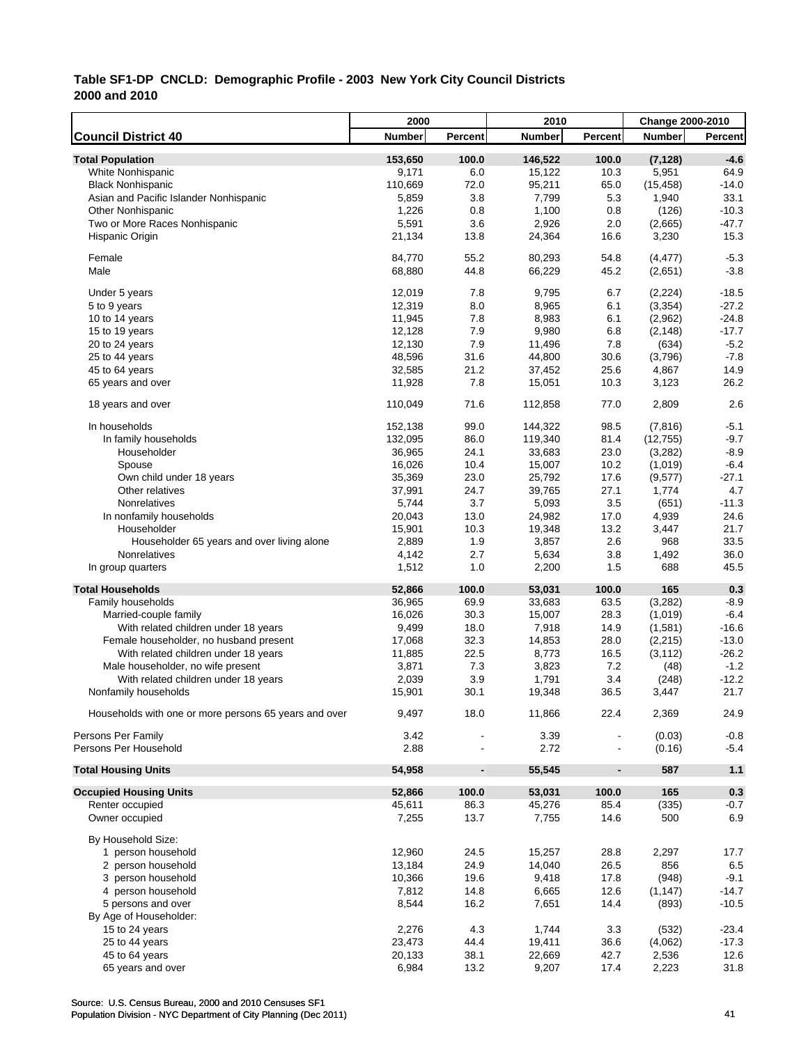|                                                       | 2000          |                              | 2010          |                          | <b>Change 2000-2010</b> |                  |
|-------------------------------------------------------|---------------|------------------------------|---------------|--------------------------|-------------------------|------------------|
| <b>Council District 40</b>                            | <b>Number</b> | Percent                      | <b>Number</b> | Percent                  | <b>Number</b>           | Percent          |
| <b>Total Population</b>                               | 153,650       | 100.0                        | 146,522       | 100.0                    | (7, 128)                | $-4.6$           |
| White Nonhispanic                                     | 9,171         | 6.0                          | 15,122        | 10.3                     | 5,951                   | 64.9             |
| <b>Black Nonhispanic</b>                              | 110,669       | 72.0                         | 95,211        | 65.0                     | (15, 458)               | $-14.0$          |
| Asian and Pacific Islander Nonhispanic                | 5,859         | 3.8                          | 7,799         | 5.3                      | 1,940                   | 33.1             |
| <b>Other Nonhispanic</b>                              | 1,226         | 0.8                          | 1,100         | 0.8                      | (126)                   | $-10.3$          |
| Two or More Races Nonhispanic                         | 5,591         | 3.6                          | 2,926         | 2.0                      | (2,665)                 | $-47.7$          |
| Hispanic Origin                                       | 21,134        | 13.8                         | 24,364        | 16.6                     | 3,230                   | 15.3             |
|                                                       |               |                              |               |                          |                         |                  |
| Female                                                | 84,770        | 55.2                         | 80,293        | 54.8                     | (4, 477)                | $-5.3$           |
| Male                                                  | 68,880        | 44.8                         | 66,229        | 45.2                     | (2,651)                 | $-3.8$           |
|                                                       |               |                              |               |                          |                         |                  |
| Under 5 years                                         | 12,019        | 7.8                          | 9,795         | 6.7                      | (2, 224)                | $-18.5$          |
| 5 to 9 years                                          | 12,319        | 8.0                          | 8,965         | 6.1                      | (3,354)                 | $-27.2$          |
| 10 to 14 years                                        | 11,945        | 7.8                          | 8,983         | 6.1                      | (2,962)                 | $-24.8$          |
| 15 to 19 years                                        | 12,128        | 7.9                          | 9,980         | 6.8                      | (2, 148)                | $-17.7$          |
| 20 to 24 years                                        | 12,130        | 7.9                          | 11,496        | 7.8                      | (634)                   | $-5.2$           |
| 25 to 44 years                                        | 48,596        | 31.6                         | 44,800        | 30.6                     | (3,796)                 | $-7.8$           |
| 45 to 64 years                                        | 32,585        | 21.2                         | 37,452        | 25.6                     | 4,867                   | 14.9             |
| 65 years and over                                     | 11,928        | 7.8                          | 15,051        | 10.3                     | 3,123                   | 26.2             |
| 18 years and over                                     | 110,049       | 71.6                         | 112,858       | 77.0                     | 2,809                   | 2.6              |
|                                                       |               |                              |               |                          |                         |                  |
| In households                                         | 152,138       | 99.0                         | 144,322       | 98.5                     | (7, 816)                | $-5.1$           |
| In family households                                  | 132,095       | 86.0                         | 119,340       | 81.4                     | (12, 755)               | $-9.7$           |
| Householder                                           | 36,965        | 24.1                         | 33,683        | 23.0                     | (3,282)                 | $-8.9$           |
| Spouse                                                | 16,026        | 10.4                         | 15,007        | 10.2                     | (1,019)                 | $-6.4$           |
| Own child under 18 years                              | 35,369        | 23.0                         | 25,792        | 17.6                     | (9,577)                 | $-27.1$          |
| Other relatives                                       | 37,991        | 24.7                         | 39,765        | 27.1                     | 1,774                   | 4.7              |
| Nonrelatives                                          | 5,744         | 3.7                          | 5,093         | 3.5                      | (651)                   | $-11.3$          |
| In nonfamily households                               | 20,043        | 13.0                         | 24,982        | 17.0                     | 4,939                   | 24.6             |
| Householder                                           | 15,901        | 10.3                         | 19,348        | 13.2                     | 3,447                   | 21.7             |
| Householder 65 years and over living alone            | 2,889         | 1.9                          | 3,857         | 2.6                      | 968                     | 33.5             |
| Nonrelatives                                          | 4,142         | 2.7                          | 5,634         | 3.8                      | 1,492                   | 36.0             |
| In group quarters                                     | 1,512         | 1.0                          | 2,200         | 1.5                      | 688                     | 45.5             |
| <b>Total Households</b>                               | 52,866        | 100.0                        | 53,031        | 100.0                    | 165                     | 0.3              |
| Family households                                     | 36,965        | 69.9                         | 33,683        | 63.5                     | (3,282)                 | $-8.9$           |
| Married-couple family                                 | 16,026        | 30.3                         | 15,007        | 28.3                     | (1,019)                 | $-6.4$           |
| With related children under 18 years                  | 9,499         | 18.0                         | 7,918         | 14.9                     | (1,581)                 | $-16.6$          |
| Female householder, no husband present                | 17,068        | 32.3                         | 14,853        | 28.0                     | (2, 215)                | $-13.0$          |
| With related children under 18 years                  | 11,885        | 22.5                         | 8,773         | 16.5                     | (3, 112)                | $-26.2$          |
| Male householder, no wife present                     | 3,871         | 7.3                          | 3,823         | 7.2                      | (48)                    | $-1.2$           |
|                                                       | 2,039         | 3.9                          | 1,791         | 3.4                      |                         | $-12.2$          |
| With related children under 18 years                  |               |                              |               |                          | (248)                   | 21.7             |
| Nonfamily households                                  | 15,901        | 30.1                         | 19,348        | 36.5                     | 3,447                   |                  |
| Households with one or more persons 65 years and over | 9,497         | 18.0                         | 11,866        | 22.4                     | 2,369                   | 24.9             |
|                                                       |               |                              |               |                          |                         |                  |
| Persons Per Family<br>Persons Per Household           | 3.42<br>2.88  |                              | 3.39<br>2.72  |                          | (0.03)                  | $-0.8$<br>$-5.4$ |
|                                                       |               |                              |               |                          | (0.16)                  |                  |
| <b>Total Housing Units</b>                            | 54,958        | $\qquad \qquad \blacksquare$ | 55,545        | $\overline{\phantom{a}}$ | 587                     | 1.1              |
| <b>Occupied Housing Units</b>                         | 52,866        | 100.0                        | 53,031        | 100.0                    | 165                     | 0.3              |
| Renter occupied                                       | 45,611        | 86.3                         | 45,276        | 85.4                     | (335)                   | $-0.7$           |
| Owner occupied                                        | 7,255         | 13.7                         | 7,755         | 14.6                     | 500                     | 6.9              |
|                                                       |               |                              |               |                          |                         |                  |
| By Household Size:                                    |               |                              |               |                          |                         |                  |
| 1 person household                                    | 12,960        | 24.5                         | 15,257        | 28.8                     | 2,297                   | 17.7             |
| 2 person household                                    | 13,184        | 24.9                         | 14,040        | 26.5                     | 856                     | 6.5              |
| 3 person household                                    | 10,366        | 19.6                         | 9,418         | 17.8                     | (948)                   | $-9.1$           |
| 4 person household                                    | 7,812         | 14.8                         | 6,665         | 12.6                     | (1, 147)                | $-14.7$          |
| 5 persons and over                                    | 8,544         | 16.2                         | 7,651         | 14.4                     | (893)                   | $-10.5$          |
| By Age of Householder:                                |               |                              |               |                          |                         |                  |
| 15 to 24 years                                        | 2,276         | 4.3                          | 1,744         | 3.3                      | (532)                   | $-23.4$          |
| 25 to 44 years                                        | 23,473        | 44.4                         | 19,411        | 36.6                     | (4,062)                 | $-17.3$          |
| 45 to 64 years                                        | 20,133        | 38.1                         | 22,669        | 42.7                     | 2,536                   | 12.6             |
| 65 years and over                                     | 6,984         | 13.2                         | 9,207         | 17.4                     | 2,223                   | 31.8             |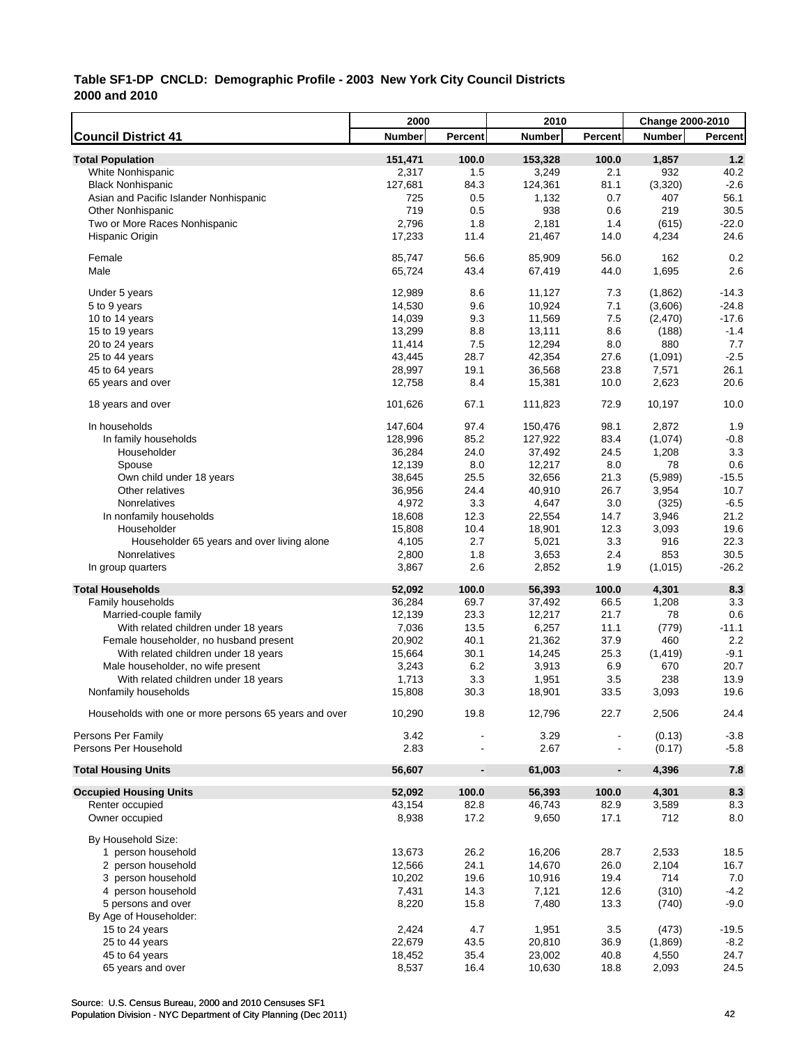|                                                       | 2000          |                          | 2010          |                | Change 2000-2010 |         |
|-------------------------------------------------------|---------------|--------------------------|---------------|----------------|------------------|---------|
| <b>Council District 41</b>                            | <b>Number</b> | Percent                  | <b>Number</b> | Percent        | <b>Number</b>    | Percent |
| <b>Total Population</b>                               | 151,471       | 100.0                    | 153,328       | 100.0          | 1,857            | 1.2     |
| White Nonhispanic                                     | 2,317         | 1.5                      | 3,249         | 2.1            | 932              | 40.2    |
| <b>Black Nonhispanic</b>                              | 127,681       | 84.3                     | 124,361       | 81.1           | (3,320)          | $-2.6$  |
| Asian and Pacific Islander Nonhispanic                | 725           | 0.5                      | 1,132         | 0.7            | 407              | 56.1    |
| <b>Other Nonhispanic</b>                              | 719           | 0.5                      | 938           | 0.6            | 219              | 30.5    |
| Two or More Races Nonhispanic                         | 2,796         | 1.8                      | 2,181         | 1.4            | (615)            | $-22.0$ |
| Hispanic Origin                                       | 17,233        | 11.4                     | 21,467        | 14.0           | 4,234            | 24.6    |
|                                                       |               |                          |               |                |                  |         |
| Female                                                | 85,747        | 56.6                     | 85,909        | 56.0           | 162              | 0.2     |
| Male                                                  | 65,724        | 43.4                     | 67,419        | 44.0           | 1,695            | 2.6     |
|                                                       |               |                          |               |                |                  |         |
| Under 5 years                                         | 12,989        | 8.6                      | 11,127        | 7.3            | (1,862)          | $-14.3$ |
| 5 to 9 years                                          | 14,530        | 9.6                      | 10,924        | 7.1            | (3,606)          | $-24.8$ |
| 10 to 14 years                                        | 14,039        | 9.3                      | 11,569        | 7.5            | (2,470)          | $-17.6$ |
| 15 to 19 years                                        | 13,299        | 8.8                      | 13,111        | 8.6            | (188)            | $-1.4$  |
| 20 to 24 years                                        | 11,414        | 7.5                      | 12,294        | 8.0            | 880              | 7.7     |
| 25 to 44 years                                        | 43,445        | 28.7                     | 42,354        | 27.6           | (1,091)          | $-2.5$  |
| 45 to 64 years                                        | 28,997        | 19.1                     | 36,568        | 23.8           | 7,571            | 26.1    |
| 65 years and over                                     | 12,758        | 8.4                      | 15,381        | 10.0           | 2,623            | 20.6    |
| 18 years and over                                     | 101,626       | 67.1                     | 111,823       | 72.9           | 10,197           | 10.0    |
|                                                       |               |                          |               |                |                  |         |
| In households                                         | 147,604       | 97.4                     | 150,476       | 98.1           | 2,872            | 1.9     |
| In family households                                  | 128,996       | 85.2                     | 127,922       | 83.4           | (1,074)          | $-0.8$  |
| Householder                                           | 36,284        | 24.0                     | 37,492        | 24.5           | 1,208            | 3.3     |
| Spouse                                                | 12,139        | 8.0                      | 12,217        | 8.0            | 78               | 0.6     |
| Own child under 18 years                              | 38,645        | 25.5                     | 32,656        | 21.3           | (5,989)          | $-15.5$ |
| Other relatives                                       | 36,956        | 24.4                     | 40,910        | 26.7           | 3,954            | 10.7    |
| Nonrelatives                                          | 4,972         | 3.3                      | 4,647         | 3.0            | (325)            | $-6.5$  |
| In nonfamily households                               | 18,608        | 12.3                     | 22,554        | 14.7           | 3,946            | 21.2    |
| Householder                                           | 15,808        | 10.4                     | 18,901        | 12.3           | 3,093            | 19.6    |
| Householder 65 years and over living alone            | 4,105         | 2.7                      | 5,021         | 3.3            | 916              | 22.3    |
| Nonrelatives                                          | 2,800         | 1.8                      | 3,653         | 2.4            | 853              | 30.5    |
| In group quarters                                     | 3,867         | 2.6                      | 2,852         | 1.9            | (1,015)          | $-26.2$ |
| <b>Total Households</b>                               | 52,092        | 100.0                    | 56,393        | 100.0          | 4,301            | 8.3     |
| Family households                                     | 36,284        | 69.7                     | 37,492        | 66.5           | 1,208            | 3.3     |
| Married-couple family                                 | 12,139        | 23.3                     | 12,217        | 21.7           | 78               | 0.6     |
| With related children under 18 years                  | 7,036         | 13.5                     | 6,257         | 11.1           | (779)            | $-11.1$ |
| Female householder, no husband present                | 20,902        | 40.1                     | 21,362        | 37.9           | 460              | 2.2     |
| With related children under 18 years                  | 15,664        | 30.1                     | 14,245        | 25.3           | (1, 419)         | $-9.1$  |
| Male householder, no wife present                     | 3,243         | 6.2                      | 3,913         | 6.9            | 670              | 20.7    |
| With related children under 18 years                  | 1,713         | 3.3                      | 1,951         | 3.5            | 238              | 13.9    |
| Nonfamily households                                  | 15,808        | 30.3                     | 18,901        | 33.5           | 3,093            | 19.6    |
|                                                       |               |                          |               |                |                  |         |
| Households with one or more persons 65 years and over | 10,290        | 19.8                     | 12,796        | 22.7           | 2,506            | 24.4    |
| Persons Per Family                                    | 3.42          |                          | 3.29          |                | (0.13)           | $-3.8$  |
| Persons Per Household                                 | 2.83          |                          | 2.67          |                | (0.17)           | $-5.8$  |
| <b>Total Housing Units</b>                            | 56,607        | $\overline{\phantom{a}}$ | 61,003        | $\blacksquare$ | 4,396            | 7.8     |
| <b>Occupied Housing Units</b>                         | 52,092        | 100.0                    | 56,393        | 100.0          | 4,301            | 8.3     |
| Renter occupied                                       | 43,154        | 82.8                     | 46,743        | 82.9           | 3,589            | 8.3     |
| Owner occupied                                        | 8,938         | 17.2                     | 9,650         | 17.1           | 712              | 8.0     |
| By Household Size:                                    |               |                          |               |                |                  |         |
| 1 person household                                    | 13,673        | 26.2                     | 16,206        | 28.7           | 2,533            | 18.5    |
| 2 person household                                    | 12,566        | 24.1                     | 14,670        | 26.0           | 2,104            | 16.7    |
| 3 person household                                    | 10,202        | 19.6                     | 10,916        | 19.4           | 714              | 7.0     |
| 4 person household                                    | 7,431         | 14.3                     | 7,121         | 12.6           | (310)            | $-4.2$  |
| 5 persons and over                                    | 8,220         | 15.8                     | 7,480         | 13.3           | (740)            | $-9.0$  |
| By Age of Householder:                                |               |                          |               |                |                  |         |
| 15 to 24 years                                        | 2,424         | 4.7                      | 1,951         | 3.5            | (473)            | $-19.5$ |
| 25 to 44 years                                        | 22,679        | 43.5                     | 20,810        | 36.9           | (1,869)          | $-8.2$  |
| 45 to 64 years                                        | 18,452        | 35.4                     | 23,002        | 40.8           | 4,550            | 24.7    |
| 65 years and over                                     | 8,537         | 16.4                     | 10,630        | 18.8           | 2,093            | 24.5    |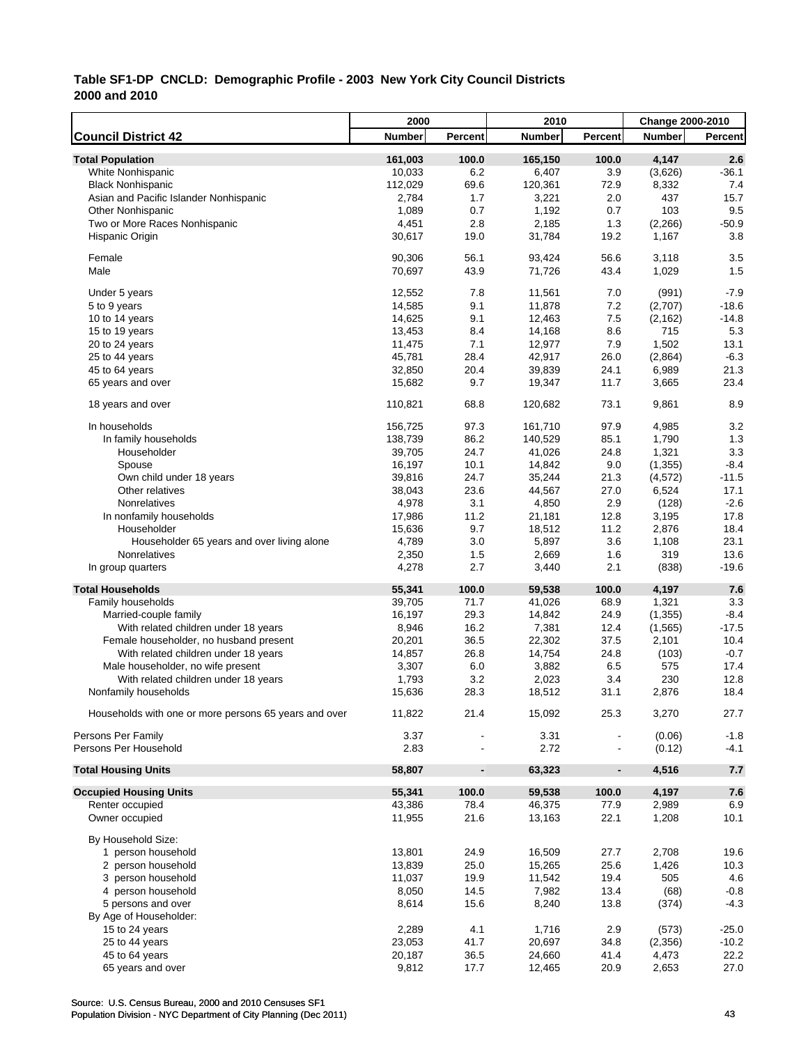|                                                       | 2000          |                          | 2010          |                | Change 2000-2010 |                |
|-------------------------------------------------------|---------------|--------------------------|---------------|----------------|------------------|----------------|
| <b>Council District 42</b>                            | <b>Number</b> | Percent                  | <b>Number</b> | Percent        | <b>Number</b>    | <b>Percent</b> |
| <b>Total Population</b>                               | 161,003       | 100.0                    | 165,150       | 100.0          | 4,147            | 2.6            |
| White Nonhispanic                                     | 10,033        | 6.2                      | 6,407         | 3.9            | (3,626)          | $-36.1$        |
| <b>Black Nonhispanic</b>                              | 112,029       | 69.6                     | 120,361       | 72.9           | 8,332            | 7.4            |
| Asian and Pacific Islander Nonhispanic                | 2,784         | 1.7                      | 3,221         | 2.0            | 437              | 15.7           |
| <b>Other Nonhispanic</b>                              | 1,089         | 0.7                      | 1,192         | 0.7            | 103              | 9.5            |
| Two or More Races Nonhispanic                         | 4,451         | 2.8                      | 2,185         | 1.3            | (2, 266)         | $-50.9$        |
| Hispanic Origin                                       | 30,617        | 19.0                     | 31,784        | 19.2           | 1,167            | 3.8            |
|                                                       |               |                          |               |                |                  |                |
| Female                                                | 90,306        | 56.1                     | 93,424        | 56.6           | 3,118            | 3.5            |
| Male                                                  | 70,697        | 43.9                     | 71,726        | 43.4           | 1,029            | 1.5            |
| Under 5 years                                         | 12,552        | 7.8                      | 11,561        | 7.0            | (991)            | $-7.9$         |
| 5 to 9 years                                          | 14,585        | 9.1                      | 11,878        | 7.2            | (2,707)          | $-18.6$        |
| 10 to 14 years                                        | 14,625        | 9.1                      | 12,463        | 7.5            | (2, 162)         | $-14.8$        |
| 15 to 19 years                                        | 13,453        | 8.4                      | 14,168        | 8.6            | 715              | 5.3            |
| 20 to 24 years                                        | 11,475        | 7.1                      | 12,977        | 7.9            | 1,502            | 13.1           |
| 25 to 44 years                                        | 45,781        | 28.4                     | 42,917        | 26.0           | (2,864)          | $-6.3$         |
| 45 to 64 years                                        | 32,850        | 20.4                     | 39,839        | 24.1           | 6,989            | 21.3           |
| 65 years and over                                     | 15,682        | 9.7                      | 19,347        | 11.7           | 3,665            | 23.4           |
|                                                       |               |                          |               |                |                  |                |
| 18 years and over                                     | 110,821       | 68.8                     | 120,682       | 73.1           | 9,861            | 8.9            |
| In households                                         | 156,725       | 97.3                     | 161,710       | 97.9           | 4,985            | 3.2            |
| In family households                                  | 138,739       | 86.2                     | 140,529       | 85.1           | 1,790            | 1.3            |
| Householder                                           | 39,705        | 24.7                     | 41,026        | 24.8           | 1,321            | 3.3            |
| Spouse                                                | 16,197        | 10.1                     | 14,842        | 9.0            | (1, 355)         | $-8.4$         |
| Own child under 18 years                              | 39,816        | 24.7                     | 35,244        | 21.3           | (4,572)          | $-11.5$        |
| Other relatives                                       | 38,043        | 23.6                     | 44,567        | 27.0           | 6,524            | 17.1           |
| Nonrelatives                                          | 4,978         | 3.1                      | 4,850         | 2.9            | (128)            | $-2.6$         |
| In nonfamily households                               | 17,986        | 11.2                     | 21,181        | 12.8           | 3,195            | 17.8           |
| Householder                                           | 15,636        | 9.7                      | 18,512        | 11.2           | 2,876            | 18.4           |
| Householder 65 years and over living alone            | 4,789         | 3.0                      | 5,897         | 3.6            | 1,108            | 23.1           |
| Nonrelatives                                          | 2,350         | 1.5                      | 2,669         | 1.6            | 319              | 13.6           |
| In group quarters                                     | 4,278         | 2.7                      | 3,440         | 2.1            | (838)            | $-19.6$        |
| <b>Total Households</b>                               | 55,341        | 100.0                    | 59,538        | 100.0          | 4,197            | 7.6            |
| Family households                                     | 39,705        | 71.7                     | 41,026        | 68.9           | 1,321            | 3.3            |
| Married-couple family                                 | 16,197        | 29.3                     | 14,842        | 24.9           | (1, 355)         | $-8.4$         |
| With related children under 18 years                  | 8,946         | 16.2                     | 7,381         | 12.4           | (1, 565)         | $-17.5$        |
| Female householder, no husband present                | 20,201        | 36.5                     | 22,302        | 37.5           | 2,101            | 10.4           |
| With related children under 18 years                  | 14,857        | 26.8                     | 14,754        | 24.8           | (103)            | $-0.7$         |
| Male householder, no wife present                     | 3,307         | 6.0                      | 3,882         | 6.5            | 575              | 17.4           |
|                                                       | 1,793         | 3.2                      | 2,023         | 3.4            | 230              | 12.8           |
| With related children under 18 years                  |               |                          |               | 31.1           | 2,876            | 18.4           |
| Nonfamily households                                  | 15,636        | 28.3                     | 18,512        |                |                  |                |
| Households with one or more persons 65 years and over | 11,822        | 21.4                     | 15,092        | 25.3           | 3,270            | 27.7           |
| Persons Per Family                                    | 3.37          |                          | 3.31          |                | (0.06)           | $-1.8$         |
| Persons Per Household                                 | 2.83          |                          | 2.72          |                | (0.12)           | $-4.1$         |
| <b>Total Housing Units</b>                            | 58,807        | $\overline{\phantom{a}}$ | 63,323        | $\blacksquare$ | 4,516            | 7.7            |
|                                                       |               |                          |               |                |                  |                |
| <b>Occupied Housing Units</b>                         | 55,341        | 100.0                    | 59,538        | 100.0          | 4,197            | 7.6            |
| Renter occupied                                       | 43,386        | 78.4                     | 46,375        | 77.9           | 2,989            | 6.9            |
| Owner occupied                                        | 11,955        | 21.6                     | 13,163        | 22.1           | 1,208            | 10.1           |
| By Household Size:                                    |               |                          |               |                |                  |                |
| 1 person household                                    | 13,801        | 24.9                     | 16,509        | 27.7           | 2,708            | 19.6           |
| 2 person household                                    | 13,839        | 25.0                     | 15,265        | 25.6           | 1,426            | 10.3           |
| 3 person household                                    | 11,037        | 19.9                     | 11,542        | 19.4           | 505              | 4.6            |
| 4 person household                                    | 8,050         | 14.5                     | 7,982         | 13.4           | (68)             | $-0.8$         |
| 5 persons and over                                    | 8,614         | 15.6                     | 8,240         | 13.8           | (374)            | $-4.3$         |
| By Age of Householder:                                |               |                          |               |                |                  |                |
| 15 to 24 years                                        | 2,289         | 4.1                      | 1,716         | 2.9            | (573)            | $-25.0$        |
| 25 to 44 years                                        | 23,053        | 41.7                     | 20,697        | 34.8           | (2,356)          | $-10.2$        |
| 45 to 64 years                                        | 20,187        | 36.5                     | 24,660        | 41.4           | 4,473            | 22.2           |
| 65 years and over                                     | 9,812         | 17.7                     | 12,465        | 20.9           | 2,653            | 27.0           |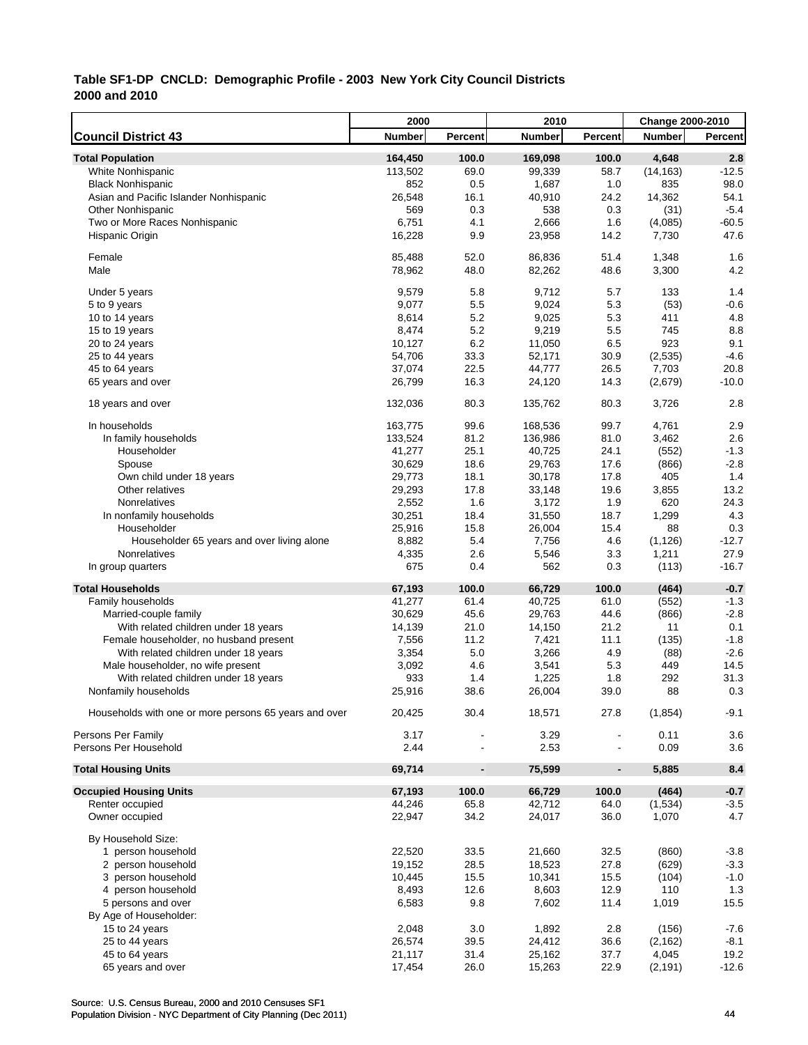|                                                       | 2000             |                          | 2010          |                | Change 2000-2010 |                 |
|-------------------------------------------------------|------------------|--------------------------|---------------|----------------|------------------|-----------------|
| <b>Council District 43</b>                            | <b>Number</b>    | Percent                  | <b>Number</b> | Percent        | <b>Number</b>    | <b>Percent</b>  |
| <b>Total Population</b>                               | 164,450          | 100.0                    | 169,098       | 100.0          | 4,648            | 2.8             |
| White Nonhispanic                                     | 113,502          | 69.0                     | 99,339        | 58.7           | (14, 163)        | $-12.5$         |
| <b>Black Nonhispanic</b>                              | 852              | 0.5                      | 1,687         | 1.0            | 835              | 98.0            |
| Asian and Pacific Islander Nonhispanic                | 26,548           | 16.1                     | 40,910        | 24.2           | 14,362           | 54.1            |
| <b>Other Nonhispanic</b>                              | 569              | 0.3                      | 538           | 0.3            | (31)             | $-5.4$          |
| Two or More Races Nonhispanic                         | 6,751            | 4.1                      | 2,666         | 1.6            | (4,085)          | $-60.5$         |
| Hispanic Origin                                       | 16,228           | 9.9                      | 23,958        | 14.2           | 7,730            | 47.6            |
| Female                                                | 85,488           | 52.0                     | 86,836        | 51.4           | 1,348            | 1.6             |
| Male                                                  | 78,962           | 48.0                     | 82,262        | 48.6           | 3,300            | 4.2             |
| Under 5 years                                         | 9,579            | 5.8                      | 9.712         | 5.7            | 133              | 1.4             |
| 5 to 9 years                                          | 9,077            | 5.5                      | 9,024         | 5.3            | (53)             | $-0.6$          |
| 10 to 14 years                                        | 8,614            | 5.2                      | 9,025         | 5.3            | 411              | 4.8             |
| 15 to 19 years                                        | 8,474            | 5.2                      | 9,219         | 5.5            | 745              | 8.8             |
| 20 to 24 years                                        | 10,127           | 6.2                      | 11,050        | 6.5            | 923              | 9.1             |
| 25 to 44 years                                        | 54,706           | 33.3                     | 52,171        | 30.9           | (2,535)          | $-4.6$          |
| 45 to 64 years                                        | 37,074           | 22.5                     | 44,777        | 26.5           | 7,703            | 20.8            |
| 65 years and over                                     | 26,799           | 16.3                     | 24,120        | 14.3           | (2,679)          | $-10.0$         |
| 18 years and over                                     | 132,036          | 80.3                     | 135,762       | 80.3           | 3,726            | 2.8             |
| In households                                         | 163,775          | 99.6                     | 168,536       | 99.7           | 4,761            | 2.9             |
| In family households                                  | 133,524          | 81.2                     | 136,986       | 81.0           | 3,462            | 2.6             |
| Householder                                           | 41,277           | 25.1                     | 40,725        | 24.1           | (552)            | $-1.3$          |
|                                                       |                  | 18.6                     | 29,763        |                |                  | $-2.8$          |
| Spouse                                                | 30,629           | 18.1                     | 30,178        | 17.6<br>17.8   | (866)<br>405     | 1.4             |
| Own child under 18 years<br>Other relatives           | 29,773<br>29,293 | 17.8                     | 33,148        | 19.6           | 3,855            | 13.2            |
|                                                       |                  |                          |               |                |                  |                 |
| Nonrelatives                                          | 2,552            | 1.6                      | 3,172         | 1.9            | 620              | 24.3            |
| In nonfamily households                               | 30,251           | 18.4                     | 31,550        | 18.7           | 1,299            | 4.3             |
| Householder                                           | 25,916           | 15.8                     | 26,004        | 15.4           | 88               | 0.3             |
| Householder 65 years and over living alone            | 8,882            | 5.4                      | 7,756         | 4.6            | (1, 126)         | $-12.7$         |
| Nonrelatives<br>In group quarters                     | 4,335<br>675     | 2.6<br>0.4               | 5,546<br>562  | 3.3<br>0.3     | 1,211<br>(113)   | 27.9<br>$-16.7$ |
|                                                       |                  |                          |               |                |                  |                 |
| <b>Total Households</b>                               | 67,193           | 100.0                    | 66,729        | 100.0          | (464)            | $-0.7$          |
| Family households                                     | 41,277           | 61.4                     | 40,725        | 61.0           | (552)            | $-1.3$          |
| Married-couple family                                 | 30,629           | 45.6                     | 29,763        | 44.6           | (866)            | $-2.8$          |
| With related children under 18 years                  | 14,139           | 21.0                     | 14,150        | 21.2           | 11               | 0.1             |
| Female householder, no husband present                | 7,556            | 11.2                     | 7,421         | 11.1           | (135)            | $-1.8$          |
| With related children under 18 years                  | 3,354            | 5.0                      | 3,266         | 4.9            | (88)             | $-2.6$          |
| Male householder, no wife present                     | 3,092            | 4.6                      | 3,541         | 5.3            | 449              | 14.5            |
| With related children under 18 years                  | 933              | 1.4                      | 1,225         | 1.8            | 292              | 31.3            |
| Nonfamily households                                  | 25,916           | 38.6                     | 26,004        | 39.0           | 88               | 0.3             |
| Households with one or more persons 65 years and over | 20,425           | 30.4                     | 18,571        | 27.8           | (1, 854)         | $-9.1$          |
| Persons Per Family                                    | 3.17             |                          | 3.29          |                | 0.11             | 3.6             |
| Persons Per Household                                 | 2.44             |                          | 2.53          |                | 0.09             | 3.6             |
| <b>Total Housing Units</b>                            | 69,714           | $\overline{\phantom{a}}$ | 75,599        | $\blacksquare$ | 5,885            | 8.4             |
| <b>Occupied Housing Units</b>                         | 67,193           | 100.0                    | 66,729        | 100.0          | (464)            | $-0.7$          |
| Renter occupied                                       | 44,246           | 65.8                     | 42,712        | 64.0           | (1,534)          | $-3.5$          |
| Owner occupied                                        | 22,947           | 34.2                     | 24,017        | 36.0           | 1,070            | 4.7             |
| By Household Size:                                    |                  |                          |               |                |                  |                 |
| 1 person household                                    | 22,520           | 33.5                     | 21,660        | 32.5           | (860)            | $-3.8$          |
| 2 person household                                    | 19,152           | 28.5                     | 18,523        | 27.8           | (629)            | $-3.3$          |
| 3 person household                                    | 10,445           | 15.5                     | 10,341        | 15.5           | (104)            | $-1.0$          |
| 4 person household                                    | 8,493            | 12.6                     | 8,603         | 12.9           | 110              | 1.3             |
| 5 persons and over                                    | 6,583            | 9.8                      | 7,602         | 11.4           | 1,019            | 15.5            |
| By Age of Householder:                                |                  |                          |               |                |                  |                 |
| 15 to 24 years                                        | 2,048            | 3.0                      | 1,892         | 2.8            | (156)            | $-7.6$          |
| 25 to 44 years                                        | 26,574           | 39.5                     | 24,412        | 36.6           | (2, 162)         | $-8.1$          |
| 45 to 64 years                                        | 21,117           | 31.4                     | 25,162        | 37.7           | 4,045            | 19.2            |
| 65 years and over                                     | 17,454           | 26.0                     | 15,263        | 22.9           | (2, 191)         | $-12.6$         |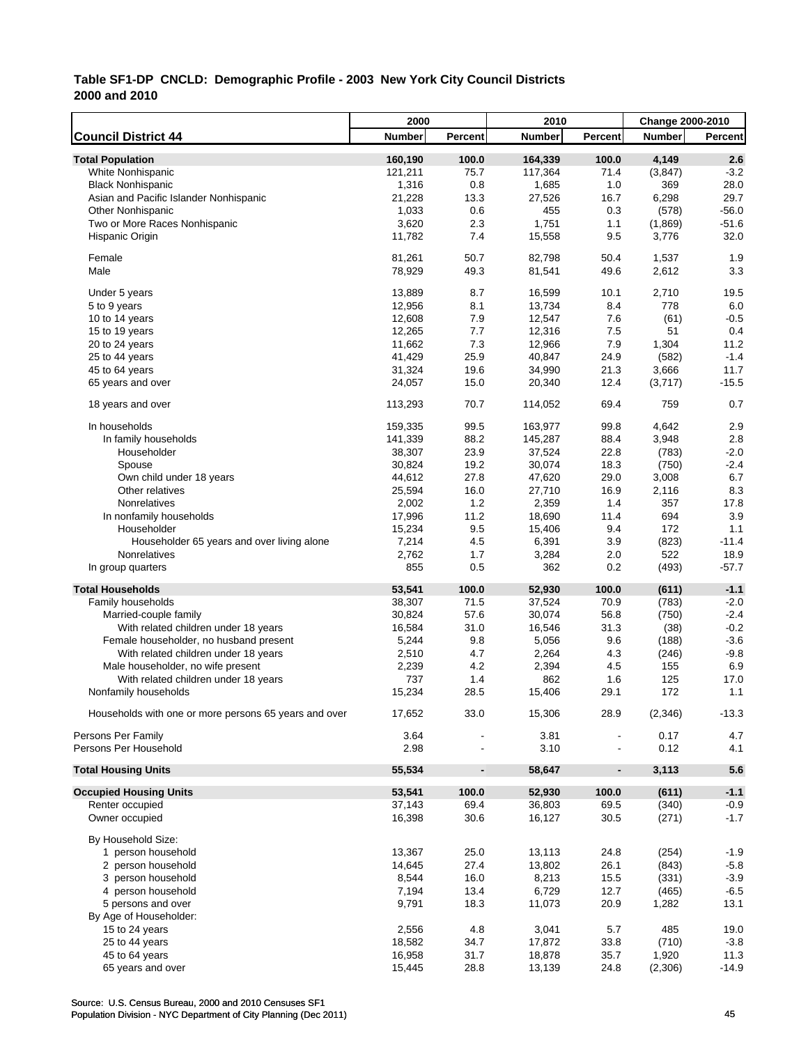|                                                       | 2000    |                          | 2010          |                | Change 2000-2010 |                |
|-------------------------------------------------------|---------|--------------------------|---------------|----------------|------------------|----------------|
| <b>Council District 44</b>                            | Number  | Percent                  | <b>Number</b> | <b>Percent</b> | <b>Number</b>    | <b>Percent</b> |
| <b>Total Population</b>                               | 160,190 | 100.0                    | 164,339       | 100.0          | 4,149            | 2.6            |
| White Nonhispanic                                     | 121,211 | 75.7                     | 117,364       | 71.4           | (3,847)          | $-3.2$         |
| <b>Black Nonhispanic</b>                              | 1,316   | 0.8                      | 1,685         | 1.0            | 369              | 28.0           |
| Asian and Pacific Islander Nonhispanic                | 21,228  | 13.3                     | 27,526        | 16.7           | 6,298            | 29.7           |
| <b>Other Nonhispanic</b>                              | 1,033   | 0.6                      | 455           | 0.3            | (578)            | $-56.0$        |
| Two or More Races Nonhispanic                         | 3,620   | 2.3                      | 1,751         | 1.1            | (1,869)          | $-51.6$        |
| Hispanic Origin                                       | 11,782  | 7.4                      | 15,558        | 9.5            | 3,776            | 32.0           |
|                                                       |         |                          |               |                |                  |                |
| Female                                                | 81,261  | 50.7                     | 82,798        | 50.4           | 1,537            | 1.9            |
| Male                                                  | 78,929  | 49.3                     | 81,541        | 49.6           | 2,612            | 3.3            |
|                                                       |         |                          |               |                |                  |                |
| Under 5 years                                         | 13,889  | 8.7                      | 16,599        | 10.1           | 2,710            | 19.5           |
| 5 to 9 years                                          | 12,956  | 8.1                      | 13,734        | 8.4            | 778              | 6.0            |
| 10 to 14 years                                        | 12,608  | 7.9                      | 12,547        | 7.6            | (61)             | $-0.5$         |
| 15 to 19 years                                        | 12,265  | 7.7                      | 12,316        | 7.5            | 51               | 0.4            |
| 20 to 24 years                                        | 11,662  | 7.3                      | 12,966        | 7.9            | 1,304            | 11.2           |
| 25 to 44 years                                        | 41,429  | 25.9                     | 40,847        | 24.9           | (582)            | $-1.4$         |
| 45 to 64 years                                        | 31,324  | 19.6                     | 34,990        | 21.3           | 3,666            | 11.7           |
| 65 years and over                                     | 24,057  | 15.0                     | 20,340        | 12.4           | (3,717)          | $-15.5$        |
|                                                       |         |                          |               |                |                  |                |
| 18 years and over                                     | 113,293 | 70.7                     | 114,052       | 69.4           | 759              | 0.7            |
| In households                                         | 159,335 | 99.5                     | 163,977       | 99.8           | 4,642            | 2.9            |
| In family households                                  | 141,339 | 88.2                     | 145,287       | 88.4           | 3,948            | 2.8            |
| Householder                                           |         |                          |               |                |                  |                |
|                                                       | 38,307  | 23.9                     | 37,524        | 22.8           | (783)            | $-2.0$         |
| Spouse                                                | 30,824  | 19.2                     | 30,074        | 18.3           | (750)            | $-2.4$         |
| Own child under 18 years                              | 44,612  | 27.8                     | 47,620        | 29.0           | 3,008            | 6.7            |
| Other relatives                                       | 25,594  | 16.0                     | 27,710        | 16.9           | 2,116            | 8.3            |
| Nonrelatives                                          | 2,002   | 1.2                      | 2,359         | 1.4            | 357              | 17.8           |
| In nonfamily households                               | 17,996  | 11.2                     | 18,690        | 11.4           | 694              | 3.9            |
| Householder                                           | 15,234  | 9.5                      | 15,406        | 9.4            | 172              | 1.1            |
| Householder 65 years and over living alone            | 7,214   | 4.5                      | 6,391         | 3.9            | (823)            | $-11.4$        |
| Nonrelatives                                          | 2,762   | 1.7                      | 3,284         | 2.0            | 522              | 18.9           |
| In group quarters                                     | 855     | 0.5                      | 362           | 0.2            | (493)            | $-57.7$        |
| <b>Total Households</b>                               | 53,541  | 100.0                    | 52,930        | 100.0          | (611)            | $-1.1$         |
| Family households                                     | 38,307  | 71.5                     | 37,524        | 70.9           | (783)            | $-2.0$         |
| Married-couple family                                 | 30,824  | 57.6                     | 30,074        | 56.8           | (750)            | $-2.4$         |
| With related children under 18 years                  |         | 31.0                     | 16,546        | 31.3           |                  | $-0.2$         |
|                                                       | 16,584  |                          |               |                | (38)             |                |
| Female householder, no husband present                | 5,244   | 9.8                      | 5,056         | 9.6            | (188)            | $-3.6$         |
| With related children under 18 years                  | 2,510   | 4.7                      | 2,264         | 4.3            | (246)            | $-9.8$         |
| Male householder, no wife present                     | 2,239   | 4.2                      | 2,394         | 4.5            | 155              | 6.9            |
| With related children under 18 years                  | 737     | 1.4                      | 862           | 1.6            | 125              | 17.0           |
| Nonfamily households                                  | 15,234  | 28.5                     | 15,406        | 29.1           | 172              | 1.1            |
| Households with one or more persons 65 years and over | 17,652  | 33.0                     | 15,306        | 28.9           | (2,346)          | $-13.3$        |
|                                                       |         |                          |               |                |                  |                |
| Persons Per Family                                    | 3.64    |                          | 3.81          |                | 0.17             | 4.7            |
| Persons Per Household                                 | 2.98    |                          | 3.10          |                | 0.12             | 4.1            |
| <b>Total Housing Units</b>                            | 55,534  | $\overline{\phantom{a}}$ | 58,647        | $\blacksquare$ | 3,113            | 5.6            |
|                                                       |         |                          |               |                |                  |                |
| <b>Occupied Housing Units</b>                         | 53,541  | 100.0                    | 52,930        | 100.0          | (611)            | $-1.1$         |
| Renter occupied                                       | 37,143  | 69.4                     | 36,803        | 69.5           | (340)            | $-0.9$         |
| Owner occupied                                        | 16,398  | 30.6                     | 16,127        | 30.5           | (271)            | $-1.7$         |
| By Household Size:                                    |         |                          |               |                |                  |                |
| 1 person household                                    | 13,367  | 25.0                     | 13,113        | 24.8           | (254)            | $-1.9$         |
| 2 person household                                    | 14,645  | 27.4                     | 13,802        | 26.1           | (843)            | $-5.8$         |
| 3 person household                                    | 8,544   | 16.0                     | 8,213         | 15.5           | (331)            | $-3.9$         |
| 4 person household                                    | 7,194   | 13.4                     | 6,729         | 12.7           | (465)            | $-6.5$         |
| 5 persons and over                                    | 9,791   | 18.3                     | 11,073        | 20.9           | 1,282            | 13.1           |
|                                                       |         |                          |               |                |                  |                |
| By Age of Householder:                                |         |                          |               |                |                  |                |
| 15 to 24 years                                        | 2,556   | 4.8                      | 3,041         | 5.7            | 485              | 19.0           |
| 25 to 44 years                                        | 18,582  | 34.7                     | 17,872        | 33.8           | (710)            | $-3.8$         |
| 45 to 64 years                                        | 16,958  | 31.7                     | 18,878        | 35.7           | 1,920            | 11.3           |
| 65 years and over                                     | 15,445  | 28.8                     | 13,139        | 24.8           | (2,306)          | $-14.9$        |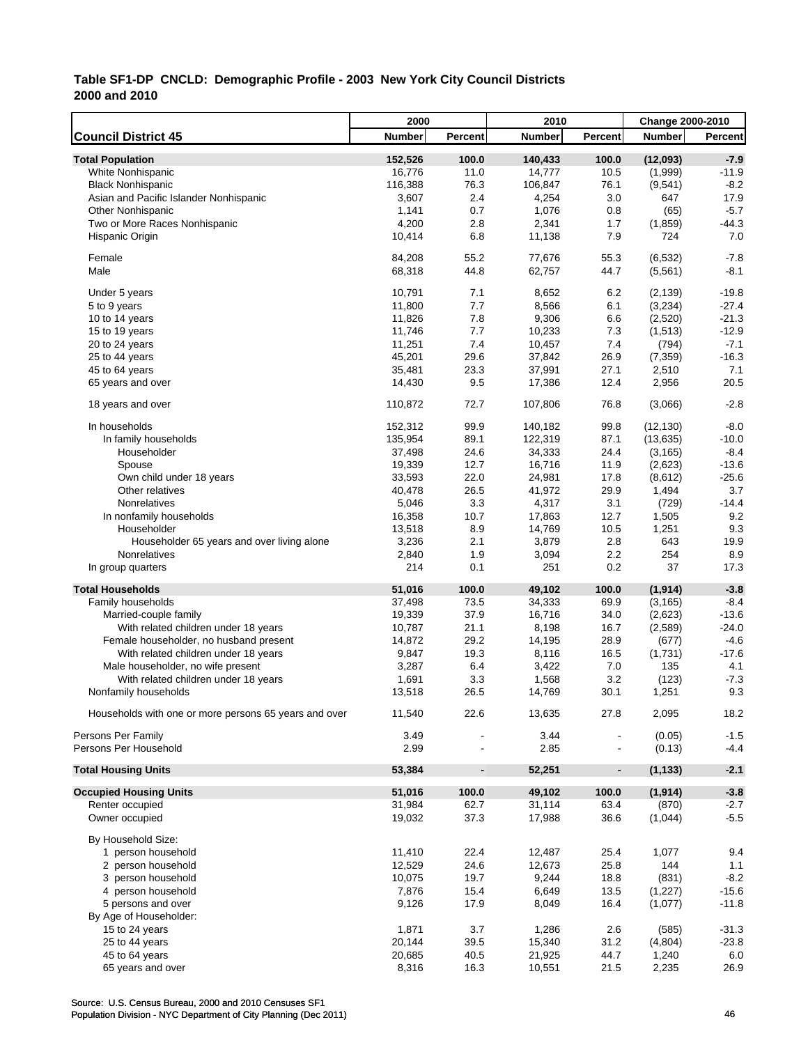|                                                       | 2000    |                          | 2010             |                | Change 2000-2010 |                |
|-------------------------------------------------------|---------|--------------------------|------------------|----------------|------------------|----------------|
| <b>Council District 45</b>                            | Number  | Percent                  | <b>Number</b>    | <b>Percent</b> | <b>Number</b>    | Percent        |
| <b>Total Population</b>                               | 152,526 | 100.0                    | 140,433          | 100.0          | (12,093)         | $-7.9$         |
| White Nonhispanic                                     | 16,776  | 11.0                     | 14,777           | 10.5           | (1,999)          | $-11.9$        |
| <b>Black Nonhispanic</b>                              | 116,388 | 76.3                     | 106,847          | 76.1           | (9,541)          | $-8.2$         |
| Asian and Pacific Islander Nonhispanic                | 3,607   | 2.4                      | 4,254            | 3.0            | 647              | 17.9           |
| <b>Other Nonhispanic</b>                              | 1,141   | 0.7                      | 1,076            | 0.8            | (65)             | $-5.7$         |
| Two or More Races Nonhispanic                         | 4,200   | 2.8                      | 2,341            | 1.7            | (1,859)          | $-44.3$        |
| Hispanic Origin                                       | 10,414  | 6.8                      | 11,138           | 7.9            | 724              | 7.0            |
| Female                                                | 84,208  | 55.2                     | 77,676           | 55.3           | (6, 532)         | $-7.8$         |
| Male                                                  | 68,318  | 44.8                     | 62,757           | 44.7           | (5,561)          | $-8.1$         |
| Under 5 years                                         | 10,791  | 7.1                      | 8,652            | 6.2            | (2, 139)         | $-19.8$        |
| 5 to 9 years                                          | 11,800  | 7.7                      | 8,566            | 6.1            | (3,234)          | $-27.4$        |
| 10 to 14 years                                        | 11,826  | 7.8                      | 9,306            | 6.6            | (2,520)          | $-21.3$        |
| 15 to 19 years                                        | 11,746  | 7.7                      | 10,233           | 7.3            | (1,513)          | $-12.9$        |
| 20 to 24 years                                        | 11,251  | 7.4                      | 10,457           | 7.4            | (794)            | $-7.1$         |
| 25 to 44 years                                        | 45,201  | 29.6                     | 37,842           | 26.9           | (7, 359)         | $-16.3$        |
| 45 to 64 years                                        | 35,481  | 23.3                     | 37,991           | 27.1           | 2,510            | 7.1            |
| 65 years and over                                     | 14,430  | 9.5                      | 17,386           | 12.4           | 2,956            | 20.5           |
|                                                       |         |                          |                  |                |                  |                |
| 18 years and over                                     | 110,872 | 72.7                     | 107,806          | 76.8           | (3,066)          | $-2.8$         |
| In households                                         | 152,312 | 99.9                     | 140,182          | 99.8           | (12, 130)        | $-8.0$         |
| In family households                                  | 135,954 | 89.1                     | 122,319          | 87.1           | (13, 635)        | $-10.0$        |
| Householder                                           | 37,498  | 24.6                     | 34,333           | 24.4           | (3, 165)         | $-8.4$         |
| Spouse                                                | 19,339  | 12.7                     | 16,716           | 11.9           | (2,623)          | $-13.6$        |
| Own child under 18 years                              | 33,593  | 22.0                     | 24,981           | 17.8           | (8,612)          | $-25.6$        |
| Other relatives                                       | 40,478  | 26.5                     | 41,972           | 29.9           | 1,494            | 3.7            |
| Nonrelatives                                          | 5,046   | 3.3                      | 4,317            | 3.1            | (729)            | $-14.4$        |
| In nonfamily households                               | 16,358  | 10.7                     | 17,863           | 12.7           | 1,505            | 9.2            |
| Householder                                           | 13,518  | 8.9                      | 14,769           | 10.5           | 1,251            | 9.3            |
| Householder 65 years and over living alone            | 3,236   | 2.1                      | 3,879            | 2.8            | 643              | 19.9           |
| Nonrelatives                                          | 2,840   | 1.9                      | 3,094            | 2.2            | 254              | 8.9            |
| In group quarters                                     | 214     | 0.1                      | 251              | 0.2            | 37               | 17.3           |
| <b>Total Households</b>                               | 51,016  | 100.0                    | 49,102           | 100.0          | (1, 914)         | $-3.8$         |
| Family households                                     | 37,498  | 73.5                     | 34,333           | 69.9           | (3, 165)         | $-8.4$         |
| Married-couple family                                 | 19,339  | 37.9                     | 16,716           | 34.0           | (2,623)          | $-13.6$        |
| With related children under 18 years                  | 10,787  | 21.1                     | 8,198            | 16.7           | (2,589)          | $-24.0$        |
| Female householder, no husband present                | 14,872  | 29.2                     | 14,195           | 28.9           | (677)            | $-4.6$         |
| With related children under 18 years                  | 9,847   | 19.3                     | 8,116            | 16.5           | (1,731)          | $-17.6$        |
| Male householder, no wife present                     | 3,287   | 6.4                      | 3,422            | 7.0            | 135              | 4.1            |
| With related children under 18 years                  | 1,691   | 3.3                      | 1,568            | 3.2            | (123)            | $-7.3$         |
| Nonfamily households                                  | 13,518  | 26.5                     | 14,769           | 30.1           | 1,251            | 9.3            |
| Households with one or more persons 65 years and over | 11,540  | 22.6                     | 13,635           | 27.8           | 2,095            | 18.2           |
| Persons Per Family                                    | 3.49    |                          | 3.44             |                | (0.05)           | $-1.5$         |
| Persons Per Household                                 | 2.99    |                          | 2.85             |                | (0.13)           | $-4.4$         |
| <b>Total Housing Units</b>                            | 53,384  | $\overline{\phantom{a}}$ | 52,251           | $\blacksquare$ | (1, 133)         | $-2.1$         |
| <b>Occupied Housing Units</b>                         | 51,016  | 100.0                    | 49,102           | 100.0          | (1, 914)         | $-3.8$         |
| Renter occupied                                       | 31,984  | 62.7                     | 31,114           | 63.4           | (870)            | $-2.7$         |
| Owner occupied                                        | 19,032  | 37.3                     | 17,988           | 36.6           | (1,044)          | $-5.5$         |
| By Household Size:                                    |         |                          |                  |                |                  |                |
| 1 person household                                    | 11,410  | 22.4                     | 12,487           | 25.4           | 1,077            | 9.4            |
| 2 person household                                    | 12,529  | 24.6                     | 12,673           | 25.8           | 144              | 1.1            |
| 3 person household                                    | 10,075  | 19.7                     | 9,244            | 18.8           | (831)            | $-8.2$         |
| 4 person household                                    | 7,876   | 15.4                     | 6,649            | 13.5           | (1, 227)         | $-15.6$        |
| 5 persons and over                                    | 9,126   | 17.9                     | 8,049            | 16.4           | (1,077)          | $-11.8$        |
|                                                       |         |                          |                  |                |                  |                |
| By Age of Householder:                                | 1,871   |                          |                  |                |                  |                |
| 15 to 24 years                                        | 20,144  | 3.7<br>39.5              | 1,286            | 2.6<br>31.2    | (585)            | $-31.3$        |
| 25 to 44 years<br>45 to 64 years                      | 20,685  | 40.5                     | 15,340           | 44.7           | (4,804)          | $-23.8$<br>6.0 |
| 65 years and over                                     | 8,316   | 16.3                     | 21,925<br>10,551 | 21.5           | 1,240<br>2,235   | 26.9           |
|                                                       |         |                          |                  |                |                  |                |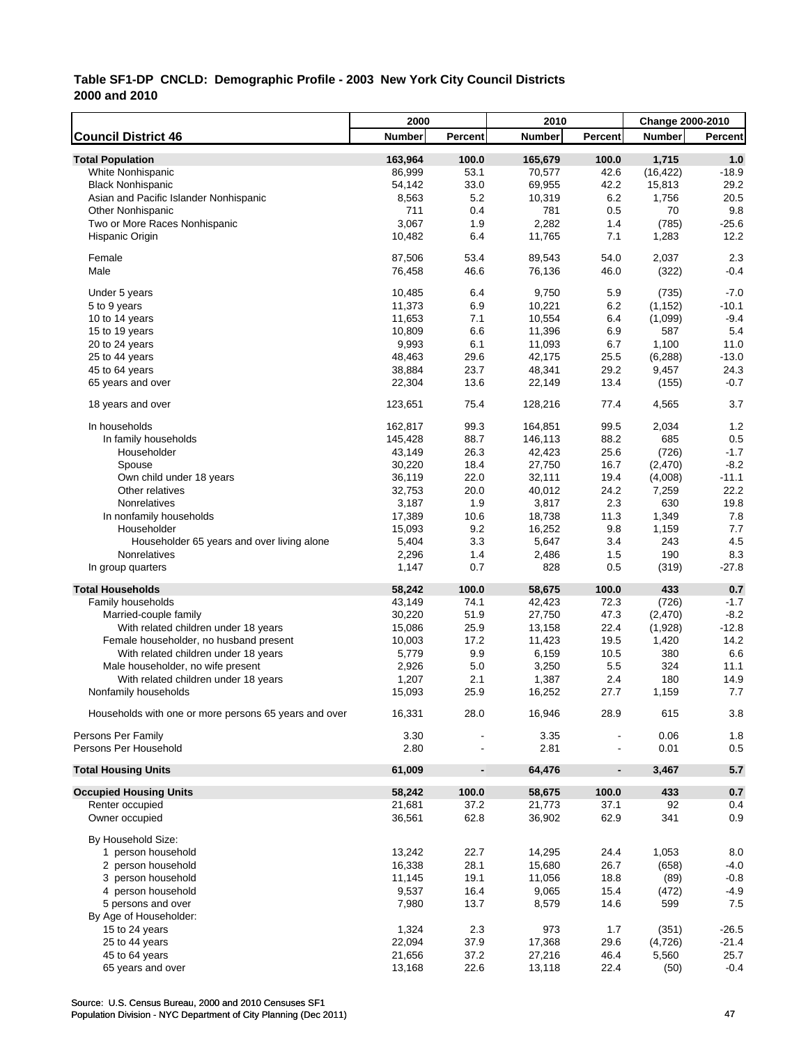|                                                       | 2000          |                              | 2010          |                          | <b>Change 2000-2010</b> |         |
|-------------------------------------------------------|---------------|------------------------------|---------------|--------------------------|-------------------------|---------|
| <b>Council District 46</b>                            | <b>Number</b> | Percent                      | <b>Number</b> | Percent                  | <b>Number</b>           | Percent |
| <b>Total Population</b>                               | 163,964       | 100.0                        | 165,679       | 100.0                    | 1,715                   | 1.0     |
| White Nonhispanic                                     | 86,999        | 53.1                         | 70,577        | 42.6                     | (16, 422)               | $-18.9$ |
| <b>Black Nonhispanic</b>                              | 54,142        | 33.0                         | 69,955        | 42.2                     | 15,813                  | 29.2    |
| Asian and Pacific Islander Nonhispanic                | 8,563         | 5.2                          | 10,319        | 6.2                      | 1,756                   | 20.5    |
| <b>Other Nonhispanic</b>                              | 711           | 0.4                          | 781           | 0.5                      | 70                      | 9.8     |
| Two or More Races Nonhispanic                         | 3,067         | 1.9                          | 2,282         | 1.4                      | (785)                   | $-25.6$ |
| Hispanic Origin                                       | 10,482        | 6.4                          | 11,765        | 7.1                      | 1,283                   | 12.2    |
| Female                                                | 87,506        | 53.4                         | 89,543        | 54.0                     | 2,037                   | 2.3     |
| Male                                                  | 76,458        | 46.6                         | 76,136        | 46.0                     | (322)                   | $-0.4$  |
| Under 5 years                                         | 10,485        | 6.4                          | 9,750         | 5.9                      | (735)                   | $-7.0$  |
| 5 to 9 years                                          | 11,373        | 6.9                          | 10,221        | 6.2                      | (1, 152)                | $-10.1$ |
| 10 to 14 years                                        | 11,653        | 7.1                          | 10,554        | 6.4                      | (1,099)                 | $-9.4$  |
| 15 to 19 years                                        | 10,809        | 6.6                          | 11,396        | 6.9                      | 587                     | 5.4     |
| 20 to 24 years                                        | 9,993         | 6.1                          | 11,093        | 6.7                      | 1,100                   | 11.0    |
| 25 to 44 years                                        | 48,463        | 29.6                         | 42,175        | 25.5                     | (6, 288)                | $-13.0$ |
| 45 to 64 years                                        | 38,884        | 23.7                         | 48,341        | 29.2                     | 9,457                   | 24.3    |
| 65 years and over                                     | 22,304        | 13.6                         | 22,149        | 13.4                     | (155)                   | $-0.7$  |
| 18 years and over                                     | 123,651       | 75.4                         | 128,216       | 77.4                     | 4,565                   | 3.7     |
| In households                                         | 162,817       | 99.3                         | 164,851       | 99.5                     | 2,034                   | 1.2     |
| In family households                                  | 145,428       | 88.7                         | 146,113       | 88.2                     | 685                     | 0.5     |
| Householder                                           | 43,149        | 26.3                         | 42,423        | 25.6                     | (726)                   | $-1.7$  |
| Spouse                                                | 30,220        | 18.4                         | 27,750        | 16.7                     | (2,470)                 | $-8.2$  |
| Own child under 18 years                              | 36,119        | 22.0                         | 32,111        | 19.4                     | (4,008)                 | $-11.1$ |
| Other relatives                                       | 32,753        | 20.0                         | 40,012        | 24.2                     | 7,259                   | 22.2    |
| Nonrelatives                                          | 3,187         | 1.9                          | 3,817         | 2.3                      | 630                     | 19.8    |
| In nonfamily households                               | 17,389        | 10.6                         | 18,738        | 11.3                     | 1,349                   | 7.8     |
| Householder                                           | 15,093        | 9.2                          | 16,252        | 9.8                      | 1,159                   | 7.7     |
| Householder 65 years and over living alone            | 5,404         | 3.3                          | 5,647         | 3.4                      | 243                     | 4.5     |
| Nonrelatives                                          | 2,296         | 1.4                          | 2,486         | 1.5                      | 190                     | 8.3     |
| In group quarters                                     | 1,147         | 0.7                          | 828           | 0.5                      | (319)                   | $-27.8$ |
| <b>Total Households</b>                               | 58,242        | 100.0                        | 58,675        | 100.0                    | 433                     | 0.7     |
| Family households                                     | 43,149        | 74.1                         | 42,423        | 72.3                     | (726)                   | $-1.7$  |
| Married-couple family                                 | 30,220        | 51.9                         | 27,750        | 47.3                     | (2,470)                 | $-8.2$  |
| With related children under 18 years                  | 15,086        | 25.9                         | 13,158        | 22.4                     | (1,928)                 | $-12.8$ |
| Female householder, no husband present                | 10,003        | 17.2                         | 11,423        | 19.5                     | 1,420                   | 14.2    |
| With related children under 18 years                  | 5,779         | 9.9                          | 6,159         | 10.5                     | 380                     | 6.6     |
| Male householder, no wife present                     | 2,926         | 5.0                          | 3,250         | 5.5                      | 324                     | 11.1    |
| With related children under 18 years                  | 1,207         | 2.1                          | 1,387         | 2.4                      | 180                     | 14.9    |
| Nonfamily households                                  | 15,093        | 25.9                         | 16,252        | 27.7                     | 1,159                   | 7.7     |
| Households with one or more persons 65 years and over | 16,331        | 28.0                         | 16,946        | 28.9                     | 615                     | 3.8     |
| Persons Per Family                                    | 3.30          |                              | 3.35          |                          | 0.06                    | 1.8     |
| Persons Per Household                                 | 2.80          |                              | 2.81          |                          | 0.01                    | 0.5     |
| <b>Total Housing Units</b>                            | 61,009        | $\qquad \qquad \blacksquare$ | 64,476        | $\overline{\phantom{a}}$ | 3,467                   | 5.7     |
| <b>Occupied Housing Units</b>                         | 58,242        | 100.0                        | 58,675        | 100.0                    | 433                     | $0.7\,$ |
| Renter occupied                                       | 21,681        | 37.2                         | 21,773        | 37.1                     | 92                      | 0.4     |
| Owner occupied                                        | 36,561        | 62.8                         | 36,902        | 62.9                     | 341                     | 0.9     |
| By Household Size:                                    |               |                              |               |                          |                         |         |
| 1 person household                                    | 13,242        | 22.7                         | 14,295        | 24.4                     | 1,053                   | 8.0     |
| 2 person household                                    | 16,338        | 28.1                         | 15,680        | 26.7                     | (658)                   | $-4.0$  |
| 3 person household                                    | 11,145        | 19.1                         | 11,056        | 18.8                     | (89)                    | $-0.8$  |
| 4 person household                                    | 9,537         | 16.4                         | 9,065         | 15.4                     | (472)                   | $-4.9$  |
| 5 persons and over                                    | 7,980         | 13.7                         | 8,579         | 14.6                     | 599                     | 7.5     |
| By Age of Householder:                                |               |                              |               |                          |                         |         |
| 15 to 24 years                                        | 1,324         | 2.3                          | 973           | 1.7                      | (351)                   | $-26.5$ |
| 25 to 44 years                                        | 22,094        | 37.9                         | 17,368        | 29.6                     | (4, 726)                | $-21.4$ |
| 45 to 64 years                                        | 21,656        | 37.2                         | 27,216        | 46.4                     | 5,560                   | 25.7    |
| 65 years and over                                     | 13,168        | 22.6                         | 13,118        | 22.4                     | (50)                    | $-0.4$  |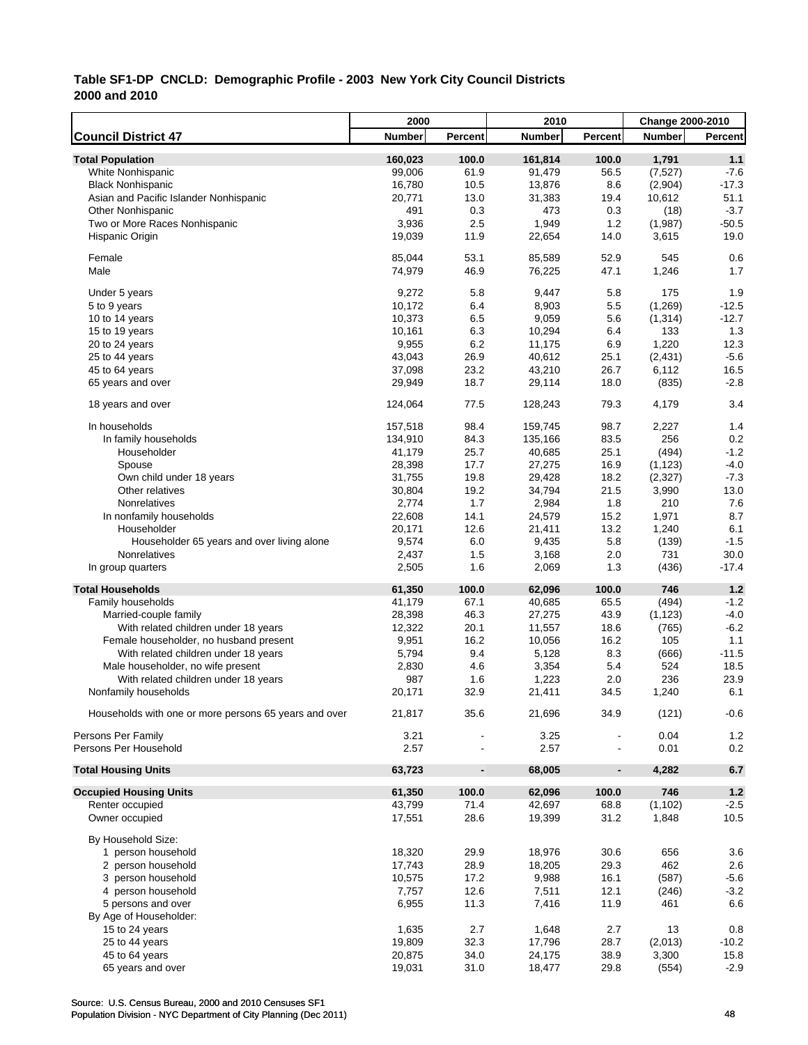|                                                       | 2000             |                              | 2010           |                          | <b>Change 2000-2010</b> |                 |
|-------------------------------------------------------|------------------|------------------------------|----------------|--------------------------|-------------------------|-----------------|
| <b>Council District 47</b>                            | <b>Number</b>    | Percent                      | <b>Number</b>  | Percent                  | <b>Number</b>           | Percent         |
| <b>Total Population</b>                               | 160,023          | 100.0                        | 161,814        | 100.0                    | 1,791                   | 1.1             |
| White Nonhispanic                                     | 99,006           | 61.9                         | 91,479         | 56.5                     | (7, 527)                | $-7.6$          |
| <b>Black Nonhispanic</b>                              | 16,780           | 10.5                         | 13,876         | 8.6                      | (2,904)                 | $-17.3$         |
| Asian and Pacific Islander Nonhispanic                | 20,771           | 13.0                         | 31,383         | 19.4                     | 10,612                  | 51.1            |
| <b>Other Nonhispanic</b>                              | 491              | 0.3                          | 473            | 0.3                      | (18)                    | $-3.7$          |
| Two or More Races Nonhispanic                         | 3,936            | 2.5                          | 1,949          | 1.2                      | (1,987)                 | $-50.5$         |
| Hispanic Origin                                       | 19,039           | 11.9                         | 22,654         | 14.0                     | 3,615                   | 19.0            |
|                                                       |                  |                              |                |                          |                         |                 |
| Female                                                | 85,044           | 53.1                         | 85,589         | 52.9                     | 545                     | 0.6             |
| Male                                                  | 74,979           | 46.9                         | 76,225         | 47.1                     | 1,246                   | 1.7             |
| Under 5 years                                         | 9,272            | 5.8                          | 9,447          | 5.8                      | 175                     | 1.9             |
| 5 to 9 years                                          | 10,172           | 6.4                          | 8,903          | 5.5                      | (1,269)                 | $-12.5$         |
| 10 to 14 years                                        | 10,373           | 6.5                          | 9,059          | 5.6                      | (1, 314)                | $-12.7$         |
| 15 to 19 years                                        | 10,161           | 6.3                          | 10,294         | 6.4                      | 133                     | 1.3             |
| 20 to 24 years                                        | 9,955            | 6.2                          | 11,175         | 6.9                      | 1,220                   | 12.3            |
| 25 to 44 years                                        | 43,043           | 26.9                         | 40,612         | 25.1                     | (2, 431)                | $-5.6$          |
| 45 to 64 years                                        | 37,098           | 23.2                         | 43,210         | 26.7                     | 6,112                   | 16.5            |
| 65 years and over                                     | 29,949           | 18.7                         | 29,114         | 18.0                     | (835)                   | $-2.8$          |
| 18 years and over                                     | 124,064          | 77.5                         | 128,243        | 79.3                     | 4,179                   | 3.4             |
| In households                                         | 157,518          | 98.4                         | 159,745        | 98.7                     | 2,227                   | 1.4             |
| In family households                                  | 134,910          | 84.3                         | 135,166        | 83.5                     | 256                     | 0.2             |
| Householder                                           | 41,179           | 25.7                         | 40,685         | 25.1                     | (494)                   | $-1.2$          |
|                                                       |                  | 17.7                         | 27,275         | 16.9                     |                         | $-4.0$          |
| Spouse                                                | 28,398           | 19.8                         | 29,428         | 18.2                     | (1, 123)<br>(2,327)     | $-7.3$          |
| Own child under 18 years                              | 31,755<br>30,804 | 19.2                         | 34,794         | 21.5                     |                         | 13.0            |
| Other relatives                                       |                  |                              |                |                          | 3,990                   |                 |
| Nonrelatives                                          | 2,774            | 1.7                          | 2,984          | 1.8                      | 210                     | 7.6             |
| In nonfamily households                               | 22,608           | 14.1                         | 24,579         | 15.2                     | 1,971                   | 8.7             |
| Householder                                           | 20,171           | 12.6                         | 21,411         | 13.2                     | 1,240                   | 6.1<br>$-1.5$   |
| Householder 65 years and over living alone            | 9,574            | 6.0                          | 9,435          | 5.8                      | (139)                   |                 |
| Nonrelatives<br>In group quarters                     | 2,437<br>2,505   | 1.5<br>1.6                   | 3,168<br>2,069 | 2.0<br>1.3               | 731<br>(436)            | 30.0<br>$-17.4$ |
|                                                       |                  |                              |                |                          |                         |                 |
| <b>Total Households</b>                               | 61,350           | 100.0                        | 62,096         | 100.0                    | 746                     | 1.2             |
| Family households                                     | 41,179           | 67.1                         | 40,685         | 65.5                     | (494)                   | $-1.2$          |
| Married-couple family                                 | 28,398           | 46.3                         | 27,275         | 43.9                     | (1, 123)                | $-4.0$          |
| With related children under 18 years                  | 12,322           | 20.1                         | 11,557         | 18.6                     | (765)                   | $-6.2$          |
| Female householder, no husband present                | 9,951            | 16.2                         | 10,056         | 16.2                     | 105                     | 1.1             |
| With related children under 18 years                  | 5,794            | 9.4                          | 5,128          | 8.3                      | (666)                   | $-11.5$         |
| Male householder, no wife present                     | 2,830            | 4.6                          | 3,354          | 5.4                      | 524                     | 18.5            |
| With related children under 18 years                  | 987              | 1.6                          | 1,223          | 2.0                      | 236                     | 23.9            |
| Nonfamily households                                  | 20,171           | 32.9                         | 21,411         | 34.5                     | 1,240                   | 6.1             |
| Households with one or more persons 65 years and over | 21,817           | 35.6                         | 21,696         | 34.9                     | (121)                   | $-0.6$          |
| Persons Per Family                                    | 3.21             |                              | 3.25           |                          | 0.04                    | 1.2             |
| Persons Per Household                                 | 2.57             |                              | 2.57           | $\overline{\phantom{a}}$ | 0.01                    | 0.2             |
| <b>Total Housing Units</b>                            | 63,723           | $\qquad \qquad \blacksquare$ | 68,005         | $\overline{\phantom{a}}$ | 4,282                   | 6.7             |
| <b>Occupied Housing Units</b>                         | 61,350           | 100.0                        | 62,096         | 100.0                    | 746                     | $1.2$           |
| Renter occupied                                       | 43,799           | 71.4                         | 42,697         | 68.8                     | (1, 102)                | $-2.5$          |
| Owner occupied                                        | 17,551           | 28.6                         | 19,399         | 31.2                     | 1,848                   | 10.5            |
| By Household Size:                                    |                  |                              |                |                          |                         |                 |
| 1 person household                                    | 18,320           | 29.9                         | 18,976         | 30.6                     | 656                     | 3.6             |
| 2 person household                                    | 17,743           | 28.9                         | 18,205         | 29.3                     | 462                     | 2.6             |
| 3 person household                                    | 10,575           | 17.2                         | 9,988          | 16.1                     | (587)                   | $-5.6$          |
| 4 person household                                    | 7,757            | 12.6                         | 7,511          | 12.1                     | (246)                   | $-3.2$          |
| 5 persons and over                                    | 6,955            | 11.3                         | 7,416          | 11.9                     | 461                     | 6.6             |
| By Age of Householder:                                |                  |                              |                |                          |                         |                 |
| 15 to 24 years                                        | 1,635            | 2.7                          | 1,648          | 2.7                      | 13                      | 0.8             |
| 25 to 44 years                                        | 19,809           | 32.3                         | 17,796         | 28.7                     | (2,013)                 | $-10.2$         |
| 45 to 64 years                                        | 20,875           | 34.0                         | 24,175         | 38.9                     | 3,300                   | 15.8            |
| 65 years and over                                     | 19,031           | 31.0                         | 18,477         | 29.8                     | (554)                   | $-2.9$          |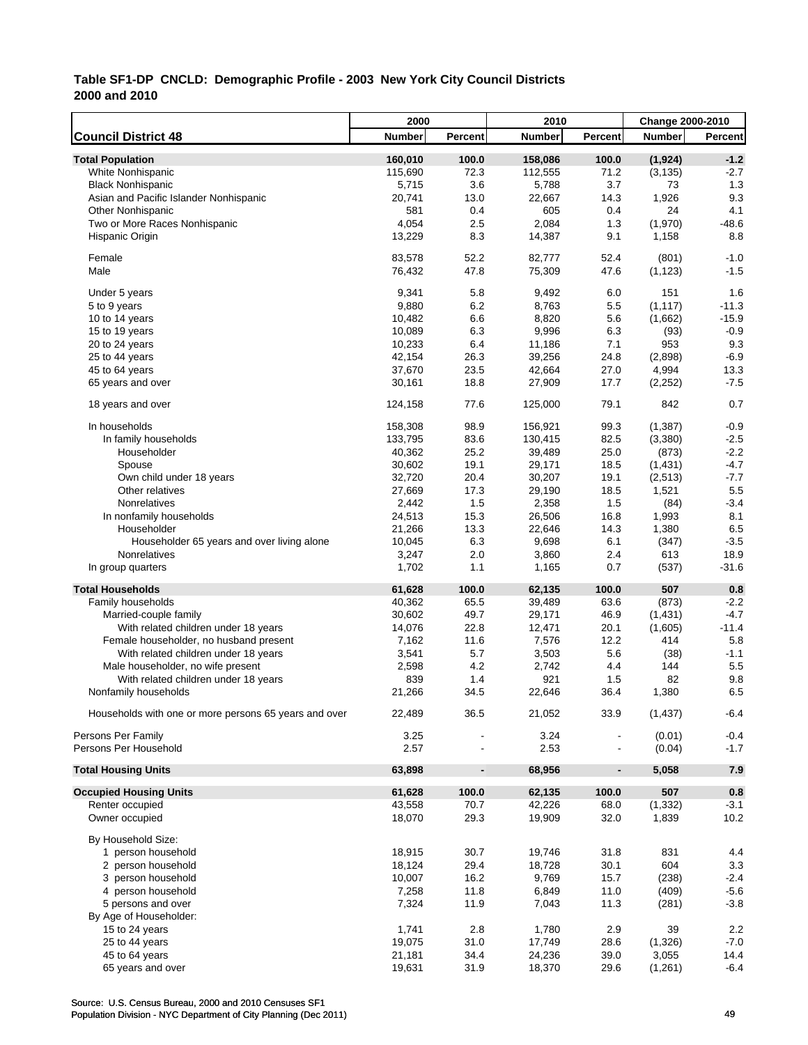|                                                       | 2000          |                              | 2010          |                          | Change 2000-2010 |                  |
|-------------------------------------------------------|---------------|------------------------------|---------------|--------------------------|------------------|------------------|
| <b>Council District 48</b>                            | <b>Number</b> | Percent                      | <b>Number</b> | Percent                  | <b>Number</b>    | Percent          |
| <b>Total Population</b>                               | 160,010       | 100.0                        | 158,086       | 100.0                    | (1, 924)         | $-1.2$           |
| White Nonhispanic                                     | 115,690       | 72.3                         | 112,555       | 71.2                     | (3, 135)         | $-2.7$           |
| <b>Black Nonhispanic</b>                              | 5,715         | 3.6                          | 5,788         | 3.7                      | 73               | 1.3              |
| Asian and Pacific Islander Nonhispanic                | 20,741        | 13.0                         | 22,667        | 14.3                     | 1,926            | 9.3              |
| <b>Other Nonhispanic</b>                              | 581           | 0.4                          | 605           | 0.4                      | 24               | 4.1              |
| Two or More Races Nonhispanic                         | 4,054         | 2.5                          | 2,084         | 1.3                      | (1,970)          | $-48.6$          |
| Hispanic Origin                                       | 13,229        | 8.3                          | 14,387        | 9.1                      | 1,158            | 8.8              |
| Female                                                | 83,578        | 52.2                         | 82,777        | 52.4                     | (801)            | $-1.0$           |
| Male                                                  | 76,432        | 47.8                         | 75,309        | 47.6                     | (1, 123)         | $-1.5$           |
|                                                       |               |                              |               |                          |                  |                  |
| Under 5 years                                         | 9,341         | 5.8                          | 9,492         | 6.0                      | 151              | 1.6              |
| 5 to 9 years                                          | 9,880         | 6.2                          | 8,763         | 5.5                      | (1, 117)         | $-11.3$          |
| 10 to 14 years                                        | 10,482        | 6.6                          | 8,820         | 5.6                      | (1,662)          | $-15.9$          |
| 15 to 19 years                                        | 10,089        | 6.3                          | 9,996         | 6.3                      | (93)             | $-0.9$           |
| 20 to 24 years                                        | 10,233        | 6.4                          | 11,186        | 7.1                      | 953              | 9.3              |
| 25 to 44 years                                        | 42,154        | 26.3                         | 39,256        | 24.8                     | (2,898)          | $-6.9$           |
| 45 to 64 years                                        | 37,670        | 23.5                         | 42,664        | 27.0                     | 4,994            | 13.3             |
| 65 years and over                                     | 30,161        | 18.8                         | 27,909        | 17.7                     | (2, 252)         | $-7.5$           |
| 18 years and over                                     | 124,158       | 77.6                         | 125,000       | 79.1                     | 842              | 0.7              |
| In households                                         | 158,308       | 98.9                         | 156,921       | 99.3                     | (1, 387)         | $-0.9$           |
| In family households                                  | 133,795       | 83.6                         | 130,415       | 82.5                     | (3,380)          | $-2.5$           |
| Householder                                           | 40,362        | 25.2                         | 39,489        | 25.0                     | (873)            | $-2.2$           |
| Spouse                                                | 30,602        | 19.1                         | 29,171        | 18.5                     | (1,431)          | $-4.7$           |
| Own child under 18 years                              | 32,720        | 20.4                         | 30,207        | 19.1                     | (2,513)          | $-7.7$           |
| Other relatives                                       | 27,669        | 17.3                         | 29,190        | 18.5                     | 1,521            | 5.5              |
| Nonrelatives                                          | 2,442         | 1.5                          | 2,358         | 1.5                      | (84)             | $-3.4$           |
| In nonfamily households                               | 24,513        | 15.3                         | 26,506        | 16.8                     | 1,993            | 8.1              |
| Householder                                           | 21,266        | 13.3                         | 22,646        | 14.3                     | 1,380            | 6.5              |
| Householder 65 years and over living alone            | 10,045        | 6.3                          | 9,698         | 6.1                      | (347)            | $-3.5$           |
| Nonrelatives                                          | 3,247         | 2.0                          | 3,860         | 2.4                      | 613              | 18.9             |
| In group quarters                                     | 1,702         | 1.1                          | 1,165         | 0.7                      | (537)            | $-31.6$          |
| <b>Total Households</b>                               | 61,628        | 100.0                        | 62,135        | 100.0                    | 507              | 0.8              |
| Family households                                     | 40,362        | 65.5                         | 39,489        | 63.6                     | (873)            | $-2.2$           |
| Married-couple family                                 | 30,602        | 49.7                         | 29,171        | 46.9                     | (1,431)          | $-4.7$           |
| With related children under 18 years                  | 14,076        | 22.8                         | 12,471        | 20.1                     | (1,605)          | $-11.4$          |
| Female householder, no husband present                | 7,162         | 11.6                         | 7,576         | 12.2                     | 414              | 5.8              |
| With related children under 18 years                  | 3,541         | 5.7                          | 3,503         | 5.6                      | (38)             | $-1.1$           |
| Male householder, no wife present                     | 2,598         | 4.2                          | 2,742         | 4.4                      | 144              | 5.5              |
| With related children under 18 years                  | 839           | 1.4                          | 921           | 1.5                      | 82               | 9.8              |
| Nonfamily households                                  | 21,266        | 34.5                         | 22,646        | 36.4                     | 1,380            | 6.5              |
| Households with one or more persons 65 years and over | 22,489        | 36.5                         | 21,052        | 33.9                     | (1, 437)         | $-6.4$           |
|                                                       |               |                              |               |                          |                  |                  |
| Persons Per Family<br>Persons Per Household           | 3.25<br>2.57  |                              | 3.24<br>2.53  |                          | (0.01)<br>(0.04) | $-0.4$<br>$-1.7$ |
|                                                       |               |                              |               |                          |                  |                  |
| <b>Total Housing Units</b>                            | 63,898        | $\qquad \qquad \blacksquare$ | 68,956        | $\overline{\phantom{a}}$ | 5,058            | 7.9              |
| <b>Occupied Housing Units</b>                         | 61,628        | 100.0                        | 62,135        | 100.0                    | 507              | $0.8\,$          |
| Renter occupied                                       | 43,558        | 70.7                         | 42,226        | 68.0                     | (1, 332)         | $-3.1$           |
| Owner occupied                                        | 18,070        | 29.3                         | 19,909        | 32.0                     | 1,839            | 10.2             |
| By Household Size:                                    |               |                              |               |                          |                  |                  |
| 1 person household                                    | 18,915        | 30.7                         | 19,746        | 31.8                     | 831              | 4.4              |
| 2 person household                                    | 18,124        | 29.4                         | 18,728        | 30.1                     | 604              | 3.3              |
| 3 person household                                    | 10,007        | 16.2                         | 9,769         | 15.7                     | (238)            | $-2.4$           |
| 4 person household                                    | 7,258         | 11.8                         | 6,849         | 11.0                     | (409)            | $-5.6$           |
| 5 persons and over                                    | 7,324         | 11.9                         | 7,043         | 11.3                     | (281)            | $-3.8$           |
| By Age of Householder:                                |               |                              |               |                          |                  |                  |
| 15 to 24 years                                        | 1,741         | 2.8                          | 1,780         | 2.9                      | 39               | 2.2              |
| 25 to 44 years                                        | 19,075        | 31.0                         | 17,749        | 28.6                     | (1, 326)         | $-7.0$           |
| 45 to 64 years                                        | 21,181        | 34.4                         | 24,236        | 39.0                     | 3,055            | 14.4             |
| 65 years and over                                     | 19,631        | 31.9                         | 18,370        | 29.6                     | (1,261)          | $-6.4$           |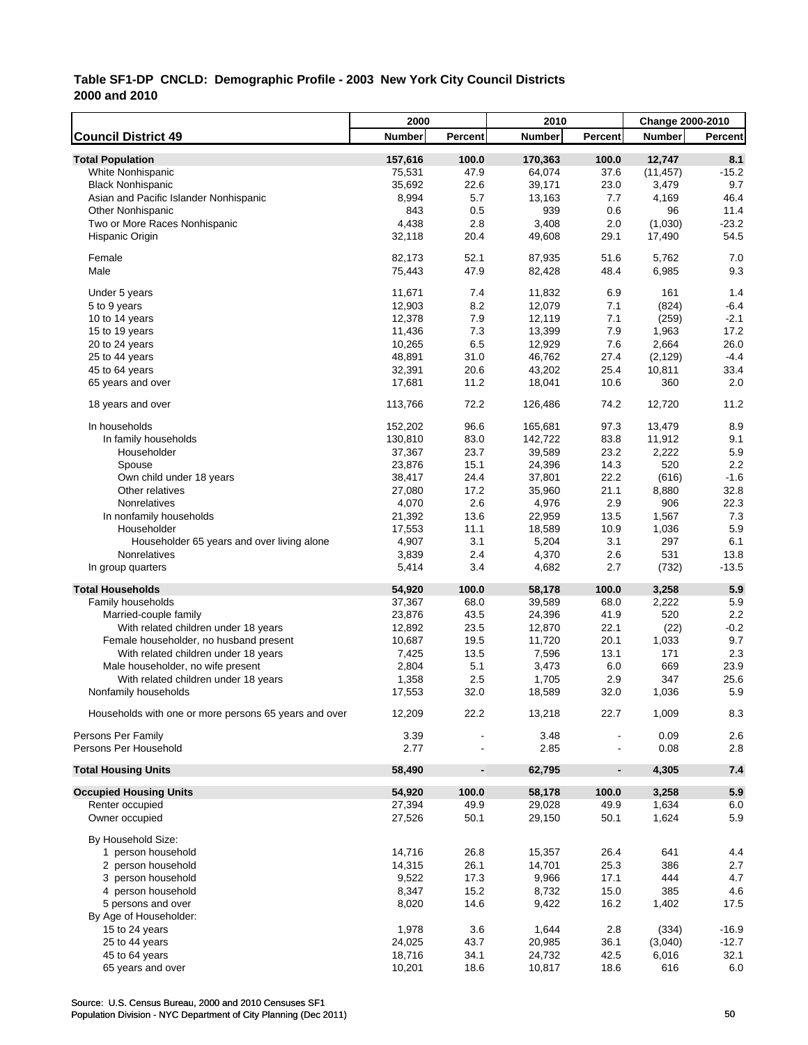|                                                       | 2000             |                              | 2010          |                          | Change 2000-2010 |         |
|-------------------------------------------------------|------------------|------------------------------|---------------|--------------------------|------------------|---------|
| <b>Council District 49</b>                            | <b>Number</b>    | Percent                      | <b>Number</b> | Percent                  | <b>Number</b>    | Percent |
| <b>Total Population</b>                               | 157,616          | 100.0                        | 170,363       | 100.0                    | 12,747           | 8.1     |
| White Nonhispanic                                     | 75,531           | 47.9                         | 64,074        | 37.6                     | (11, 457)        | $-15.2$ |
| <b>Black Nonhispanic</b>                              | 35,692           | 22.6                         | 39,171        | 23.0                     | 3,479            | 9.7     |
| Asian and Pacific Islander Nonhispanic                | 8,994            | 5.7                          | 13,163        | 7.7                      | 4,169            | 46.4    |
| <b>Other Nonhispanic</b>                              | 843              | 0.5                          | 939           | 0.6                      | 96               | 11.4    |
| Two or More Races Nonhispanic                         | 4,438            | 2.8                          | 3,408         | 2.0                      | (1,030)          | $-23.2$ |
| Hispanic Origin                                       | 32,118           | 20.4                         | 49,608        | 29.1                     | 17,490           | 54.5    |
|                                                       |                  |                              |               |                          |                  |         |
| Female                                                | 82,173           | 52.1                         | 87,935        | 51.6                     | 5,762            | 7.0     |
| Male                                                  | 75,443           | 47.9                         | 82,428        | 48.4                     | 6,985            | 9.3     |
|                                                       |                  | 7.4                          | 11,832        | 6.9                      | 161              | 1.4     |
| Under 5 years                                         | 11,671           | 8.2                          | 12,079        | 7.1                      | (824)            | $-6.4$  |
| 5 to 9 years<br>10 to 14 years                        | 12,903<br>12,378 | 7.9                          | 12,119        | 7.1                      | (259)            | $-2.1$  |
| 15 to 19 years                                        | 11,436           | 7.3                          | 13,399        | 7.9                      | 1,963            | 17.2    |
| 20 to 24 years                                        | 10,265           | 6.5                          | 12,929        | 7.6                      | 2,664            | 26.0    |
| 25 to 44 years                                        | 48,891           | 31.0                         | 46,762        | 27.4                     | (2, 129)         | $-4.4$  |
| 45 to 64 years                                        | 32,391           | 20.6                         | 43,202        | 25.4                     | 10,811           | 33.4    |
| 65 years and over                                     | 17,681           | 11.2                         | 18,041        | 10.6                     | 360              | 2.0     |
|                                                       |                  |                              |               |                          |                  |         |
| 18 years and over                                     | 113,766          | 72.2                         | 126,486       | 74.2                     | 12,720           | 11.2    |
| In households                                         | 152,202          | 96.6                         | 165,681       | 97.3                     | 13,479           | 8.9     |
| In family households                                  | 130,810          | 83.0                         | 142,722       | 83.8                     | 11,912           | 9.1     |
| Householder                                           | 37,367           | 23.7                         | 39,589        | 23.2                     | 2,222            | 5.9     |
| Spouse                                                | 23,876           | 15.1                         | 24,396        | 14.3                     | 520              | 2.2     |
| Own child under 18 years                              | 38,417           | 24.4                         | 37,801        | 22.2                     | (616)            | $-1.6$  |
| Other relatives                                       | 27,080           | 17.2                         | 35,960        | 21.1                     | 8,880            | 32.8    |
| Nonrelatives                                          | 4,070            | 2.6                          | 4,976         | 2.9                      | 906              | 22.3    |
| In nonfamily households                               | 21,392           | 13.6                         | 22,959        | 13.5                     | 1,567            | 7.3     |
| Householder                                           | 17,553           | 11.1                         | 18,589        | 10.9                     | 1,036            | 5.9     |
| Householder 65 years and over living alone            | 4,907            | 3.1                          | 5,204         | 3.1                      | 297              | 6.1     |
| Nonrelatives                                          | 3,839            | 2.4                          | 4,370         | 2.6                      | 531              | 13.8    |
| In group quarters                                     | 5,414            | 3.4                          | 4,682         | 2.7                      | (732)            | $-13.5$ |
| <b>Total Households</b>                               | 54,920           | 100.0                        | 58,178        | 100.0                    | 3,258            | 5.9     |
| Family households                                     | 37,367           | 68.0                         | 39,589        | 68.0                     | 2,222            | 5.9     |
| Married-couple family                                 | 23,876           | 43.5                         | 24,396        | 41.9                     | 520              | 2.2     |
| With related children under 18 years                  | 12,892           | 23.5                         | 12,870        | 22.1                     | (22)             | $-0.2$  |
| Female householder, no husband present                | 10,687           | 19.5                         | 11,720        | 20.1                     | 1,033            | 9.7     |
| With related children under 18 years                  | 7,425            | 13.5                         | 7,596         | 13.1                     | 171              | 2.3     |
| Male householder, no wife present                     | 2,804            | 5.1                          | 3,473         | 6.0                      | 669              | 23.9    |
| With related children under 18 years                  | 1,358            | 2.5                          | 1,705         | 2.9                      | 347              | 25.6    |
| Nonfamily households                                  | 17,553           | 32.0                         | 18,589        | 32.0                     | 1,036            | 5.9     |
|                                                       |                  |                              |               |                          |                  |         |
| Households with one or more persons 65 years and over | 12,209           | 22.2                         | 13,218        | 22.7                     | 1,009            | 8.3     |
| Persons Per Family                                    | 3.39             |                              | 3.48          |                          | 0.09             | 2.6     |
| Persons Per Household                                 | 2.77             |                              | 2.85          |                          | 0.08             | 2.8     |
| <b>Total Housing Units</b>                            | 58,490           | $\qquad \qquad \blacksquare$ | 62,795        | $\overline{\phantom{a}}$ | 4,305            | 7.4     |
| <b>Occupied Housing Units</b>                         | 54,920           | 100.0                        | 58,178        | 100.0                    | 3,258            | 5.9     |
| Renter occupied                                       | 27,394           | 49.9                         | 29,028        | 49.9                     | 1,634            | 6.0     |
| Owner occupied                                        | 27,526           | 50.1                         | 29,150        | 50.1                     | 1,624            | 5.9     |
| By Household Size:                                    |                  |                              |               |                          |                  |         |
| 1 person household                                    | 14,716           | 26.8                         | 15,357        | 26.4                     | 641              | 4.4     |
| 2 person household                                    | 14,315           | 26.1                         | 14,701        | 25.3                     | 386              | 2.7     |
| 3 person household                                    | 9,522            | 17.3                         | 9,966         | 17.1                     | 444              | 4.7     |
| 4 person household                                    | 8,347            | 15.2                         | 8,732         | 15.0                     | 385              | 4.6     |
| 5 persons and over                                    | 8,020            | 14.6                         | 9,422         | 16.2                     | 1,402            | 17.5    |
| By Age of Householder:                                |                  |                              |               |                          |                  |         |
| 15 to 24 years                                        | 1,978            | 3.6                          | 1,644         | 2.8                      | (334)            | $-16.9$ |
| 25 to 44 years                                        | 24,025           | 43.7                         | 20,985        | 36.1                     | (3,040)          | $-12.7$ |
| 45 to 64 years                                        | 18,716           | 34.1                         | 24,732        | 42.5                     | 6,016            | 32.1    |
| 65 years and over                                     | 10,201           | 18.6                         | 10,817        | 18.6                     | 616              | 6.0     |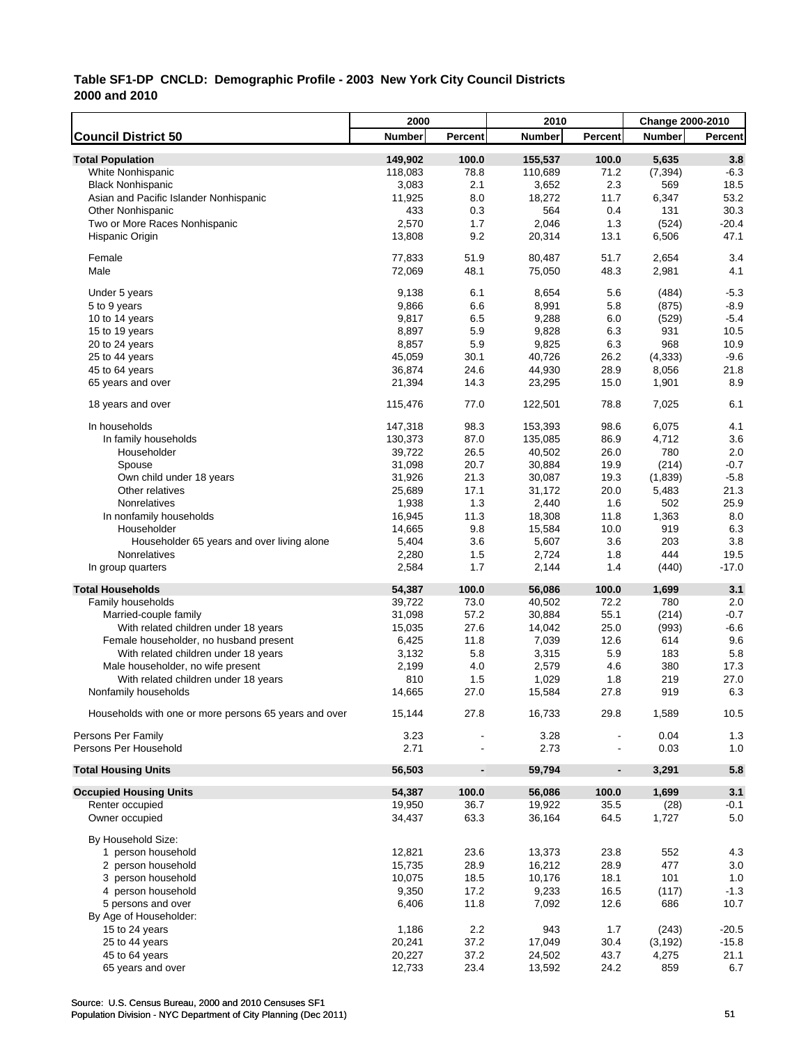|                                                       | 2000          | 2010                         |               | <b>Change 2000-2010</b>  |               |         |
|-------------------------------------------------------|---------------|------------------------------|---------------|--------------------------|---------------|---------|
| <b>Council District 50</b>                            | <b>Number</b> | Percent                      | <b>Number</b> | Percent                  | <b>Number</b> | Percent |
| <b>Total Population</b>                               | 149,902       | 100.0                        | 155,537       | 100.0                    | 5,635         | 3.8     |
| White Nonhispanic                                     | 118,083       | 78.8                         | 110,689       | 71.2                     | (7, 394)      | $-6.3$  |
| <b>Black Nonhispanic</b>                              | 3,083         | 2.1                          | 3,652         | 2.3                      | 569           | 18.5    |
| Asian and Pacific Islander Nonhispanic                | 11,925        | 8.0                          | 18,272        | 11.7                     | 6,347         | 53.2    |
| <b>Other Nonhispanic</b>                              | 433           | 0.3                          | 564           | 0.4                      | 131           | 30.3    |
| Two or More Races Nonhispanic                         | 2,570         | 1.7                          | 2,046         | 1.3                      | (524)         | $-20.4$ |
| Hispanic Origin                                       | 13,808        | 9.2                          | 20,314        | 13.1                     | 6,506         | 47.1    |
| Female                                                | 77,833        | 51.9                         | 80,487        | 51.7                     | 2,654         | 3.4     |
| Male                                                  | 72,069        | 48.1                         | 75,050        | 48.3                     | 2,981         | 4.1     |
| Under 5 years                                         | 9,138         | 6.1                          | 8,654         | 5.6                      | (484)         | $-5.3$  |
| 5 to 9 years                                          | 9,866         | 6.6                          | 8,991         | 5.8                      | (875)         | $-8.9$  |
| 10 to 14 years                                        | 9,817         | 6.5                          | 9,288         | 6.0                      | (529)         | $-5.4$  |
| 15 to 19 years                                        | 8,897         | 5.9                          | 9,828         | 6.3                      | 931           | 10.5    |
| 20 to 24 years                                        | 8,857         | 5.9                          | 9,825         | 6.3                      | 968           | 10.9    |
| 25 to 44 years                                        | 45,059        | 30.1                         | 40,726        | 26.2                     | (4, 333)      | $-9.6$  |
| 45 to 64 years                                        | 36,874        | 24.6                         | 44,930        | 28.9                     | 8,056         | 21.8    |
| 65 years and over                                     | 21,394        | 14.3                         | 23,295        | 15.0                     | 1,901         | 8.9     |
| 18 years and over                                     | 115,476       | 77.0                         | 122,501       | 78.8                     | 7,025         | 6.1     |
| In households                                         | 147,318       | 98.3                         | 153,393       | 98.6                     | 6,075         | 4.1     |
| In family households                                  | 130,373       | 87.0                         | 135,085       | 86.9                     | 4,712         | 3.6     |
| Householder                                           | 39,722        | 26.5                         | 40,502        | 26.0                     | 780           | 2.0     |
| Spouse                                                | 31,098        | 20.7                         | 30,884        | 19.9                     | (214)         | $-0.7$  |
| Own child under 18 years                              | 31,926        | 21.3                         | 30,087        | 19.3                     | (1,839)       | $-5.8$  |
| Other relatives                                       | 25,689        | 17.1                         | 31,172        | 20.0                     | 5,483         | 21.3    |
| Nonrelatives                                          | 1,938         | 1.3                          | 2,440         | 1.6                      | 502           | 25.9    |
| In nonfamily households                               | 16,945        | 11.3                         | 18,308        | 11.8                     | 1,363         | 8.0     |
| Householder                                           | 14,665        | 9.8                          | 15,584        | 10.0                     | 919           | 6.3     |
| Householder 65 years and over living alone            | 5,404         | 3.6                          | 5,607         | 3.6                      | 203           | 3.8     |
| Nonrelatives                                          | 2,280         | 1.5                          | 2,724         | 1.8                      | 444           | 19.5    |
| In group quarters                                     | 2,584         | 1.7                          | 2,144         | 1.4                      | (440)         | $-17.0$ |
| <b>Total Households</b>                               | 54,387        | 100.0                        | 56,086        | 100.0                    | 1,699         | 3.1     |
| Family households                                     | 39,722        | 73.0                         | 40,502        | 72.2                     | 780           | 2.0     |
| Married-couple family                                 | 31,098        | 57.2                         | 30,884        | 55.1                     | (214)         | $-0.7$  |
| With related children under 18 years                  | 15,035        | 27.6                         | 14,042        | 25.0                     | (993)         | $-6.6$  |
| Female householder, no husband present                | 6,425         | 11.8                         | 7,039         | 12.6                     | 614           | 9.6     |
| With related children under 18 years                  | 3,132         | 5.8                          | 3,315         | 5.9                      | 183           | 5.8     |
| Male householder, no wife present                     | 2,199         | 4.0                          | 2,579         | 4.6                      | 380           | 17.3    |
| With related children under 18 years                  | 810           | 1.5                          | 1,029         | 1.8                      | 219           | 27.0    |
| Nonfamily households                                  | 14,665        | 27.0                         | 15,584        | 27.8                     | 919           | 6.3     |
| Households with one or more persons 65 years and over | 15,144        | 27.8                         | 16,733        | 29.8                     | 1,589         | 10.5    |
| Persons Per Family                                    | 3.23          |                              | 3.28          |                          | 0.04          | 1.3     |
| Persons Per Household                                 | 2.71          |                              | 2.73          |                          | 0.03          | 1.0     |
| <b>Total Housing Units</b>                            | 56,503        | $\qquad \qquad \blacksquare$ | 59,794        | $\overline{\phantom{a}}$ | 3,291         | 5.8     |
| <b>Occupied Housing Units</b>                         | 54,387        | 100.0                        | 56,086        | 100.0                    | 1,699         | 3.1     |
| Renter occupied                                       | 19,950        | 36.7                         | 19,922        | 35.5                     | (28)          | $-0.1$  |
| Owner occupied                                        | 34,437        | 63.3                         | 36,164        | 64.5                     | 1,727         | 5.0     |
| By Household Size:                                    |               |                              |               |                          |               |         |
| 1 person household                                    | 12,821        | 23.6                         | 13,373        | 23.8                     | 552           | 4.3     |
| 2 person household                                    | 15,735        | 28.9                         | 16,212        | 28.9                     | 477           | 3.0     |
| 3 person household                                    | 10,075        | 18.5                         | 10,176        | 18.1                     | 101           | 1.0     |
| 4 person household                                    | 9,350         | 17.2                         | 9,233         | 16.5                     | (117)         | $-1.3$  |
| 5 persons and over                                    | 6,406         | 11.8                         | 7,092         | 12.6                     | 686           | 10.7    |
| By Age of Householder:                                |               |                              |               |                          |               |         |
| 15 to 24 years                                        | 1,186         | 2.2                          | 943           | 1.7                      | (243)         | $-20.5$ |
| 25 to 44 years                                        | 20,241        | 37.2                         | 17,049        | 30.4                     | (3, 192)      | $-15.8$ |
| 45 to 64 years                                        | 20,227        | 37.2                         | 24,502        | 43.7                     | 4,275         | 21.1    |
| 65 years and over                                     | 12,733        | 23.4                         | 13,592        | 24.2                     | 859           | 6.7     |